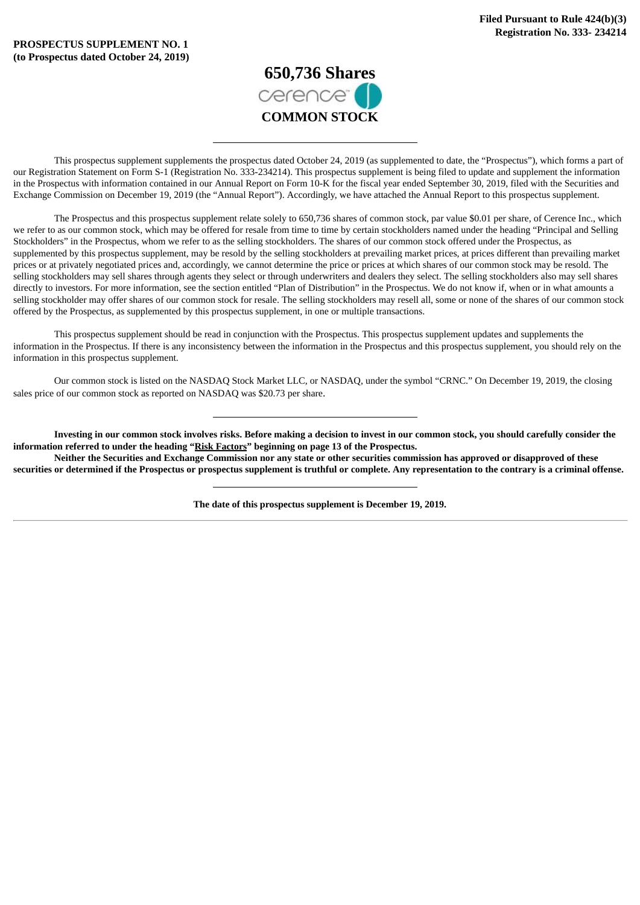

This prospectus supplement supplements the prospectus dated October 24, 2019 (as supplemented to date, the "Prospectus"), which forms a part of our Registration Statement on Form S-1 (Registration No. 333-234214). This prospectus supplement is being filed to update and supplement the information in the Prospectus with information contained in our Annual Report on Form 10-K for the fiscal year ended September 30, 2019, filed with the Securities and Exchange Commission on December 19, 2019 (the "Annual Report"). Accordingly, we have attached the Annual Report to this prospectus supplement.

The Prospectus and this prospectus supplement relate solely to 650,736 shares of common stock, par value \$0.01 per share, of Cerence Inc., which we refer to as our common stock, which may be offered for resale from time to time by certain stockholders named under the heading "Principal and Selling Stockholders" in the Prospectus, whom we refer to as the selling stockholders. The shares of our common stock offered under the Prospectus, as supplemented by this prospectus supplement, may be resold by the selling stockholders at prevailing market prices, at prices different than prevailing market prices or at privately negotiated prices and, accordingly, we cannot determine the price or prices at which shares of our common stock may be resold. The selling stockholders may sell shares through agents they select or through underwriters and dealers they select. The selling stockholders also may sell shares directly to investors. For more information, see the section entitled "Plan of Distribution" in the Prospectus. We do not know if, when or in what amounts a selling stockholder may offer shares of our common stock for resale. The selling stockholders may resell all, some or none of the shares of our common stock offered by the Prospectus, as supplemented by this prospectus supplement, in one or multiple transactions.

This prospectus supplement should be read in conjunction with the Prospectus. This prospectus supplement updates and supplements the information in the Prospectus. If there is any inconsistency between the information in the Prospectus and this prospectus supplement, you should rely on the information in this prospectus supplement.

Our common stock is listed on the NASDAQ Stock Market LLC, or NASDAQ, under the symbol "CRNC." On December 19, 2019, the closing sales price of our common stock as reported on NASDAQ was \$20.73 per share.

Investing in our common stock involves risks. Before making a decision to invest in our common stock, vou should carefully consider the **information referred to under the heading "Risk Factors" beginning on page 13 of the Prospectus.**

Neither the Securities and Exchange Commission nor any state or other securities commission has approved or disapproved of these securities or determined if the Prospectus or prospectus supplement is truthful or complete. Any representation to the contrary is a criminal offense.

**The date of this prospectus supplement is December 19, 2019.**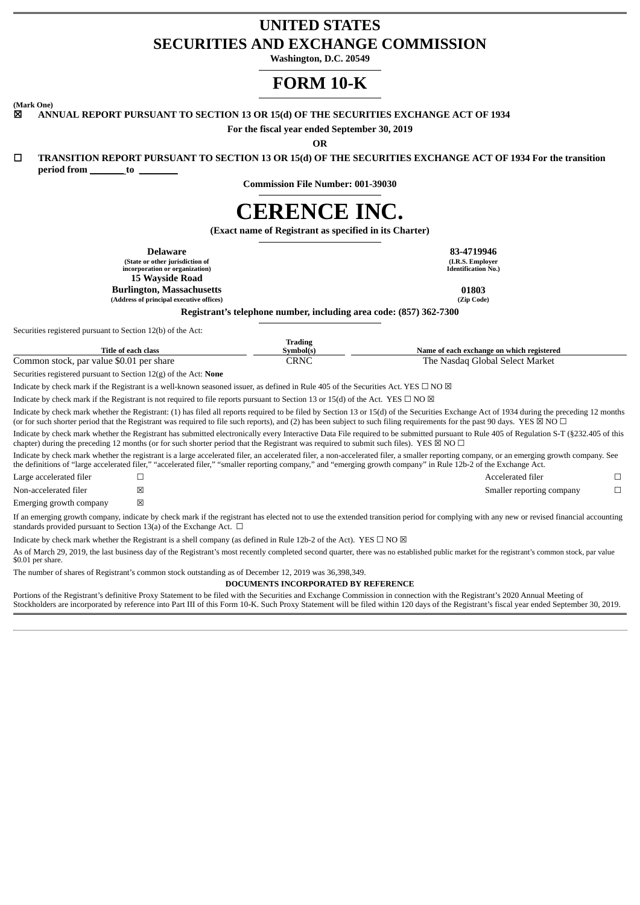# **UNITED STATES SECURITIES AND EXCHANGE COMMISSION**

**Washington, D.C. 20549**

# **FORM 10-K**

**(Mark One)**

☒ **ANNUAL REPORT PURSUANT TO SECTION 13 OR 15(d) OF THE SECURITIES EXCHANGE ACT OF 1934**

**For the fiscal year ended September 30, 2019**

**OR**

□ TRANSITION REPORT PURSUANT TO SECTION 13 OR 15(d) OF THE SECURITIES EXCHANGE ACT OF 1934 For the transition

**period from \_\_\_\_\_\_\_ to \_\_\_\_\_\_\_\_**

**Commission File Number: 001-39030**

# **CERENCE INC.**

**(Exact name of Registrant as specified in its Charter)**

**Delaware 83-4719946 (State or other jurisdiction of incorporation or organization) 15 Wayside Road Burlington, Massachusetts 01803 (Address of principal executive offices) (Zip Code)**

**(I.R.S. Employer Identification No.)**

**Registrant's telephone number, including area code: (857) 362-7300**

Securities registered pursuant to Section 12(b) of the Act:

| Title of each class                                | <br>Symbol(s) | Name of each exchange on which registered            |
|----------------------------------------------------|---------------|------------------------------------------------------|
| , par value \$0.01<br>. per share<br>Common stock, | CRNC          | <b>Select</b><br>Market<br>'he<br>Nasdad<br>l Flobal |

**Trading**

Securities registered pursuant to Section 12(g) of the Act: **None**

Indicate by check mark if the Registrant is a well-known seasoned issuer, as defined in Rule 405 of the Securities Act. YES  $\Box$  NO  $\boxtimes$ 

Indicate by check mark if the Registrant is not required to file reports pursuant to Section 13 or 15(d) of the Act. YES  $\Box$  NO  $\boxtimes$ 

Indicate by check mark whether the Registrant: (1) has filed all reports required to be filed by Section 13 or 15(d) of the Securities Exchange Act of 1934 during the preceding 12 months (or for such shorter period that the Registrant was required to file such reports), and (2) has been subject to such filing requirements for the past 90 days. YES  $\boxtimes$  NO  $\Box$ 

Indicate by check mark whether the Registrant has submitted electronically every Interactive Data File required to be submitted pursuant to Rule 405 of Regulation S-T (§232.405 of this chapter) during the preceding 12 months (or for such shorter period that the Registrant was required to submit such files). YES  $\boxtimes$  NO  $\Box$ 

Indicate by check mark whether the registrant is a large accelerated filer, an accelerated filer, a non-accelerated filer, a smaller reporting company, or an emerging growth company. See the definitions of "large accelerated filer," "accelerated filer," "smaller reporting company," and "emerging growth company" in Rule 12b-2 of the Exchange Act.

| Large accelerated filer |   | Accelerated filer         |  |
|-------------------------|---|---------------------------|--|
| Non-accelerated filer   |   | Smaller reporting company |  |
| Emerging growth company | ⊠ |                           |  |

If an emerging growth company, indicate by check mark if the registrant has elected not to use the extended transition period for complying with any new or revised financial accounting standards provided pursuant to Section 13(a) of the Exchange Act.  $\Box$ 

Indicate by check mark whether the Registrant is a shell company (as defined in Rule 12b-2 of the Act). YES  $\Box$  NO  $\boxtimes$ 

As of March 29, 2019, the last business day of the Registrant's most recently completed second quarter, there was no established public market for the registrant's common stock, par value \$0.01 per share.

The number of shares of Registrant's common stock outstanding as of December 12, 2019 was 36,398,349.

**DOCUMENTS INCORPORATED BY REFERENCE**

Portions of the Registrant's definitive Proxy Statement to be filed with the Securities and Exchange Commission in connection with the Registrant's 2020 Annual Meeting of Stockholders are incorporated by reference into Part III of this Form 10-K. Such Proxy Statement will be filed within 120 days of the Registrant's fiscal year ended September 30, 2019.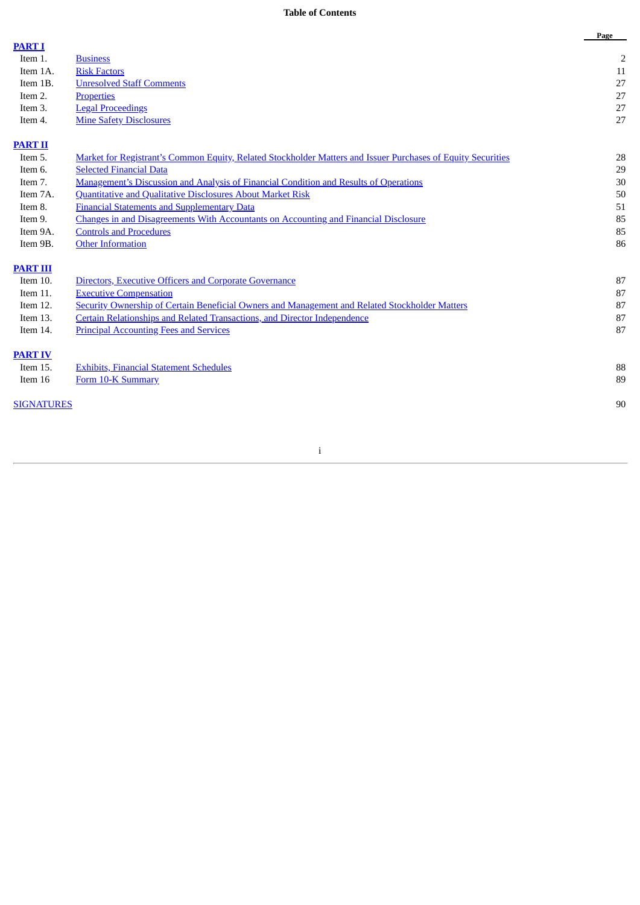# **Table of Contents**

|                   |                                                                                                              | Page           |
|-------------------|--------------------------------------------------------------------------------------------------------------|----------------|
| <b>PART I</b>     |                                                                                                              |                |
| Item 1.           | <b>Business</b>                                                                                              | $\overline{2}$ |
| Item 1A.          | <b>Risk Factors</b>                                                                                          | 11             |
| Item 1B.          | <b>Unresolved Staff Comments</b>                                                                             | 27             |
| Item 2.           | <b>Properties</b>                                                                                            | 27             |
| Item 3.           | <b>Legal Proceedings</b>                                                                                     | 27             |
| Item 4.           | <b>Mine Safety Disclosures</b>                                                                               | 27             |
| <b>PART II</b>    |                                                                                                              |                |
| Item 5.           | Market for Registrant's Common Equity, Related Stockholder Matters and Issuer Purchases of Equity Securities | 28             |
| Item 6.           | <b>Selected Financial Data</b>                                                                               | 29             |
| Item 7.           | <b>Management's Discussion and Analysis of Financial Condition and Results of Operations</b>                 | 30             |
| Item 7A.          | Quantitative and Qualitative Disclosures About Market Risk                                                   | 50             |
| Item 8.           | <b>Financial Statements and Supplementary Data</b>                                                           | 51             |
| Item 9.           | Changes in and Disagreements With Accountants on Accounting and Financial Disclosure                         | 85             |
| Item 9A.          | <b>Controls and Procedures</b>                                                                               | 85             |
| Item 9B.          | <b>Other Information</b>                                                                                     | 86             |
| <b>PART III</b>   |                                                                                                              |                |
| Item 10.          | <b>Directors, Executive Officers and Corporate Governance</b>                                                | 87             |
| Item 11.          | <b>Executive Compensation</b>                                                                                | 87             |
| Item 12.          | Security Ownership of Certain Beneficial Owners and Management and Related Stockholder Matters               | 87             |
| Item 13.          | <b>Certain Relationships and Related Transactions, and Director Independence</b>                             | 87             |
| Item 14.          | <b>Principal Accounting Fees and Services</b>                                                                | 87             |
| <b>PART IV</b>    |                                                                                                              |                |
| Item 15.          | <b>Exhibits, Financial Statement Schedules</b>                                                               | 88             |
| Item 16           | Form 10-K Summary                                                                                            | 89             |
| <b>SIGNATURES</b> |                                                                                                              | 90             |
|                   |                                                                                                              |                |

i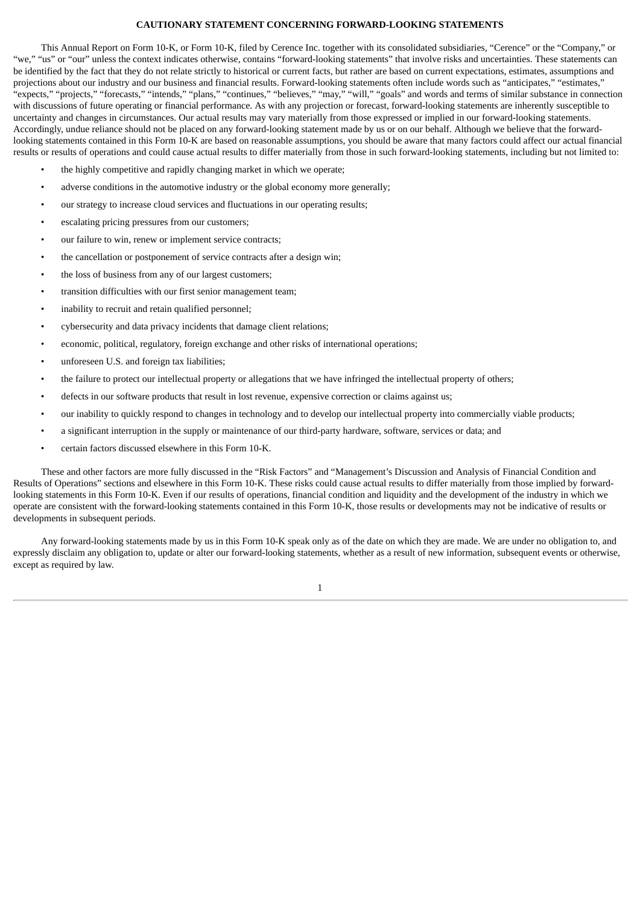# **CAUTIONARY STATEMENT CONCERNING FORWARD-LOOKING STATEMENTS**

This Annual Report on Form 10-K, or Form 10-K, filed by Cerence Inc. together with its consolidated subsidiaries, "Cerence" or the "Company," or "we," "us" or "our" unless the context indicates otherwise, contains "forward-looking statements" that involve risks and uncertainties. These statements can be identified by the fact that they do not relate strictly to historical or current facts, but rather are based on current expectations, estimates, assumptions and projections about our industry and our business and financial results. Forward-looking statements often include words such as "anticipates," "estimates," "expects," "projects," "forecasts," "intends," "plans," "continues," "believes," "may," "will," "goals" and words and terms of similar substance in connection with discussions of future operating or financial performance. As with any projection or forecast, forward-looking statements are inherently susceptible to uncertainty and changes in circumstances. Our actual results may vary materially from those expressed or implied in our forward-looking statements. Accordingly, undue reliance should not be placed on any forward-looking statement made by us or on our behalf. Although we believe that the forwardlooking statements contained in this Form 10-K are based on reasonable assumptions, you should be aware that many factors could affect our actual financial results or results of operations and could cause actual results to differ materially from those in such forward-looking statements, including but not limited to:

- the highly competitive and rapidly changing market in which we operate;
- adverse conditions in the automotive industry or the global economy more generally;
- our strategy to increase cloud services and fluctuations in our operating results;
- escalating pricing pressures from our customers;
- our failure to win, renew or implement service contracts;
- the cancellation or postponement of service contracts after a design win;
- the loss of business from any of our largest customers;
- transition difficulties with our first senior management team;
- inability to recruit and retain qualified personnel;
- cybersecurity and data privacy incidents that damage client relations;
- economic, political, regulatory, foreign exchange and other risks of international operations;
- unforeseen U.S. and foreign tax liabilities;
- the failure to protect our intellectual property or allegations that we have infringed the intellectual property of others;
- defects in our software products that result in lost revenue, expensive correction or claims against us;
- our inability to quickly respond to changes in technology and to develop our intellectual property into commercially viable products;
- a significant interruption in the supply or maintenance of our third-party hardware, software, services or data; and
- certain factors discussed elsewhere in this Form 10-K.

These and other factors are more fully discussed in the "Risk Factors" and "Management's Discussion and Analysis of Financial Condition and Results of Operations" sections and elsewhere in this Form 10-K. These risks could cause actual results to differ materially from those implied by forwardlooking statements in this Form 10-K. Even if our results of operations, financial condition and liquidity and the development of the industry in which we operate are consistent with the forward-looking statements contained in this Form 10-K, those results or developments may not be indicative of results or developments in subsequent periods.

Any forward-looking statements made by us in this Form 10-K speak only as of the date on which they are made. We are under no obligation to, and expressly disclaim any obligation to, update or alter our forward-looking statements, whether as a result of new information, subsequent events or otherwise, except as required by law.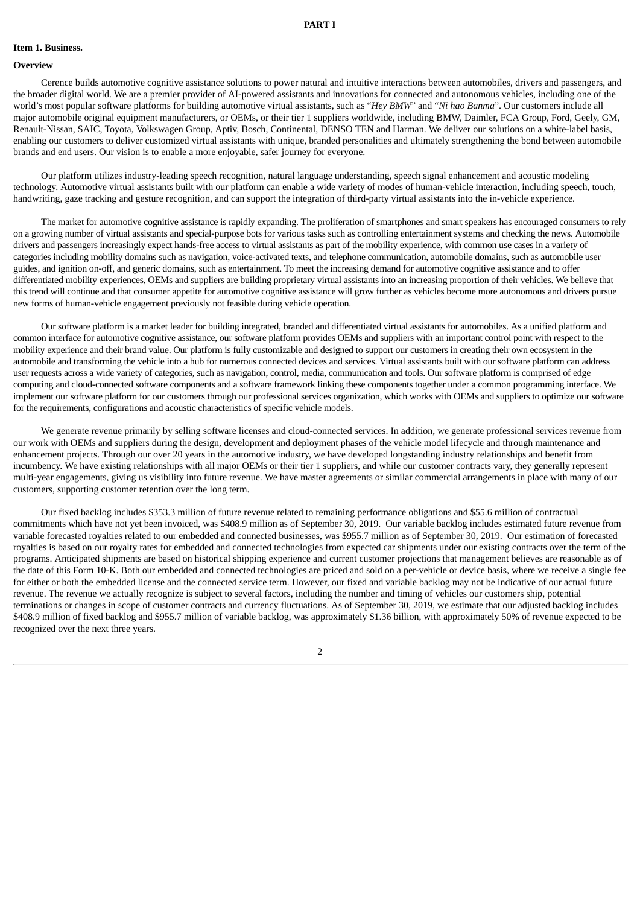#### <span id="page-4-1"></span><span id="page-4-0"></span>**Item 1. Business.**

#### **Overview**

Cerence builds automotive cognitive assistance solutions to power natural and intuitive interactions between automobiles, drivers and passengers, and the broader digital world. We are a premier provider of AI-powered assistants and innovations for connected and autonomous vehicles, including one of the world's most popular software platforms for building automotive virtual assistants, such as "*Hey BMW*" and "*Ni hao Banma*". Our customers include all major automobile original equipment manufacturers, or OEMs, or their tier 1 suppliers worldwide, including BMW, Daimler, FCA Group, Ford, Geely, GM, Renault-Nissan, SAIC, Toyota, Volkswagen Group, Aptiv, Bosch, Continental, DENSO TEN and Harman. We deliver our solutions on a white-label basis, enabling our customers to deliver customized virtual assistants with unique, branded personalities and ultimately strengthening the bond between automobile brands and end users. Our vision is to enable a more enjoyable, safer journey for everyone.

Our platform utilizes industry-leading speech recognition, natural language understanding, speech signal enhancement and acoustic modeling technology. Automotive virtual assistants built with our platform can enable a wide variety of modes of human-vehicle interaction, including speech, touch, handwriting, gaze tracking and gesture recognition, and can support the integration of third-party virtual assistants into the in-vehicle experience.

The market for automotive cognitive assistance is rapidly expanding. The proliferation of smartphones and smart speakers has encouraged consumers to rely on a growing number of virtual assistants and special-purpose bots for various tasks such as controlling entertainment systems and checking the news. Automobile drivers and passengers increasingly expect hands-free access to virtual assistants as part of the mobility experience, with common use cases in a variety of categories including mobility domains such as navigation, voice-activated texts, and telephone communication, automobile domains, such as automobile user guides, and ignition on-off, and generic domains, such as entertainment. To meet the increasing demand for automotive cognitive assistance and to offer differentiated mobility experiences, OEMs and suppliers are building proprietary virtual assistants into an increasing proportion of their vehicles. We believe that this trend will continue and that consumer appetite for automotive cognitive assistance will grow further as vehicles become more autonomous and drivers pursue new forms of human-vehicle engagement previously not feasible during vehicle operation.

Our software platform is a market leader for building integrated, branded and differentiated virtual assistants for automobiles. As a unified platform and common interface for automotive cognitive assistance, our software platform provides OEMs and suppliers with an important control point with respect to the mobility experience and their brand value. Our platform is fully customizable and designed to support our customers in creating their own ecosystem in the automobile and transforming the vehicle into a hub for numerous connected devices and services. Virtual assistants built with our software platform can address user requests across a wide variety of categories, such as navigation, control, media, communication and tools. Our software platform is comprised of edge computing and cloud-connected software components and a software framework linking these components together under a common programming interface. We implement our software platform for our customers through our professional services organization, which works with OEMs and suppliers to optimize our software for the requirements, configurations and acoustic characteristics of specific vehicle models.

We generate revenue primarily by selling software licenses and cloud-connected services. In addition, we generate professional services revenue from our work with OEMs and suppliers during the design, development and deployment phases of the vehicle model lifecycle and through maintenance and enhancement projects. Through our over 20 years in the automotive industry, we have developed longstanding industry relationships and benefit from incumbency. We have existing relationships with all major OEMs or their tier 1 suppliers, and while our customer contracts vary, they generally represent multi-year engagements, giving us visibility into future revenue. We have master agreements or similar commercial arrangements in place with many of our customers, supporting customer retention over the long term.

Our fixed backlog includes \$353.3 million of future revenue related to remaining performance obligations and \$55.6 million of contractual commitments which have not yet been invoiced, was \$408.9 million as of September 30, 2019. Our variable backlog includes estimated future revenue from variable forecasted royalties related to our embedded and connected businesses, was \$955.7 million as of September 30, 2019. Our estimation of forecasted royalties is based on our royalty rates for embedded and connected technologies from expected car shipments under our existing contracts over the term of the programs. Anticipated shipments are based on historical shipping experience and current customer projections that management believes are reasonable as of the date of this Form 10-K. Both our embedded and connected technologies are priced and sold on a per-vehicle or device basis, where we receive a single fee for either or both the embedded license and the connected service term. However, our fixed and variable backlog may not be indicative of our actual future revenue. The revenue we actually recognize is subject to several factors, including the number and timing of vehicles our customers ship, potential terminations or changes in scope of customer contracts and currency fluctuations. As of September 30, 2019, we estimate that our adjusted backlog includes \$408.9 million of fixed backlog and \$955.7 million of variable backlog, was approximately \$1.36 billion, with approximately 50% of revenue expected to be recognized over the next three years.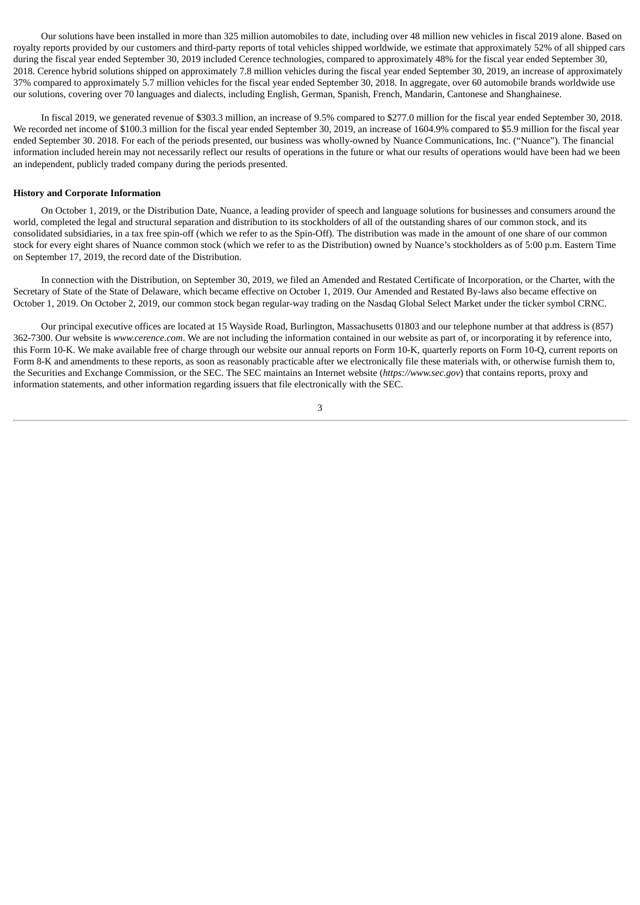Our solutions have been installed in more than 325 million automobiles to date, including over 48 million new vehicles in fiscal 2019 alone. Based on royalty reports provided by our customers and third-party reports of total vehicles shipped worldwide, we estimate that approximately 52% of all shipped cars during the fiscal year ended September 30, 2019 included Cerence technologies, compared to approximately 48% for the fiscal year ended September 30, 2018. Cerence hybrid solutions shipped on approximately 7.8 million vehicles during the fiscal year ended September 30, 2019, an increase of approximately 37% compared to approximately 5.7 million vehicles for the fiscal year ended September 30, 2018. In aggregate, over 60 automobile brands worldwide use our solutions, covering over 70 languages and dialects, including English, German, Spanish, French, Mandarin, Cantonese and Shanghainese.

In fiscal 2019, we generated revenue of \$303.3 million, an increase of 9.5% compared to \$277.0 million for the fiscal year ended September 30, 2018. We recorded net income of \$100.3 million for the fiscal year ended September 30, 2019, an increase of 1604.9% compared to \$5.9 million for the fiscal year ended September 30. 2018. For each of the periods presented, our business was wholly-owned by Nuance Communications, Inc. ("Nuance"). The financial information included herein may not necessarily reflect our results of operations in the future or what our results of operations would have been had we been an independent, publicly traded company during the periods presented.

#### **History and Corporate Information**

On October 1, 2019, or the Distribution Date, Nuance, a leading provider of speech and language solutions for businesses and consumers around the world, completed the legal and structural separation and distribution to its stockholders of all of the outstanding shares of our common stock, and its consolidated subsidiaries, in a tax free spin-off (which we refer to as the Spin-Off). The distribution was made in the amount of one share of our common stock for every eight shares of Nuance common stock (which we refer to as the Distribution) owned by Nuance's stockholders as of 5:00 p.m. Eastern Time on September 17, 2019, the record date of the Distribution.

In connection with the Distribution, on September 30, 2019, we filed an Amended and Restated Certificate of Incorporation, or the Charter, with the Secretary of State of the State of Delaware, which became effective on October 1, 2019. Our Amended and Restated By-laws also became effective on October 1, 2019. On October 2, 2019, our common stock began regular-way trading on the Nasdaq Global Select Market under the ticker symbol CRNC.

Our principal executive offices are located at 15 Wayside Road, Burlington, Massachusetts 01803 and our telephone number at that address is (857) 362-7300. Our website is *www.cerence.com*. We are not including the information contained in our website as part of, or incorporating it by reference into, this Form 10-K. We make available free of charge through our website our annual reports on Form 10-K, quarterly reports on Form 10-Q, current reports on Form 8-K and amendments to these reports, as soon as reasonably practicable after we electronically file these materials with, or otherwise furnish them to, the Securities and Exchange Commission, or the SEC. The SEC maintains an Internet website (*https://www.sec.gov*) that contains reports, proxy and information statements, and other information regarding issuers that file electronically with the SEC.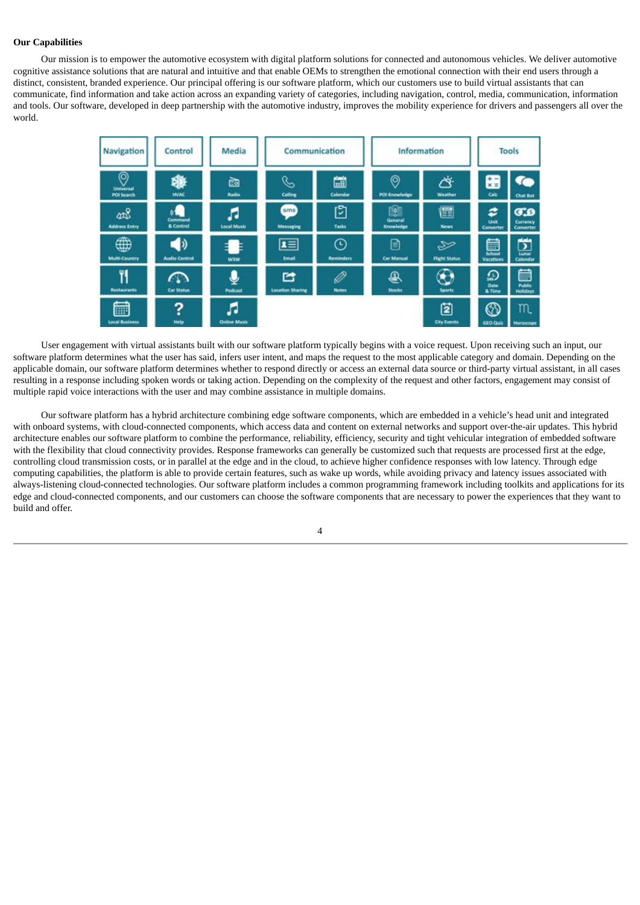# **Our Capabilities**

Our mission is to empower the automotive ecosystem with digital platform solutions for connected and autonomous vehicles. We deliver automotive cognitive assistance solutions that are natural and intuitive and that enable OEMs to strengthen the emotional connection with their end users through a distinct, consistent, branded experience. Our principal offering is our software platform, which our customers use to build virtual assistants that can communicate, find information and take action across an expanding variety of categories, including navigation, control, media, communication, information and tools. Our software, developed in deep partnership with the automotive industry, improves the mobility experience for drivers and passengers all over the world.



User engagement with virtual assistants built with our software platform typically begins with a voice request. Upon receiving such an input, our software platform determines what the user has said, infers user intent, and maps the request to the most applicable category and domain. Depending on the applicable domain, our software platform determines whether to respond directly or access an external data source or third-party virtual assistant, in all cases resulting in a response including spoken words or taking action. Depending on the complexity of the request and other factors, engagement may consist of multiple rapid voice interactions with the user and may combine assistance in multiple domains.

Our software platform has a hybrid architecture combining edge software components, which are embedded in a vehicle's head unit and integrated with onboard systems, with cloud-connected components, which access data and content on external networks and support over-the-air updates. This hybrid architecture enables our software platform to combine the performance, reliability, efficiency, security and tight vehicular integration of embedded software with the flexibility that cloud connectivity provides. Response frameworks can generally be customized such that requests are processed first at the edge, controlling cloud transmission costs, or in parallel at the edge and in the cloud, to achieve higher confidence responses with low latency. Through edge computing capabilities, the platform is able to provide certain features, such as wake up words, while avoiding privacy and latency issues associated with always-listening cloud-connected technologies. Our software platform includes a common programming framework including toolkits and applications for its edge and cloud-connected components, and our customers can choose the software components that are necessary to power the experiences that they want to build and offer.

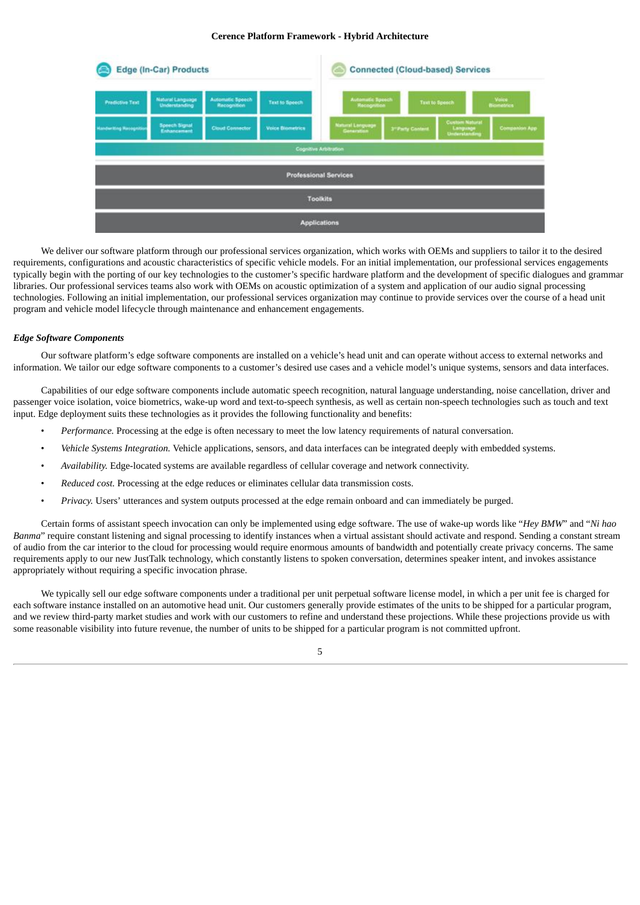# **Cerence Platform Framework - Hybrid Architecture**



We deliver our software platform through our professional services organization, which works with OEMs and suppliers to tailor it to the desired requirements, configurations and acoustic characteristics of specific vehicle models. For an initial implementation, our professional services engagements typically begin with the porting of our key technologies to the customer's specific hardware platform and the development of specific dialogues and grammar libraries. Our professional services teams also work with OEMs on acoustic optimization of a system and application of our audio signal processing technologies. Following an initial implementation, our professional services organization may continue to provide services over the course of a head unit program and vehicle model lifecycle through maintenance and enhancement engagements.

# *Edge Software Components*

Our software platform's edge software components are installed on a vehicle's head unit and can operate without access to external networks and information. We tailor our edge software components to a customer's desired use cases and a vehicle model's unique systems, sensors and data interfaces.

Capabilities of our edge software components include automatic speech recognition, natural language understanding, noise cancellation, driver and passenger voice isolation, voice biometrics, wake-up word and text-to-speech synthesis, as well as certain non-speech technologies such as touch and text input. Edge deployment suits these technologies as it provides the following functionality and benefits:

- *Performance.* Processing at the edge is often necessary to meet the low latency requirements of natural conversation.
- *Vehicle Systems Integration.* Vehicle applications, sensors, and data interfaces can be integrated deeply with embedded systems.
- *Availability.* Edge-located systems are available regardless of cellular coverage and network connectivity.
- *Reduced cost.* Processing at the edge reduces or eliminates cellular data transmission costs.
- *Privacy.* Users' utterances and system outputs processed at the edge remain onboard and can immediately be purged.

Certain forms of assistant speech invocation can only be implemented using edge software. The use of wake-up words like "*Hey BMW*" and "*Ni hao Banma*" require constant listening and signal processing to identify instances when a virtual assistant should activate and respond. Sending a constant stream of audio from the car interior to the cloud for processing would require enormous amounts of bandwidth and potentially create privacy concerns. The same requirements apply to our new JustTalk technology, which constantly listens to spoken conversation, determines speaker intent, and invokes assistance appropriately without requiring a specific invocation phrase.

We typically sell our edge software components under a traditional per unit perpetual software license model, in which a per unit fee is charged for each software instance installed on an automotive head unit. Our customers generally provide estimates of the units to be shipped for a particular program, and we review third-party market studies and work with our customers to refine and understand these projections. While these projections provide us with some reasonable visibility into future revenue, the number of units to be shipped for a particular program is not committed upfront.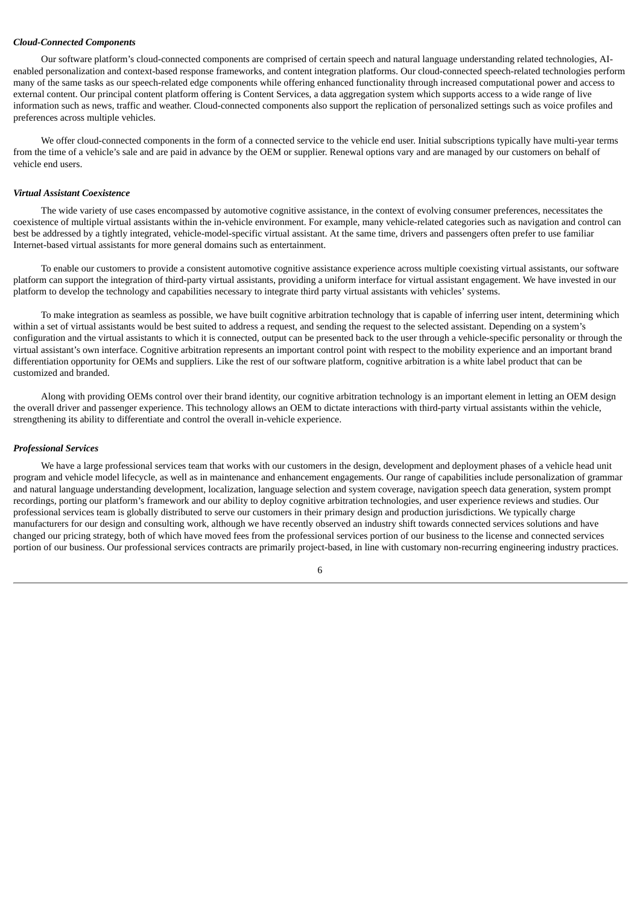#### *Cloud-Connected Components*

Our software platform's cloud-connected components are comprised of certain speech and natural language understanding related technologies, AIenabled personalization and context-based response frameworks, and content integration platforms. Our cloud-connected speech-related technologies perform many of the same tasks as our speech-related edge components while offering enhanced functionality through increased computational power and access to external content. Our principal content platform offering is Content Services, a data aggregation system which supports access to a wide range of live information such as news, traffic and weather. Cloud-connected components also support the replication of personalized settings such as voice profiles and preferences across multiple vehicles.

We offer cloud-connected components in the form of a connected service to the vehicle end user. Initial subscriptions typically have multi-year terms from the time of a vehicle's sale and are paid in advance by the OEM or supplier. Renewal options vary and are managed by our customers on behalf of vehicle end users.

#### *Virtual Assistant Coexistence*

The wide variety of use cases encompassed by automotive cognitive assistance, in the context of evolving consumer preferences, necessitates the coexistence of multiple virtual assistants within the in-vehicle environment. For example, many vehicle-related categories such as navigation and control can best be addressed by a tightly integrated, vehicle-model-specific virtual assistant. At the same time, drivers and passengers often prefer to use familiar Internet-based virtual assistants for more general domains such as entertainment.

To enable our customers to provide a consistent automotive cognitive assistance experience across multiple coexisting virtual assistants, our software platform can support the integration of third-party virtual assistants, providing a uniform interface for virtual assistant engagement. We have invested in our platform to develop the technology and capabilities necessary to integrate third party virtual assistants with vehicles' systems.

To make integration as seamless as possible, we have built cognitive arbitration technology that is capable of inferring user intent, determining which within a set of virtual assistants would be best suited to address a request, and sending the request to the selected assistant. Depending on a system's configuration and the virtual assistants to which it is connected, output can be presented back to the user through a vehicle-specific personality or through the virtual assistant's own interface. Cognitive arbitration represents an important control point with respect to the mobility experience and an important brand differentiation opportunity for OEMs and suppliers. Like the rest of our software platform, cognitive arbitration is a white label product that can be customized and branded.

Along with providing OEMs control over their brand identity, our cognitive arbitration technology is an important element in letting an OEM design the overall driver and passenger experience. This technology allows an OEM to dictate interactions with third-party virtual assistants within the vehicle, strengthening its ability to differentiate and control the overall in-vehicle experience.

#### *Professional Services*

We have a large professional services team that works with our customers in the design, development and deployment phases of a vehicle head unit program and vehicle model lifecycle, as well as in maintenance and enhancement engagements. Our range of capabilities include personalization of grammar and natural language understanding development, localization, language selection and system coverage, navigation speech data generation, system prompt recordings, porting our platform's framework and our ability to deploy cognitive arbitration technologies, and user experience reviews and studies. Our professional services team is globally distributed to serve our customers in their primary design and production jurisdictions. We typically charge manufacturers for our design and consulting work, although we have recently observed an industry shift towards connected services solutions and have changed our pricing strategy, both of which have moved fees from the professional services portion of our business to the license and connected services portion of our business. Our professional services contracts are primarily project-based, in line with customary non-recurring engineering industry practices.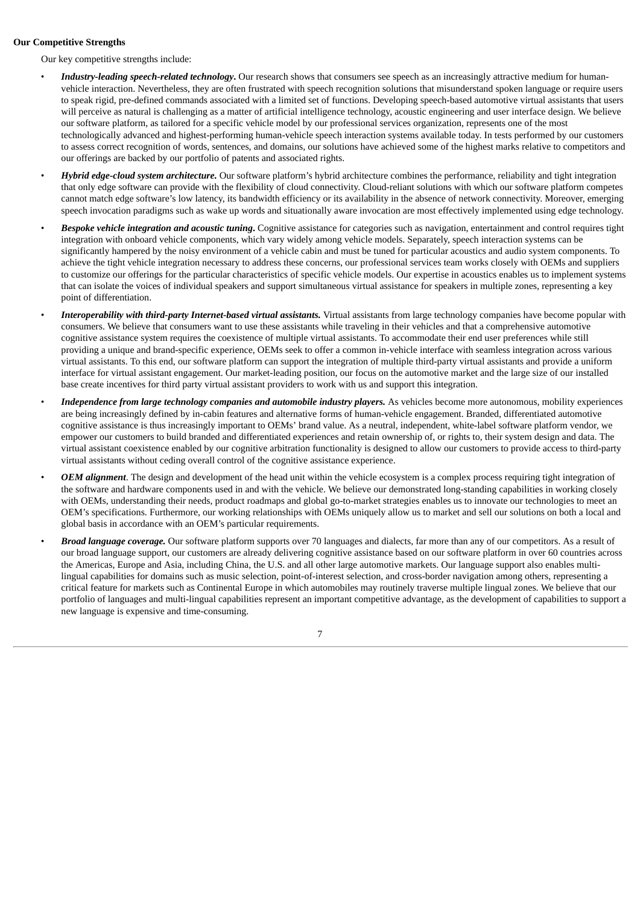# **Our Competitive Strengths**

Our key competitive strengths include:

- *Industry-leading speech-related technology***.** Our research shows that consumers see speech as an increasingly attractive medium for humanvehicle interaction. Nevertheless, they are often frustrated with speech recognition solutions that misunderstand spoken language or require users to speak rigid, pre-defined commands associated with a limited set of functions. Developing speech-based automotive virtual assistants that users will perceive as natural is challenging as a matter of artificial intelligence technology, acoustic engineering and user interface design. We believe our software platform, as tailored for a specific vehicle model by our professional services organization, represents one of the most technologically advanced and highest-performing human-vehicle speech interaction systems available today. In tests performed by our customers to assess correct recognition of words, sentences, and domains, our solutions have achieved some of the highest marks relative to competitors and our offerings are backed by our portfolio of patents and associated rights.
- *Hybrid edge-cloud system architecture.* Our software platform's hybrid architecture combines the performance, reliability and tight integration that only edge software can provide with the flexibility of cloud connectivity. Cloud-reliant solutions with which our software platform competes cannot match edge software's low latency, its bandwidth efficiency or its availability in the absence of network connectivity. Moreover, emerging speech invocation paradigms such as wake up words and situationally aware invocation are most effectively implemented using edge technology.
- *Bespoke vehicle integration and acoustic tuning***.** Cognitive assistance for categories such as navigation, entertainment and control requires tight integration with onboard vehicle components, which vary widely among vehicle models. Separately, speech interaction systems can be significantly hampered by the noisy environment of a vehicle cabin and must be tuned for particular acoustics and audio system components. To achieve the tight vehicle integration necessary to address these concerns, our professional services team works closely with OEMs and suppliers to customize our offerings for the particular characteristics of specific vehicle models. Our expertise in acoustics enables us to implement systems that can isolate the voices of individual speakers and support simultaneous virtual assistance for speakers in multiple zones, representing a key point of differentiation.
- *Interoperability with third-party Internet-based virtual assistants.* Virtual assistants from large technology companies have become popular with consumers. We believe that consumers want to use these assistants while traveling in their vehicles and that a comprehensive automotive cognitive assistance system requires the coexistence of multiple virtual assistants. To accommodate their end user preferences while still providing a unique and brand-specific experience, OEMs seek to offer a common in-vehicle interface with seamless integration across various virtual assistants. To this end, our software platform can support the integration of multiple third-party virtual assistants and provide a uniform interface for virtual assistant engagement. Our market-leading position, our focus on the automotive market and the large size of our installed base create incentives for third party virtual assistant providers to work with us and support this integration.
- *Independence from large technology companies and automobile industry players.* As vehicles become more autonomous, mobility experiences are being increasingly defined by in-cabin features and alternative forms of human-vehicle engagement. Branded, differentiated automotive cognitive assistance is thus increasingly important to OEMs' brand value. As a neutral, independent, white-label software platform vendor, we empower our customers to build branded and differentiated experiences and retain ownership of, or rights to, their system design and data. The virtual assistant coexistence enabled by our cognitive arbitration functionality is designed to allow our customers to provide access to third-party virtual assistants without ceding overall control of the cognitive assistance experience.
- *OEM alignment*. The design and development of the head unit within the vehicle ecosystem is a complex process requiring tight integration of the software and hardware components used in and with the vehicle. We believe our demonstrated long-standing capabilities in working closely with OEMs, understanding their needs, product roadmaps and global go-to-market strategies enables us to innovate our technologies to meet an OEM's specifications. Furthermore, our working relationships with OEMs uniquely allow us to market and sell our solutions on both a local and global basis in accordance with an OEM's particular requirements.
- *Broad language coverage.* Our software platform supports over 70 languages and dialects, far more than any of our competitors. As a result of our broad language support, our customers are already delivering cognitive assistance based on our software platform in over 60 countries across the Americas, Europe and Asia, including China, the U.S. and all other large automotive markets. Our language support also enables multilingual capabilities for domains such as music selection, point-of-interest selection, and cross-border navigation among others, representing a critical feature for markets such as Continental Europe in which automobiles may routinely traverse multiple lingual zones. We believe that our portfolio of languages and multi-lingual capabilities represent an important competitive advantage, as the development of capabilities to support a new language is expensive and time-consuming.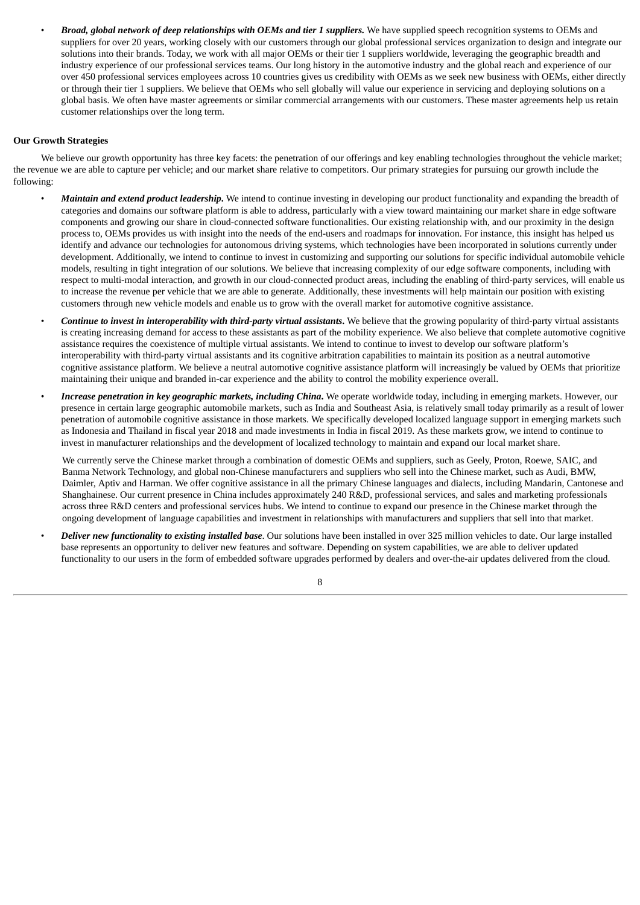• *Broad, global network of deep relationships with OEMs and tier 1 suppliers.* We have supplied speech recognition systems to OEMs and suppliers for over 20 years, working closely with our customers through our global professional services organization to design and integrate our solutions into their brands. Today, we work with all major OEMs or their tier 1 suppliers worldwide, leveraging the geographic breadth and industry experience of our professional services teams. Our long history in the automotive industry and the global reach and experience of our over 450 professional services employees across 10 countries gives us credibility with OEMs as we seek new business with OEMs, either directly or through their tier 1 suppliers. We believe that OEMs who sell globally will value our experience in servicing and deploying solutions on a global basis. We often have master agreements or similar commercial arrangements with our customers. These master agreements help us retain customer relationships over the long term.

# **Our Growth Strategies**

We believe our growth opportunity has three key facets: the penetration of our offerings and key enabling technologies throughout the vehicle market; the revenue we are able to capture per vehicle; and our market share relative to competitors. Our primary strategies for pursuing our growth include the following:

- *Maintain and extend product leadership***.** We intend to continue investing in developing our product functionality and expanding the breadth of categories and domains our software platform is able to address, particularly with a view toward maintaining our market share in edge software components and growing our share in cloud-connected software functionalities. Our existing relationship with, and our proximity in the design process to, OEMs provides us with insight into the needs of the end-users and roadmaps for innovation. For instance, this insight has helped us identify and advance our technologies for autonomous driving systems, which technologies have been incorporated in solutions currently under development. Additionally, we intend to continue to invest in customizing and supporting our solutions for specific individual automobile vehicle models, resulting in tight integration of our solutions. We believe that increasing complexity of our edge software components, including with respect to multi-modal interaction, and growth in our cloud-connected product areas, including the enabling of third-party services, will enable us to increase the revenue per vehicle that we are able to generate. Additionally, these investments will help maintain our position with existing customers through new vehicle models and enable us to grow with the overall market for automotive cognitive assistance.
- *Continue to invest in interoperability with third-party virtual assistants***.** We believe that the growing popularity of third-party virtual assistants is creating increasing demand for access to these assistants as part of the mobility experience. We also believe that complete automotive cognitive assistance requires the coexistence of multiple virtual assistants. We intend to continue to invest to develop our software platform's interoperability with third-party virtual assistants and its cognitive arbitration capabilities to maintain its position as a neutral automotive cognitive assistance platform. We believe a neutral automotive cognitive assistance platform will increasingly be valued by OEMs that prioritize maintaining their unique and branded in-car experience and the ability to control the mobility experience overall.
- *Increase penetration in key geographic markets, including China***.** We operate worldwide today, including in emerging markets. However, our presence in certain large geographic automobile markets, such as India and Southeast Asia, is relatively small today primarily as a result of lower penetration of automobile cognitive assistance in those markets. We specifically developed localized language support in emerging markets such as Indonesia and Thailand in fiscal year 2018 and made investments in India in fiscal 2019. As these markets grow, we intend to continue to invest in manufacturer relationships and the development of localized technology to maintain and expand our local market share.

We currently serve the Chinese market through a combination of domestic OEMs and suppliers, such as Geely, Proton, Roewe, SAIC, and Banma Network Technology, and global non-Chinese manufacturers and suppliers who sell into the Chinese market, such as Audi, BMW, Daimler, Aptiv and Harman. We offer cognitive assistance in all the primary Chinese languages and dialects, including Mandarin, Cantonese and Shanghainese. Our current presence in China includes approximately 240 R&D, professional services, and sales and marketing professionals across three R&D centers and professional services hubs. We intend to continue to expand our presence in the Chinese market through the ongoing development of language capabilities and investment in relationships with manufacturers and suppliers that sell into that market.

• *Deliver new functionality to existing installed base*. Our solutions have been installed in over 325 million vehicles to date. Our large installed base represents an opportunity to deliver new features and software. Depending on system capabilities, we are able to deliver updated functionality to our users in the form of embedded software upgrades performed by dealers and over-the-air updates delivered from the cloud.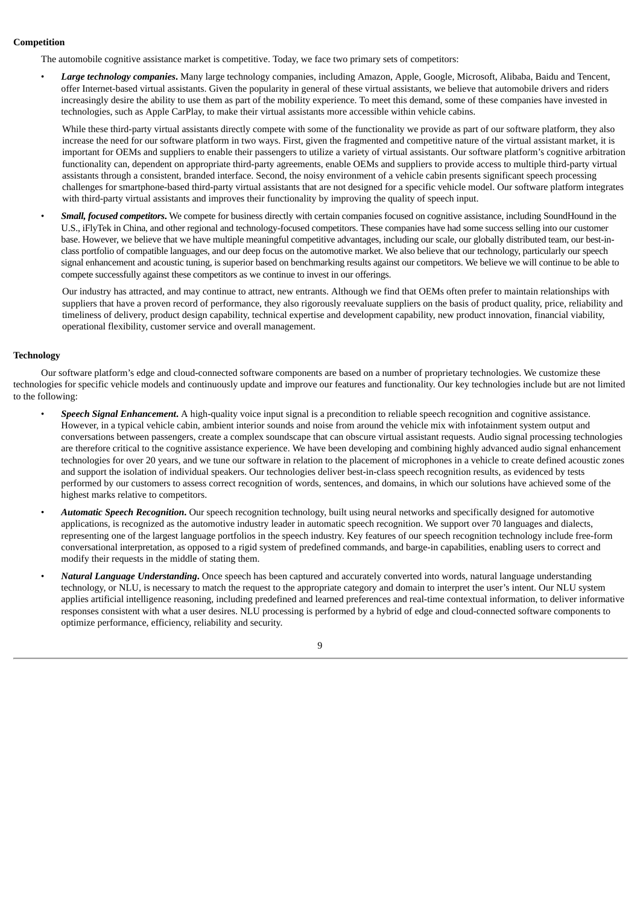# **Competition**

The automobile cognitive assistance market is competitive. Today, we face two primary sets of competitors:

• *Large technology companies***.** Many large technology companies, including Amazon, Apple, Google, Microsoft, Alibaba, Baidu and Tencent, offer Internet-based virtual assistants. Given the popularity in general of these virtual assistants, we believe that automobile drivers and riders increasingly desire the ability to use them as part of the mobility experience. To meet this demand, some of these companies have invested in technologies, such as Apple CarPlay, to make their virtual assistants more accessible within vehicle cabins.

While these third-party virtual assistants directly compete with some of the functionality we provide as part of our software platform, they also increase the need for our software platform in two ways. First, given the fragmented and competitive nature of the virtual assistant market, it is important for OEMs and suppliers to enable their passengers to utilize a variety of virtual assistants. Our software platform's cognitive arbitration functionality can, dependent on appropriate third-party agreements, enable OEMs and suppliers to provide access to multiple third-party virtual assistants through a consistent, branded interface. Second, the noisy environment of a vehicle cabin presents significant speech processing challenges for smartphone-based third-party virtual assistants that are not designed for a specific vehicle model. Our software platform integrates with third-party virtual assistants and improves their functionality by improving the quality of speech input.

• *Small, focused competitors***.** We compete for business directly with certain companies focused on cognitive assistance, including SoundHound in the U.S., iFlyTek in China, and other regional and technology-focused competitors. These companies have had some success selling into our customer base. However, we believe that we have multiple meaningful competitive advantages, including our scale, our globally distributed team, our best-inclass portfolio of compatible languages, and our deep focus on the automotive market. We also believe that our technology, particularly our speech signal enhancement and acoustic tuning, is superior based on benchmarking results against our competitors. We believe we will continue to be able to compete successfully against these competitors as we continue to invest in our offerings.

Our industry has attracted, and may continue to attract, new entrants. Although we find that OEMs often prefer to maintain relationships with suppliers that have a proven record of performance, they also rigorously reevaluate suppliers on the basis of product quality, price, reliability and timeliness of delivery, product design capability, technical expertise and development capability, new product innovation, financial viability, operational flexibility, customer service and overall management.

# **Technology**

Our software platform's edge and cloud-connected software components are based on a number of proprietary technologies. We customize these technologies for specific vehicle models and continuously update and improve our features and functionality. Our key technologies include but are not limited to the following:

- *Speech Signal Enhancement***.** A high-quality voice input signal is a precondition to reliable speech recognition and cognitive assistance. However, in a typical vehicle cabin, ambient interior sounds and noise from around the vehicle mix with infotainment system output and conversations between passengers, create a complex soundscape that can obscure virtual assistant requests. Audio signal processing technologies are therefore critical to the cognitive assistance experience. We have been developing and combining highly advanced audio signal enhancement technologies for over 20 years, and we tune our software in relation to the placement of microphones in a vehicle to create defined acoustic zones and support the isolation of individual speakers. Our technologies deliver best-in-class speech recognition results, as evidenced by tests performed by our customers to assess correct recognition of words, sentences, and domains, in which our solutions have achieved some of the highest marks relative to competitors.
- *Automatic Speech Recognition***.** Our speech recognition technology, built using neural networks and specifically designed for automotive applications, is recognized as the automotive industry leader in automatic speech recognition. We support over 70 languages and dialects, representing one of the largest language portfolios in the speech industry. Key features of our speech recognition technology include free-form conversational interpretation, as opposed to a rigid system of predefined commands, and barge-in capabilities, enabling users to correct and modify their requests in the middle of stating them.
- *Natural Language Understanding***.** Once speech has been captured and accurately converted into words, natural language understanding technology, or NLU, is necessary to match the request to the appropriate category and domain to interpret the user's intent. Our NLU system applies artificial intelligence reasoning, including predefined and learned preferences and real-time contextual information, to deliver informative responses consistent with what a user desires. NLU processing is performed by a hybrid of edge and cloud-connected software components to optimize performance, efficiency, reliability and security.

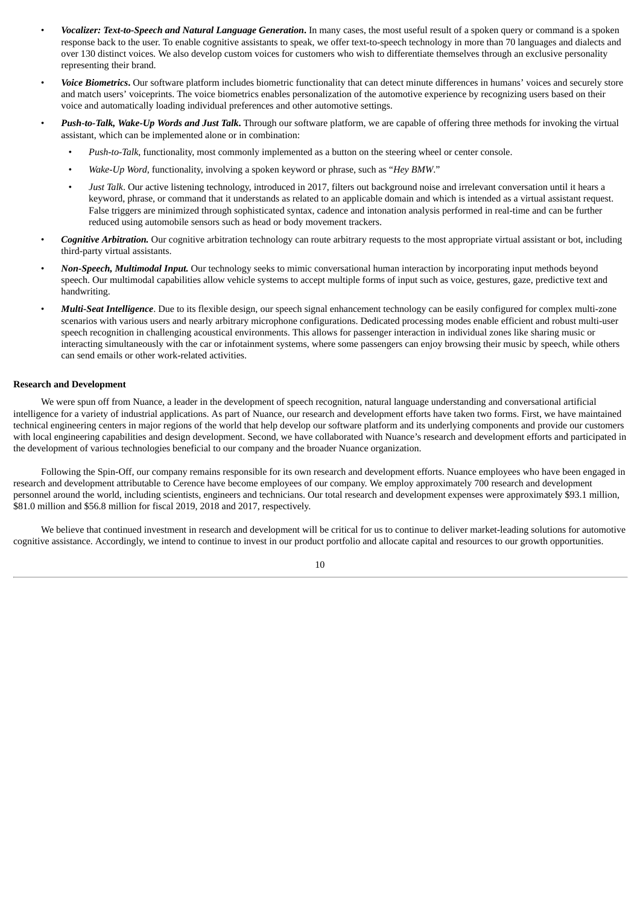- *Vocalizer: Text-to-Speech and Natural Language Generation***.** In many cases, the most useful result of a spoken query or command is a spoken response back to the user. To enable cognitive assistants to speak, we offer text-to-speech technology in more than 70 languages and dialects and over 130 distinct voices. We also develop custom voices for customers who wish to differentiate themselves through an exclusive personality representing their brand.
- *Voice Biometrics***.** Our software platform includes biometric functionality that can detect minute differences in humans' voices and securely store and match users' voiceprints. The voice biometrics enables personalization of the automotive experience by recognizing users based on their voice and automatically loading individual preferences and other automotive settings.
- *Push-to-Talk, Wake-Up Words and Just Talk***.** Through our software platform, we are capable of offering three methods for invoking the virtual assistant, which can be implemented alone or in combination:
	- *Push-to-Talk*, functionality, most commonly implemented as a button on the steering wheel or center console.
	- *Wake-Up Word*, functionality, involving a spoken keyword or phrase, such as "*Hey BMW*."
	- *Just Talk*. Our active listening technology, introduced in 2017, filters out background noise and irrelevant conversation until it hears a keyword, phrase, or command that it understands as related to an applicable domain and which is intended as a virtual assistant request. False triggers are minimized through sophisticated syntax, cadence and intonation analysis performed in real-time and can be further reduced using automobile sensors such as head or body movement trackers.
- *Cognitive Arbitration.* Our cognitive arbitration technology can route arbitrary requests to the most appropriate virtual assistant or bot, including third-party virtual assistants.
- *Non-Speech, Multimodal Input.* Our technology seeks to mimic conversational human interaction by incorporating input methods beyond speech. Our multimodal capabilities allow vehicle systems to accept multiple forms of input such as voice, gestures, gaze, predictive text and handwriting.
- *Multi-Seat Intelligence*. Due to its flexible design, our speech signal enhancement technology can be easily configured for complex multi-zone scenarios with various users and nearly arbitrary microphone configurations. Dedicated processing modes enable efficient and robust multi-user speech recognition in challenging acoustical environments. This allows for passenger interaction in individual zones like sharing music or interacting simultaneously with the car or infotainment systems, where some passengers can enjoy browsing their music by speech, while others can send emails or other work-related activities.

#### **Research and Development**

We were spun off from Nuance, a leader in the development of speech recognition, natural language understanding and conversational artificial intelligence for a variety of industrial applications. As part of Nuance, our research and development efforts have taken two forms. First, we have maintained technical engineering centers in major regions of the world that help develop our software platform and its underlying components and provide our customers with local engineering capabilities and design development. Second, we have collaborated with Nuance's research and development efforts and participated in the development of various technologies beneficial to our company and the broader Nuance organization.

Following the Spin-Off, our company remains responsible for its own research and development efforts. Nuance employees who have been engaged in research and development attributable to Cerence have become employees of our company. We employ approximately 700 research and development personnel around the world, including scientists, engineers and technicians. Our total research and development expenses were approximately \$93.1 million, \$81.0 million and \$56.8 million for fiscal 2019, 2018 and 2017, respectively.

We believe that continued investment in research and development will be critical for us to continue to deliver market-leading solutions for automotive cognitive assistance. Accordingly, we intend to continue to invest in our product portfolio and allocate capital and resources to our growth opportunities.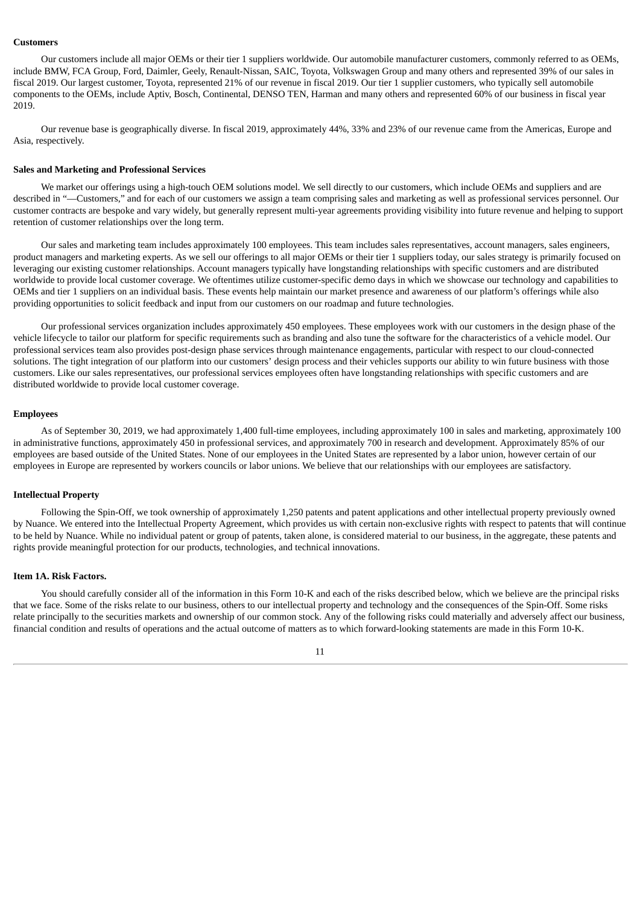#### **Customers**

Our customers include all major OEMs or their tier 1 suppliers worldwide. Our automobile manufacturer customers, commonly referred to as OEMs, include BMW, FCA Group, Ford, Daimler, Geely, Renault-Nissan, SAIC, Toyota, Volkswagen Group and many others and represented 39% of our sales in fiscal 2019. Our largest customer, Toyota, represented 21% of our revenue in fiscal 2019. Our tier 1 supplier customers, who typically sell automobile components to the OEMs, include Aptiv, Bosch, Continental, DENSO TEN, Harman and many others and represented 60% of our business in fiscal year 2019.

Our revenue base is geographically diverse. In fiscal 2019, approximately 44%, 33% and 23% of our revenue came from the Americas, Europe and Asia, respectively.

#### **Sales and Marketing and Professional Services**

We market our offerings using a high-touch OEM solutions model. We sell directly to our customers, which include OEMs and suppliers and are described in "—Customers," and for each of our customers we assign a team comprising sales and marketing as well as professional services personnel. Our customer contracts are bespoke and vary widely, but generally represent multi-year agreements providing visibility into future revenue and helping to support retention of customer relationships over the long term.

Our sales and marketing team includes approximately 100 employees. This team includes sales representatives, account managers, sales engineers, product managers and marketing experts. As we sell our offerings to all major OEMs or their tier 1 suppliers today, our sales strategy is primarily focused on leveraging our existing customer relationships. Account managers typically have longstanding relationships with specific customers and are distributed worldwide to provide local customer coverage. We oftentimes utilize customer-specific demo days in which we showcase our technology and capabilities to OEMs and tier 1 suppliers on an individual basis. These events help maintain our market presence and awareness of our platform's offerings while also providing opportunities to solicit feedback and input from our customers on our roadmap and future technologies.

Our professional services organization includes approximately 450 employees. These employees work with our customers in the design phase of the vehicle lifecycle to tailor our platform for specific requirements such as branding and also tune the software for the characteristics of a vehicle model. Our professional services team also provides post-design phase services through maintenance engagements, particular with respect to our cloud-connected solutions. The tight integration of our platform into our customers' design process and their vehicles supports our ability to win future business with those customers. Like our sales representatives, our professional services employees often have longstanding relationships with specific customers and are distributed worldwide to provide local customer coverage.

#### **Employees**

As of September 30, 2019, we had approximately 1,400 full-time employees, including approximately 100 in sales and marketing, approximately 100 in administrative functions, approximately 450 in professional services, and approximately 700 in research and development. Approximately 85% of our employees are based outside of the United States. None of our employees in the United States are represented by a labor union, however certain of our employees in Europe are represented by workers councils or labor unions. We believe that our relationships with our employees are satisfactory.

# **Intellectual Property**

Following the Spin-Off, we took ownership of approximately 1,250 patents and patent applications and other intellectual property previously owned by Nuance. We entered into the Intellectual Property Agreement, which provides us with certain non-exclusive rights with respect to patents that will continue to be held by Nuance. While no individual patent or group of patents, taken alone, is considered material to our business, in the aggregate, these patents and rights provide meaningful protection for our products, technologies, and technical innovations.

#### <span id="page-13-0"></span>**Item 1A. Risk Factors.**

You should carefully consider all of the information in this Form 10-K and each of the risks described below, which we believe are the principal risks that we face. Some of the risks relate to our business, others to our intellectual property and technology and the consequences of the Spin-Off. Some risks relate principally to the securities markets and ownership of our common stock. Any of the following risks could materially and adversely affect our business, financial condition and results of operations and the actual outcome of matters as to which forward-looking statements are made in this Form 10-K.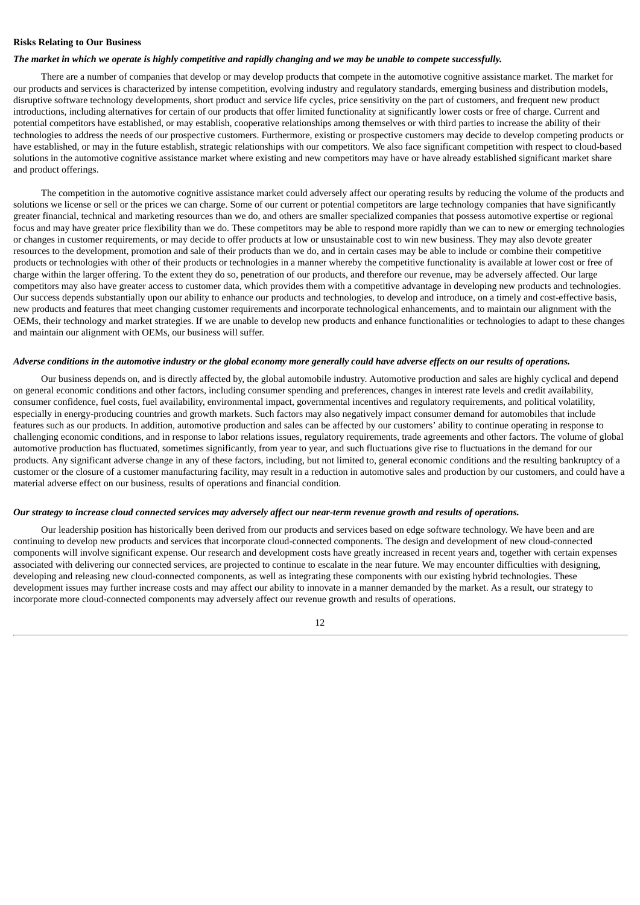# **Risks Relating to Our Business**

#### The market in which we operate is highly competitive and rapidly changing and we may be unable to compete successfully.

There are a number of companies that develop or may develop products that compete in the automotive cognitive assistance market. The market for our products and services is characterized by intense competition, evolving industry and regulatory standards, emerging business and distribution models, disruptive software technology developments, short product and service life cycles, price sensitivity on the part of customers, and frequent new product introductions, including alternatives for certain of our products that offer limited functionality at significantly lower costs or free of charge. Current and potential competitors have established, or may establish, cooperative relationships among themselves or with third parties to increase the ability of their technologies to address the needs of our prospective customers. Furthermore, existing or prospective customers may decide to develop competing products or have established, or may in the future establish, strategic relationships with our competitors. We also face significant competition with respect to cloud-based solutions in the automotive cognitive assistance market where existing and new competitors may have or have already established significant market share and product offerings.

The competition in the automotive cognitive assistance market could adversely affect our operating results by reducing the volume of the products and solutions we license or sell or the prices we can charge. Some of our current or potential competitors are large technology companies that have significantly greater financial, technical and marketing resources than we do, and others are smaller specialized companies that possess automotive expertise or regional focus and may have greater price flexibility than we do. These competitors may be able to respond more rapidly than we can to new or emerging technologies or changes in customer requirements, or may decide to offer products at low or unsustainable cost to win new business. They may also devote greater resources to the development, promotion and sale of their products than we do, and in certain cases may be able to include or combine their competitive products or technologies with other of their products or technologies in a manner whereby the competitive functionality is available at lower cost or free of charge within the larger offering. To the extent they do so, penetration of our products, and therefore our revenue, may be adversely affected. Our large competitors may also have greater access to customer data, which provides them with a competitive advantage in developing new products and technologies. Our success depends substantially upon our ability to enhance our products and technologies, to develop and introduce, on a timely and cost-effective basis, new products and features that meet changing customer requirements and incorporate technological enhancements, and to maintain our alignment with the OEMs, their technology and market strategies. If we are unable to develop new products and enhance functionalities or technologies to adapt to these changes and maintain our alignment with OEMs, our business will suffer.

#### Adverse conditions in the automotive industry or the alobal economy more aenerally could have adverse effects on our results of operations.

Our business depends on, and is directly affected by, the global automobile industry. Automotive production and sales are highly cyclical and depend on general economic conditions and other factors, including consumer spending and preferences, changes in interest rate levels and credit availability, consumer confidence, fuel costs, fuel availability, environmental impact, governmental incentives and regulatory requirements, and political volatility, especially in energy-producing countries and growth markets. Such factors may also negatively impact consumer demand for automobiles that include features such as our products. In addition, automotive production and sales can be affected by our customers' ability to continue operating in response to challenging economic conditions, and in response to labor relations issues, regulatory requirements, trade agreements and other factors. The volume of global automotive production has fluctuated, sometimes significantly, from year to year, and such fluctuations give rise to fluctuations in the demand for our products. Any significant adverse change in any of these factors, including, but not limited to, general economic conditions and the resulting bankruptcy of a customer or the closure of a customer manufacturing facility, may result in a reduction in automotive sales and production by our customers, and could have a material adverse effect on our business, results of operations and financial condition.

#### Our strategy to increase cloud connected services may adversely affect our near-term revenue growth and results of operations.

Our leadership position has historically been derived from our products and services based on edge software technology. We have been and are continuing to develop new products and services that incorporate cloud-connected components. The design and development of new cloud-connected components will involve significant expense. Our research and development costs have greatly increased in recent years and, together with certain expenses associated with delivering our connected services, are projected to continue to escalate in the near future. We may encounter difficulties with designing, developing and releasing new cloud-connected components, as well as integrating these components with our existing hybrid technologies. These development issues may further increase costs and may affect our ability to innovate in a manner demanded by the market. As a result, our strategy to incorporate more cloud-connected components may adversely affect our revenue growth and results of operations.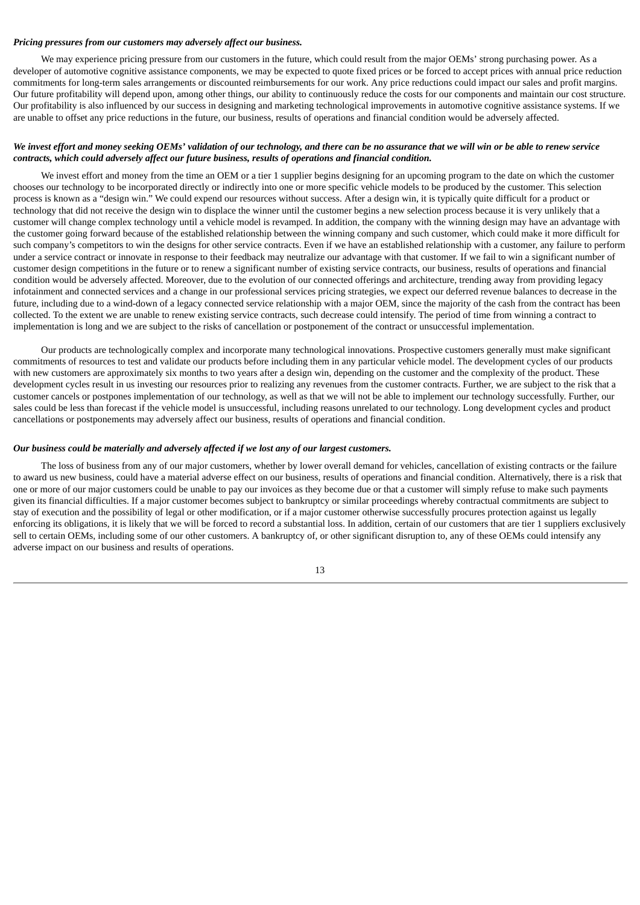#### *Pricing pressures from our customers may adversely affect our business.*

We may experience pricing pressure from our customers in the future, which could result from the major OEMs' strong purchasing power. As a developer of automotive cognitive assistance components, we may be expected to quote fixed prices or be forced to accept prices with annual price reduction commitments for long-term sales arrangements or discounted reimbursements for our work. Any price reductions could impact our sales and profit margins. Our future profitability will depend upon, among other things, our ability to continuously reduce the costs for our components and maintain our cost structure. Our profitability is also influenced by our success in designing and marketing technological improvements in automotive cognitive assistance systems. If we are unable to offset any price reductions in the future, our business, results of operations and financial condition would be adversely affected.

# We invest effort and money seeking OEMs' validation of our technology, and there can be no assurance that we will win or be able to renew service *contracts, which could adversely affect our future business, results of operations and financial condition.*

We invest effort and money from the time an OEM or a tier 1 supplier begins designing for an upcoming program to the date on which the customer chooses our technology to be incorporated directly or indirectly into one or more specific vehicle models to be produced by the customer. This selection process is known as a "design win." We could expend our resources without success. After a design win, it is typically quite difficult for a product or technology that did not receive the design win to displace the winner until the customer begins a new selection process because it is very unlikely that a customer will change complex technology until a vehicle model is revamped. In addition, the company with the winning design may have an advantage with the customer going forward because of the established relationship between the winning company and such customer, which could make it more difficult for such company's competitors to win the designs for other service contracts. Even if we have an established relationship with a customer, any failure to perform under a service contract or innovate in response to their feedback may neutralize our advantage with that customer. If we fail to win a significant number of customer design competitions in the future or to renew a significant number of existing service contracts, our business, results of operations and financial condition would be adversely affected. Moreover, due to the evolution of our connected offerings and architecture, trending away from providing legacy infotainment and connected services and a change in our professional services pricing strategies, we expect our deferred revenue balances to decrease in the future, including due to a wind-down of a legacy connected service relationship with a major OEM, since the majority of the cash from the contract has been collected. To the extent we are unable to renew existing service contracts, such decrease could intensify. The period of time from winning a contract to implementation is long and we are subject to the risks of cancellation or postponement of the contract or unsuccessful implementation.

Our products are technologically complex and incorporate many technological innovations. Prospective customers generally must make significant commitments of resources to test and validate our products before including them in any particular vehicle model. The development cycles of our products with new customers are approximately six months to two years after a design win, depending on the customer and the complexity of the product. These development cycles result in us investing our resources prior to realizing any revenues from the customer contracts. Further, we are subject to the risk that a customer cancels or postpones implementation of our technology, as well as that we will not be able to implement our technology successfully. Further, our sales could be less than forecast if the vehicle model is unsuccessful, including reasons unrelated to our technology. Long development cycles and product cancellations or postponements may adversely affect our business, results of operations and financial condition.

#### *Our business could be materially and adversely affected if we lost any of our largest customers.*

The loss of business from any of our major customers, whether by lower overall demand for vehicles, cancellation of existing contracts or the failure to award us new business, could have a material adverse effect on our business, results of operations and financial condition. Alternatively, there is a risk that one or more of our major customers could be unable to pay our invoices as they become due or that a customer will simply refuse to make such payments given its financial difficulties. If a major customer becomes subject to bankruptcy or similar proceedings whereby contractual commitments are subject to stay of execution and the possibility of legal or other modification, or if a major customer otherwise successfully procures protection against us legally enforcing its obligations, it is likely that we will be forced to record a substantial loss. In addition, certain of our customers that are tier 1 suppliers exclusively sell to certain OEMs, including some of our other customers. A bankruptcy of, or other significant disruption to, any of these OEMs could intensify any adverse impact on our business and results of operations.

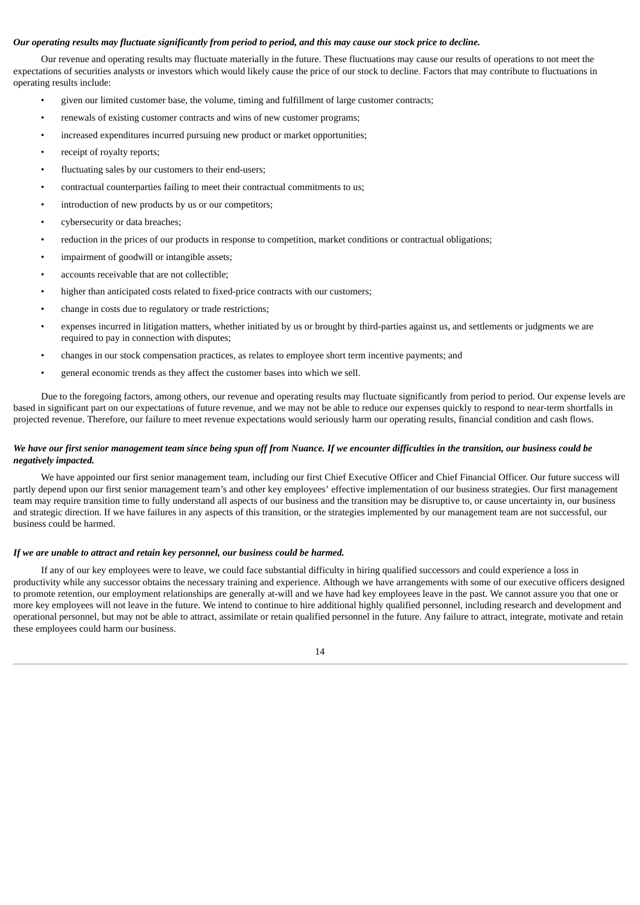# Our operating results may fluctuate significantly from period to period, and this may cause our stock price to decline.

Our revenue and operating results may fluctuate materially in the future. These fluctuations may cause our results of operations to not meet the expectations of securities analysts or investors which would likely cause the price of our stock to decline. Factors that may contribute to fluctuations in operating results include:

- given our limited customer base, the volume, timing and fulfillment of large customer contracts;
- renewals of existing customer contracts and wins of new customer programs;
- increased expenditures incurred pursuing new product or market opportunities;
- receipt of royalty reports;
- fluctuating sales by our customers to their end-users;
- contractual counterparties failing to meet their contractual commitments to us;
- introduction of new products by us or our competitors;
- cybersecurity or data breaches;
- reduction in the prices of our products in response to competition, market conditions or contractual obligations;
- impairment of goodwill or intangible assets;
- accounts receivable that are not collectible;
- higher than anticipated costs related to fixed-price contracts with our customers;
- change in costs due to regulatory or trade restrictions;
- expenses incurred in litigation matters, whether initiated by us or brought by third-parties against us, and settlements or judgments we are required to pay in connection with disputes;
- changes in our stock compensation practices, as relates to employee short term incentive payments; and
- general economic trends as they affect the customer bases into which we sell.

Due to the foregoing factors, among others, our revenue and operating results may fluctuate significantly from period to period. Our expense levels are based in significant part on our expectations of future revenue, and we may not be able to reduce our expenses quickly to respond to near-term shortfalls in projected revenue. Therefore, our failure to meet revenue expectations would seriously harm our operating results, financial condition and cash flows.

#### We have our first senior management team since being spun off from Nuance. If we encounter difficulties in the transition, our business could be *negatively impacted.*

We have appointed our first senior management team, including our first Chief Executive Officer and Chief Financial Officer. Our future success will partly depend upon our first senior management team's and other key employees' effective implementation of our business strategies. Our first management team may require transition time to fully understand all aspects of our business and the transition may be disruptive to, or cause uncertainty in, our business and strategic direction. If we have failures in any aspects of this transition, or the strategies implemented by our management team are not successful, our business could be harmed.

#### *If we are unable to attract and retain key personnel, our business could be harmed.*

If any of our key employees were to leave, we could face substantial difficulty in hiring qualified successors and could experience a loss in productivity while any successor obtains the necessary training and experience. Although we have arrangements with some of our executive officers designed to promote retention, our employment relationships are generally at-will and we have had key employees leave in the past. We cannot assure you that one or more key employees will not leave in the future. We intend to continue to hire additional highly qualified personnel, including research and development and operational personnel, but may not be able to attract, assimilate or retain qualified personnel in the future. Any failure to attract, integrate, motivate and retain these employees could harm our business.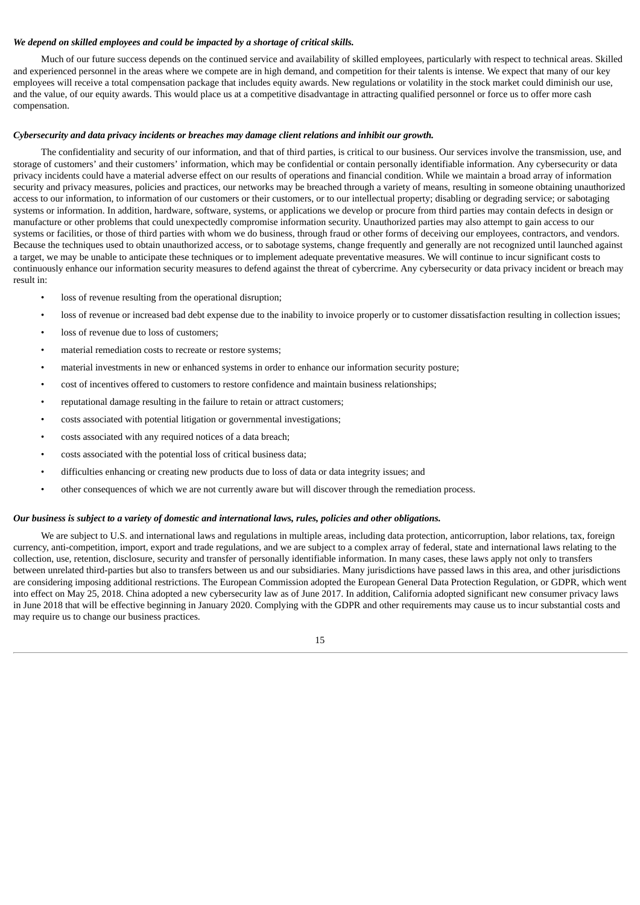# *We depend on skilled employees and could be impacted by a shortage of critical skills.*

Much of our future success depends on the continued service and availability of skilled employees, particularly with respect to technical areas. Skilled and experienced personnel in the areas where we compete are in high demand, and competition for their talents is intense. We expect that many of our key employees will receive a total compensation package that includes equity awards. New regulations or volatility in the stock market could diminish our use, and the value, of our equity awards. This would place us at a competitive disadvantage in attracting qualified personnel or force us to offer more cash compensation.

#### *Cybersecurity and data privacy incidents or breaches may damage client relations and inhibit our growth.*

The confidentiality and security of our information, and that of third parties, is critical to our business. Our services involve the transmission, use, and storage of customers' and their customers' information, which may be confidential or contain personally identifiable information. Any cybersecurity or data privacy incidents could have a material adverse effect on our results of operations and financial condition. While we maintain a broad array of information security and privacy measures, policies and practices, our networks may be breached through a variety of means, resulting in someone obtaining unauthorized access to our information, to information of our customers or their customers, or to our intellectual property; disabling or degrading service; or sabotaging systems or information. In addition, hardware, software, systems, or applications we develop or procure from third parties may contain defects in design or manufacture or other problems that could unexpectedly compromise information security. Unauthorized parties may also attempt to gain access to our systems or facilities, or those of third parties with whom we do business, through fraud or other forms of deceiving our employees, contractors, and vendors. Because the techniques used to obtain unauthorized access, or to sabotage systems, change frequently and generally are not recognized until launched against a target, we may be unable to anticipate these techniques or to implement adequate preventative measures. We will continue to incur significant costs to continuously enhance our information security measures to defend against the threat of cybercrime. Any cybersecurity or data privacy incident or breach may result in:

- loss of revenue resulting from the operational disruption;
- loss of revenue or increased bad debt expense due to the inability to invoice properly or to customer dissatisfaction resulting in collection issues;
- loss of revenue due to loss of customers;
- material remediation costs to recreate or restore systems;
- material investments in new or enhanced systems in order to enhance our information security posture;
- cost of incentives offered to customers to restore confidence and maintain business relationships;
- reputational damage resulting in the failure to retain or attract customers;
- costs associated with potential litigation or governmental investigations;
- costs associated with any required notices of a data breach;
- costs associated with the potential loss of critical business data;
- difficulties enhancing or creating new products due to loss of data or data integrity issues; and
- other consequences of which we are not currently aware but will discover through the remediation process.

#### Our business is subject to a variety of domestic and international laws, rules, policies and other obligations.

We are subject to U.S. and international laws and regulations in multiple areas, including data protection, anticorruption, labor relations, tax, foreign currency, anti-competition, import, export and trade regulations, and we are subject to a complex array of federal, state and international laws relating to the collection, use, retention, disclosure, security and transfer of personally identifiable information. In many cases, these laws apply not only to transfers between unrelated third-parties but also to transfers between us and our subsidiaries. Many jurisdictions have passed laws in this area, and other jurisdictions are considering imposing additional restrictions. The European Commission adopted the European General Data Protection Regulation, or GDPR, which went into effect on May 25, 2018. China adopted a new cybersecurity law as of June 2017. In addition, California adopted significant new consumer privacy laws in June 2018 that will be effective beginning in January 2020. Complying with the GDPR and other requirements may cause us to incur substantial costs and may require us to change our business practices.

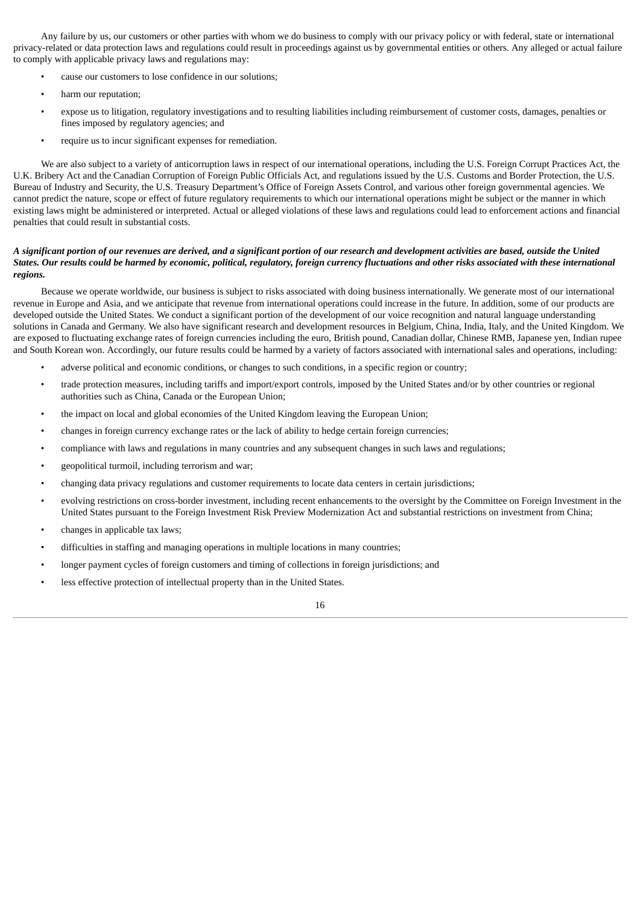Any failure by us, our customers or other parties with whom we do business to comply with our privacy policy or with federal, state or international privacy-related or data protection laws and regulations could result in proceedings against us by governmental entities or others. Any alleged or actual failure to comply with applicable privacy laws and regulations may:

- cause our customers to lose confidence in our solutions;
- harm our reputation;
- expose us to litigation, regulatory investigations and to resulting liabilities including reimbursement of customer costs, damages, penalties or fines imposed by regulatory agencies; and
- require us to incur significant expenses for remediation.

We are also subject to a variety of anticorruption laws in respect of our international operations, including the U.S. Foreign Corrupt Practices Act, the U.K. Bribery Act and the Canadian Corruption of Foreign Public Officials Act, and regulations issued by the U.S. Customs and Border Protection, the U.S. Bureau of Industry and Security, the U.S. Treasury Department's Office of Foreign Assets Control, and various other foreign governmental agencies. We cannot predict the nature, scope or effect of future regulatory requirements to which our international operations might be subject or the manner in which existing laws might be administered or interpreted. Actual or alleged violations of these laws and regulations could lead to enforcement actions and financial penalties that could result in substantial costs.

# A significant portion of our revenues are derived, and a significant portion of our research and development activities are based, outside the United States. Our results could be harmed by economic, political, regulatory, foreign currency fluctuations and other risks associated with these international *regions.*

Because we operate worldwide, our business is subject to risks associated with doing business internationally. We generate most of our international revenue in Europe and Asia, and we anticipate that revenue from international operations could increase in the future. In addition, some of our products are developed outside the United States. We conduct a significant portion of the development of our voice recognition and natural language understanding solutions in Canada and Germany. We also have significant research and development resources in Belgium, China, India, Italy, and the United Kingdom. We are exposed to fluctuating exchange rates of foreign currencies including the euro, British pound, Canadian dollar, Chinese RMB, Japanese yen, Indian rupee and South Korean won. Accordingly, our future results could be harmed by a variety of factors associated with international sales and operations, including:

- adverse political and economic conditions, or changes to such conditions, in a specific region or country;
- trade protection measures, including tariffs and import/export controls, imposed by the United States and/or by other countries or regional authorities such as China, Canada or the European Union;
- the impact on local and global economies of the United Kingdom leaving the European Union;
- changes in foreign currency exchange rates or the lack of ability to hedge certain foreign currencies;
- compliance with laws and regulations in many countries and any subsequent changes in such laws and regulations;
- geopolitical turmoil, including terrorism and war;
- changing data privacy regulations and customer requirements to locate data centers in certain jurisdictions;
- evolving restrictions on cross-border investment, including recent enhancements to the oversight by the Committee on Foreign Investment in the United States pursuant to the Foreign Investment Risk Preview Modernization Act and substantial restrictions on investment from China;
- changes in applicable tax laws;
- difficulties in staffing and managing operations in multiple locations in many countries;
- longer payment cycles of foreign customers and timing of collections in foreign jurisdictions; and
- less effective protection of intellectual property than in the United States.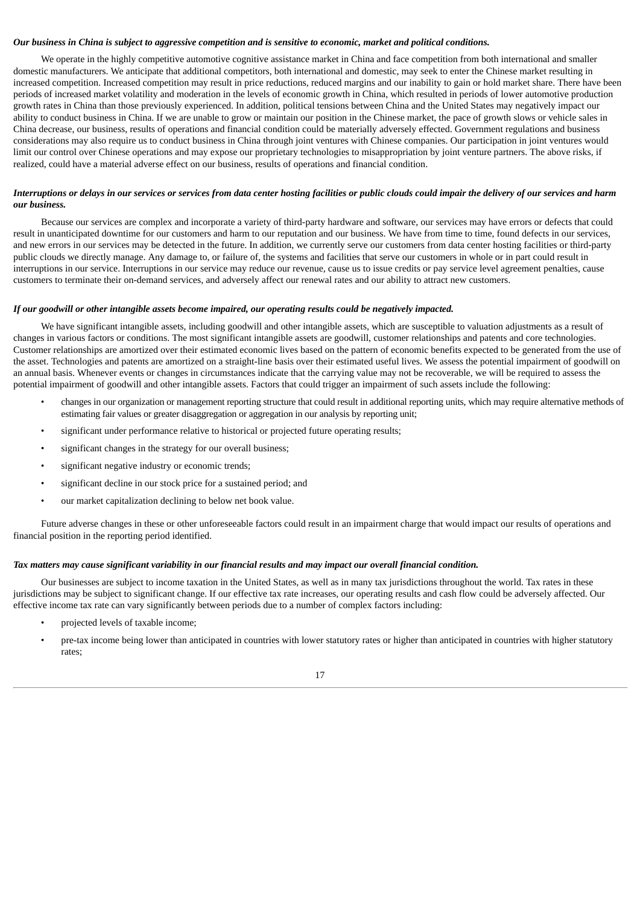#### Our business in China is subject to aggressive competition and is sensitive to economic, market and political conditions.

We operate in the highly competitive automotive cognitive assistance market in China and face competition from both international and smaller domestic manufacturers. We anticipate that additional competitors, both international and domestic, may seek to enter the Chinese market resulting in increased competition. Increased competition may result in price reductions, reduced margins and our inability to gain or hold market share. There have been periods of increased market volatility and moderation in the levels of economic growth in China, which resulted in periods of lower automotive production growth rates in China than those previously experienced. In addition, political tensions between China and the United States may negatively impact our ability to conduct business in China. If we are unable to grow or maintain our position in the Chinese market, the pace of growth slows or vehicle sales in China decrease, our business, results of operations and financial condition could be materially adversely effected. Government regulations and business considerations may also require us to conduct business in China through joint ventures with Chinese companies. Our participation in joint ventures would limit our control over Chinese operations and may expose our proprietary technologies to misappropriation by joint venture partners. The above risks, if realized, could have a material adverse effect on our business, results of operations and financial condition.

# Interruptions or delays in our services or services from data center hosting facilities or public clouds could impair the delivery of our services and harm *our business.*

Because our services are complex and incorporate a variety of third-party hardware and software, our services may have errors or defects that could result in unanticipated downtime for our customers and harm to our reputation and our business. We have from time to time, found defects in our services, and new errors in our services may be detected in the future. In addition, we currently serve our customers from data center hosting facilities or third-party public clouds we directly manage. Any damage to, or failure of, the systems and facilities that serve our customers in whole or in part could result in interruptions in our service. Interruptions in our service may reduce our revenue, cause us to issue credits or pay service level agreement penalties, cause customers to terminate their on-demand services, and adversely affect our renewal rates and our ability to attract new customers.

#### *If our goodwill or other intangible assets become impaired, our operating results could be negatively impacted.*

We have significant intangible assets, including goodwill and other intangible assets, which are susceptible to valuation adjustments as a result of changes in various factors or conditions. The most significant intangible assets are goodwill, customer relationships and patents and core technologies. Customer relationships are amortized over their estimated economic lives based on the pattern of economic benefits expected to be generated from the use of the asset. Technologies and patents are amortized on a straight-line basis over their estimated useful lives. We assess the potential impairment of goodwill on an annual basis. Whenever events or changes in circumstances indicate that the carrying value may not be recoverable, we will be required to assess the potential impairment of goodwill and other intangible assets. Factors that could trigger an impairment of such assets include the following:

- changes in our organization or management reporting structure that could result in additional reporting units, which may require alternative methods of estimating fair values or greater disaggregation or aggregation in our analysis by reporting unit;
- significant under performance relative to historical or projected future operating results;
- significant changes in the strategy for our overall business;
- significant negative industry or economic trends;
- significant decline in our stock price for a sustained period; and
- our market capitalization declining to below net book value.

Future adverse changes in these or other unforeseeable factors could result in an impairment charge that would impact our results of operations and financial position in the reporting period identified.

# Tax matters may cause significant variability in our financial results and may impact our overall financial condition.

Our businesses are subject to income taxation in the United States, as well as in many tax jurisdictions throughout the world. Tax rates in these jurisdictions may be subject to significant change. If our effective tax rate increases, our operating results and cash flow could be adversely affected. Our effective income tax rate can vary significantly between periods due to a number of complex factors including:

- projected levels of taxable income;
- pre-tax income being lower than anticipated in countries with lower statutory rates or higher than anticipated in countries with higher statutory rates;

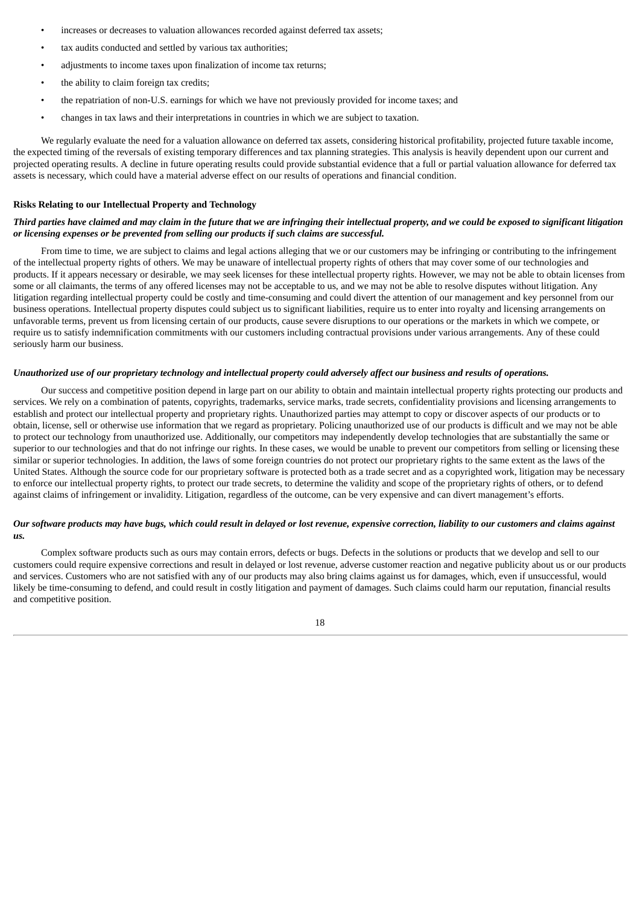- increases or decreases to valuation allowances recorded against deferred tax assets;
- tax audits conducted and settled by various tax authorities;
- adjustments to income taxes upon finalization of income tax returns;
- the ability to claim foreign tax credits;
- the repatriation of non-U.S. earnings for which we have not previously provided for income taxes; and
- changes in tax laws and their interpretations in countries in which we are subject to taxation.

We regularly evaluate the need for a valuation allowance on deferred tax assets, considering historical profitability, projected future taxable income, the expected timing of the reversals of existing temporary differences and tax planning strategies. This analysis is heavily dependent upon our current and projected operating results. A decline in future operating results could provide substantial evidence that a full or partial valuation allowance for deferred tax assets is necessary, which could have a material adverse effect on our results of operations and financial condition.

# **Risks Relating to our Intellectual Property and Technology**

# Third parties have claimed and may claim in the future that we are infringing their intellectual property, and we could be exposed to significant litigation *or licensing expenses or be prevented from selling our products if such claims are successful.*

From time to time, we are subject to claims and legal actions alleging that we or our customers may be infringing or contributing to the infringement of the intellectual property rights of others. We may be unaware of intellectual property rights of others that may cover some of our technologies and products. If it appears necessary or desirable, we may seek licenses for these intellectual property rights. However, we may not be able to obtain licenses from some or all claimants, the terms of any offered licenses may not be acceptable to us, and we may not be able to resolve disputes without litigation. Any litigation regarding intellectual property could be costly and time-consuming and could divert the attention of our management and key personnel from our business operations. Intellectual property disputes could subject us to significant liabilities, require us to enter into royalty and licensing arrangements on unfavorable terms, prevent us from licensing certain of our products, cause severe disruptions to our operations or the markets in which we compete, or require us to satisfy indemnification commitments with our customers including contractual provisions under various arrangements. Any of these could seriously harm our business.

# Unauthorized use of our proprietary technology and intellectual property could adversely affect our business and results of operations.

Our success and competitive position depend in large part on our ability to obtain and maintain intellectual property rights protecting our products and services. We rely on a combination of patents, copyrights, trademarks, service marks, trade secrets, confidentiality provisions and licensing arrangements to establish and protect our intellectual property and proprietary rights. Unauthorized parties may attempt to copy or discover aspects of our products or to obtain, license, sell or otherwise use information that we regard as proprietary. Policing unauthorized use of our products is difficult and we may not be able to protect our technology from unauthorized use. Additionally, our competitors may independently develop technologies that are substantially the same or superior to our technologies and that do not infringe our rights. In these cases, we would be unable to prevent our competitors from selling or licensing these similar or superior technologies. In addition, the laws of some foreign countries do not protect our proprietary rights to the same extent as the laws of the United States. Although the source code for our proprietary software is protected both as a trade secret and as a copyrighted work, litigation may be necessary to enforce our intellectual property rights, to protect our trade secrets, to determine the validity and scope of the proprietary rights of others, or to defend against claims of infringement or invalidity. Litigation, regardless of the outcome, can be very expensive and can divert management's efforts.

#### Our software products may have bugs, which could result in delayed or lost revenue, expensive correction, liability to our customers and claims against *us.*

Complex software products such as ours may contain errors, defects or bugs. Defects in the solutions or products that we develop and sell to our customers could require expensive corrections and result in delayed or lost revenue, adverse customer reaction and negative publicity about us or our products and services. Customers who are not satisfied with any of our products may also bring claims against us for damages, which, even if unsuccessful, would likely be time-consuming to defend, and could result in costly litigation and payment of damages. Such claims could harm our reputation, financial results and competitive position.

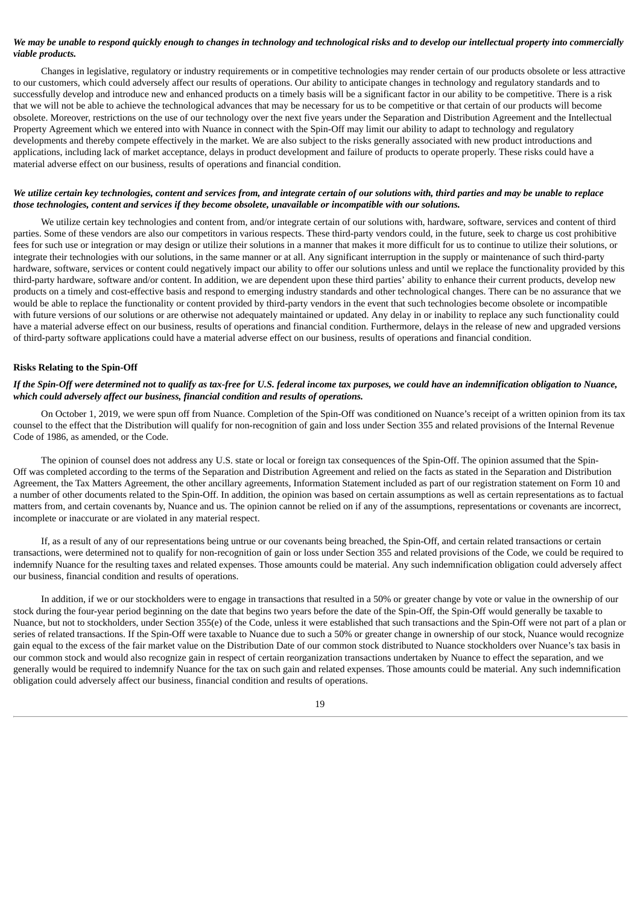# We may be unable to respond quickly enough to changes in technology and technological risks and to develop our intellectual property into commercially *viable products.*

Changes in legislative, regulatory or industry requirements or in competitive technologies may render certain of our products obsolete or less attractive to our customers, which could adversely affect our results of operations. Our ability to anticipate changes in technology and regulatory standards and to successfully develop and introduce new and enhanced products on a timely basis will be a significant factor in our ability to be competitive. There is a risk that we will not be able to achieve the technological advances that may be necessary for us to be competitive or that certain of our products will become obsolete. Moreover, restrictions on the use of our technology over the next five years under the Separation and Distribution Agreement and the Intellectual Property Agreement which we entered into with Nuance in connect with the Spin-Off may limit our ability to adapt to technology and regulatory developments and thereby compete effectively in the market. We are also subject to the risks generally associated with new product introductions and applications, including lack of market acceptance, delays in product development and failure of products to operate properly. These risks could have a material adverse effect on our business, results of operations and financial condition.

#### We utilize certain key technologies, content and services from, and integrate certain of our solutions with, third parties and may be unable to replace *those technologies, content and services if they become obsolete, unavailable or incompatible with our solutions.*

We utilize certain key technologies and content from, and/or integrate certain of our solutions with, hardware, software, services and content of third parties. Some of these vendors are also our competitors in various respects. These third-party vendors could, in the future, seek to charge us cost prohibitive fees for such use or integration or may design or utilize their solutions in a manner that makes it more difficult for us to continue to utilize their solutions, or integrate their technologies with our solutions, in the same manner or at all. Any significant interruption in the supply or maintenance of such third-party hardware, software, services or content could negatively impact our ability to offer our solutions unless and until we replace the functionality provided by this third-party hardware, software and/or content. In addition, we are dependent upon these third parties' ability to enhance their current products, develop new products on a timely and cost-effective basis and respond to emerging industry standards and other technological changes. There can be no assurance that we would be able to replace the functionality or content provided by third-party vendors in the event that such technologies become obsolete or incompatible with future versions of our solutions or are otherwise not adequately maintained or updated. Any delay in or inability to replace any such functionality could have a material adverse effect on our business, results of operations and financial condition. Furthermore, delays in the release of new and upgraded versions of third-party software applications could have a material adverse effect on our business, results of operations and financial condition.

#### **Risks Relating to the Spin-Off**

# If the Spin-Off were determined not to qualify as tax-free for U.S. federal income tax purposes, we could have an indemnification obligation to Nuance, *which could adversely affect our business, financial condition and results of operations.*

On October 1, 2019, we were spun off from Nuance. Completion of the Spin-Off was conditioned on Nuance's receipt of a written opinion from its tax counsel to the effect that the Distribution will qualify for non-recognition of gain and loss under Section 355 and related provisions of the Internal Revenue Code of 1986, as amended, or the Code.

The opinion of counsel does not address any U.S. state or local or foreign tax consequences of the Spin-Off. The opinion assumed that the Spin-Off was completed according to the terms of the Separation and Distribution Agreement and relied on the facts as stated in the Separation and Distribution Agreement, the Tax Matters Agreement, the other ancillary agreements, Information Statement included as part of our registration statement on Form 10 and a number of other documents related to the Spin-Off. In addition, the opinion was based on certain assumptions as well as certain representations as to factual matters from, and certain covenants by, Nuance and us. The opinion cannot be relied on if any of the assumptions, representations or covenants are incorrect, incomplete or inaccurate or are violated in any material respect.

If, as a result of any of our representations being untrue or our covenants being breached, the Spin-Off, and certain related transactions or certain transactions, were determined not to qualify for non-recognition of gain or loss under Section 355 and related provisions of the Code, we could be required to indemnify Nuance for the resulting taxes and related expenses. Those amounts could be material. Any such indemnification obligation could adversely affect our business, financial condition and results of operations.

In addition, if we or our stockholders were to engage in transactions that resulted in a 50% or greater change by vote or value in the ownership of our stock during the four-year period beginning on the date that begins two years before the date of the Spin-Off, the Spin-Off would generally be taxable to Nuance, but not to stockholders, under Section 355(e) of the Code, unless it were established that such transactions and the Spin-Off were not part of a plan or series of related transactions. If the Spin-Off were taxable to Nuance due to such a 50% or greater change in ownership of our stock, Nuance would recognize gain equal to the excess of the fair market value on the Distribution Date of our common stock distributed to Nuance stockholders over Nuance's tax basis in our common stock and would also recognize gain in respect of certain reorganization transactions undertaken by Nuance to effect the separation, and we generally would be required to indemnify Nuance for the tax on such gain and related expenses. Those amounts could be material. Any such indemnification obligation could adversely affect our business, financial condition and results of operations.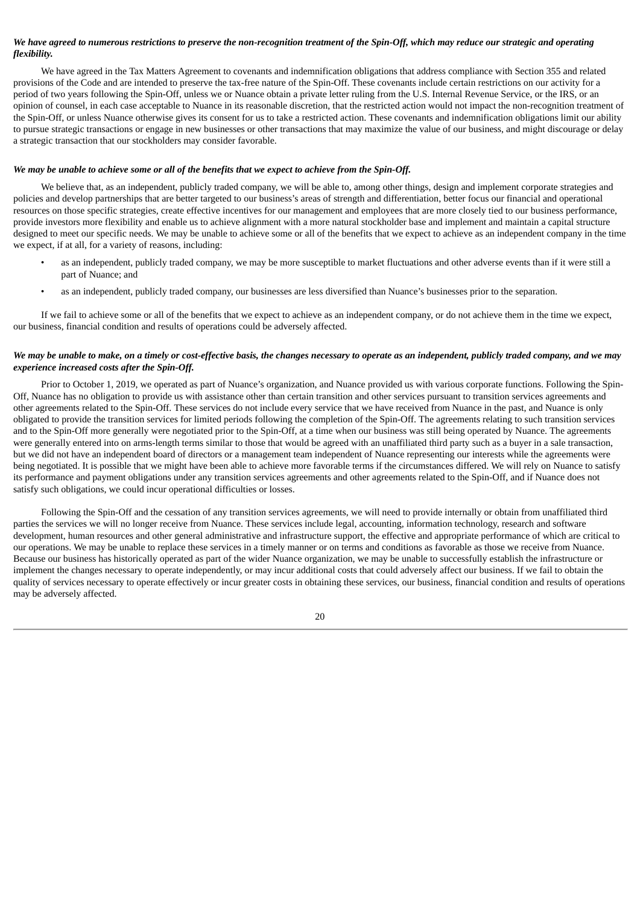# We have agreed to numerous restrictions to preserve the non-recognition treatment of the Spin-Off, which may reduce our strategic and operating *flexibility.*

We have agreed in the Tax Matters Agreement to covenants and indemnification obligations that address compliance with Section 355 and related provisions of the Code and are intended to preserve the tax-free nature of the Spin-Off. These covenants include certain restrictions on our activity for a period of two years following the Spin-Off, unless we or Nuance obtain a private letter ruling from the U.S. Internal Revenue Service, or the IRS, or an opinion of counsel, in each case acceptable to Nuance in its reasonable discretion, that the restricted action would not impact the non-recognition treatment of the Spin-Off, or unless Nuance otherwise gives its consent for us to take a restricted action. These covenants and indemnification obligations limit our ability to pursue strategic transactions or engage in new businesses or other transactions that may maximize the value of our business, and might discourage or delay a strategic transaction that our stockholders may consider favorable.

# We may be unable to achieve some or all of the benefits that we expect to achieve from the Spin-Off.

We believe that, as an independent, publicly traded company, we will be able to, among other things, design and implement corporate strategies and policies and develop partnerships that are better targeted to our business's areas of strength and differentiation, better focus our financial and operational resources on those specific strategies, create effective incentives for our management and employees that are more closely tied to our business performance, provide investors more flexibility and enable us to achieve alignment with a more natural stockholder base and implement and maintain a capital structure designed to meet our specific needs. We may be unable to achieve some or all of the benefits that we expect to achieve as an independent company in the time we expect, if at all, for a variety of reasons, including:

- as an independent, publicly traded company, we may be more susceptible to market fluctuations and other adverse events than if it were still a part of Nuance; and
- as an independent, publicly traded company, our businesses are less diversified than Nuance's businesses prior to the separation.

If we fail to achieve some or all of the benefits that we expect to achieve as an independent company, or do not achieve them in the time we expect, our business, financial condition and results of operations could be adversely affected.

# We may be unable to make, on a timely or cost-effective basis, the changes necessary to operate as an independent, publicly traded company, and we may *experience increased costs after the Spin-Off.*

Prior to October 1, 2019, we operated as part of Nuance's organization, and Nuance provided us with various corporate functions. Following the Spin-Off, Nuance has no obligation to provide us with assistance other than certain transition and other services pursuant to transition services agreements and other agreements related to the Spin-Off. These services do not include every service that we have received from Nuance in the past, and Nuance is only obligated to provide the transition services for limited periods following the completion of the Spin-Off. The agreements relating to such transition services and to the Spin-Off more generally were negotiated prior to the Spin-Off, at a time when our business was still being operated by Nuance. The agreements were generally entered into on arms-length terms similar to those that would be agreed with an unaffiliated third party such as a buyer in a sale transaction, but we did not have an independent board of directors or a management team independent of Nuance representing our interests while the agreements were being negotiated. It is possible that we might have been able to achieve more favorable terms if the circumstances differed. We will rely on Nuance to satisfy its performance and payment obligations under any transition services agreements and other agreements related to the Spin-Off, and if Nuance does not satisfy such obligations, we could incur operational difficulties or losses.

Following the Spin-Off and the cessation of any transition services agreements, we will need to provide internally or obtain from unaffiliated third parties the services we will no longer receive from Nuance. These services include legal, accounting, information technology, research and software development, human resources and other general administrative and infrastructure support, the effective and appropriate performance of which are critical to our operations. We may be unable to replace these services in a timely manner or on terms and conditions as favorable as those we receive from Nuance. Because our business has historically operated as part of the wider Nuance organization, we may be unable to successfully establish the infrastructure or implement the changes necessary to operate independently, or may incur additional costs that could adversely affect our business. If we fail to obtain the quality of services necessary to operate effectively or incur greater costs in obtaining these services, our business, financial condition and results of operations may be adversely affected.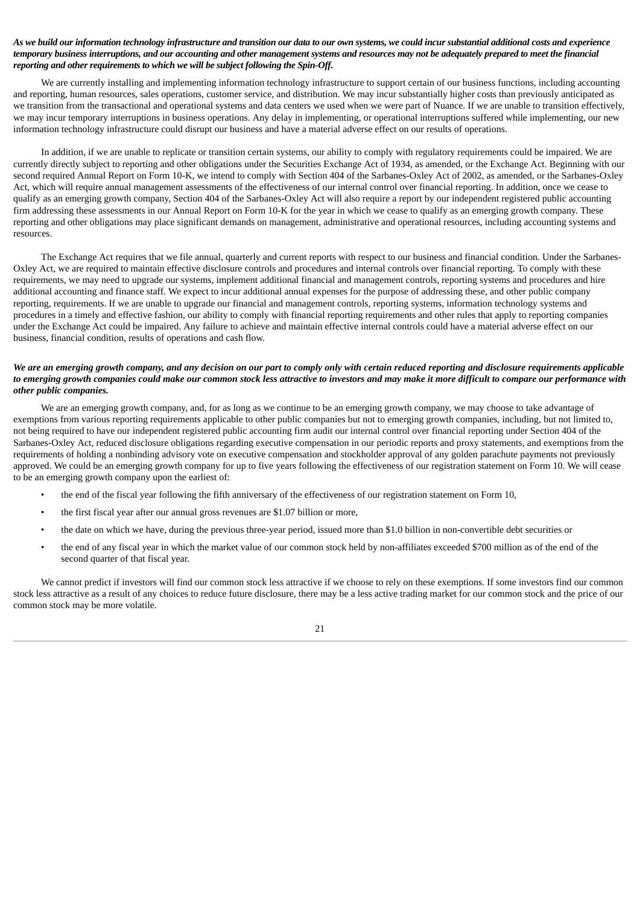# As we build our information technology infrastructure and transition our data to our own systems, we could incur substantial additional costs and experience temporary business interruptions, and our accounting and other management systems and resources may not be adequately prepared to meet the financial *reporting and other requirements to which we will be subject following the Spin-Off.*

We are currently installing and implementing information technology infrastructure to support certain of our business functions, including accounting and reporting, human resources, sales operations, customer service, and distribution. We may incur substantially higher costs than previously anticipated as we transition from the transactional and operational systems and data centers we used when we were part of Nuance. If we are unable to transition effectively, we may incur temporary interruptions in business operations. Any delay in implementing, or operational interruptions suffered while implementing, our new information technology infrastructure could disrupt our business and have a material adverse effect on our results of operations.

In addition, if we are unable to replicate or transition certain systems, our ability to comply with regulatory requirements could be impaired. We are currently directly subject to reporting and other obligations under the Securities Exchange Act of 1934, as amended, or the Exchange Act. Beginning with our second required Annual Report on Form 10-K, we intend to comply with Section 404 of the Sarbanes-Oxley Act of 2002, as amended, or the Sarbanes-Oxley Act, which will require annual management assessments of the effectiveness of our internal control over financial reporting. In addition, once we cease to qualify as an emerging growth company, Section 404 of the Sarbanes-Oxley Act will also require a report by our independent registered public accounting firm addressing these assessments in our Annual Report on Form 10-K for the year in which we cease to qualify as an emerging growth company. These reporting and other obligations may place significant demands on management, administrative and operational resources, including accounting systems and resources.

The Exchange Act requires that we file annual, quarterly and current reports with respect to our business and financial condition. Under the Sarbanes-Oxley Act, we are required to maintain effective disclosure controls and procedures and internal controls over financial reporting. To comply with these requirements, we may need to upgrade our systems, implement additional financial and management controls, reporting systems and procedures and hire additional accounting and finance staff. We expect to incur additional annual expenses for the purpose of addressing these, and other public company reporting, requirements. If we are unable to upgrade our financial and management controls, reporting systems, information technology systems and procedures in a timely and effective fashion, our ability to comply with financial reporting requirements and other rules that apply to reporting companies under the Exchange Act could be impaired. Any failure to achieve and maintain effective internal controls could have a material adverse effect on our business, financial condition, results of operations and cash flow.

# We are an emerging growth company, and any decision on our part to comply only with certain reduced reporting and disclosure requirements applicable to emerging growth companies could make our common stock less attractive to investors and may make it more difficult to compare our performance with *other public companies.*

We are an emerging growth company, and, for as long as we continue to be an emerging growth company, we may choose to take advantage of exemptions from various reporting requirements applicable to other public companies but not to emerging growth companies, including, but not limited to, not being required to have our independent registered public accounting firm audit our internal control over financial reporting under Section 404 of the Sarbanes-Oxley Act, reduced disclosure obligations regarding executive compensation in our periodic reports and proxy statements, and exemptions from the requirements of holding a nonbinding advisory vote on executive compensation and stockholder approval of any golden parachute payments not previously approved. We could be an emerging growth company for up to five years following the effectiveness of our registration statement on Form 10. We will cease to be an emerging growth company upon the earliest of:

- the end of the fiscal year following the fifth anniversary of the effectiveness of our registration statement on Form 10,
- the first fiscal year after our annual gross revenues are \$1.07 billion or more,
- the date on which we have, during the previous three-year period, issued more than \$1.0 billion in non-convertible debt securities or
- the end of any fiscal year in which the market value of our common stock held by non-affiliates exceeded \$700 million as of the end of the second quarter of that fiscal year.

We cannot predict if investors will find our common stock less attractive if we choose to rely on these exemptions. If some investors find our common stock less attractive as a result of any choices to reduce future disclosure, there may be a less active trading market for our common stock and the price of our common stock may be more volatile.

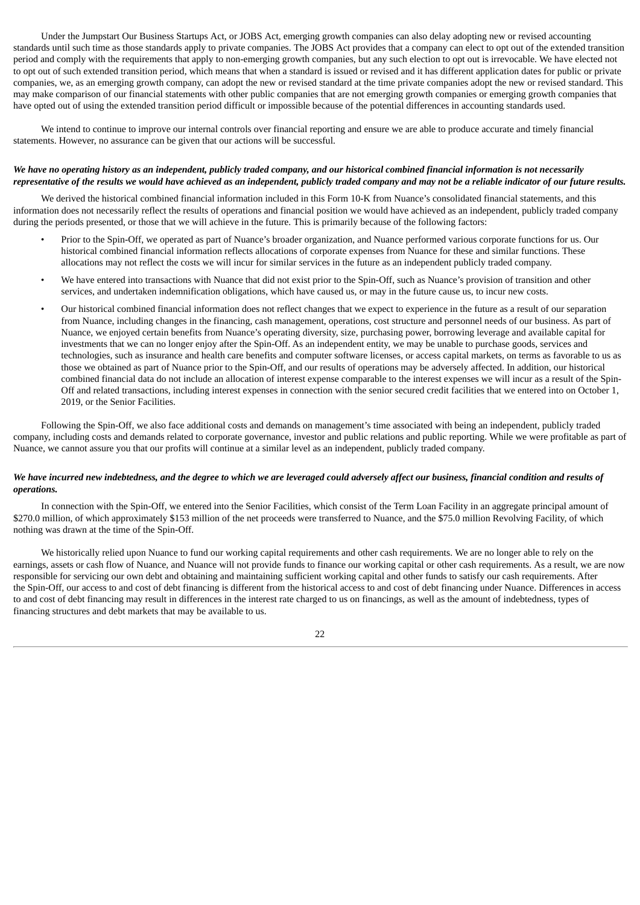Under the Jumpstart Our Business Startups Act, or JOBS Act, emerging growth companies can also delay adopting new or revised accounting standards until such time as those standards apply to private companies. The JOBS Act provides that a company can elect to opt out of the extended transition period and comply with the requirements that apply to non-emerging growth companies, but any such election to opt out is irrevocable. We have elected not to opt out of such extended transition period, which means that when a standard is issued or revised and it has different application dates for public or private companies, we, as an emerging growth company, can adopt the new or revised standard at the time private companies adopt the new or revised standard. This may make comparison of our financial statements with other public companies that are not emerging growth companies or emerging growth companies that have opted out of using the extended transition period difficult or impossible because of the potential differences in accounting standards used.

We intend to continue to improve our internal controls over financial reporting and ensure we are able to produce accurate and timely financial statements. However, no assurance can be given that our actions will be successful.

# We have no operating history as an independent, publicly traded company, and our historical combined financial information is not necessarily representative of the results we would have achieved as an independent, publicly traded company and may not be a reliable indicator of our future results.

We derived the historical combined financial information included in this Form 10-K from Nuance's consolidated financial statements, and this information does not necessarily reflect the results of operations and financial position we would have achieved as an independent, publicly traded company during the periods presented, or those that we will achieve in the future. This is primarily because of the following factors:

- Prior to the Spin-Off, we operated as part of Nuance's broader organization, and Nuance performed various corporate functions for us. Our historical combined financial information reflects allocations of corporate expenses from Nuance for these and similar functions. These allocations may not reflect the costs we will incur for similar services in the future as an independent publicly traded company.
- We have entered into transactions with Nuance that did not exist prior to the Spin-Off, such as Nuance's provision of transition and other services, and undertaken indemnification obligations, which have caused us, or may in the future cause us, to incur new costs.
- Our historical combined financial information does not reflect changes that we expect to experience in the future as a result of our separation from Nuance, including changes in the financing, cash management, operations, cost structure and personnel needs of our business. As part of Nuance, we enjoyed certain benefits from Nuance's operating diversity, size, purchasing power, borrowing leverage and available capital for investments that we can no longer enjoy after the Spin-Off. As an independent entity, we may be unable to purchase goods, services and technologies, such as insurance and health care benefits and computer software licenses, or access capital markets, on terms as favorable to us as those we obtained as part of Nuance prior to the Spin-Off, and our results of operations may be adversely affected. In addition, our historical combined financial data do not include an allocation of interest expense comparable to the interest expenses we will incur as a result of the Spin-Off and related transactions, including interest expenses in connection with the senior secured credit facilities that we entered into on October 1, 2019, or the Senior Facilities.

Following the Spin-Off, we also face additional costs and demands on management's time associated with being an independent, publicly traded company, including costs and demands related to corporate governance, investor and public relations and public reporting. While we were profitable as part of Nuance, we cannot assure you that our profits will continue at a similar level as an independent, publicly traded company.

# We have incurred new indebtedness, and the degree to which we are leveraged could adversely affect our business, financial condition and results of *operations.*

In connection with the Spin-Off, we entered into the Senior Facilities, which consist of the Term Loan Facility in an aggregate principal amount of \$270.0 million, of which approximately \$153 million of the net proceeds were transferred to Nuance, and the \$75.0 million Revolving Facility, of which nothing was drawn at the time of the Spin-Off.

We historically relied upon Nuance to fund our working capital requirements and other cash requirements. We are no longer able to rely on the earnings, assets or cash flow of Nuance, and Nuance will not provide funds to finance our working capital or other cash requirements. As a result, we are now responsible for servicing our own debt and obtaining and maintaining sufficient working capital and other funds to satisfy our cash requirements. After the Spin-Off, our access to and cost of debt financing is different from the historical access to and cost of debt financing under Nuance. Differences in access to and cost of debt financing may result in differences in the interest rate charged to us on financings, as well as the amount of indebtedness, types of financing structures and debt markets that may be available to us.

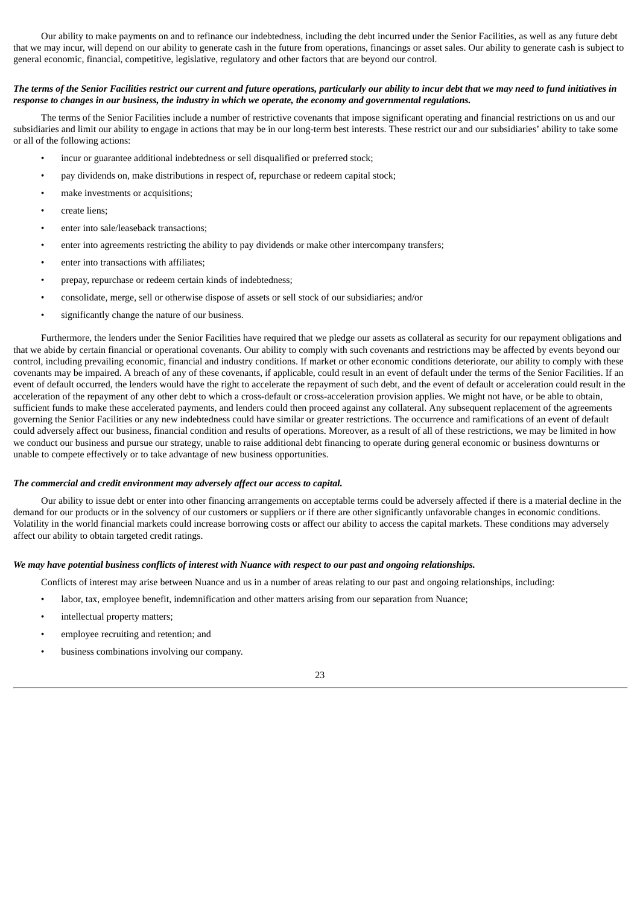Our ability to make payments on and to refinance our indebtedness, including the debt incurred under the Senior Facilities, as well as any future debt that we may incur, will depend on our ability to generate cash in the future from operations, financings or asset sales. Our ability to generate cash is subject to general economic, financial, competitive, legislative, regulatory and other factors that are beyond our control.

#### The terms of the Senior Facilities restrict our current and future operations, particularly our ability to incur debt that we may need to fund initiatives in response to changes in our business, the industry in which we operate, the economy and governmental regulations.

The terms of the Senior Facilities include a number of restrictive covenants that impose significant operating and financial restrictions on us and our subsidiaries and limit our ability to engage in actions that may be in our long-term best interests. These restrict our and our subsidiaries' ability to take some or all of the following actions:

- incur or guarantee additional indebtedness or sell disqualified or preferred stock;
- pay dividends on, make distributions in respect of, repurchase or redeem capital stock;
- make investments or acquisitions;
- create liens;
- enter into sale/leaseback transactions;
- enter into agreements restricting the ability to pay dividends or make other intercompany transfers;
- enter into transactions with affiliates;
- prepay, repurchase or redeem certain kinds of indebtedness;
- consolidate, merge, sell or otherwise dispose of assets or sell stock of our subsidiaries; and/or
- significantly change the nature of our business.

Furthermore, the lenders under the Senior Facilities have required that we pledge our assets as collateral as security for our repayment obligations and that we abide by certain financial or operational covenants. Our ability to comply with such covenants and restrictions may be affected by events beyond our control, including prevailing economic, financial and industry conditions. If market or other economic conditions deteriorate, our ability to comply with these covenants may be impaired. A breach of any of these covenants, if applicable, could result in an event of default under the terms of the Senior Facilities. If an event of default occurred, the lenders would have the right to accelerate the repayment of such debt, and the event of default or acceleration could result in the acceleration of the repayment of any other debt to which a cross-default or cross-acceleration provision applies. We might not have, or be able to obtain, sufficient funds to make these accelerated payments, and lenders could then proceed against any collateral. Any subsequent replacement of the agreements governing the Senior Facilities or any new indebtedness could have similar or greater restrictions. The occurrence and ramifications of an event of default could adversely affect our business, financial condition and results of operations. Moreover, as a result of all of these restrictions, we may be limited in how we conduct our business and pursue our strategy, unable to raise additional debt financing to operate during general economic or business downturns or unable to compete effectively or to take advantage of new business opportunities.

#### *The commercial and credit environment may adversely affect our access to capital.*

Our ability to issue debt or enter into other financing arrangements on acceptable terms could be adversely affected if there is a material decline in the demand for our products or in the solvency of our customers or suppliers or if there are other significantly unfavorable changes in economic conditions. Volatility in the world financial markets could increase borrowing costs or affect our ability to access the capital markets. These conditions may adversely affect our ability to obtain targeted credit ratings.

#### We may have potential business conflicts of interest with Nuance with respect to our past and ongoing relationships.

Conflicts of interest may arise between Nuance and us in a number of areas relating to our past and ongoing relationships, including:

- labor, tax, employee benefit, indemnification and other matters arising from our separation from Nuance;
- intellectual property matters;
- employee recruiting and retention; and
- business combinations involving our company.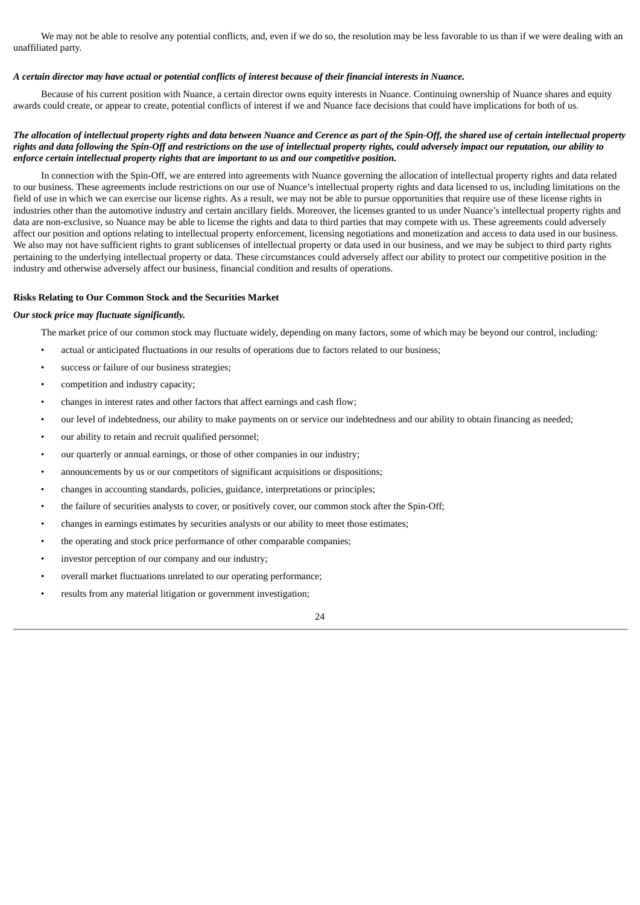We may not be able to resolve any potential conflicts, and, even if we do so, the resolution may be less favorable to us than if we were dealing with an unaffiliated party.

# A certain director may have actual or potential conflicts of interest because of their financial interests in Nuance.

Because of his current position with Nuance, a certain director owns equity interests in Nuance. Continuing ownership of Nuance shares and equity awards could create, or appear to create, potential conflicts of interest if we and Nuance face decisions that could have implications for both of us.

# The allocation of intellectual property rights and data between Nuance and Cerence as part of the Spin-Off, the shared use of certain intellectual property rights and data following the Spin-Off and restrictions on the use of intellectual property rights, could adversely impact our reputation, our ability to *enforce certain intellectual property rights that are important to us and our competitive position.*

In connection with the Spin-Off, we are entered into agreements with Nuance governing the allocation of intellectual property rights and data related to our business. These agreements include restrictions on our use of Nuance's intellectual property rights and data licensed to us, including limitations on the field of use in which we can exercise our license rights. As a result, we may not be able to pursue opportunities that require use of these license rights in industries other than the automotive industry and certain ancillary fields. Moreover, the licenses granted to us under Nuance's intellectual property rights and data are non-exclusive, so Nuance may be able to license the rights and data to third parties that may compete with us. These agreements could adversely affect our position and options relating to intellectual property enforcement, licensing negotiations and monetization and access to data used in our business. We also may not have sufficient rights to grant sublicenses of intellectual property or data used in our business, and we may be subject to third party rights pertaining to the underlying intellectual property or data. These circumstances could adversely affect our ability to protect our competitive position in the industry and otherwise adversely affect our business, financial condition and results of operations.

#### **Risks Relating to Our Common Stock and the Securities Market**

#### *Our stock price may fluctuate significantly.*

The market price of our common stock may fluctuate widely, depending on many factors, some of which may be beyond our control, including:

- actual or anticipated fluctuations in our results of operations due to factors related to our business;
- success or failure of our business strategies;
- competition and industry capacity;
- changes in interest rates and other factors that affect earnings and cash flow;
- our level of indebtedness, our ability to make payments on or service our indebtedness and our ability to obtain financing as needed;
- our ability to retain and recruit qualified personnel;
- our quarterly or annual earnings, or those of other companies in our industry;
- announcements by us or our competitors of significant acquisitions or dispositions;
- changes in accounting standards, policies, guidance, interpretations or principles;
- the failure of securities analysts to cover, or positively cover, our common stock after the Spin-Off;
- changes in earnings estimates by securities analysts or our ability to meet those estimates;
- the operating and stock price performance of other comparable companies;
- investor perception of our company and our industry;
- overall market fluctuations unrelated to our operating performance;
- results from any material litigation or government investigation;

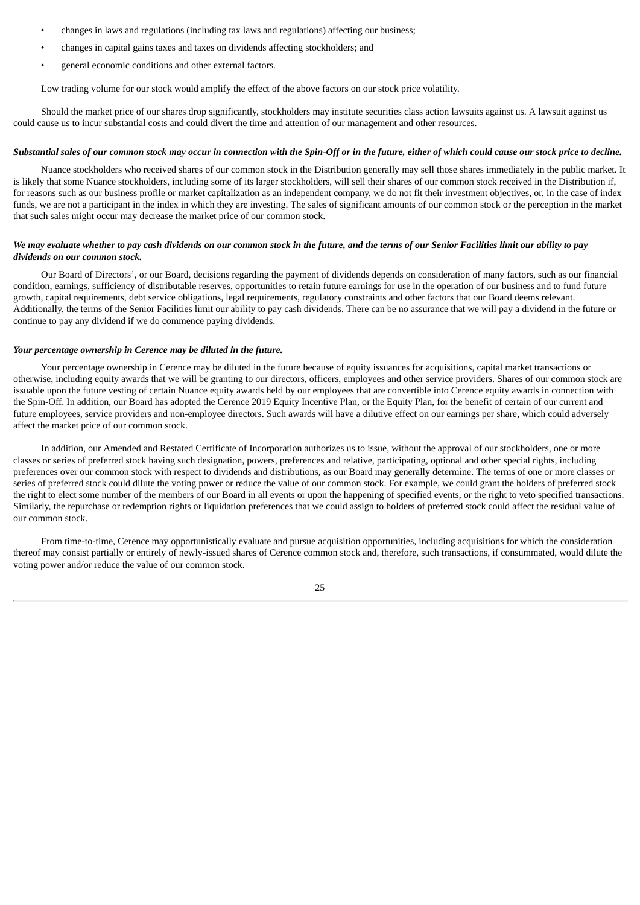- changes in laws and regulations (including tax laws and regulations) affecting our business;
- changes in capital gains taxes and taxes on dividends affecting stockholders; and
- general economic conditions and other external factors.

Low trading volume for our stock would amplify the effect of the above factors on our stock price volatility.

Should the market price of our shares drop significantly, stockholders may institute securities class action lawsuits against us. A lawsuit against us could cause us to incur substantial costs and could divert the time and attention of our management and other resources.

#### Substantial sales of our common stock may occur in connection with the Spin-Off or in the future, either of which could cause our stock price to decline.

Nuance stockholders who received shares of our common stock in the Distribution generally may sell those shares immediately in the public market. It is likely that some Nuance stockholders, including some of its larger stockholders, will sell their shares of our common stock received in the Distribution if, for reasons such as our business profile or market capitalization as an independent company, we do not fit their investment objectives, or, in the case of index funds, we are not a participant in the index in which they are investing. The sales of significant amounts of our common stock or the perception in the market that such sales might occur may decrease the market price of our common stock.

# We may evaluate whether to pay cash dividends on our common stock in the future, and the terms of our Senior Facilities limit our ability to pay *dividends on our common stock.*

Our Board of Directors', or our Board, decisions regarding the payment of dividends depends on consideration of many factors, such as our financial condition, earnings, sufficiency of distributable reserves, opportunities to retain future earnings for use in the operation of our business and to fund future growth, capital requirements, debt service obligations, legal requirements, regulatory constraints and other factors that our Board deems relevant. Additionally, the terms of the Senior Facilities limit our ability to pay cash dividends. There can be no assurance that we will pay a dividend in the future or continue to pay any dividend if we do commence paying dividends.

# *Your percentage ownership in Cerence may be diluted in the future.*

Your percentage ownership in Cerence may be diluted in the future because of equity issuances for acquisitions, capital market transactions or otherwise, including equity awards that we will be granting to our directors, officers, employees and other service providers. Shares of our common stock are issuable upon the future vesting of certain Nuance equity awards held by our employees that are convertible into Cerence equity awards in connection with the Spin-Off. In addition, our Board has adopted the Cerence 2019 Equity Incentive Plan, or the Equity Plan, for the benefit of certain of our current and future employees, service providers and non-employee directors. Such awards will have a dilutive effect on our earnings per share, which could adversely affect the market price of our common stock.

In addition, our Amended and Restated Certificate of Incorporation authorizes us to issue, without the approval of our stockholders, one or more classes or series of preferred stock having such designation, powers, preferences and relative, participating, optional and other special rights, including preferences over our common stock with respect to dividends and distributions, as our Board may generally determine. The terms of one or more classes or series of preferred stock could dilute the voting power or reduce the value of our common stock. For example, we could grant the holders of preferred stock the right to elect some number of the members of our Board in all events or upon the happening of specified events, or the right to veto specified transactions. Similarly, the repurchase or redemption rights or liquidation preferences that we could assign to holders of preferred stock could affect the residual value of our common stock.

From time-to-time, Cerence may opportunistically evaluate and pursue acquisition opportunities, including acquisitions for which the consideration thereof may consist partially or entirely of newly-issued shares of Cerence common stock and, therefore, such transactions, if consummated, would dilute the voting power and/or reduce the value of our common stock.

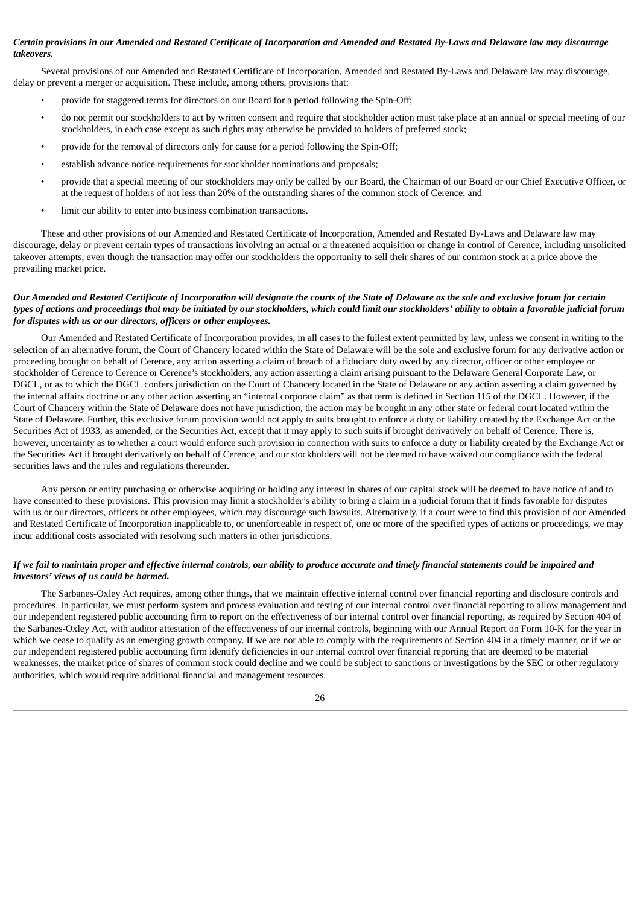# Certain provisions in our Amended and Restated Certificate of Incorporation and Amended and Restated By-Laws and Delaware law may discourage *takeovers.*

Several provisions of our Amended and Restated Certificate of Incorporation, Amended and Restated By-Laws and Delaware law may discourage, delay or prevent a merger or acquisition. These include, among others, provisions that:

- provide for staggered terms for directors on our Board for a period following the Spin-Off;
- do not permit our stockholders to act by written consent and require that stockholder action must take place at an annual or special meeting of our stockholders, in each case except as such rights may otherwise be provided to holders of preferred stock;
- provide for the removal of directors only for cause for a period following the Spin-Off;
- establish advance notice requirements for stockholder nominations and proposals;
- provide that a special meeting of our stockholders may only be called by our Board, the Chairman of our Board or our Chief Executive Officer, or at the request of holders of not less than 20% of the outstanding shares of the common stock of Cerence; and
- limit our ability to enter into business combination transactions.

These and other provisions of our Amended and Restated Certificate of Incorporation, Amended and Restated By-Laws and Delaware law may discourage, delay or prevent certain types of transactions involving an actual or a threatened acquisition or change in control of Cerence, including unsolicited takeover attempts, even though the transaction may offer our stockholders the opportunity to sell their shares of our common stock at a price above the prevailing market price.

# Our Amended and Restated Certificate of Incorporation will designate the courts of the State of Delaware as the sole and exclusive forum for certain types of actions and proceedings that may be initiated by our stockholders, which could limit our stockholders' ability to obtain a favorable judicial forum *for disputes with us or our directors, officers or other employees.*

Our Amended and Restated Certificate of Incorporation provides, in all cases to the fullest extent permitted by law, unless we consent in writing to the selection of an alternative forum, the Court of Chancery located within the State of Delaware will be the sole and exclusive forum for any derivative action or proceeding brought on behalf of Cerence, any action asserting a claim of breach of a fiduciary duty owed by any director, officer or other employee or stockholder of Cerence to Cerence or Cerence's stockholders, any action asserting a claim arising pursuant to the Delaware General Corporate Law, or DGCL, or as to which the DGCL confers jurisdiction on the Court of Chancery located in the State of Delaware or any action asserting a claim governed by the internal affairs doctrine or any other action asserting an "internal corporate claim" as that term is defined in Section 115 of the DGCL. However, if the Court of Chancery within the State of Delaware does not have jurisdiction, the action may be brought in any other state or federal court located within the State of Delaware. Further, this exclusive forum provision would not apply to suits brought to enforce a duty or liability created by the Exchange Act or the Securities Act of 1933, as amended, or the Securities Act, except that it may apply to such suits if brought derivatively on behalf of Cerence. There is, however, uncertainty as to whether a court would enforce such provision in connection with suits to enforce a duty or liability created by the Exchange Act or the Securities Act if brought derivatively on behalf of Cerence, and our stockholders will not be deemed to have waived our compliance with the federal securities laws and the rules and regulations thereunder.

Any person or entity purchasing or otherwise acquiring or holding any interest in shares of our capital stock will be deemed to have notice of and to have consented to these provisions. This provision may limit a stockholder's ability to bring a claim in a judicial forum that it finds favorable for disputes with us or our directors, officers or other employees, which may discourage such lawsuits. Alternatively, if a court were to find this provision of our Amended and Restated Certificate of Incorporation inapplicable to, or unenforceable in respect of, one or more of the specified types of actions or proceedings, we may incur additional costs associated with resolving such matters in other jurisdictions.

# If we fail to maintain proper and effective internal controls, our ability to produce accurate and timely financial statements could be impaired and *investors' views of us could be harmed.*

The Sarbanes-Oxley Act requires, among other things, that we maintain effective internal control over financial reporting and disclosure controls and procedures. In particular, we must perform system and process evaluation and testing of our internal control over financial reporting to allow management and our independent registered public accounting firm to report on the effectiveness of our internal control over financial reporting, as required by Section 404 of the Sarbanes-Oxley Act, with auditor attestation of the effectiveness of our internal controls, beginning with our Annual Report on Form 10-K for the year in which we cease to qualify as an emerging growth company. If we are not able to comply with the requirements of Section 404 in a timely manner, or if we or our independent registered public accounting firm identify deficiencies in our internal control over financial reporting that are deemed to be material weaknesses, the market price of shares of common stock could decline and we could be subject to sanctions or investigations by the SEC or other regulatory authorities, which would require additional financial and management resources.

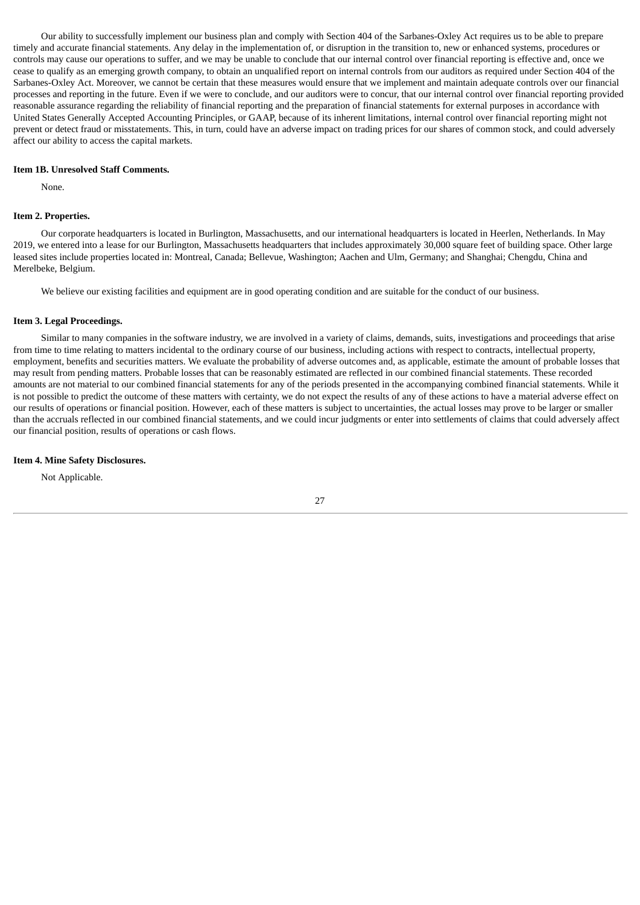Our ability to successfully implement our business plan and comply with Section 404 of the Sarbanes-Oxley Act requires us to be able to prepare timely and accurate financial statements. Any delay in the implementation of, or disruption in the transition to, new or enhanced systems, procedures or controls may cause our operations to suffer, and we may be unable to conclude that our internal control over financial reporting is effective and, once we cease to qualify as an emerging growth company, to obtain an unqualified report on internal controls from our auditors as required under Section 404 of the Sarbanes-Oxley Act. Moreover, we cannot be certain that these measures would ensure that we implement and maintain adequate controls over our financial processes and reporting in the future. Even if we were to conclude, and our auditors were to concur, that our internal control over financial reporting provided reasonable assurance regarding the reliability of financial reporting and the preparation of financial statements for external purposes in accordance with United States Generally Accepted Accounting Principles, or GAAP, because of its inherent limitations, internal control over financial reporting might not prevent or detect fraud or misstatements. This, in turn, could have an adverse impact on trading prices for our shares of common stock, and could adversely affect our ability to access the capital markets.

#### <span id="page-29-0"></span>**Item 1B. Unresolved Staff Comments.**

None.

#### <span id="page-29-1"></span>**Item 2. Properties.**

Our corporate headquarters is located in Burlington, Massachusetts, and our international headquarters is located in Heerlen, Netherlands. In May 2019, we entered into a lease for our Burlington, Massachusetts headquarters that includes approximately 30,000 square feet of building space. Other large leased sites include properties located in: Montreal, Canada; Bellevue, Washington; Aachen and Ulm, Germany; and Shanghai; Chengdu, China and Merelbeke, Belgium.

We believe our existing facilities and equipment are in good operating condition and are suitable for the conduct of our business.

#### <span id="page-29-2"></span>**Item 3. Legal Proceedings.**

Similar to many companies in the software industry, we are involved in a variety of claims, demands, suits, investigations and proceedings that arise from time to time relating to matters incidental to the ordinary course of our business, including actions with respect to contracts, intellectual property, employment, benefits and securities matters. We evaluate the probability of adverse outcomes and, as applicable, estimate the amount of probable losses that may result from pending matters. Probable losses that can be reasonably estimated are reflected in our combined financial statements. These recorded amounts are not material to our combined financial statements for any of the periods presented in the accompanying combined financial statements. While it is not possible to predict the outcome of these matters with certainty, we do not expect the results of any of these actions to have a material adverse effect on our results of operations or financial position. However, each of these matters is subject to uncertainties, the actual losses may prove to be larger or smaller than the accruals reflected in our combined financial statements, and we could incur judgments or enter into settlements of claims that could adversely affect our financial position, results of operations or cash flows.

#### <span id="page-29-3"></span>**Item 4. Mine Safety Disclosures.**

Not Applicable.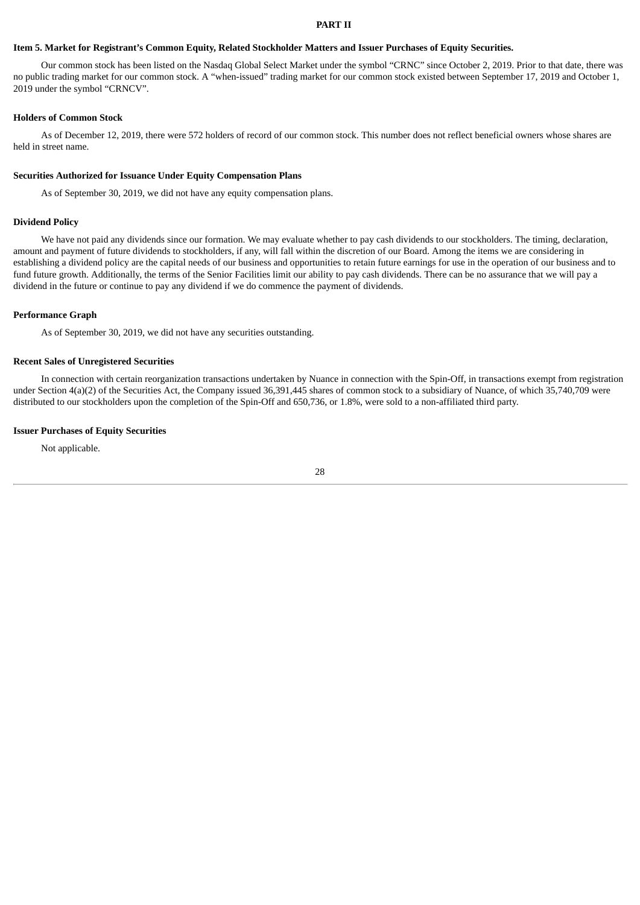#### **PART II**

#### <span id="page-30-1"></span><span id="page-30-0"></span>Item 5. Market for Registrant's Common Equity, Related Stockholder Matters and Issuer Purchases of Equity Securities.

Our common stock has been listed on the Nasdaq Global Select Market under the symbol "CRNC" since October 2, 2019. Prior to that date, there was no public trading market for our common stock. A "when-issued" trading market for our common stock existed between September 17, 2019 and October 1, 2019 under the symbol "CRNCV".

#### **Holders of Common Stock**

As of December 12, 2019, there were 572 holders of record of our common stock. This number does not reflect beneficial owners whose shares are held in street name.

#### **Securities Authorized for Issuance Under Equity Compensation Plans**

As of September 30, 2019, we did not have any equity compensation plans.

#### **Dividend Policy**

We have not paid any dividends since our formation. We may evaluate whether to pay cash dividends to our stockholders. The timing, declaration, amount and payment of future dividends to stockholders, if any, will fall within the discretion of our Board. Among the items we are considering in establishing a dividend policy are the capital needs of our business and opportunities to retain future earnings for use in the operation of our business and to fund future growth. Additionally, the terms of the Senior Facilities limit our ability to pay cash dividends. There can be no assurance that we will pay a dividend in the future or continue to pay any dividend if we do commence the payment of dividends.

#### **Performance Graph**

As of September 30, 2019, we did not have any securities outstanding.

#### **Recent Sales of Unregistered Securities**

In connection with certain reorganization transactions undertaken by Nuance in connection with the Spin-Off, in transactions exempt from registration under Section 4(a)(2) of the Securities Act, the Company issued 36,391,445 shares of common stock to a subsidiary of Nuance, of which 35,740,709 were distributed to our stockholders upon the completion of the Spin-Off and 650,736, or 1.8%, were sold to a non-affiliated third party.

### **Issuer Purchases of Equity Securities**

Not applicable.

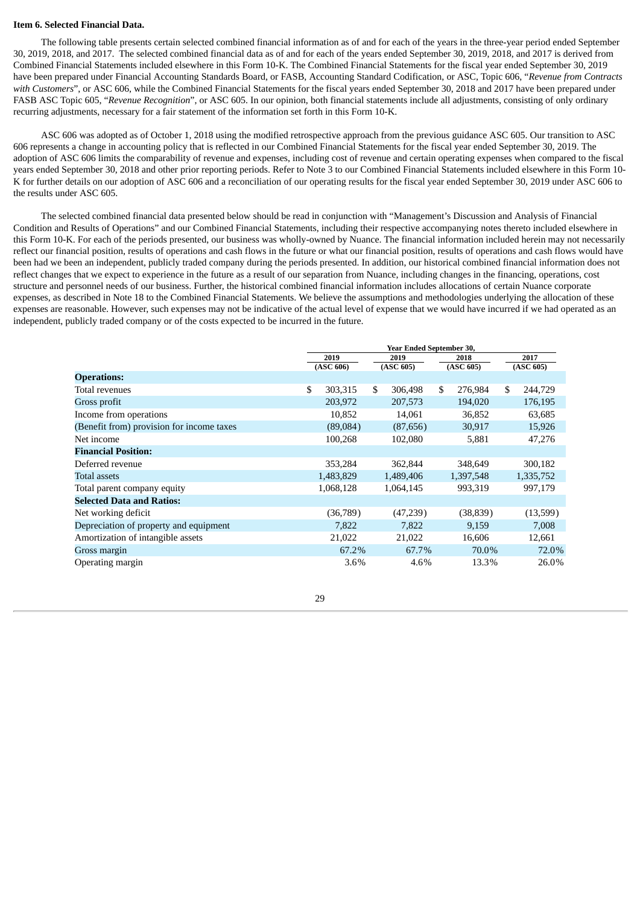#### <span id="page-31-0"></span>**Item 6. Selected Financial Data.**

The following table presents certain selected combined financial information as of and for each of the years in the three-year period ended September 30, 2019, 2018, and 2017. The selected combined financial data as of and for each of the years ended September 30, 2019, 2018, and 2017 is derived from Combined Financial Statements included elsewhere in this Form 10-K. The Combined Financial Statements for the fiscal year ended September 30, 2019 have been prepared under Financial Accounting Standards Board, or FASB, Accounting Standard Codification, or ASC, Topic 606, "*Revenue from Contracts with Customers*", or ASC 606, while the Combined Financial Statements for the fiscal years ended September 30, 2018 and 2017 have been prepared under FASB ASC Topic 605, "*Revenue Recognition*", or ASC 605. In our opinion, both financial statements include all adjustments, consisting of only ordinary recurring adjustments, necessary for a fair statement of the information set forth in this Form 10-K.

ASC 606 was adopted as of October 1, 2018 using the modified retrospective approach from the previous guidance ASC 605. Our transition to ASC 606 represents a change in accounting policy that is reflected in our Combined Financial Statements for the fiscal year ended September 30, 2019. The adoption of ASC 606 limits the comparability of revenue and expenses, including cost of revenue and certain operating expenses when compared to the fiscal years ended September 30, 2018 and other prior reporting periods. Refer to Note 3 to our Combined Financial Statements included elsewhere in this Form 10- K for further details on our adoption of ASC 606 and a reconciliation of our operating results for the fiscal year ended September 30, 2019 under ASC 606 to the results under ASC 605.

The selected combined financial data presented below should be read in conjunction with "Management's Discussion and Analysis of Financial Condition and Results of Operations" and our Combined Financial Statements, including their respective accompanying notes thereto included elsewhere in this Form 10-K. For each of the periods presented, our business was wholly-owned by Nuance. The financial information included herein may not necessarily reflect our financial position, results of operations and cash flows in the future or what our financial position, results of operations and cash flows would have been had we been an independent, publicly traded company during the periods presented. In addition, our historical combined financial information does not reflect changes that we expect to experience in the future as a result of our separation from Nuance, including changes in the financing, operations, cost structure and personnel needs of our business. Further, the historical combined financial information includes allocations of certain Nuance corporate expenses, as described in Note 18 to the Combined Financial Statements. We believe the assumptions and methodologies underlying the allocation of these expenses are reasonable. However, such expenses may not be indicative of the actual level of expense that we would have incurred if we had operated as an independent, publicly traded company or of the costs expected to be incurred in the future.

|                                           | Year Ended September 30, |           |           |           |           |           |           |           |
|-------------------------------------------|--------------------------|-----------|-----------|-----------|-----------|-----------|-----------|-----------|
|                                           |                          | 2019      |           | 2019      |           | 2018      |           | 2017      |
|                                           |                          | (ASC 606) | (ASC 605) |           | (ASC 605) |           | (ASC 605) |           |
| <b>Operations:</b>                        |                          |           |           |           |           |           |           |           |
| Total revenues                            | \$                       | 303,315   | \$        | 306,498   | \$        | 276,984   | \$        | 244,729   |
| Gross profit                              |                          | 203,972   |           | 207,573   |           | 194,020   |           | 176,195   |
| Income from operations                    |                          | 10,852    |           | 14,061    |           | 36,852    |           | 63,685    |
| (Benefit from) provision for income taxes |                          | (89,084)  |           | (87, 656) |           | 30,917    |           | 15,926    |
| Net income                                |                          | 100,268   |           | 102,080   |           | 5,881     |           | 47,276    |
| <b>Financial Position:</b>                |                          |           |           |           |           |           |           |           |
| Deferred revenue                          |                          | 353,284   |           | 362,844   |           | 348,649   |           | 300,182   |
| Total assets                              |                          | 1,483,829 |           | 1,489,406 |           | 1,397,548 |           | 1,335,752 |
| Total parent company equity               |                          | 1,068,128 |           | 1,064,145 |           | 993,319   |           | 997,179   |
| <b>Selected Data and Ratios:</b>          |                          |           |           |           |           |           |           |           |
| Net working deficit                       |                          | (36,789)  |           | (47,239)  |           | (38, 839) |           | (13,599)  |
| Depreciation of property and equipment    |                          | 7,822     |           | 7,822     |           | 9,159     |           | 7,008     |
| Amortization of intangible assets         |                          | 21,022    |           | 21,022    |           | 16,606    |           | 12,661    |
| Gross margin                              |                          | 67.2%     |           | 67.7%     |           | 70.0%     |           | 72.0%     |
| Operating margin                          |                          | 3.6%      |           | 4.6%      |           | 13.3%     |           | 26.0%     |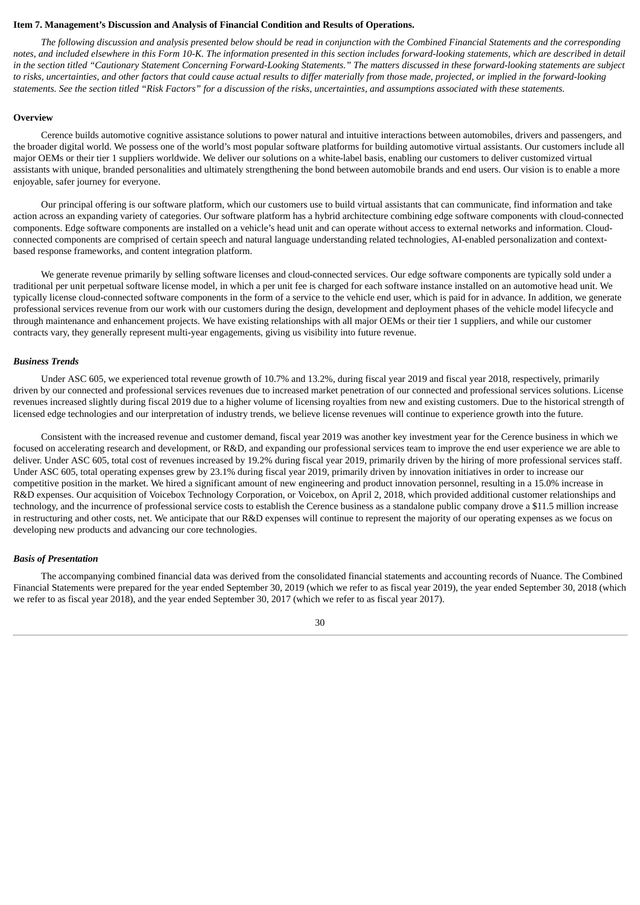# <span id="page-32-0"></span>**Item 7. Management's Discussion and Analysis of Financial Condition and Results of Operations.**

The following discussion and analysis presented below should be read in conjunction with the Combined Financial Statements and the corresponding notes, and included elsewhere in this Form 10-K. The information presented in this section includes forward-looking statements, which are described in detail in the section titled "Cautionary Statement Concerning Forward-Looking Statements." The matters discussed in these forward-looking statements are subject to risks, uncertainties, and other factors that could cause actual results to differ materially from those made, projected, or implied in the forward-looking statements. See the section titled "Risk Factors" for a discussion of the risks, uncertainties, and assumptions associated with these statements.

#### **Overview**

Cerence builds automotive cognitive assistance solutions to power natural and intuitive interactions between automobiles, drivers and passengers, and the broader digital world. We possess one of the world's most popular software platforms for building automotive virtual assistants. Our customers include all major OEMs or their tier 1 suppliers worldwide. We deliver our solutions on a white-label basis, enabling our customers to deliver customized virtual assistants with unique, branded personalities and ultimately strengthening the bond between automobile brands and end users. Our vision is to enable a more enjoyable, safer journey for everyone.

Our principal offering is our software platform, which our customers use to build virtual assistants that can communicate, find information and take action across an expanding variety of categories. Our software platform has a hybrid architecture combining edge software components with cloud-connected components. Edge software components are installed on a vehicle's head unit and can operate without access to external networks and information. Cloudconnected components are comprised of certain speech and natural language understanding related technologies, AI-enabled personalization and contextbased response frameworks, and content integration platform.

We generate revenue primarily by selling software licenses and cloud-connected services. Our edge software components are typically sold under a traditional per unit perpetual software license model, in which a per unit fee is charged for each software instance installed on an automotive head unit. We typically license cloud-connected software components in the form of a service to the vehicle end user, which is paid for in advance. In addition, we generate professional services revenue from our work with our customers during the design, development and deployment phases of the vehicle model lifecycle and through maintenance and enhancement projects. We have existing relationships with all major OEMs or their tier 1 suppliers, and while our customer contracts vary, they generally represent multi-year engagements, giving us visibility into future revenue.

#### *Business Trends*

Under ASC 605, we experienced total revenue growth of 10.7% and 13.2%, during fiscal year 2019 and fiscal year 2018, respectively, primarily driven by our connected and professional services revenues due to increased market penetration of our connected and professional services solutions. License revenues increased slightly during fiscal 2019 due to a higher volume of licensing royalties from new and existing customers. Due to the historical strength of licensed edge technologies and our interpretation of industry trends, we believe license revenues will continue to experience growth into the future.

Consistent with the increased revenue and customer demand, fiscal year 2019 was another key investment year for the Cerence business in which we focused on accelerating research and development, or R&D, and expanding our professional services team to improve the end user experience we are able to deliver. Under ASC 605, total cost of revenues increased by 19.2% during fiscal year 2019, primarily driven by the hiring of more professional services staff. Under ASC 605, total operating expenses grew by 23.1% during fiscal year 2019, primarily driven by innovation initiatives in order to increase our competitive position in the market. We hired a significant amount of new engineering and product innovation personnel, resulting in a 15.0% increase in R&D expenses. Our acquisition of Voicebox Technology Corporation, or Voicebox, on April 2, 2018, which provided additional customer relationships and technology, and the incurrence of professional service costs to establish the Cerence business as a standalone public company drove a \$11.5 million increase in restructuring and other costs, net. We anticipate that our R&D expenses will continue to represent the majority of our operating expenses as we focus on developing new products and advancing our core technologies.

#### *Basis of Presentation*

The accompanying combined financial data was derived from the consolidated financial statements and accounting records of Nuance. The Combined Financial Statements were prepared for the year ended September 30, 2019 (which we refer to as fiscal year 2019), the year ended September 30, 2018 (which we refer to as fiscal year 2018), and the year ended September 30, 2017 (which we refer to as fiscal year 2017).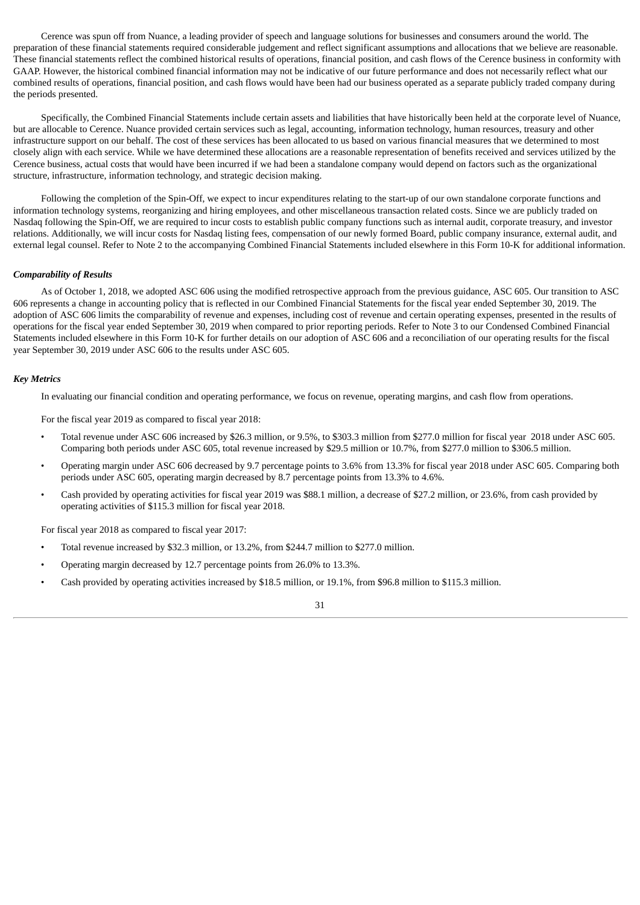Cerence was spun off from Nuance, a leading provider of speech and language solutions for businesses and consumers around the world. The preparation of these financial statements required considerable judgement and reflect significant assumptions and allocations that we believe are reasonable. These financial statements reflect the combined historical results of operations, financial position, and cash flows of the Cerence business in conformity with GAAP. However, the historical combined financial information may not be indicative of our future performance and does not necessarily reflect what our combined results of operations, financial position, and cash flows would have been had our business operated as a separate publicly traded company during the periods presented.

Specifically, the Combined Financial Statements include certain assets and liabilities that have historically been held at the corporate level of Nuance, but are allocable to Cerence. Nuance provided certain services such as legal, accounting, information technology, human resources, treasury and other infrastructure support on our behalf. The cost of these services has been allocated to us based on various financial measures that we determined to most closely align with each service. While we have determined these allocations are a reasonable representation of benefits received and services utilized by the Cerence business, actual costs that would have been incurred if we had been a standalone company would depend on factors such as the organizational structure, infrastructure, information technology, and strategic decision making.

Following the completion of the Spin-Off, we expect to incur expenditures relating to the start-up of our own standalone corporate functions and information technology systems, reorganizing and hiring employees, and other miscellaneous transaction related costs. Since we are publicly traded on Nasdaq following the Spin-Off, we are required to incur costs to establish public company functions such as internal audit, corporate treasury, and investor relations. Additionally, we will incur costs for Nasdaq listing fees, compensation of our newly formed Board, public company insurance, external audit, and external legal counsel. Refer to Note 2 to the accompanying Combined Financial Statements included elsewhere in this Form 10-K for additional information.

#### *Comparability of Results*

As of October 1, 2018, we adopted ASC 606 using the modified retrospective approach from the previous guidance, ASC 605. Our transition to ASC 606 represents a change in accounting policy that is reflected in our Combined Financial Statements for the fiscal year ended September 30, 2019. The adoption of ASC 606 limits the comparability of revenue and expenses, including cost of revenue and certain operating expenses, presented in the results of operations for the fiscal year ended September 30, 2019 when compared to prior reporting periods. Refer to Note 3 to our Condensed Combined Financial Statements included elsewhere in this Form 10-K for further details on our adoption of ASC 606 and a reconciliation of our operating results for the fiscal year September 30, 2019 under ASC 606 to the results under ASC 605.

#### *Key Metrics*

In evaluating our financial condition and operating performance, we focus on revenue, operating margins, and cash flow from operations.

For the fiscal year 2019 as compared to fiscal year 2018:

- Total revenue under ASC 606 increased by \$26.3 million, or 9.5%, to \$303.3 million from \$277.0 million for fiscal year 2018 under ASC 605. Comparing both periods under ASC 605, total revenue increased by \$29.5 million or 10.7%, from \$277.0 million to \$306.5 million.
- Operating margin under ASC 606 decreased by 9.7 percentage points to 3.6% from 13.3% for fiscal year 2018 under ASC 605. Comparing both periods under ASC 605, operating margin decreased by 8.7 percentage points from 13.3% to 4.6%.
- Cash provided by operating activities for fiscal year 2019 was \$88.1 million, a decrease of \$27.2 million, or 23.6%, from cash provided by operating activities of \$115.3 million for fiscal year 2018.

For fiscal year 2018 as compared to fiscal year 2017:

- Total revenue increased by \$32.3 million, or 13.2%, from \$244.7 million to \$277.0 million.
- Operating margin decreased by 12.7 percentage points from 26.0% to 13.3%.
- Cash provided by operating activities increased by \$18.5 million, or 19.1%, from \$96.8 million to \$115.3 million.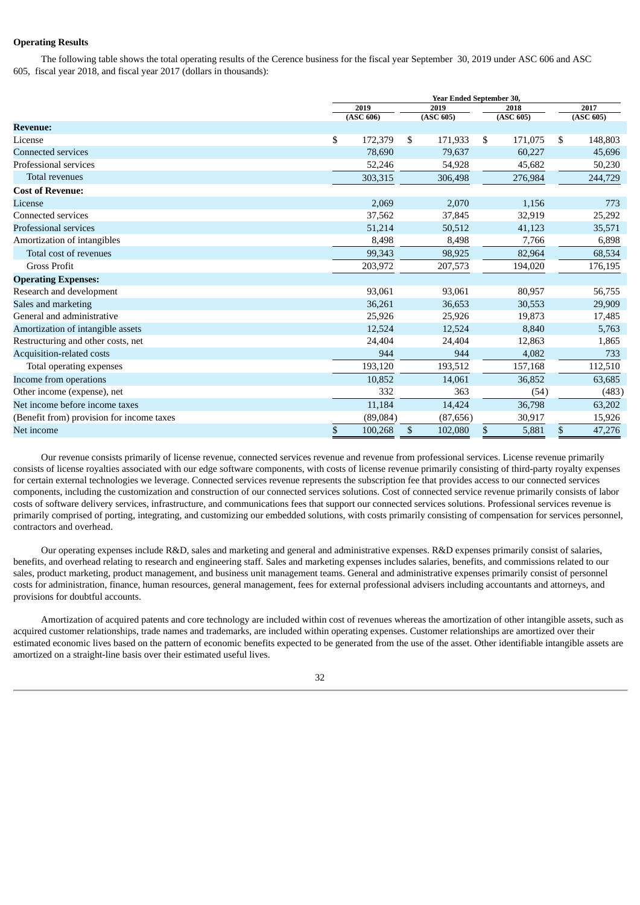# **Operating Results**

The following table shows the total operating results of the Cerence business for the fiscal year September 30, 2019 under ASC 606 and ASC 605, fiscal year 2018, and fiscal year 2017 (dollars in thousands):

|                                           | Year Ended September 30, |               |  |               |      |           |
|-------------------------------------------|--------------------------|---------------|--|---------------|------|-----------|
|                                           | 2019<br>2019<br>2018     |               |  |               | 2017 |           |
|                                           | (ASC 606)                | (ASC 605)     |  | (ASC 605)     |      | (ASC 605) |
| <b>Revenue:</b>                           |                          |               |  |               |      |           |
| License                                   | \$<br>172,379            | \$<br>171,933 |  | \$<br>171,075 | \$   | 148,803   |
| <b>Connected services</b>                 | 78,690                   | 79,637        |  | 60,227        |      | 45,696    |
| Professional services                     | 52,246                   | 54,928        |  | 45,682        |      | 50,230    |
| <b>Total revenues</b>                     | 303,315                  | 306,498       |  | 276,984       |      | 244,729   |
| <b>Cost of Revenue:</b>                   |                          |               |  |               |      |           |
| License                                   | 2,069                    | 2,070         |  | 1,156         |      | 773       |
| Connected services                        | 37,562                   | 37,845        |  | 32,919        |      | 25,292    |
| Professional services                     | 51,214                   | 50,512        |  | 41,123        |      | 35,571    |
| Amortization of intangibles               | 8,498                    | 8,498         |  | 7,766         |      | 6,898     |
| Total cost of revenues                    | 99,343                   | 98,925        |  | 82,964        |      | 68,534    |
| <b>Gross Profit</b>                       | 203,972                  | 207,573       |  | 194,020       |      | 176,195   |
| <b>Operating Expenses:</b>                |                          |               |  |               |      |           |
| Research and development                  | 93,061                   | 93,061        |  | 80,957        |      | 56,755    |
| Sales and marketing                       | 36,261                   | 36,653        |  | 30,553        |      | 29,909    |
| General and administrative                | 25,926                   | 25,926        |  | 19,873        |      | 17,485    |
| Amortization of intangible assets         | 12,524                   | 12,524        |  | 8,840         |      | 5,763     |
| Restructuring and other costs, net        | 24,404                   | 24,404        |  | 12,863        |      | 1,865     |
| Acquisition-related costs                 | 944                      | 944           |  | 4,082         |      | 733       |
| Total operating expenses                  | 193,120                  | 193,512       |  | 157,168       |      | 112,510   |
| Income from operations                    | 10,852                   | 14,061        |  | 36,852        |      | 63,685    |
| Other income (expense), net               | 332                      | 363           |  | (54)          |      | (483)     |
| Net income before income taxes            | 11,184                   | 14,424        |  | 36,798        |      | 63,202    |
| (Benefit from) provision for income taxes | (89,084)                 | (87, 656)     |  | 30,917        |      | 15,926    |
| Net income                                | \$<br>100,268            | \$<br>102,080 |  | \$<br>5,881   | \$   | 47,276    |

Our revenue consists primarily of license revenue, connected services revenue and revenue from professional services. License revenue primarily consists of license royalties associated with our edge software components, with costs of license revenue primarily consisting of third-party royalty expenses for certain external technologies we leverage. Connected services revenue represents the subscription fee that provides access to our connected services components, including the customization and construction of our connected services solutions. Cost of connected service revenue primarily consists of labor costs of software delivery services, infrastructure, and communications fees that support our connected services solutions. Professional services revenue is primarily comprised of porting, integrating, and customizing our embedded solutions, with costs primarily consisting of compensation for services personnel, contractors and overhead.

Our operating expenses include R&D, sales and marketing and general and administrative expenses. R&D expenses primarily consist of salaries, benefits, and overhead relating to research and engineering staff. Sales and marketing expenses includes salaries, benefits, and commissions related to our sales, product marketing, product management, and business unit management teams. General and administrative expenses primarily consist of personnel costs for administration, finance, human resources, general management, fees for external professional advisers including accountants and attorneys, and provisions for doubtful accounts.

Amortization of acquired patents and core technology are included within cost of revenues whereas the amortization of other intangible assets, such as acquired customer relationships, trade names and trademarks, are included within operating expenses. Customer relationships are amortized over their estimated economic lives based on the pattern of economic benefits expected to be generated from the use of the asset. Other identifiable intangible assets are amortized on a straight-line basis over their estimated useful lives.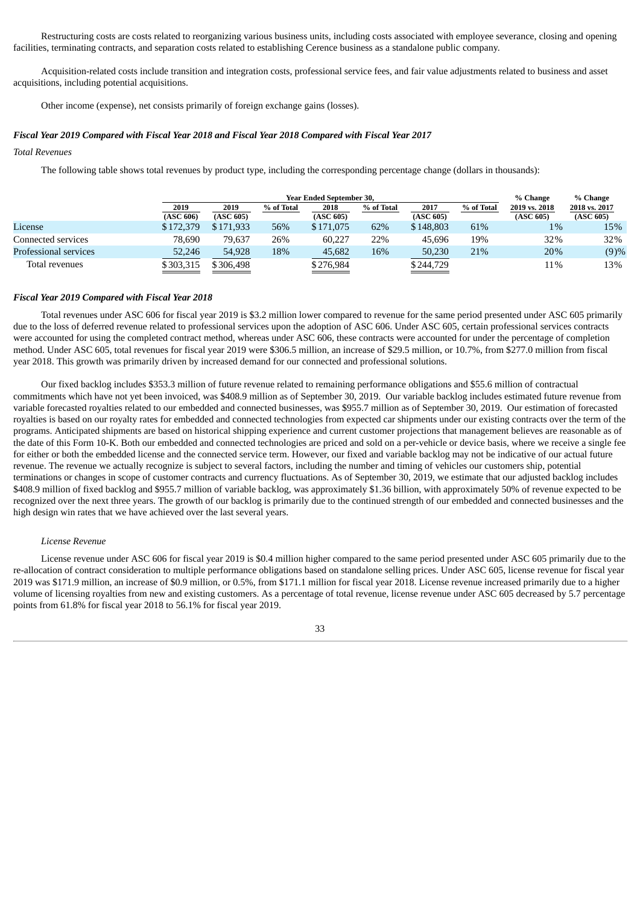Restructuring costs are costs related to reorganizing various business units, including costs associated with employee severance, closing and opening facilities, terminating contracts, and separation costs related to establishing Cerence business as a standalone public company.

Acquisition-related costs include transition and integration costs, professional service fees, and fair value adjustments related to business and asset acquisitions, including potential acquisitions.

Other income (expense), net consists primarily of foreign exchange gains (losses).

#### *Fiscal Year 2019 Compared with Fiscal Year 2018 and Fiscal Year 2018 Compared with Fiscal Year 2017*

#### *Total Revenues*

The following table shows total revenues by product type, including the corresponding percentage change (dollars in thousands):

|                       |           | <b>Year Ended September 30.</b> |            |           |            |           |            |               | % Change      |  |
|-----------------------|-----------|---------------------------------|------------|-----------|------------|-----------|------------|---------------|---------------|--|
|                       | 2019      | 2019                            | % of Total | 2018      | % of Total | 2017      | % of Total | 2019 vs. 2018 | 2018 vs. 2017 |  |
|                       | (ASC 606) | (ASC 605)                       |            | (ASC 605) |            | (ASC 605) |            | (ASC 605)     | (ASC 605)     |  |
| License               | \$172,379 | \$171,933                       | 56%        | \$171,075 | 62%        | \$148,803 | 61%        | $1\%$         | 15%           |  |
| Connected services    | 78.690    | 79.637                          | 26%        | 60.227    | 22%        | 45,696    | 19%        | 32%           | 32%           |  |
| Professional services | 52,246    | 54,928                          | 18%        | 45,682    | 16%        | 50,230    | 21%        | 20%           | (9)%          |  |
| Total revenues        | \$303,315 | \$306.498                       |            | \$276,984 |            | \$244,729 |            | 11%           | 13%           |  |

#### *Fiscal Year 2019 Compared with Fiscal Year 2018*

Total revenues under ASC 606 for fiscal year 2019 is \$3.2 million lower compared to revenue for the same period presented under ASC 605 primarily due to the loss of deferred revenue related to professional services upon the adoption of ASC 606. Under ASC 605, certain professional services contracts were accounted for using the completed contract method, whereas under ASC 606, these contracts were accounted for under the percentage of completion method. Under ASC 605, total revenues for fiscal year 2019 were \$306.5 million, an increase of \$29.5 million, or 10.7%, from \$277.0 million from fiscal year 2018. This growth was primarily driven by increased demand for our connected and professional solutions.

Our fixed backlog includes \$353.3 million of future revenue related to remaining performance obligations and \$55.6 million of contractual commitments which have not yet been invoiced, was \$408.9 million as of September 30, 2019. Our variable backlog includes estimated future revenue from variable forecasted royalties related to our embedded and connected businesses, was \$955.7 million as of September 30, 2019. Our estimation of forecasted royalties is based on our royalty rates for embedded and connected technologies from expected car shipments under our existing contracts over the term of the programs. Anticipated shipments are based on historical shipping experience and current customer projections that management believes are reasonable as of the date of this Form 10-K. Both our embedded and connected technologies are priced and sold on a per-vehicle or device basis, where we receive a single fee for either or both the embedded license and the connected service term. However, our fixed and variable backlog may not be indicative of our actual future revenue. The revenue we actually recognize is subject to several factors, including the number and timing of vehicles our customers ship, potential terminations or changes in scope of customer contracts and currency fluctuations. As of September 30, 2019, we estimate that our adjusted backlog includes \$408.9 million of fixed backlog and \$955.7 million of variable backlog, was approximately \$1.36 billion, with approximately 50% of revenue expected to be recognized over the next three years. The growth of our backlog is primarily due to the continued strength of our embedded and connected businesses and the high design win rates that we have achieved over the last several years.

#### *License Revenue*

License revenue under ASC 606 for fiscal year 2019 is \$0.4 million higher compared to the same period presented under ASC 605 primarily due to the re-allocation of contract consideration to multiple performance obligations based on standalone selling prices. Under ASC 605, license revenue for fiscal year 2019 was \$171.9 million, an increase of \$0.9 million, or 0.5%, from \$171.1 million for fiscal year 2018. License revenue increased primarily due to a higher volume of licensing royalties from new and existing customers. As a percentage of total revenue, license revenue under ASC 605 decreased by 5.7 percentage points from 61.8% for fiscal year 2018 to 56.1% for fiscal year 2019.

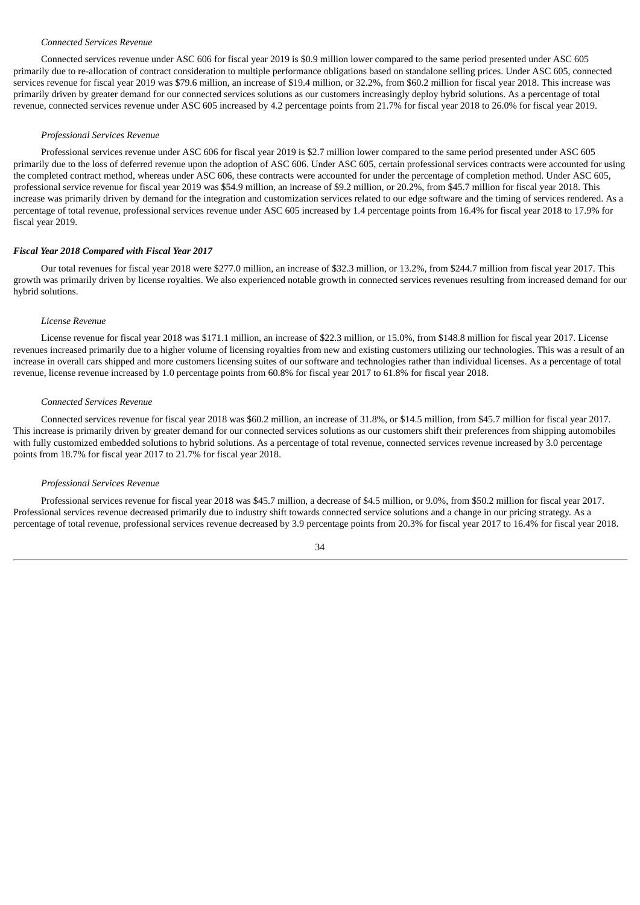## *Connected Services Revenue*

Connected services revenue under ASC 606 for fiscal year 2019 is \$0.9 million lower compared to the same period presented under ASC 605 primarily due to re-allocation of contract consideration to multiple performance obligations based on standalone selling prices. Under ASC 605, connected services revenue for fiscal year 2019 was \$79.6 million, an increase of \$19.4 million, or 32.2%, from \$60.2 million for fiscal year 2018. This increase was primarily driven by greater demand for our connected services solutions as our customers increasingly deploy hybrid solutions. As a percentage of total revenue, connected services revenue under ASC 605 increased by 4.2 percentage points from 21.7% for fiscal year 2018 to 26.0% for fiscal year 2019.

#### *Professional Services Revenue*

Professional services revenue under ASC 606 for fiscal year 2019 is \$2.7 million lower compared to the same period presented under ASC 605 primarily due to the loss of deferred revenue upon the adoption of ASC 606. Under ASC 605, certain professional services contracts were accounted for using the completed contract method, whereas under ASC 606, these contracts were accounted for under the percentage of completion method. Under ASC 605, professional service revenue for fiscal year 2019 was \$54.9 million, an increase of \$9.2 million, or 20.2%, from \$45.7 million for fiscal year 2018. This increase was primarily driven by demand for the integration and customization services related to our edge software and the timing of services rendered. As a percentage of total revenue, professional services revenue under ASC 605 increased by 1.4 percentage points from 16.4% for fiscal year 2018 to 17.9% for fiscal year 2019.

#### *Fiscal Year 2018 Compared with Fiscal Year 2017*

Our total revenues for fiscal year 2018 were \$277.0 million, an increase of \$32.3 million, or 13.2%, from \$244.7 million from fiscal year 2017. This growth was primarily driven by license royalties. We also experienced notable growth in connected services revenues resulting from increased demand for our hybrid solutions.

#### *License Revenue*

License revenue for fiscal year 2018 was \$171.1 million, an increase of \$22.3 million, or 15.0%, from \$148.8 million for fiscal year 2017. License revenues increased primarily due to a higher volume of licensing royalties from new and existing customers utilizing our technologies. This was a result of an increase in overall cars shipped and more customers licensing suites of our software and technologies rather than individual licenses. As a percentage of total revenue, license revenue increased by 1.0 percentage points from 60.8% for fiscal year 2017 to 61.8% for fiscal year 2018.

#### *Connected Services Revenue*

Connected services revenue for fiscal year 2018 was \$60.2 million, an increase of 31.8%, or \$14.5 million, from \$45.7 million for fiscal year 2017. This increase is primarily driven by greater demand for our connected services solutions as our customers shift their preferences from shipping automobiles with fully customized embedded solutions to hybrid solutions. As a percentage of total revenue, connected services revenue increased by 3.0 percentage points from 18.7% for fiscal year 2017 to 21.7% for fiscal year 2018.

#### *Professional Services Revenue*

Professional services revenue for fiscal year 2018 was \$45.7 million, a decrease of \$4.5 million, or 9.0%, from \$50.2 million for fiscal year 2017. Professional services revenue decreased primarily due to industry shift towards connected service solutions and a change in our pricing strategy. As a percentage of total revenue, professional services revenue decreased by 3.9 percentage points from 20.3% for fiscal year 2017 to 16.4% for fiscal year 2018.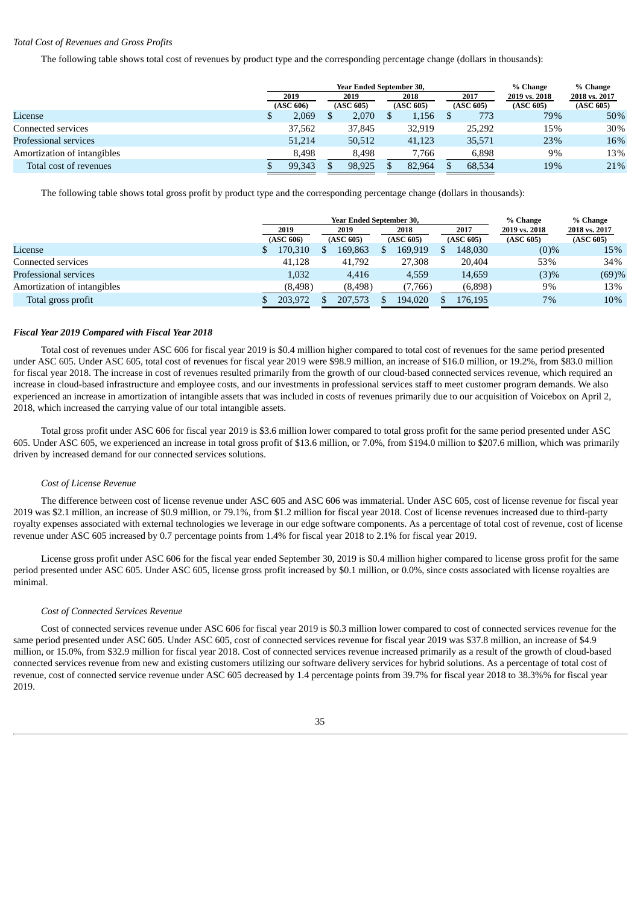## *Total Cost of Revenues and Gross Profits*

The following table shows total cost of revenues by product type and the corresponding percentage change (dollars in thousands):

|                             |           |  | <b>Year Ended September 30,</b> |           | % Change | % Change  |        |               |               |
|-----------------------------|-----------|--|---------------------------------|-----------|----------|-----------|--------|---------------|---------------|
|                             | 2019      |  | 2019                            |           | 2018     | 2017      |        | 2019 vs. 2018 | 2018 vs. 2017 |
|                             | (ASC 606) |  | (ASC 605)                       | (ASC 605) |          | (ASC 605) |        | (ASC 605)     | (ASC 605)     |
| License                     | 2,069     |  | 2,070                           |           | 1,156    |           | 773    | 79%           | 50%           |
| Connected services          | 37,562    |  | 37,845                          |           | 32.919   |           | 25.292 | 15%           | 30%           |
| Professional services       | 51,214    |  | 50,512                          |           | 41,123   |           | 35,571 | 23%           | 16%           |
| Amortization of intangibles | 8.498     |  | 8.498                           |           | 7,766    |           | 6,898  | 9%            | 13%           |
| Total cost of revenues      | 99.343    |  | 98,925                          |           | 82,964   |           | 68,534 | 19%           | 21%           |

The following table shows total gross profit by product type and the corresponding percentage change (dollars in thousands):

|                             |           | <b>Year Ended September 30,</b> |           | % Change | % Change  |               |               |  |
|-----------------------------|-----------|---------------------------------|-----------|----------|-----------|---------------|---------------|--|
|                             | 2019      | 2019                            | 2018      |          | 2017      | 2019 vs. 2018 | 2018 vs. 2017 |  |
|                             | (ASC 606) | (ASC 605)                       | (ASC 605) |          | (ASC 605) | (ASC 605)     | (ASC 605)     |  |
| License                     | 170,310   | 169,863                         | 169,919   |          | 148,030   | $(0)\%$       | 15%           |  |
| Connected services          | 41.128    | 41,792                          | 27,308    |          | 20,404    | 53%           | 34%           |  |
| Professional services       | 1,032     | 4.416                           | 4,559     |          | 14,659    | (3)%          | (69)%         |  |
| Amortization of intangibles | (8, 498)  | (8, 498)                        | (7,766)   |          | (6,898)   | 9%            | 13%           |  |
| Total gross profit          | 203,972   | 207.573                         | 194.020   |          | 176.195   | $7\%$         | 10%           |  |

#### *Fiscal Year 2019 Compared with Fiscal Year 2018*

Total cost of revenues under ASC 606 for fiscal year 2019 is \$0.4 million higher compared to total cost of revenues for the same period presented under ASC 605. Under ASC 605, total cost of revenues for fiscal year 2019 were \$98.9 million, an increase of \$16.0 million, or 19.2%, from \$83.0 million for fiscal year 2018. The increase in cost of revenues resulted primarily from the growth of our cloud-based connected services revenue, which required an increase in cloud-based infrastructure and employee costs, and our investments in professional services staff to meet customer program demands. We also experienced an increase in amortization of intangible assets that was included in costs of revenues primarily due to our acquisition of Voicebox on April 2, 2018, which increased the carrying value of our total intangible assets.

Total gross profit under ASC 606 for fiscal year 2019 is \$3.6 million lower compared to total gross profit for the same period presented under ASC 605. Under ASC 605, we experienced an increase in total gross profit of \$13.6 million, or 7.0%, from \$194.0 million to \$207.6 million, which was primarily driven by increased demand for our connected services solutions.

#### *Cost of License Revenue*

The difference between cost of license revenue under ASC 605 and ASC 606 was immaterial. Under ASC 605, cost of license revenue for fiscal year 2019 was \$2.1 million, an increase of \$0.9 million, or 79.1%, from \$1.2 million for fiscal year 2018. Cost of license revenues increased due to third-party royalty expenses associated with external technologies we leverage in our edge software components. As a percentage of total cost of revenue, cost of license revenue under ASC 605 increased by 0.7 percentage points from 1.4% for fiscal year 2018 to 2.1% for fiscal year 2019.

License gross profit under ASC 606 for the fiscal year ended September 30, 2019 is \$0.4 million higher compared to license gross profit for the same period presented under ASC 605. Under ASC 605, license gross profit increased by \$0.1 million, or 0.0%, since costs associated with license royalties are minimal.

#### *Cost of Connected Services Revenue*

Cost of connected services revenue under ASC 606 for fiscal year 2019 is \$0.3 million lower compared to cost of connected services revenue for the same period presented under ASC 605. Under ASC 605, cost of connected services revenue for fiscal year 2019 was \$37.8 million, an increase of \$4.9 million, or 15.0%, from \$32.9 million for fiscal year 2018. Cost of connected services revenue increased primarily as a result of the growth of cloud-based connected services revenue from new and existing customers utilizing our software delivery services for hybrid solutions. As a percentage of total cost of revenue, cost of connected service revenue under ASC 605 decreased by 1.4 percentage points from 39.7% for fiscal year 2018 to 38.3%% for fiscal year 2019.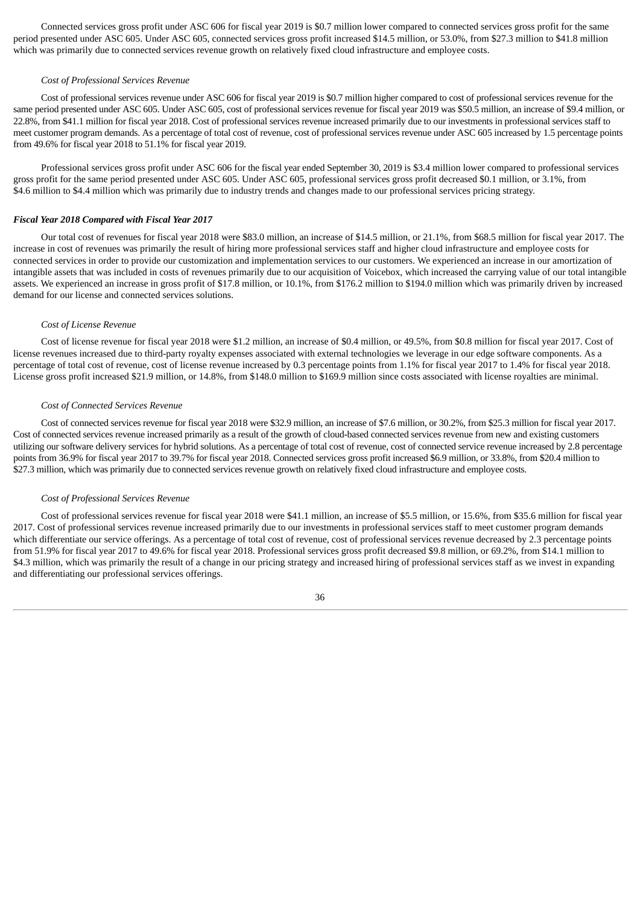Connected services gross profit under ASC 606 for fiscal year 2019 is \$0.7 million lower compared to connected services gross profit for the same period presented under ASC 605. Under ASC 605, connected services gross profit increased \$14.5 million, or 53.0%, from \$27.3 million to \$41.8 million which was primarily due to connected services revenue growth on relatively fixed cloud infrastructure and employee costs.

#### *Cost of Professional Services Revenue*

Cost of professional services revenue under ASC 606 for fiscal year 2019 is \$0.7 million higher compared to cost of professional services revenue for the same period presented under ASC 605. Under ASC 605, cost of professional services revenue for fiscal year 2019 was \$50.5 million, an increase of \$9.4 million, or 22.8%, from \$41.1 million for fiscal year 2018. Cost of professional services revenue increased primarily due to our investments in professional services staff to meet customer program demands. As a percentage of total cost of revenue, cost of professional services revenue under ASC 605 increased by 1.5 percentage points from 49.6% for fiscal year 2018 to 51.1% for fiscal year 2019.

Professional services gross profit under ASC 606 for the fiscal year ended September 30, 2019 is \$3.4 million lower compared to professional services gross profit for the same period presented under ASC 605. Under ASC 605, professional services gross profit decreased \$0.1 million, or 3.1%, from \$4.6 million to \$4.4 million which was primarily due to industry trends and changes made to our professional services pricing strategy.

### *Fiscal Year 2018 Compared with Fiscal Year 2017*

Our total cost of revenues for fiscal year 2018 were \$83.0 million, an increase of \$14.5 million, or 21.1%, from \$68.5 million for fiscal year 2017. The increase in cost of revenues was primarily the result of hiring more professional services staff and higher cloud infrastructure and employee costs for connected services in order to provide our customization and implementation services to our customers. We experienced an increase in our amortization of intangible assets that was included in costs of revenues primarily due to our acquisition of Voicebox, which increased the carrying value of our total intangible assets. We experienced an increase in gross profit of \$17.8 million, or 10.1%, from \$176.2 million to \$194.0 million which was primarily driven by increased demand for our license and connected services solutions.

#### *Cost of License Revenue*

Cost of license revenue for fiscal year 2018 were \$1.2 million, an increase of \$0.4 million, or 49.5%, from \$0.8 million for fiscal year 2017. Cost of license revenues increased due to third-party royalty expenses associated with external technologies we leverage in our edge software components. As a percentage of total cost of revenue, cost of license revenue increased by 0.3 percentage points from 1.1% for fiscal year 2017 to 1.4% for fiscal year 2018. License gross profit increased \$21.9 million, or 14.8%, from \$148.0 million to \$169.9 million since costs associated with license royalties are minimal.

#### *Cost of Connected Services Revenue*

Cost of connected services revenue for fiscal year 2018 were \$32.9 million, an increase of \$7.6 million, or 30.2%, from \$25.3 million for fiscal year 2017. Cost of connected services revenue increased primarily as a result of the growth of cloud-based connected services revenue from new and existing customers utilizing our software delivery services for hybrid solutions. As a percentage of total cost of revenue, cost of connected service revenue increased by 2.8 percentage points from 36.9% for fiscal year 2017 to 39.7% for fiscal year 2018. Connected services gross profit increased \$6.9 million, or 33.8%, from \$20.4 million to \$27.3 million, which was primarily due to connected services revenue growth on relatively fixed cloud infrastructure and employee costs.

### *Cost of Professional Services Revenue*

Cost of professional services revenue for fiscal year 2018 were \$41.1 million, an increase of \$5.5 million, or 15.6%, from \$35.6 million for fiscal year 2017. Cost of professional services revenue increased primarily due to our investments in professional services staff to meet customer program demands which differentiate our service offerings. As a percentage of total cost of revenue, cost of professional services revenue decreased by 2.3 percentage points from 51.9% for fiscal year 2017 to 49.6% for fiscal year 2018. Professional services gross profit decreased \$9.8 million, or 69.2%, from \$14.1 million to \$4.3 million, which was primarily the result of a change in our pricing strategy and increased hiring of professional services staff as we invest in expanding and differentiating our professional services offerings.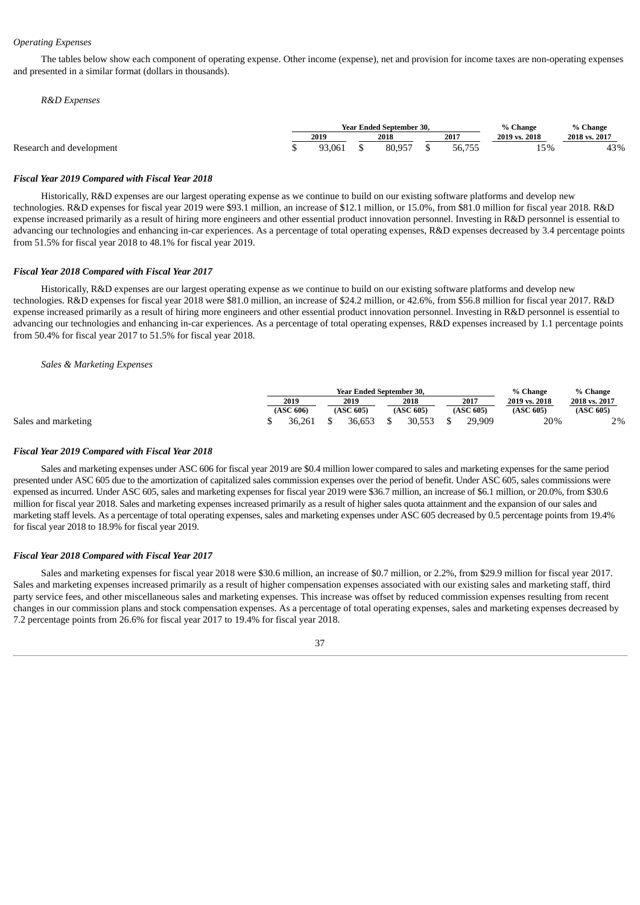## *Operating Expenses*

The tables below show each component of operating expense. Other income (expense), net and provision for income taxes are non-operating expenses and presented in a similar format (dollars in thousands).

#### *R&D Expenses*

|                          |      |        | <b>Year Ended September 30.</b> | % Change | % Change      |               |  |
|--------------------------|------|--------|---------------------------------|----------|---------------|---------------|--|
|                          | 2019 |        | 2018                            | 2017     | 2019 vs. 2018 | 2018 vs. 2017 |  |
| Research and development |      | 93.061 | 80.957                          | 56,755   | 15%           | 43%           |  |

#### *Fiscal Year 2019 Compared with Fiscal Year 2018*

Historically, R&D expenses are our largest operating expense as we continue to build on our existing software platforms and develop new technologies. R&D expenses for fiscal year 2019 were \$93.1 million, an increase of \$12.1 million, or 15.0%, from \$81.0 million for fiscal year 2018. R&D expense increased primarily as a result of hiring more engineers and other essential product innovation personnel. Investing in R&D personnel is essential to advancing our technologies and enhancing in-car experiences. As a percentage of total operating expenses, R&D expenses decreased by 3.4 percentage points from 51.5% for fiscal year 2018 to 48.1% for fiscal year 2019.

#### *Fiscal Year 2018 Compared with Fiscal Year 2017*

Historically, R&D expenses are our largest operating expense as we continue to build on our existing software platforms and develop new technologies. R&D expenses for fiscal year 2018 were \$81.0 million, an increase of \$24.2 million, or 42.6%, from \$56.8 million for fiscal year 2017. R&D expense increased primarily as a result of hiring more engineers and other essential product innovation personnel. Investing in R&D personnel is essential to advancing our technologies and enhancing in-car experiences. As a percentage of total operating expenses, R&D expenses increased by 1.1 percentage points from 50.4% for fiscal year 2017 to 51.5% for fiscal year 2018.

#### *Sales & Marketing Expenses*

|                     |           | <b>Year Ended September 30.</b> | % Change  | % Change  |               |               |
|---------------------|-----------|---------------------------------|-----------|-----------|---------------|---------------|
|                     | 2019      | 2019                            | 2018      | 2017      | 2019 vs. 2018 | 2018 vs. 2017 |
|                     | (ASC 606) | (ASC 605)                       | (ASC 605) | (ASC 605) | (ASC 605)     | (ASC 605)     |
| Sales and marketing | 36.261    | 36.653                          | 30.553    | 29.909    | 20%           | 2%            |

#### *Fiscal Year 2019 Compared with Fiscal Year 2018*

Sales and marketing expenses under ASC 606 for fiscal year 2019 are \$0.4 million lower compared to sales and marketing expenses for the same period presented under ASC 605 due to the amortization of capitalized sales commission expenses over the period of benefit. Under ASC 605, sales commissions were expensed as incurred. Under ASC 605, sales and marketing expenses for fiscal year 2019 were \$36.7 million, an increase of \$6.1 million, or 20.0%, from \$30.6 million for fiscal year 2018. Sales and marketing expenses increased primarily as a result of higher sales quota attainment and the expansion of our sales and marketing staff levels. As a percentage of total operating expenses, sales and marketing expenses under ASC 605 decreased by 0.5 percentage points from 19.4% for fiscal year 2018 to 18.9% for fiscal year 2019.

#### *Fiscal Year 2018 Compared with Fiscal Year 2017*

Sales and marketing expenses for fiscal year 2018 were \$30.6 million, an increase of \$0.7 million, or 2.2%, from \$29.9 million for fiscal year 2017. Sales and marketing expenses increased primarily as a result of higher compensation expenses associated with our existing sales and marketing staff, third party service fees, and other miscellaneous sales and marketing expenses. This increase was offset by reduced commission expenses resulting from recent changes in our commission plans and stock compensation expenses. As a percentage of total operating expenses, sales and marketing expenses decreased by 7.2 percentage points from 26.6% for fiscal year 2017 to 19.4% for fiscal year 2018.

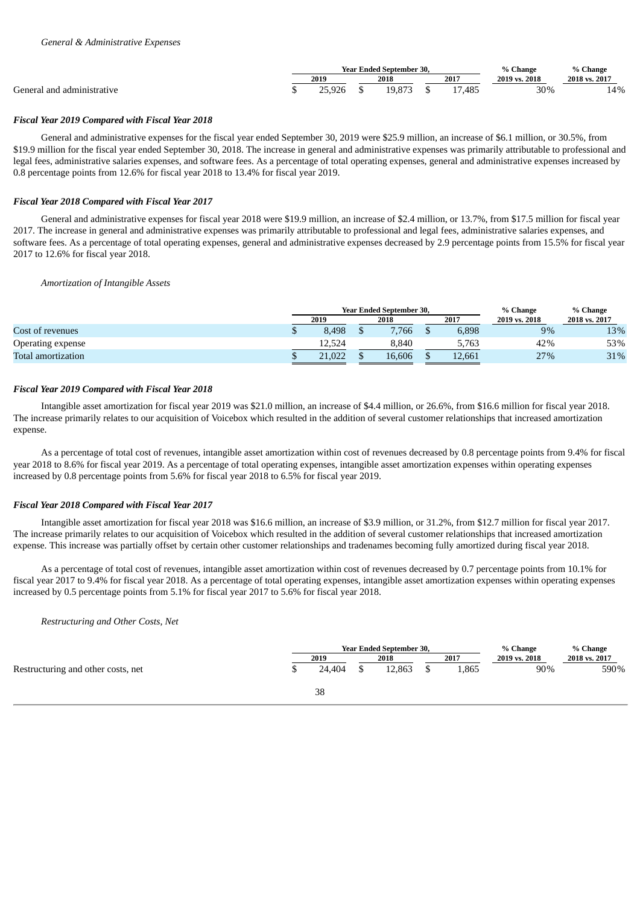|                            |       | <b>Year Ended September 30.</b> | % Change | % Change      |               |
|----------------------------|-------|---------------------------------|----------|---------------|---------------|
|                            | 2019  | 2018                            | 2017     | 2019 vs. 2018 | 2018 vs. 2017 |
| General and administrative | 5.926 | 9.873                           | 17,485   | 30%           | 14%           |

## *Fiscal Year 2019 Compared with Fiscal Year 2018*

General and administrative expenses for the fiscal year ended September 30, 2019 were \$25.9 million, an increase of \$6.1 million, or 30.5%, from \$19.9 million for the fiscal year ended September 30, 2018. The increase in general and administrative expenses was primarily attributable to professional and legal fees, administrative salaries expenses, and software fees. As a percentage of total operating expenses, general and administrative expenses increased by 0.8 percentage points from 12.6% for fiscal year 2018 to 13.4% for fiscal year 2019.

## *Fiscal Year 2018 Compared with Fiscal Year 2017*

General and administrative expenses for fiscal year 2018 were \$19.9 million, an increase of \$2.4 million, or 13.7%, from \$17.5 million for fiscal year 2017. The increase in general and administrative expenses was primarily attributable to professional and legal fees, administrative salaries expenses, and software fees. As a percentage of total operating expenses, general and administrative expenses decreased by 2.9 percentage points from 15.5% for fiscal year 2017 to 12.6% for fiscal year 2018.

### *Amortization of Intangible Assets*

|                    |      |        | <b>Year Ended September 30.</b> |  |        | % Change      | % Change      |  |
|--------------------|------|--------|---------------------------------|--|--------|---------------|---------------|--|
|                    | 2019 |        | 2018                            |  | 2017   | 2019 vs. 2018 | 2018 vs. 2017 |  |
| Cost of revenues   |      | 8.498  | 7,766                           |  | 6,898  | 9%            | 13%           |  |
| Operating expense  |      | 12.524 | 8.840                           |  | 5.763  | 42%           | 53%           |  |
| Total amortization |      | 21,022 | 16.606                          |  | 12.661 | 27%           | 31%           |  |

### *Fiscal Year 2019 Compared with Fiscal Year 2018*

Intangible asset amortization for fiscal year 2019 was \$21.0 million, an increase of \$4.4 million, or 26.6%, from \$16.6 million for fiscal year 2018. The increase primarily relates to our acquisition of Voicebox which resulted in the addition of several customer relationships that increased amortization expense.

As a percentage of total cost of revenues, intangible asset amortization within cost of revenues decreased by 0.8 percentage points from 9.4% for fiscal year 2018 to 8.6% for fiscal year 2019. As a percentage of total operating expenses, intangible asset amortization expenses within operating expenses increased by 0.8 percentage points from 5.6% for fiscal year 2018 to 6.5% for fiscal year 2019.

## *Fiscal Year 2018 Compared with Fiscal Year 2017*

Intangible asset amortization for fiscal year 2018 was \$16.6 million, an increase of \$3.9 million, or 31.2%, from \$12.7 million for fiscal year 2017. The increase primarily relates to our acquisition of Voicebox which resulted in the addition of several customer relationships that increased amortization expense. This increase was partially offset by certain other customer relationships and tradenames becoming fully amortized during fiscal year 2018.

As a percentage of total cost of revenues, intangible asset amortization within cost of revenues decreased by 0.7 percentage points from 10.1% for fiscal year 2017 to 9.4% for fiscal year 2018. As a percentage of total operating expenses, intangible asset amortization expenses within operating expenses increased by 0.5 percentage points from 5.1% for fiscal year 2017 to 5.6% for fiscal year 2018.

*Restructuring and Other Costs, Net*

|                                    |        | <b>Year Ended September 30,</b> |       | % Change      | % Change      |  |  |
|------------------------------------|--------|---------------------------------|-------|---------------|---------------|--|--|
|                                    | 2019   | 2018                            | 2017  | 2019 vs. 2018 | 2018 vs. 2017 |  |  |
| Restructuring and other costs, net | 24.404 | 12,863                          | 865،، | 90%           | 590%          |  |  |
|                                    | 38     |                                 |       |               |               |  |  |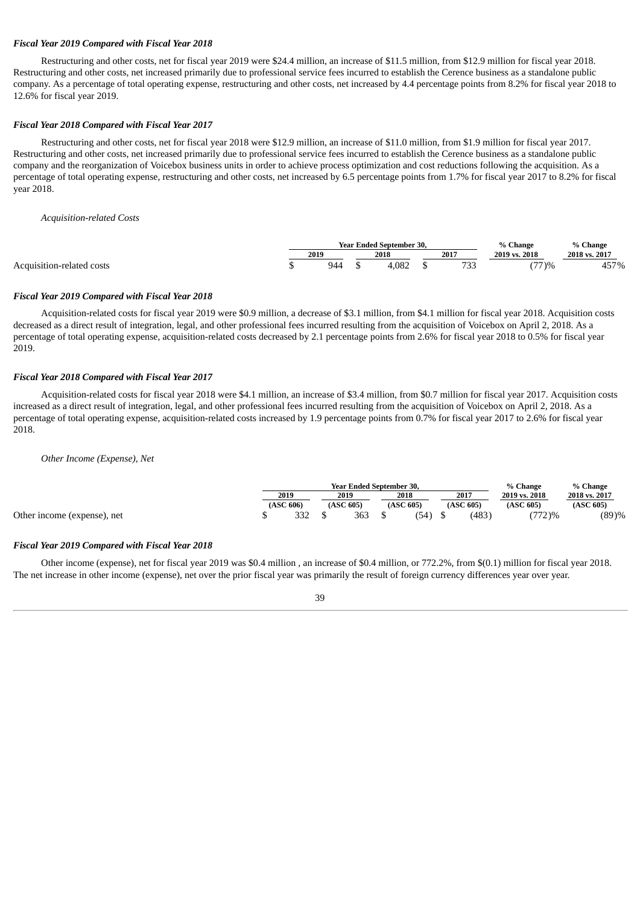### *Fiscal Year 2019 Compared with Fiscal Year 2018*

Restructuring and other costs, net for fiscal year 2019 were \$24.4 million, an increase of \$11.5 million, from \$12.9 million for fiscal year 2018. Restructuring and other costs, net increased primarily due to professional service fees incurred to establish the Cerence business as a standalone public company. As a percentage of total operating expense, restructuring and other costs, net increased by 4.4 percentage points from 8.2% for fiscal year 2018 to 12.6% for fiscal year 2019.

### *Fiscal Year 2018 Compared with Fiscal Year 2017*

Restructuring and other costs, net for fiscal year 2018 were \$12.9 million, an increase of \$11.0 million, from \$1.9 million for fiscal year 2017. Restructuring and other costs, net increased primarily due to professional service fees incurred to establish the Cerence business as a standalone public company and the reorganization of Voicebox business units in order to achieve process optimization and cost reductions following the acquisition. As a percentage of total operating expense, restructuring and other costs, net increased by 6.5 percentage points from 1.7% for fiscal year 2017 to 8.2% for fiscal year 2018.

### *Acquisition-related Costs*

|                           |      |     | <b>Year Ended September 30.</b> | % Change    | % Change      |                |
|---------------------------|------|-----|---------------------------------|-------------|---------------|----------------|
|                           | 2019 |     | 2018                            | 2017        | 2019 vs. 2018 | 2018 vs. 2017  |
| Acquisition-related costs |      | 944 | .082                            | 700<br>טט ו | (77)%         | $157\%$<br>457 |

### *Fiscal Year 2019 Compared with Fiscal Year 2018*

Acquisition-related costs for fiscal year 2019 were \$0.9 million, a decrease of \$3.1 million, from \$4.1 million for fiscal year 2018. Acquisition costs decreased as a direct result of integration, legal, and other professional fees incurred resulting from the acquisition of Voicebox on April 2, 2018. As a percentage of total operating expense, acquisition-related costs decreased by 2.1 percentage points from 2.6% for fiscal year 2018 to 0.5% for fiscal year 2019.

## *Fiscal Year 2018 Compared with Fiscal Year 2017*

Acquisition-related costs for fiscal year 2018 were \$4.1 million, an increase of \$3.4 million, from \$0.7 million for fiscal year 2017. Acquisition costs increased as a direct result of integration, legal, and other professional fees incurred resulting from the acquisition of Voicebox on April 2, 2018. As a percentage of total operating expense, acquisition-related costs increased by 1.9 percentage points from 0.7% for fiscal year 2017 to 2.6% for fiscal year 2018.

*Other Income (Expense), Net*

|                             |           |     | <b>Year Ended September 30.</b> |           | % Change | % Change  |               |               |
|-----------------------------|-----------|-----|---------------------------------|-----------|----------|-----------|---------------|---------------|
|                             | 2019      |     | 2019                            | 2018      |          | 2017      | 2019 vs. 2018 | 2018 vs. 2017 |
|                             | (ASC 606) |     | (ASC 605)                       | (ASC 605) |          | (ASC 605) | (ASC 605)     | (ASC 605)     |
| Other income (expense), net |           | רככ | 363                             | (54)      |          | (483)     | $(772)$ %     | (89)%         |

### *Fiscal Year 2019 Compared with Fiscal Year 2018*

Other income (expense), net for fiscal year 2019 was \$0.4 million , an increase of \$0.4 million, or 772.2%, from \$(0.1) million for fiscal year 2018. The net increase in other income (expense), net over the prior fiscal year was primarily the result of foreign currency differences year over year.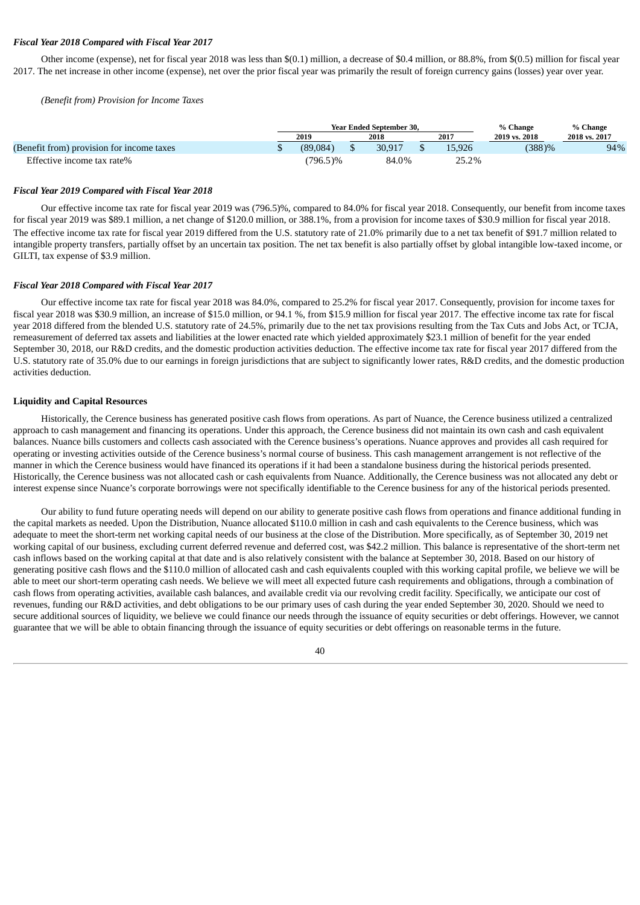### *Fiscal Year 2018 Compared with Fiscal Year 2017*

Other income (expense), net for fiscal year 2018 was less than \$(0.1) million, a decrease of \$0.4 million, or 88.8%, from \$(0.5) million for fiscal year 2017. The net increase in other income (expense), net over the prior fiscal year was primarily the result of foreign currency gains (losses) year over year.

*(Benefit from) Provision for Income Taxes*

|                                           |          | <b>Year Ended September 30.</b> | % Change | % Change      |               |
|-------------------------------------------|----------|---------------------------------|----------|---------------|---------------|
|                                           | 2019     | 2018                            | 2017     | 2019 vs. 2018 | 2018 vs. 2017 |
| (Benefit from) provision for income taxes | (89.084) | 30.917                          | 15.926   | $(388)$ %     | 94%           |
| Effective income tax rate%                | 796.5)%  | 84.0%                           | 25.2%    |               |               |

#### *Fiscal Year 2019 Compared with Fiscal Year 2018*

Our effective income tax rate for fiscal year 2019 was (796.5)%, compared to 84.0% for fiscal year 2018. Consequently, our benefit from income taxes for fiscal year 2019 was \$89.1 million, a net change of \$120.0 million, or 388.1%, from a provision for income taxes of \$30.9 million for fiscal year 2018. The effective income tax rate for fiscal year 2019 differed from the U.S. statutory rate of 21.0% primarily due to a net tax benefit of \$91.7 million related to intangible property transfers, partially offset by an uncertain tax position. The net tax benefit is also partially offset by global intangible low-taxed income, or GILTI, tax expense of \$3.9 million.

#### *Fiscal Year 2018 Compared with Fiscal Year 2017*

Our effective income tax rate for fiscal year 2018 was 84.0%, compared to 25.2% for fiscal year 2017. Consequently, provision for income taxes for fiscal year 2018 was \$30.9 million, an increase of \$15.0 million, or 94.1 %, from \$15.9 million for fiscal year 2017. The effective income tax rate for fiscal year 2018 differed from the blended U.S. statutory rate of 24.5%, primarily due to the net tax provisions resulting from the Tax Cuts and Jobs Act, or TCJA, remeasurement of deferred tax assets and liabilities at the lower enacted rate which yielded approximately \$23.1 million of benefit for the year ended September 30, 2018, our R&D credits, and the domestic production activities deduction. The effective income tax rate for fiscal year 2017 differed from the U.S. statutory rate of 35.0% due to our earnings in foreign jurisdictions that are subject to significantly lower rates, R&D credits, and the domestic production activities deduction.

## **Liquidity and Capital Resources**

Historically, the Cerence business has generated positive cash flows from operations. As part of Nuance, the Cerence business utilized a centralized approach to cash management and financing its operations. Under this approach, the Cerence business did not maintain its own cash and cash equivalent balances. Nuance bills customers and collects cash associated with the Cerence business's operations. Nuance approves and provides all cash required for operating or investing activities outside of the Cerence business's normal course of business. This cash management arrangement is not reflective of the manner in which the Cerence business would have financed its operations if it had been a standalone business during the historical periods presented. Historically, the Cerence business was not allocated cash or cash equivalents from Nuance. Additionally, the Cerence business was not allocated any debt or interest expense since Nuance's corporate borrowings were not specifically identifiable to the Cerence business for any of the historical periods presented.

Our ability to fund future operating needs will depend on our ability to generate positive cash flows from operations and finance additional funding in the capital markets as needed. Upon the Distribution, Nuance allocated \$110.0 million in cash and cash equivalents to the Cerence business, which was adequate to meet the short-term net working capital needs of our business at the close of the Distribution. More specifically, as of September 30, 2019 net working capital of our business, excluding current deferred revenue and deferred cost, was \$42.2 million. This balance is representative of the short-term net cash inflows based on the working capital at that date and is also relatively consistent with the balance at September 30, 2018. Based on our history of generating positive cash flows and the \$110.0 million of allocated cash and cash equivalents coupled with this working capital profile, we believe we will be able to meet our short-term operating cash needs. We believe we will meet all expected future cash requirements and obligations, through a combination of cash flows from operating activities, available cash balances, and available credit via our revolving credit facility. Specifically, we anticipate our cost of revenues, funding our R&D activities, and debt obligations to be our primary uses of cash during the year ended September 30, 2020. Should we need to secure additional sources of liquidity, we believe we could finance our needs through the issuance of equity securities or debt offerings. However, we cannot guarantee that we will be able to obtain financing through the issuance of equity securities or debt offerings on reasonable terms in the future.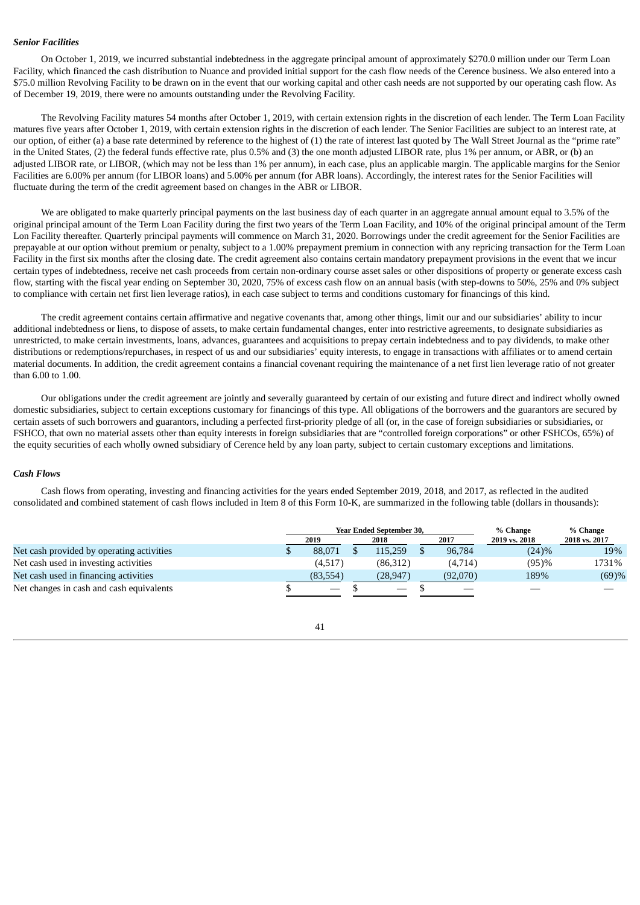## *Senior Facilities*

On October 1, 2019, we incurred substantial indebtedness in the aggregate principal amount of approximately \$270.0 million under our Term Loan Facility, which financed the cash distribution to Nuance and provided initial support for the cash flow needs of the Cerence business. We also entered into a \$75.0 million Revolving Facility to be drawn on in the event that our working capital and other cash needs are not supported by our operating cash flow. As of December 19, 2019, there were no amounts outstanding under the Revolving Facility.

The Revolving Facility matures 54 months after October 1, 2019, with certain extension rights in the discretion of each lender. The Term Loan Facility matures five years after October 1, 2019, with certain extension rights in the discretion of each lender. The Senior Facilities are subject to an interest rate, at our option, of either (a) a base rate determined by reference to the highest of (1) the rate of interest last quoted by The Wall Street Journal as the "prime rate" in the United States, (2) the federal funds effective rate, plus 0.5% and (3) the one month adjusted LIBOR rate, plus 1% per annum, or ABR, or (b) an adjusted LIBOR rate, or LIBOR, (which may not be less than 1% per annum), in each case, plus an applicable margin. The applicable margins for the Senior Facilities are 6.00% per annum (for LIBOR loans) and 5.00% per annum (for ABR loans). Accordingly, the interest rates for the Senior Facilities will fluctuate during the term of the credit agreement based on changes in the ABR or LIBOR.

We are obligated to make quarterly principal payments on the last business day of each quarter in an aggregate annual amount equal to 3.5% of the original principal amount of the Term Loan Facility during the first two years of the Term Loan Facility, and 10% of the original principal amount of the Term Lon Facility thereafter. Quarterly principal payments will commence on March 31, 2020. Borrowings under the credit agreement for the Senior Facilities are prepayable at our option without premium or penalty, subject to a 1.00% prepayment premium in connection with any repricing transaction for the Term Loan Facility in the first six months after the closing date. The credit agreement also contains certain mandatory prepayment provisions in the event that we incur certain types of indebtedness, receive net cash proceeds from certain non-ordinary course asset sales or other dispositions of property or generate excess cash flow, starting with the fiscal year ending on September 30, 2020, 75% of excess cash flow on an annual basis (with step-downs to 50%, 25% and 0% subject to compliance with certain net first lien leverage ratios), in each case subject to terms and conditions customary for financings of this kind.

The credit agreement contains certain affirmative and negative covenants that, among other things, limit our and our subsidiaries' ability to incur additional indebtedness or liens, to dispose of assets, to make certain fundamental changes, enter into restrictive agreements, to designate subsidiaries as unrestricted, to make certain investments, loans, advances, guarantees and acquisitions to prepay certain indebtedness and to pay dividends, to make other distributions or redemptions/repurchases, in respect of us and our subsidiaries' equity interests, to engage in transactions with affiliates or to amend certain material documents. In addition, the credit agreement contains a financial covenant requiring the maintenance of a net first lien leverage ratio of not greater than 6.00 to 1.00.

Our obligations under the credit agreement are jointly and severally guaranteed by certain of our existing and future direct and indirect wholly owned domestic subsidiaries, subject to certain exceptions customary for financings of this type. All obligations of the borrowers and the guarantors are secured by certain assets of such borrowers and guarantors, including a perfected first-priority pledge of all (or, in the case of foreign subsidiaries or subsidiaries, or FSHCO, that own no material assets other than equity interests in foreign subsidiaries that are "controlled foreign corporations" or other FSHCOs, 65%) of the equity securities of each wholly owned subsidiary of Cerence held by any loan party, subject to certain customary exceptions and limitations.

### *Cash Flows*

Cash flows from operating, investing and financing activities for the years ended September 2019, 2018, and 2017, as reflected in the audited consolidated and combined statement of cash flows included in Item 8 of this Form 10-K, are summarized in the following table (dollars in thousands):

|                                           |                                 | Year Ended September 30, |  | % Change | % Change      |               |
|-------------------------------------------|---------------------------------|--------------------------|--|----------|---------------|---------------|
|                                           | 2019                            | 2018                     |  | 2017     | 2019 vs. 2018 | 2018 vs. 2017 |
| Net cash provided by operating activities | 88.071                          | 115,259                  |  | 96,784   | (24)%         | 19%           |
| Net cash used in investing activities     | (4,517)                         | (86.312)                 |  | (4,714)  | (95)%         | 1731%         |
| Net cash used in financing activities     | (83, 554)                       | (28,947)                 |  | (92,070) | 189%          | (69)%         |
| Net changes in cash and cash equivalents  | $\hspace{0.1mm}-\hspace{0.1mm}$ |                          |  |          |               |               |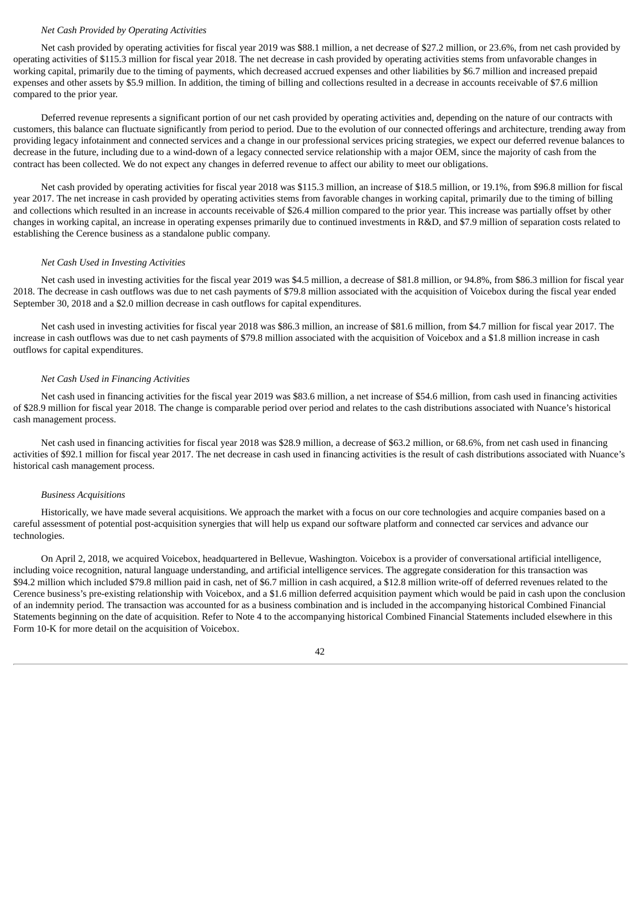### *Net Cash Provided by Operating Activities*

Net cash provided by operating activities for fiscal year 2019 was \$88.1 million, a net decrease of \$27.2 million, or 23.6%, from net cash provided by operating activities of \$115.3 million for fiscal year 2018. The net decrease in cash provided by operating activities stems from unfavorable changes in working capital, primarily due to the timing of payments, which decreased accrued expenses and other liabilities by \$6.7 million and increased prepaid expenses and other assets by \$5.9 million. In addition, the timing of billing and collections resulted in a decrease in accounts receivable of \$7.6 million compared to the prior year.

Deferred revenue represents a significant portion of our net cash provided by operating activities and, depending on the nature of our contracts with customers, this balance can fluctuate significantly from period to period. Due to the evolution of our connected offerings and architecture, trending away from providing legacy infotainment and connected services and a change in our professional services pricing strategies, we expect our deferred revenue balances to decrease in the future, including due to a wind-down of a legacy connected service relationship with a major OEM, since the majority of cash from the contract has been collected. We do not expect any changes in deferred revenue to affect our ability to meet our obligations.

Net cash provided by operating activities for fiscal year 2018 was \$115.3 million, an increase of \$18.5 million, or 19.1%, from \$96.8 million for fiscal year 2017. The net increase in cash provided by operating activities stems from favorable changes in working capital, primarily due to the timing of billing and collections which resulted in an increase in accounts receivable of \$26.4 million compared to the prior year. This increase was partially offset by other changes in working capital, an increase in operating expenses primarily due to continued investments in R&D, and \$7.9 million of separation costs related to establishing the Cerence business as a standalone public company.

## *Net Cash Used in Investing Activities*

Net cash used in investing activities for the fiscal year 2019 was \$4.5 million, a decrease of \$81.8 million, or 94.8%, from \$86.3 million for fiscal year 2018. The decrease in cash outflows was due to net cash payments of \$79.8 million associated with the acquisition of Voicebox during the fiscal year ended September 30, 2018 and a \$2.0 million decrease in cash outflows for capital expenditures.

Net cash used in investing activities for fiscal year 2018 was \$86.3 million, an increase of \$81.6 million, from \$4.7 million for fiscal year 2017. The increase in cash outflows was due to net cash payments of \$79.8 million associated with the acquisition of Voicebox and a \$1.8 million increase in cash outflows for capital expenditures.

#### *Net Cash Used in Financing Activities*

Net cash used in financing activities for the fiscal year 2019 was \$83.6 million, a net increase of \$54.6 million, from cash used in financing activities of \$28.9 million for fiscal year 2018. The change is comparable period over period and relates to the cash distributions associated with Nuance's historical cash management process.

Net cash used in financing activities for fiscal year 2018 was \$28.9 million, a decrease of \$63.2 million, or 68.6%, from net cash used in financing activities of \$92.1 million for fiscal year 2017. The net decrease in cash used in financing activities is the result of cash distributions associated with Nuance's historical cash management process.

#### *Business Acquisitions*

Historically, we have made several acquisitions. We approach the market with a focus on our core technologies and acquire companies based on a careful assessment of potential post-acquisition synergies that will help us expand our software platform and connected car services and advance our technologies.

On April 2, 2018, we acquired Voicebox, headquartered in Bellevue, Washington. Voicebox is a provider of conversational artificial intelligence, including voice recognition, natural language understanding, and artificial intelligence services. The aggregate consideration for this transaction was \$94.2 million which included \$79.8 million paid in cash, net of \$6.7 million in cash acquired, a \$12.8 million write-off of deferred revenues related to the Cerence business's pre-existing relationship with Voicebox, and a \$1.6 million deferred acquisition payment which would be paid in cash upon the conclusion of an indemnity period. The transaction was accounted for as a business combination and is included in the accompanying historical Combined Financial Statements beginning on the date of acquisition. Refer to Note 4 to the accompanying historical Combined Financial Statements included elsewhere in this Form 10-K for more detail on the acquisition of Voicebox.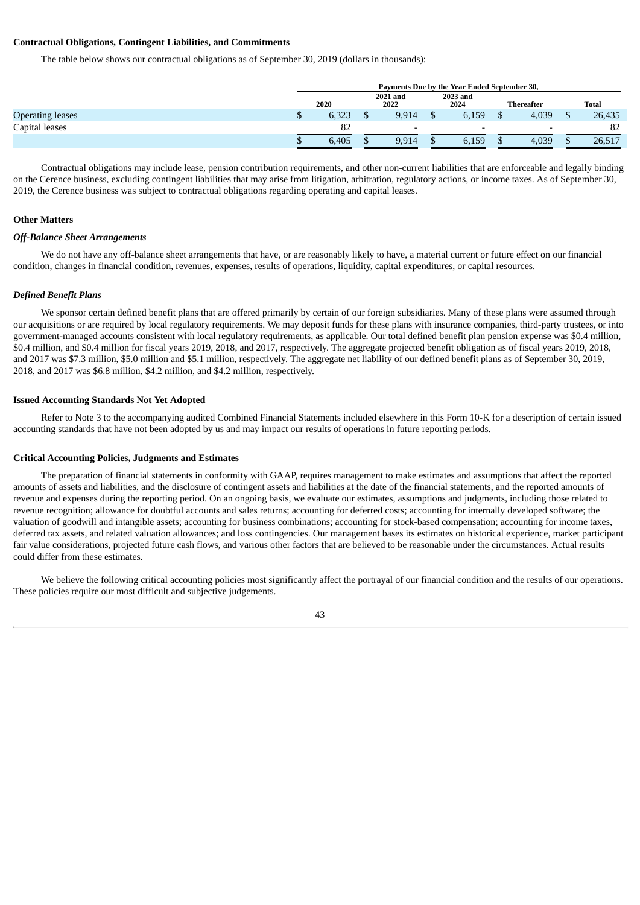## **Contractual Obligations, Contingent Liabilities, and Commitments**

The table below shows our contractual obligations as of September 30, 2019 (dollars in thousands):

|                         | Payments Due by the Year Ended September 30, |       |  |                          |  |                          |  |                   |  |        |  |
|-------------------------|----------------------------------------------|-------|--|--------------------------|--|--------------------------|--|-------------------|--|--------|--|
|                         |                                              | 2020  |  | <b>2021 and</b><br>2022  |  | 2023 and<br>2024         |  | <b>Thereafter</b> |  | Total  |  |
| <b>Operating leases</b> |                                              | 6,323 |  | 9,914                    |  | 6,159                    |  | 4,039             |  | 26,435 |  |
| Capital leases          |                                              | 82    |  | $\overline{\phantom{0}}$ |  | $\overline{\phantom{0}}$ |  |                   |  | 82     |  |
|                         |                                              | 6,405 |  | 9,914                    |  | 6,159                    |  | 4,039             |  | 26,517 |  |

Contractual obligations may include lease, pension contribution requirements, and other non-current liabilities that are enforceable and legally binding on the Cerence business, excluding contingent liabilities that may arise from litigation, arbitration, regulatory actions, or income taxes. As of September 30, 2019, the Cerence business was subject to contractual obligations regarding operating and capital leases.

## **Other Matters**

#### *Off-Balance Sheet Arrangements*

We do not have any off-balance sheet arrangements that have, or are reasonably likely to have, a material current or future effect on our financial condition, changes in financial condition, revenues, expenses, results of operations, liquidity, capital expenditures, or capital resources.

## *Defined Benefit Plans*

We sponsor certain defined benefit plans that are offered primarily by certain of our foreign subsidiaries. Many of these plans were assumed through our acquisitions or are required by local regulatory requirements. We may deposit funds for these plans with insurance companies, third-party trustees, or into government-managed accounts consistent with local regulatory requirements, as applicable. Our total defined benefit plan pension expense was \$0.4 million, \$0.4 million, and \$0.4 million for fiscal years 2019, 2018, and 2017, respectively. The aggregate projected benefit obligation as of fiscal years 2019, 2018, and 2017 was \$7.3 million, \$5.0 million and \$5.1 million, respectively. The aggregate net liability of our defined benefit plans as of September 30, 2019, 2018, and 2017 was \$6.8 million, \$4.2 million, and \$4.2 million, respectively.

### **Issued Accounting Standards Not Yet Adopted**

Refer to Note 3 to the accompanying audited Combined Financial Statements included elsewhere in this Form 10-K for a description of certain issued accounting standards that have not been adopted by us and may impact our results of operations in future reporting periods.

#### **Critical Accounting Policies, Judgments and Estimates**

The preparation of financial statements in conformity with GAAP, requires management to make estimates and assumptions that affect the reported amounts of assets and liabilities, and the disclosure of contingent assets and liabilities at the date of the financial statements, and the reported amounts of revenue and expenses during the reporting period. On an ongoing basis, we evaluate our estimates, assumptions and judgments, including those related to revenue recognition; allowance for doubtful accounts and sales returns; accounting for deferred costs; accounting for internally developed software; the valuation of goodwill and intangible assets; accounting for business combinations; accounting for stock-based compensation; accounting for income taxes, deferred tax assets, and related valuation allowances; and loss contingencies. Our management bases its estimates on historical experience, market participant fair value considerations, projected future cash flows, and various other factors that are believed to be reasonable under the circumstances. Actual results could differ from these estimates.

We believe the following critical accounting policies most significantly affect the portrayal of our financial condition and the results of our operations. These policies require our most difficult and subjective judgements.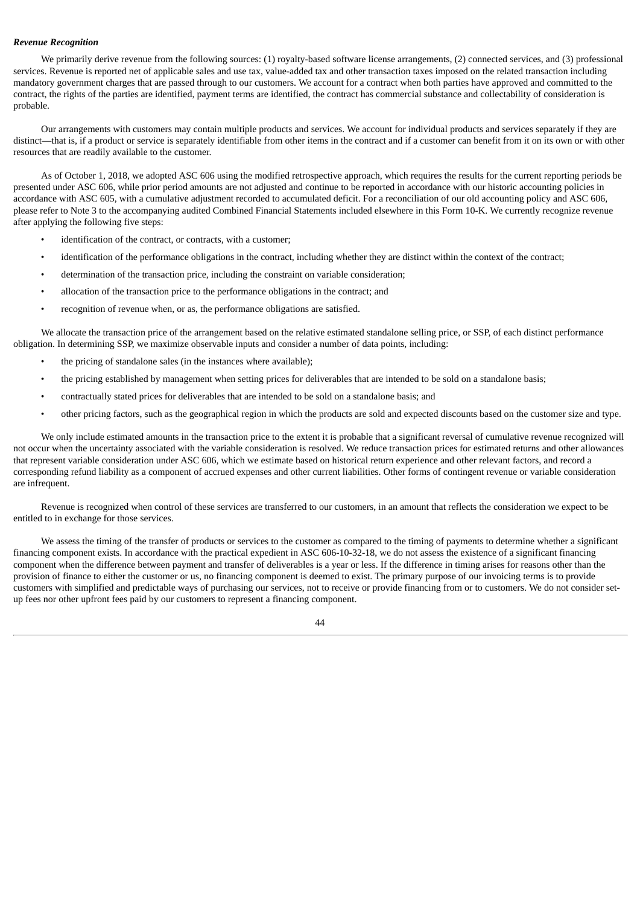## *Revenue Recognition*

We primarily derive revenue from the following sources: (1) royalty-based software license arrangements, (2) connected services, and (3) professional services. Revenue is reported net of applicable sales and use tax, value-added tax and other transaction taxes imposed on the related transaction including mandatory government charges that are passed through to our customers. We account for a contract when both parties have approved and committed to the contract, the rights of the parties are identified, payment terms are identified, the contract has commercial substance and collectability of consideration is probable.

Our arrangements with customers may contain multiple products and services. We account for individual products and services separately if they are distinct—that is, if a product or service is separately identifiable from other items in the contract and if a customer can benefit from it on its own or with other resources that are readily available to the customer.

As of October 1, 2018, we adopted ASC 606 using the modified retrospective approach, which requires the results for the current reporting periods be presented under ASC 606, while prior period amounts are not adjusted and continue to be reported in accordance with our historic accounting policies in accordance with ASC 605, with a cumulative adjustment recorded to accumulated deficit. For a reconciliation of our old accounting policy and ASC 606, please refer to Note 3 to the accompanying audited Combined Financial Statements included elsewhere in this Form 10-K. We currently recognize revenue after applying the following five steps:

- identification of the contract, or contracts, with a customer;
- identification of the performance obligations in the contract, including whether they are distinct within the context of the contract;
- determination of the transaction price, including the constraint on variable consideration;
- allocation of the transaction price to the performance obligations in the contract; and
- recognition of revenue when, or as, the performance obligations are satisfied.

We allocate the transaction price of the arrangement based on the relative estimated standalone selling price, or SSP, of each distinct performance obligation. In determining SSP, we maximize observable inputs and consider a number of data points, including:

- the pricing of standalone sales (in the instances where available);
- the pricing established by management when setting prices for deliverables that are intended to be sold on a standalone basis;
- contractually stated prices for deliverables that are intended to be sold on a standalone basis; and
- other pricing factors, such as the geographical region in which the products are sold and expected discounts based on the customer size and type.

We only include estimated amounts in the transaction price to the extent it is probable that a significant reversal of cumulative revenue recognized will not occur when the uncertainty associated with the variable consideration is resolved. We reduce transaction prices for estimated returns and other allowances that represent variable consideration under ASC 606, which we estimate based on historical return experience and other relevant factors, and record a corresponding refund liability as a component of accrued expenses and other current liabilities. Other forms of contingent revenue or variable consideration are infrequent.

Revenue is recognized when control of these services are transferred to our customers, in an amount that reflects the consideration we expect to be entitled to in exchange for those services.

We assess the timing of the transfer of products or services to the customer as compared to the timing of payments to determine whether a significant financing component exists. In accordance with the practical expedient in ASC 606-10-32-18, we do not assess the existence of a significant financing component when the difference between payment and transfer of deliverables is a year or less. If the difference in timing arises for reasons other than the provision of finance to either the customer or us, no financing component is deemed to exist. The primary purpose of our invoicing terms is to provide customers with simplified and predictable ways of purchasing our services, not to receive or provide financing from or to customers. We do not consider setup fees nor other upfront fees paid by our customers to represent a financing component.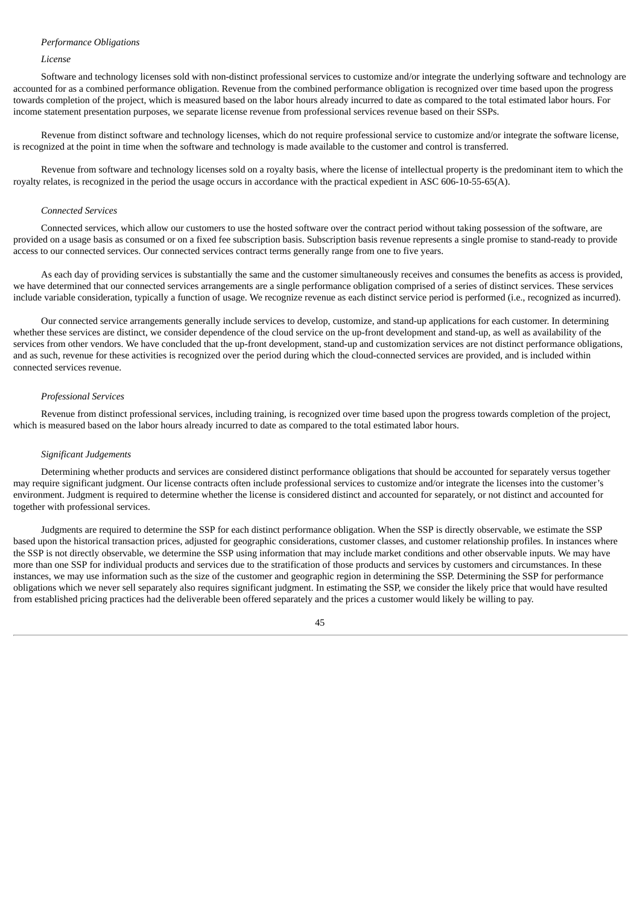## *Performance Obligations*

#### *License*

Software and technology licenses sold with non-distinct professional services to customize and/or integrate the underlying software and technology are accounted for as a combined performance obligation. Revenue from the combined performance obligation is recognized over time based upon the progress towards completion of the project, which is measured based on the labor hours already incurred to date as compared to the total estimated labor hours. For income statement presentation purposes, we separate license revenue from professional services revenue based on their SSPs.

Revenue from distinct software and technology licenses, which do not require professional service to customize and/or integrate the software license, is recognized at the point in time when the software and technology is made available to the customer and control is transferred.

Revenue from software and technology licenses sold on a royalty basis, where the license of intellectual property is the predominant item to which the royalty relates, is recognized in the period the usage occurs in accordance with the practical expedient in ASC 606-10-55-65(A).

#### *Connected Services*

Connected services, which allow our customers to use the hosted software over the contract period without taking possession of the software, are provided on a usage basis as consumed or on a fixed fee subscription basis. Subscription basis revenue represents a single promise to stand-ready to provide access to our connected services. Our connected services contract terms generally range from one to five years.

As each day of providing services is substantially the same and the customer simultaneously receives and consumes the benefits as access is provided, we have determined that our connected services arrangements are a single performance obligation comprised of a series of distinct services. These services include variable consideration, typically a function of usage. We recognize revenue as each distinct service period is performed (i.e., recognized as incurred).

Our connected service arrangements generally include services to develop, customize, and stand-up applications for each customer. In determining whether these services are distinct, we consider dependence of the cloud service on the up-front development and stand-up, as well as availability of the services from other vendors. We have concluded that the up-front development, stand-up and customization services are not distinct performance obligations, and as such, revenue for these activities is recognized over the period during which the cloud-connected services are provided, and is included within connected services revenue.

#### *Professional Services*

Revenue from distinct professional services, including training, is recognized over time based upon the progress towards completion of the project, which is measured based on the labor hours already incurred to date as compared to the total estimated labor hours.

#### *Significant Judgements*

Determining whether products and services are considered distinct performance obligations that should be accounted for separately versus together may require significant judgment. Our license contracts often include professional services to customize and/or integrate the licenses into the customer's environment. Judgment is required to determine whether the license is considered distinct and accounted for separately, or not distinct and accounted for together with professional services.

Judgments are required to determine the SSP for each distinct performance obligation. When the SSP is directly observable, we estimate the SSP based upon the historical transaction prices, adjusted for geographic considerations, customer classes, and customer relationship profiles. In instances where the SSP is not directly observable, we determine the SSP using information that may include market conditions and other observable inputs. We may have more than one SSP for individual products and services due to the stratification of those products and services by customers and circumstances. In these instances, we may use information such as the size of the customer and geographic region in determining the SSP. Determining the SSP for performance obligations which we never sell separately also requires significant judgment. In estimating the SSP, we consider the likely price that would have resulted from established pricing practices had the deliverable been offered separately and the prices a customer would likely be willing to pay.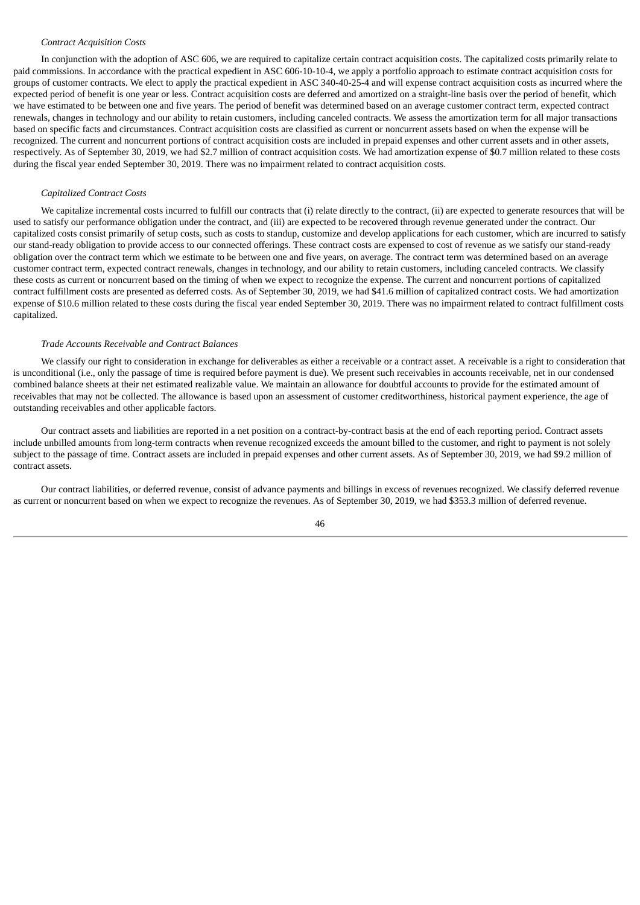## *Contract Acquisition Costs*

In conjunction with the adoption of ASC 606, we are required to capitalize certain contract acquisition costs. The capitalized costs primarily relate to paid commissions. In accordance with the practical expedient in ASC 606-10-10-4, we apply a portfolio approach to estimate contract acquisition costs for groups of customer contracts. We elect to apply the practical expedient in ASC 340-40-25-4 and will expense contract acquisition costs as incurred where the expected period of benefit is one year or less. Contract acquisition costs are deferred and amortized on a straight-line basis over the period of benefit, which we have estimated to be between one and five years. The period of benefit was determined based on an average customer contract term, expected contract renewals, changes in technology and our ability to retain customers, including canceled contracts. We assess the amortization term for all major transactions based on specific facts and circumstances. Contract acquisition costs are classified as current or noncurrent assets based on when the expense will be recognized. The current and noncurrent portions of contract acquisition costs are included in prepaid expenses and other current assets and in other assets, respectively. As of September 30, 2019, we had \$2.7 million of contract acquisition costs. We had amortization expense of \$0.7 million related to these costs during the fiscal year ended September 30, 2019. There was no impairment related to contract acquisition costs.

### *Capitalized Contract Costs*

We capitalize incremental costs incurred to fulfill our contracts that (i) relate directly to the contract, (ii) are expected to generate resources that will be used to satisfy our performance obligation under the contract, and (iii) are expected to be recovered through revenue generated under the contract. Our capitalized costs consist primarily of setup costs, such as costs to standup, customize and develop applications for each customer, which are incurred to satisfy our stand-ready obligation to provide access to our connected offerings. These contract costs are expensed to cost of revenue as we satisfy our stand-ready obligation over the contract term which we estimate to be between one and five years, on average. The contract term was determined based on an average customer contract term, expected contract renewals, changes in technology, and our ability to retain customers, including canceled contracts. We classify these costs as current or noncurrent based on the timing of when we expect to recognize the expense. The current and noncurrent portions of capitalized contract fulfillment costs are presented as deferred costs. As of September 30, 2019, we had \$41.6 million of capitalized contract costs. We had amortization expense of \$10.6 million related to these costs during the fiscal year ended September 30, 2019. There was no impairment related to contract fulfillment costs capitalized.

## *Trade Accounts Receivable and Contract Balances*

We classify our right to consideration in exchange for deliverables as either a receivable or a contract asset. A receivable is a right to consideration that is unconditional (i.e., only the passage of time is required before payment is due). We present such receivables in accounts receivable, net in our condensed combined balance sheets at their net estimated realizable value. We maintain an allowance for doubtful accounts to provide for the estimated amount of receivables that may not be collected. The allowance is based upon an assessment of customer creditworthiness, historical payment experience, the age of outstanding receivables and other applicable factors.

Our contract assets and liabilities are reported in a net position on a contract-by-contract basis at the end of each reporting period. Contract assets include unbilled amounts from long-term contracts when revenue recognized exceeds the amount billed to the customer, and right to payment is not solely subject to the passage of time. Contract assets are included in prepaid expenses and other current assets. As of September 30, 2019, we had \$9.2 million of contract assets.

Our contract liabilities, or deferred revenue, consist of advance payments and billings in excess of revenues recognized. We classify deferred revenue as current or noncurrent based on when we expect to recognize the revenues. As of September 30, 2019, we had \$353.3 million of deferred revenue.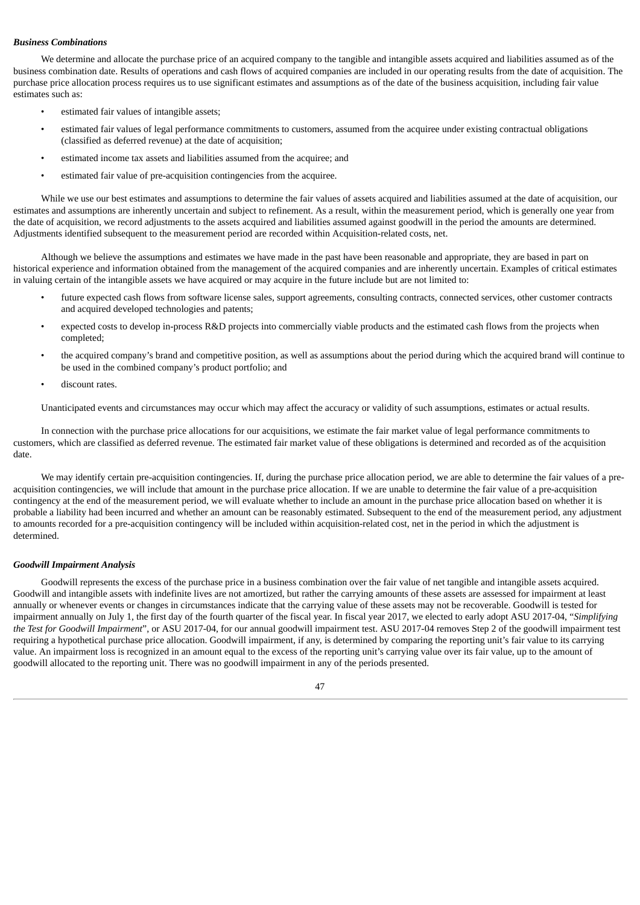## *Business Combinations*

We determine and allocate the purchase price of an acquired company to the tangible and intangible assets acquired and liabilities assumed as of the business combination date. Results of operations and cash flows of acquired companies are included in our operating results from the date of acquisition. The purchase price allocation process requires us to use significant estimates and assumptions as of the date of the business acquisition, including fair value estimates such as:

- estimated fair values of intangible assets;
- estimated fair values of legal performance commitments to customers, assumed from the acquiree under existing contractual obligations (classified as deferred revenue) at the date of acquisition;
- estimated income tax assets and liabilities assumed from the acquiree; and
- estimated fair value of pre-acquisition contingencies from the acquiree.

While we use our best estimates and assumptions to determine the fair values of assets acquired and liabilities assumed at the date of acquisition, our estimates and assumptions are inherently uncertain and subject to refinement. As a result, within the measurement period, which is generally one year from the date of acquisition, we record adjustments to the assets acquired and liabilities assumed against goodwill in the period the amounts are determined. Adjustments identified subsequent to the measurement period are recorded within Acquisition-related costs, net.

Although we believe the assumptions and estimates we have made in the past have been reasonable and appropriate, they are based in part on historical experience and information obtained from the management of the acquired companies and are inherently uncertain. Examples of critical estimates in valuing certain of the intangible assets we have acquired or may acquire in the future include but are not limited to:

- future expected cash flows from software license sales, support agreements, consulting contracts, connected services, other customer contracts and acquired developed technologies and patents;
- expected costs to develop in-process R&D projects into commercially viable products and the estimated cash flows from the projects when completed;
- the acquired company's brand and competitive position, as well as assumptions about the period during which the acquired brand will continue to be used in the combined company's product portfolio; and
- discount rates.

Unanticipated events and circumstances may occur which may affect the accuracy or validity of such assumptions, estimates or actual results.

In connection with the purchase price allocations for our acquisitions, we estimate the fair market value of legal performance commitments to customers, which are classified as deferred revenue. The estimated fair market value of these obligations is determined and recorded as of the acquisition date.

We may identify certain pre-acquisition contingencies. If, during the purchase price allocation period, we are able to determine the fair values of a preacquisition contingencies, we will include that amount in the purchase price allocation. If we are unable to determine the fair value of a pre-acquisition contingency at the end of the measurement period, we will evaluate whether to include an amount in the purchase price allocation based on whether it is probable a liability had been incurred and whether an amount can be reasonably estimated. Subsequent to the end of the measurement period, any adjustment to amounts recorded for a pre-acquisition contingency will be included within acquisition-related cost, net in the period in which the adjustment is determined.

### *Goodwill Impairment Analysis*

Goodwill represents the excess of the purchase price in a business combination over the fair value of net tangible and intangible assets acquired. Goodwill and intangible assets with indefinite lives are not amortized, but rather the carrying amounts of these assets are assessed for impairment at least annually or whenever events or changes in circumstances indicate that the carrying value of these assets may not be recoverable. Goodwill is tested for impairment annually on July 1, the first day of the fourth quarter of the fiscal year. In fiscal year 2017, we elected to early adopt ASU 2017-04, "*Simplifying the Test for Goodwill Impairment*", or ASU 2017-04, for our annual goodwill impairment test. ASU 2017-04 removes Step 2 of the goodwill impairment test requiring a hypothetical purchase price allocation. Goodwill impairment, if any, is determined by comparing the reporting unit's fair value to its carrying value. An impairment loss is recognized in an amount equal to the excess of the reporting unit's carrying value over its fair value, up to the amount of goodwill allocated to the reporting unit. There was no goodwill impairment in any of the periods presented.

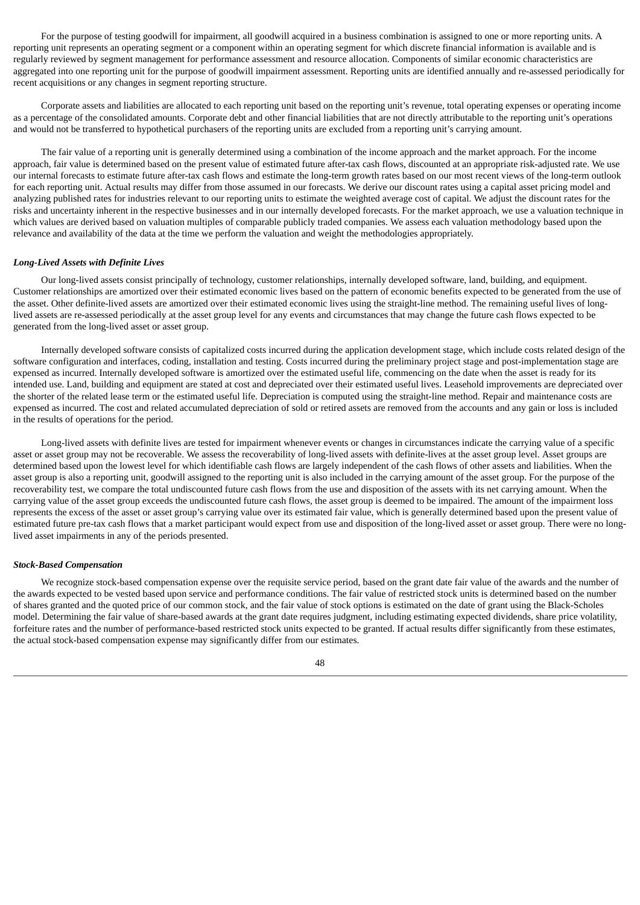For the purpose of testing goodwill for impairment, all goodwill acquired in a business combination is assigned to one or more reporting units. A reporting unit represents an operating segment or a component within an operating segment for which discrete financial information is available and is regularly reviewed by segment management for performance assessment and resource allocation. Components of similar economic characteristics are aggregated into one reporting unit for the purpose of goodwill impairment assessment. Reporting units are identified annually and re-assessed periodically for recent acquisitions or any changes in segment reporting structure.

Corporate assets and liabilities are allocated to each reporting unit based on the reporting unit's revenue, total operating expenses or operating income as a percentage of the consolidated amounts. Corporate debt and other financial liabilities that are not directly attributable to the reporting unit's operations and would not be transferred to hypothetical purchasers of the reporting units are excluded from a reporting unit's carrying amount.

The fair value of a reporting unit is generally determined using a combination of the income approach and the market approach. For the income approach, fair value is determined based on the present value of estimated future after-tax cash flows, discounted at an appropriate risk-adjusted rate. We use our internal forecasts to estimate future after-tax cash flows and estimate the long-term growth rates based on our most recent views of the long-term outlook for each reporting unit. Actual results may differ from those assumed in our forecasts. We derive our discount rates using a capital asset pricing model and analyzing published rates for industries relevant to our reporting units to estimate the weighted average cost of capital. We adjust the discount rates for the risks and uncertainty inherent in the respective businesses and in our internally developed forecasts. For the market approach, we use a valuation technique in which values are derived based on valuation multiples of comparable publicly traded companies. We assess each valuation methodology based upon the relevance and availability of the data at the time we perform the valuation and weight the methodologies appropriately.

### *Long-Lived Assets with Definite Lives*

Our long-lived assets consist principally of technology, customer relationships, internally developed software, land, building, and equipment. Customer relationships are amortized over their estimated economic lives based on the pattern of economic benefits expected to be generated from the use of the asset. Other definite-lived assets are amortized over their estimated economic lives using the straight-line method. The remaining useful lives of longlived assets are re-assessed periodically at the asset group level for any events and circumstances that may change the future cash flows expected to be generated from the long-lived asset or asset group.

Internally developed software consists of capitalized costs incurred during the application development stage, which include costs related design of the software configuration and interfaces, coding, installation and testing. Costs incurred during the preliminary project stage and post-implementation stage are expensed as incurred. Internally developed software is amortized over the estimated useful life, commencing on the date when the asset is ready for its intended use. Land, building and equipment are stated at cost and depreciated over their estimated useful lives. Leasehold improvements are depreciated over the shorter of the related lease term or the estimated useful life. Depreciation is computed using the straight-line method. Repair and maintenance costs are expensed as incurred. The cost and related accumulated depreciation of sold or retired assets are removed from the accounts and any gain or loss is included in the results of operations for the period.

Long-lived assets with definite lives are tested for impairment whenever events or changes in circumstances indicate the carrying value of a specific asset or asset group may not be recoverable. We assess the recoverability of long-lived assets with definite-lives at the asset group level. Asset groups are determined based upon the lowest level for which identifiable cash flows are largely independent of the cash flows of other assets and liabilities. When the asset group is also a reporting unit, goodwill assigned to the reporting unit is also included in the carrying amount of the asset group. For the purpose of the recoverability test, we compare the total undiscounted future cash flows from the use and disposition of the assets with its net carrying amount. When the carrying value of the asset group exceeds the undiscounted future cash flows, the asset group is deemed to be impaired. The amount of the impairment loss represents the excess of the asset or asset group's carrying value over its estimated fair value, which is generally determined based upon the present value of estimated future pre-tax cash flows that a market participant would expect from use and disposition of the long-lived asset or asset group. There were no longlived asset impairments in any of the periods presented.

### *Stock-Based Compensation*

We recognize stock-based compensation expense over the requisite service period, based on the grant date fair value of the awards and the number of the awards expected to be vested based upon service and performance conditions. The fair value of restricted stock units is determined based on the number of shares granted and the quoted price of our common stock, and the fair value of stock options is estimated on the date of grant using the Black-Scholes model. Determining the fair value of share-based awards at the grant date requires judgment, including estimating expected dividends, share price volatility, forfeiture rates and the number of performance-based restricted stock units expected to be granted. If actual results differ significantly from these estimates, the actual stock-based compensation expense may significantly differ from our estimates.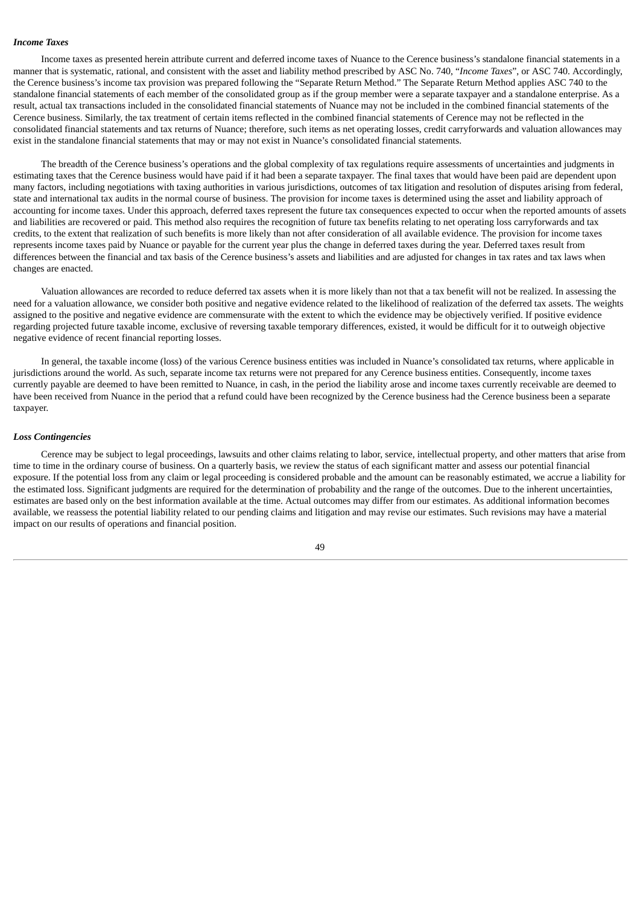### *Income Taxes*

Income taxes as presented herein attribute current and deferred income taxes of Nuance to the Cerence business's standalone financial statements in a manner that is systematic, rational, and consistent with the asset and liability method prescribed by ASC No. 740, "*Income Taxes*", or ASC 740. Accordingly, the Cerence business's income tax provision was prepared following the "Separate Return Method." The Separate Return Method applies ASC 740 to the standalone financial statements of each member of the consolidated group as if the group member were a separate taxpayer and a standalone enterprise. As a result, actual tax transactions included in the consolidated financial statements of Nuance may not be included in the combined financial statements of the Cerence business. Similarly, the tax treatment of certain items reflected in the combined financial statements of Cerence may not be reflected in the consolidated financial statements and tax returns of Nuance; therefore, such items as net operating losses, credit carryforwards and valuation allowances may exist in the standalone financial statements that may or may not exist in Nuance's consolidated financial statements.

The breadth of the Cerence business's operations and the global complexity of tax regulations require assessments of uncertainties and judgments in estimating taxes that the Cerence business would have paid if it had been a separate taxpayer. The final taxes that would have been paid are dependent upon many factors, including negotiations with taxing authorities in various jurisdictions, outcomes of tax litigation and resolution of disputes arising from federal, state and international tax audits in the normal course of business. The provision for income taxes is determined using the asset and liability approach of accounting for income taxes. Under this approach, deferred taxes represent the future tax consequences expected to occur when the reported amounts of assets and liabilities are recovered or paid. This method also requires the recognition of future tax benefits relating to net operating loss carryforwards and tax credits, to the extent that realization of such benefits is more likely than not after consideration of all available evidence. The provision for income taxes represents income taxes paid by Nuance or payable for the current year plus the change in deferred taxes during the year. Deferred taxes result from differences between the financial and tax basis of the Cerence business's assets and liabilities and are adjusted for changes in tax rates and tax laws when changes are enacted.

Valuation allowances are recorded to reduce deferred tax assets when it is more likely than not that a tax benefit will not be realized. In assessing the need for a valuation allowance, we consider both positive and negative evidence related to the likelihood of realization of the deferred tax assets. The weights assigned to the positive and negative evidence are commensurate with the extent to which the evidence may be objectively verified. If positive evidence regarding projected future taxable income, exclusive of reversing taxable temporary differences, existed, it would be difficult for it to outweigh objective negative evidence of recent financial reporting losses.

In general, the taxable income (loss) of the various Cerence business entities was included in Nuance's consolidated tax returns, where applicable in jurisdictions around the world. As such, separate income tax returns were not prepared for any Cerence business entities. Consequently, income taxes currently payable are deemed to have been remitted to Nuance, in cash, in the period the liability arose and income taxes currently receivable are deemed to have been received from Nuance in the period that a refund could have been recognized by the Cerence business had the Cerence business been a separate taxpayer.

#### *Loss Contingencies*

Cerence may be subject to legal proceedings, lawsuits and other claims relating to labor, service, intellectual property, and other matters that arise from time to time in the ordinary course of business. On a quarterly basis, we review the status of each significant matter and assess our potential financial exposure. If the potential loss from any claim or legal proceeding is considered probable and the amount can be reasonably estimated, we accrue a liability for the estimated loss. Significant judgments are required for the determination of probability and the range of the outcomes. Due to the inherent uncertainties, estimates are based only on the best information available at the time. Actual outcomes may differ from our estimates. As additional information becomes available, we reassess the potential liability related to our pending claims and litigation and may revise our estimates. Such revisions may have a material impact on our results of operations and financial position.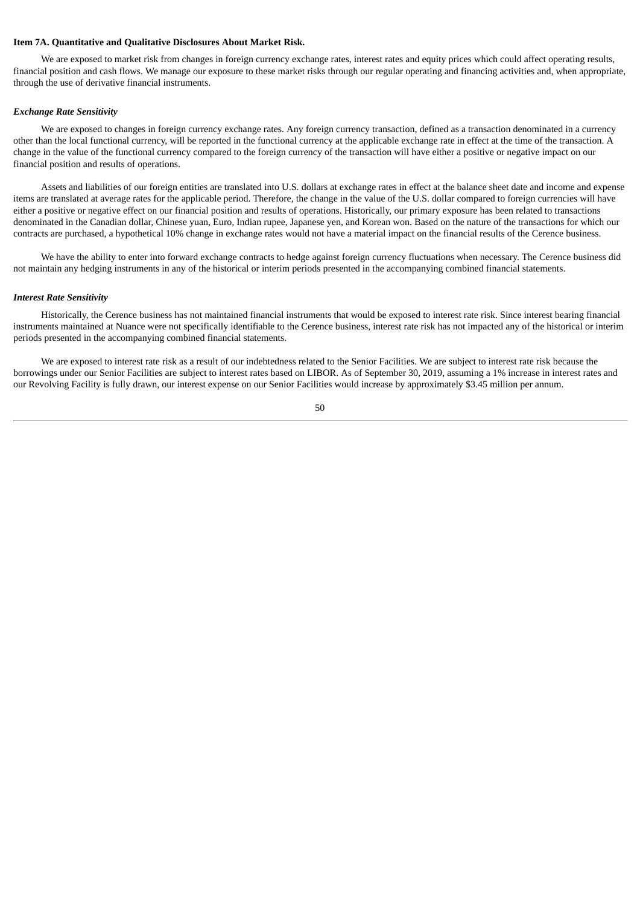## **Item 7A. Quantitative and Qualitative Disclosures About Market Risk.**

We are exposed to market risk from changes in foreign currency exchange rates, interest rates and equity prices which could affect operating results, financial position and cash flows. We manage our exposure to these market risks through our regular operating and financing activities and, when appropriate, through the use of derivative financial instruments.

### *Exchange Rate Sensitivity*

We are exposed to changes in foreign currency exchange rates. Any foreign currency transaction, defined as a transaction denominated in a currency other than the local functional currency, will be reported in the functional currency at the applicable exchange rate in effect at the time of the transaction. A change in the value of the functional currency compared to the foreign currency of the transaction will have either a positive or negative impact on our financial position and results of operations.

Assets and liabilities of our foreign entities are translated into U.S. dollars at exchange rates in effect at the balance sheet date and income and expense items are translated at average rates for the applicable period. Therefore, the change in the value of the U.S. dollar compared to foreign currencies will have either a positive or negative effect on our financial position and results of operations. Historically, our primary exposure has been related to transactions denominated in the Canadian dollar, Chinese yuan, Euro, Indian rupee, Japanese yen, and Korean won. Based on the nature of the transactions for which our contracts are purchased, a hypothetical 10% change in exchange rates would not have a material impact on the financial results of the Cerence business.

We have the ability to enter into forward exchange contracts to hedge against foreign currency fluctuations when necessary. The Cerence business did not maintain any hedging instruments in any of the historical or interim periods presented in the accompanying combined financial statements.

#### *Interest Rate Sensitivity*

Historically, the Cerence business has not maintained financial instruments that would be exposed to interest rate risk. Since interest bearing financial instruments maintained at Nuance were not specifically identifiable to the Cerence business, interest rate risk has not impacted any of the historical or interim periods presented in the accompanying combined financial statements.

We are exposed to interest rate risk as a result of our indebtedness related to the Senior Facilities. We are subject to interest rate risk because the borrowings under our Senior Facilities are subject to interest rates based on LIBOR. As of September 30, 2019, assuming a 1% increase in interest rates and our Revolving Facility is fully drawn, our interest expense on our Senior Facilities would increase by approximately \$3.45 million per annum.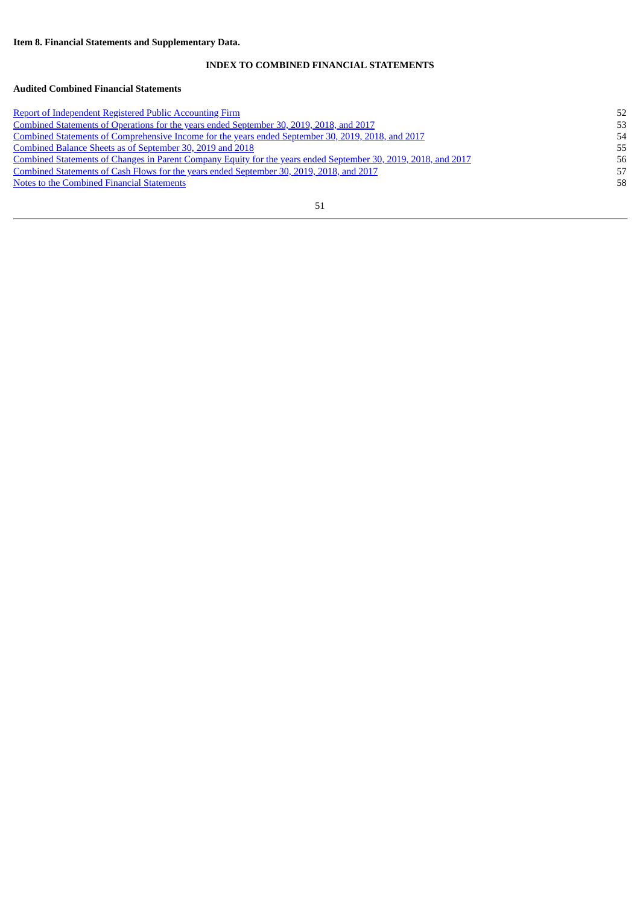# **INDEX TO COMBINED FINANCIAL STATEMENTS**

# **Audited Combined Financial Statements**

| <b>Report of Independent Registered Public Accounting Firm</b>                                                        | 52 |
|-----------------------------------------------------------------------------------------------------------------------|----|
| <u>Combined Statements of Operations for the years ended September 30, 2019, 2018, and 2017</u>                       | 53 |
| <u>Combined Statements of Comprehensive Income for the years ended September 30, 2019, 2018, and 2017</u>             | 54 |
| Combined Balance Sheets as of September 30, 2019 and 2018                                                             | 55 |
| <u>Combined Statements of Changes in Parent Company Equity for the years ended September 30, 2019, 2018, and 2017</u> | 56 |
| Combined Statements of Cash Flows for the years ended September 30, 2019, 2018, and 2017                              | 57 |
| Notes to the Combined Financial Statements                                                                            | 58 |
|                                                                                                                       |    |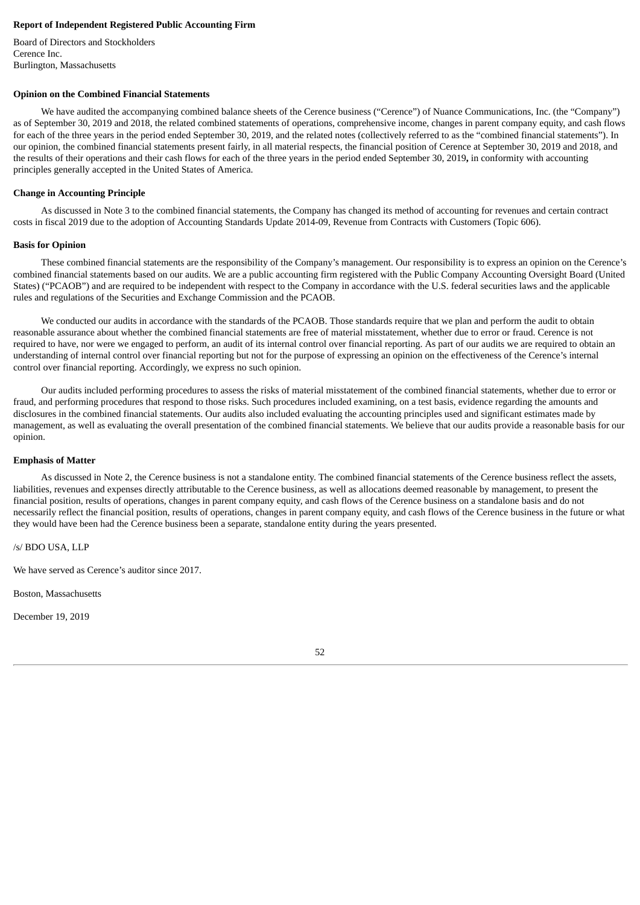## <span id="page-54-0"></span>**Report of Independent Registered Public Accounting Firm**

Board of Directors and Stockholders Cerence Inc. Burlington, Massachusetts

## **Opinion on the Combined Financial Statements**

We have audited the accompanying combined balance sheets of the Cerence business ("Cerence") of Nuance Communications, Inc. (the "Company") as of September 30, 2019 and 2018, the related combined statements of operations, comprehensive income, changes in parent company equity, and cash flows for each of the three years in the period ended September 30, 2019, and the related notes (collectively referred to as the "combined financial statements"). In our opinion, the combined financial statements present fairly, in all material respects, the financial position of Cerence at September 30, 2019 and 2018, and the results of their operations and their cash flows for each of the three years in the period ended September 30, 2019**,** in conformity with accounting principles generally accepted in the United States of America.

## **Change in Accounting Principle**

As discussed in Note 3 to the combined financial statements, the Company has changed its method of accounting for revenues and certain contract costs in fiscal 2019 due to the adoption of Accounting Standards Update 2014-09, Revenue from Contracts with Customers (Topic 606).

### **Basis for Opinion**

These combined financial statements are the responsibility of the Company's management. Our responsibility is to express an opinion on the Cerence's combined financial statements based on our audits. We are a public accounting firm registered with the Public Company Accounting Oversight Board (United States) ("PCAOB") and are required to be independent with respect to the Company in accordance with the U.S. federal securities laws and the applicable rules and regulations of the Securities and Exchange Commission and the PCAOB.

We conducted our audits in accordance with the standards of the PCAOB. Those standards require that we plan and perform the audit to obtain reasonable assurance about whether the combined financial statements are free of material misstatement, whether due to error or fraud. Cerence is not required to have, nor were we engaged to perform, an audit of its internal control over financial reporting. As part of our audits we are required to obtain an understanding of internal control over financial reporting but not for the purpose of expressing an opinion on the effectiveness of the Cerence's internal control over financial reporting. Accordingly, we express no such opinion.

Our audits included performing procedures to assess the risks of material misstatement of the combined financial statements, whether due to error or fraud, and performing procedures that respond to those risks. Such procedures included examining, on a test basis, evidence regarding the amounts and disclosures in the combined financial statements. Our audits also included evaluating the accounting principles used and significant estimates made by management, as well as evaluating the overall presentation of the combined financial statements. We believe that our audits provide a reasonable basis for our opinion.

#### **Emphasis of Matter**

As discussed in Note 2, the Cerence business is not a standalone entity. The combined financial statements of the Cerence business reflect the assets, liabilities, revenues and expenses directly attributable to the Cerence business, as well as allocations deemed reasonable by management, to present the financial position, results of operations, changes in parent company equity, and cash flows of the Cerence business on a standalone basis and do not necessarily reflect the financial position, results of operations, changes in parent company equity, and cash flows of the Cerence business in the future or what they would have been had the Cerence business been a separate, standalone entity during the years presented.

/s/ BDO USA, LLP

We have served as Cerence's auditor since 2017.

Boston, Massachusetts

December 19, 2019

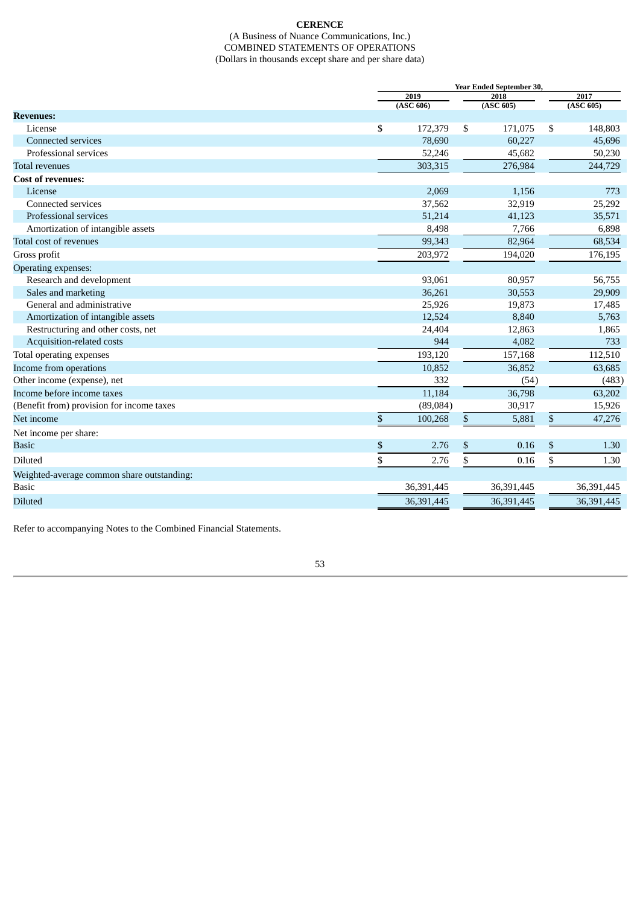## **CERENCE** (A Business of Nuance Communications, Inc.) COMBINED STATEMENTS OF OPERATIONS (Dollars in thousands except share and per share data)

<span id="page-55-0"></span>

|                                                    |                         | Year Ended September 30, |    |            |    |            |  |  |
|----------------------------------------------------|-------------------------|--------------------------|----|------------|----|------------|--|--|
|                                                    |                         | 2019                     |    | 2018       |    | 2017       |  |  |
|                                                    |                         | (ASC 606)                |    | (ASC 605)  |    | (ASC 605)  |  |  |
| <b>Revenues:</b>                                   |                         |                          |    |            |    |            |  |  |
| License                                            | \$                      | 172,379                  | \$ | 171,075    | \$ | 148,803    |  |  |
| <b>Connected services</b><br>Professional services |                         | 78,690                   |    | 60,227     |    | 45,696     |  |  |
|                                                    |                         | 52,246                   |    | 45,682     |    | 50,230     |  |  |
| <b>Total revenues</b>                              |                         | 303,315                  |    | 276,984    |    | 244,729    |  |  |
| <b>Cost of revenues:</b>                           |                         |                          |    |            |    |            |  |  |
| License<br>Connected services                      |                         | 2,069                    |    | 1,156      |    | 773        |  |  |
|                                                    |                         | 37,562                   |    | 32,919     |    | 25,292     |  |  |
| Professional services                              |                         | 51,214                   |    | 41,123     |    | 35,571     |  |  |
| Amortization of intangible assets                  |                         | 8,498                    |    | 7,766      |    | 6,898      |  |  |
| Total cost of revenues                             |                         | 99,343                   |    | 82,964     |    | 68,534     |  |  |
| Gross profit                                       |                         | 203,972                  |    | 194,020    |    | 176,195    |  |  |
| Operating expenses:                                |                         |                          |    |            |    |            |  |  |
| Research and development                           |                         | 93,061                   |    | 80,957     |    | 56,755     |  |  |
| Sales and marketing                                |                         | 36,261                   |    | 30,553     |    | 29,909     |  |  |
| General and administrative                         |                         | 25,926                   |    | 19,873     |    | 17,485     |  |  |
| Amortization of intangible assets                  |                         | 12,524                   |    | 8,840      |    | 5,763      |  |  |
| Restructuring and other costs, net                 |                         | 24,404                   |    | 12,863     |    | 1,865      |  |  |
| Acquisition-related costs                          |                         | 944                      |    | 4,082      |    | 733        |  |  |
| Total operating expenses                           |                         | 193,120                  |    | 157,168    |    | 112,510    |  |  |
| Income from operations                             |                         | 10,852                   |    | 36,852     |    | 63,685     |  |  |
| Other income (expense), net                        |                         | 332                      |    | (54)       |    | (483)      |  |  |
| Income before income taxes                         |                         | 11,184                   |    | 36,798     |    | 63,202     |  |  |
| (Benefit from) provision for income taxes          |                         | (89,084)                 |    | 30,917     |    | 15,926     |  |  |
| Net income                                         | \$                      | 100,268                  | \$ | 5,881      | \$ | 47,276     |  |  |
| Net income per share:                              |                         |                          |    |            |    |            |  |  |
| <b>Basic</b>                                       | \$                      | 2.76                     | \$ | 0.16       | \$ | 1.30       |  |  |
| <b>Diluted</b>                                     | $\overline{\mathbb{S}}$ | 2.76                     | \$ | 0.16       | \$ | 1.30       |  |  |
| Weighted-average common share outstanding:         |                         |                          |    |            |    |            |  |  |
| <b>Basic</b>                                       |                         | 36,391,445               |    | 36,391,445 |    | 36,391,445 |  |  |
| <b>Diluted</b>                                     |                         | 36,391,445               |    | 36,391,445 |    | 36,391,445 |  |  |
|                                                    |                         |                          |    |            |    |            |  |  |

Refer to accompanying Notes to the Combined Financial Statements.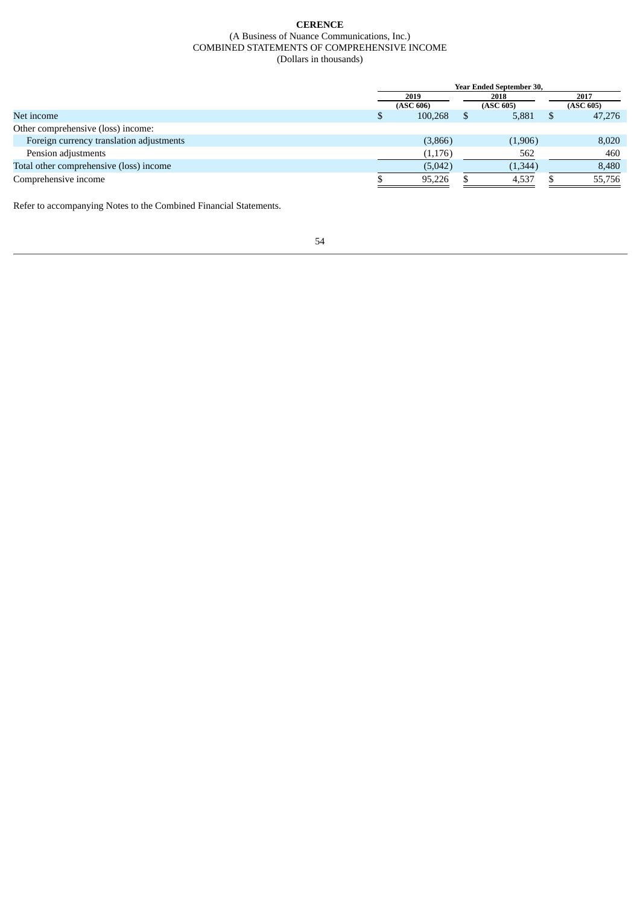## **CERENCE** (A Business of Nuance Communications, Inc.) COMBINED STATEMENTS OF COMPREHENSIVE INCOME (Dollars in thousands)

<span id="page-56-0"></span>

|                                          | Year Ended September 30, |           |  |           |  |           |  |
|------------------------------------------|--------------------------|-----------|--|-----------|--|-----------|--|
|                                          | 2019                     |           |  | 2018      |  | 2017      |  |
|                                          |                          | (ASC 606) |  | (ASC 605) |  | (ASC 605) |  |
| Net income                               |                          | 100,268   |  | 5,881     |  | 47,276    |  |
| Other comprehensive (loss) income:       |                          |           |  |           |  |           |  |
| Foreign currency translation adjustments |                          | (3,866)   |  | (1,906)   |  | 8,020     |  |
| Pension adjustments                      |                          | (1, 176)  |  | 562       |  | 460       |  |
| Total other comprehensive (loss) income  |                          | (5,042)   |  | (1,344)   |  | 8,480     |  |
| Comprehensive income                     |                          | 95,226    |  | 4,537     |  | 55,756    |  |

Refer to accompanying Notes to the Combined Financial Statements.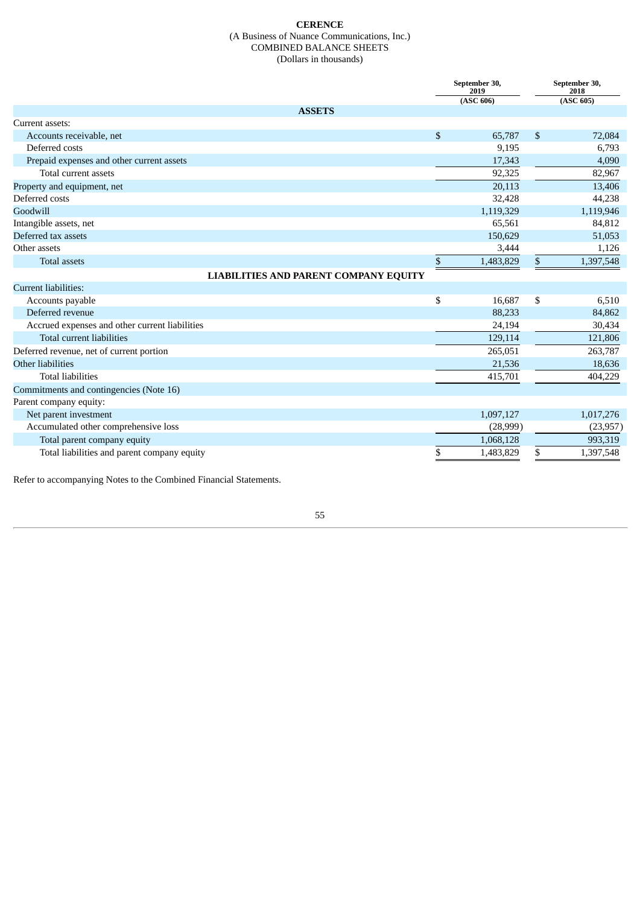## **CERENCE** (A Business of Nuance Communications, Inc.) COMBINED BALANCE SHEETS (Dollars in thousands)

<span id="page-57-0"></span>

|                                                |              | September 30,<br>2019 | September 30,<br>2018 |           |
|------------------------------------------------|--------------|-----------------------|-----------------------|-----------|
|                                                |              | (ASC 606)             |                       | (ASC 605) |
| <b>ASSETS</b>                                  |              |                       |                       |           |
| Current assets:                                |              |                       |                       |           |
| Accounts receivable, net                       | \$           | 65,787                | \$                    | 72,084    |
| Deferred costs                                 |              | 9,195                 |                       | 6,793     |
| Prepaid expenses and other current assets      |              | 17,343                |                       | 4,090     |
| Total current assets                           |              | 92,325                |                       | 82,967    |
| Property and equipment, net                    |              | 20,113                |                       | 13,406    |
| Deferred costs                                 |              | 32,428                |                       | 44,238    |
| Goodwill                                       |              | 1,119,329             |                       | 1,119,946 |
| Intangible assets, net                         |              | 65,561                |                       | 84,812    |
| Deferred tax assets                            |              | 150,629               |                       | 51,053    |
| Other assets                                   |              | 3,444                 |                       | 1,126     |
| <b>Total assets</b>                            | $\mathbb{S}$ | 1,483,829             | \$                    | 1,397,548 |
| <b>LIABILITIES AND PARENT COMPANY EQUITY</b>   |              |                       |                       |           |
| Current liabilities:                           |              |                       |                       |           |
| Accounts payable                               | \$           | 16,687                | \$                    | 6,510     |
| Deferred revenue                               |              | 88,233                |                       | 84,862    |
| Accrued expenses and other current liabilities |              | 24,194                |                       | 30,434    |
| <b>Total current liabilities</b>               |              | 129,114               |                       | 121,806   |
| Deferred revenue, net of current portion       |              | 265,051               |                       | 263,787   |
| Other liabilities                              |              | 21,536                |                       | 18,636    |
| <b>Total liabilities</b>                       |              | 415,701               |                       | 404,229   |
| Commitments and contingencies (Note 16)        |              |                       |                       |           |
| Parent company equity:                         |              |                       |                       |           |
| Net parent investment                          |              | 1,097,127             |                       | 1,017,276 |
| Accumulated other comprehensive loss           |              | (28,999)              |                       | (23, 957) |
| Total parent company equity                    |              | 1,068,128             |                       | 993,319   |
| Total liabilities and parent company equity    | \$           | 1,483,829             | \$                    | 1,397,548 |

Refer to accompanying Notes to the Combined Financial Statements.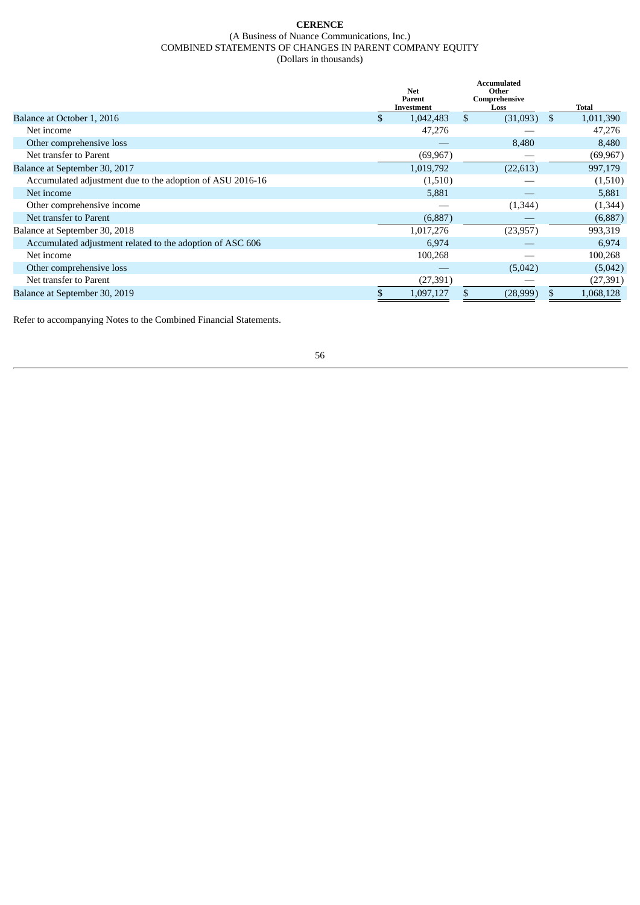## **CERENCE** (A Business of Nuance Communications, Inc.) COMBINED STATEMENTS OF CHANGES IN PARENT COMPANY EQUITY (Dollars in thousands)

<span id="page-58-0"></span>

|                                                           | <b>Net</b><br>Parent<br>Investment | <b>Accumulated</b><br>Other<br>Comprehensive<br>Loss |     | <b>Total</b> |
|-----------------------------------------------------------|------------------------------------|------------------------------------------------------|-----|--------------|
| Balance at October 1, 2016                                | 1,042,483                          | \$<br>(31,093)                                       | -SS | 1,011,390    |
| Net income                                                | 47,276                             |                                                      |     | 47,276       |
| Other comprehensive loss                                  |                                    | 8,480                                                |     | 8,480        |
| Net transfer to Parent                                    | (69, 967)                          |                                                      |     | (69, 967)    |
| Balance at September 30, 2017                             | 1,019,792                          | (22, 613)                                            |     | 997,179      |
| Accumulated adjustment due to the adoption of ASU 2016-16 | (1,510)                            |                                                      |     | (1,510)      |
| Net income                                                | 5,881                              |                                                      |     | 5,881        |
| Other comprehensive income                                |                                    | (1,344)                                              |     | (1,344)      |
| Net transfer to Parent                                    | (6,887)                            |                                                      |     | (6,887)      |
| Balance at September 30, 2018                             | 1,017,276                          | (23, 957)                                            |     | 993,319      |
| Accumulated adjustment related to the adoption of ASC 606 | 6,974                              |                                                      |     | 6,974        |
| Net income                                                | 100,268                            |                                                      |     | 100,268      |
| Other comprehensive loss                                  |                                    | (5,042)                                              |     | (5,042)      |
| Net transfer to Parent                                    | (27, 391)                          |                                                      |     | (27, 391)    |
| Balance at September 30, 2019                             | 1,097,127                          | (28,999)                                             | \$  | 1,068,128    |

Refer to accompanying Notes to the Combined Financial Statements.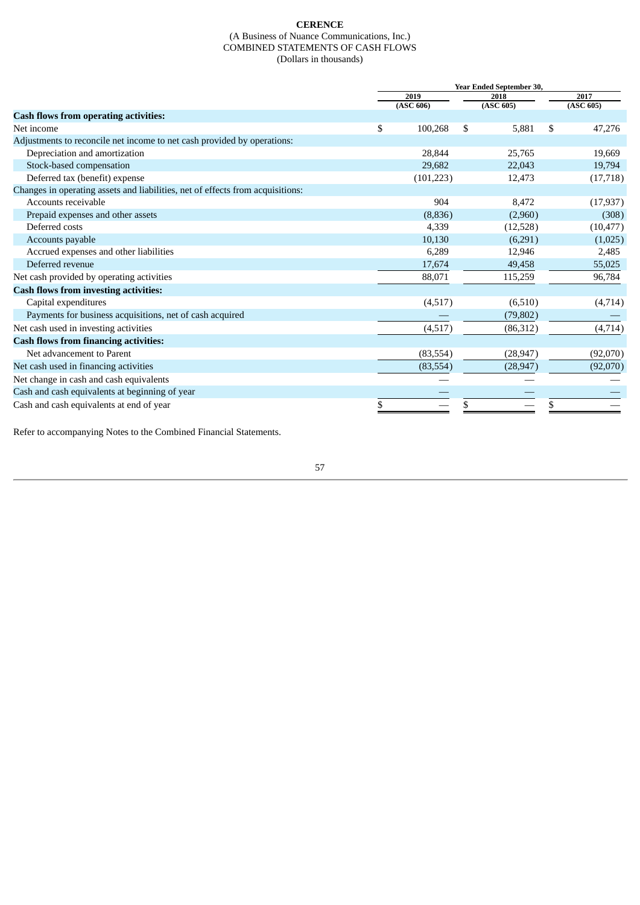## **CERENCE** (A Business of Nuance Communications, Inc.) COMBINED STATEMENTS OF CASH FLOWS (Dollars in thousands)

<span id="page-59-0"></span>

|                                                                                | Year Ended September 30, |      |           |    |           |  |
|--------------------------------------------------------------------------------|--------------------------|------|-----------|----|-----------|--|
|                                                                                | 2019                     | 2018 |           |    | 2017      |  |
|                                                                                | (ASC 606)                |      | (ASC 605) |    | (ASC 605) |  |
| <b>Cash flows from operating activities:</b>                                   |                          |      |           |    |           |  |
| Net income                                                                     | \$<br>100,268            | \$   | 5,881     | \$ | 47,276    |  |
| Adjustments to reconcile net income to net cash provided by operations:        |                          |      |           |    |           |  |
| Depreciation and amortization                                                  | 28,844                   |      | 25,765    |    | 19,669    |  |
| Stock-based compensation                                                       | 29,682                   |      | 22,043    |    | 19,794    |  |
| Deferred tax (benefit) expense                                                 | (101, 223)               |      | 12,473    |    | (17, 718) |  |
| Changes in operating assets and liabilities, net of effects from acquisitions: |                          |      |           |    |           |  |
| Accounts receivable                                                            | 904                      |      | 8,472     |    | (17, 937) |  |
| Prepaid expenses and other assets                                              | (8,836)                  |      | (2,960)   |    | (308)     |  |
| Deferred costs                                                                 | 4,339                    |      | (12,528)  |    | (10, 477) |  |
| Accounts payable                                                               | 10,130                   |      | (6,291)   |    | (1,025)   |  |
| Accrued expenses and other liabilities                                         | 6,289                    |      | 12,946    |    | 2,485     |  |
| Deferred revenue                                                               | 17,674                   |      | 49,458    |    | 55,025    |  |
| Net cash provided by operating activities                                      | 88,071                   |      | 115,259   |    | 96,784    |  |
| <b>Cash flows from investing activities:</b>                                   |                          |      |           |    |           |  |
| Capital expenditures                                                           | (4,517)                  |      | (6,510)   |    | (4,714)   |  |
| Payments for business acquisitions, net of cash acquired                       |                          |      | (79, 802) |    |           |  |
| Net cash used in investing activities                                          | (4,517)                  |      | (86,312)  |    | (4, 714)  |  |
| <b>Cash flows from financing activities:</b>                                   |                          |      |           |    |           |  |
| Net advancement to Parent                                                      | (83, 554)                |      | (28, 947) |    | (92,070)  |  |
| Net cash used in financing activities                                          | (83, 554)                |      | (28, 947) |    | (92,070)  |  |
| Net change in cash and cash equivalents                                        |                          |      |           |    |           |  |
| Cash and cash equivalents at beginning of year                                 |                          |      |           |    |           |  |
| Cash and cash equivalents at end of year                                       | \$                       | \$   |           | \$ |           |  |

Refer to accompanying Notes to the Combined Financial Statements.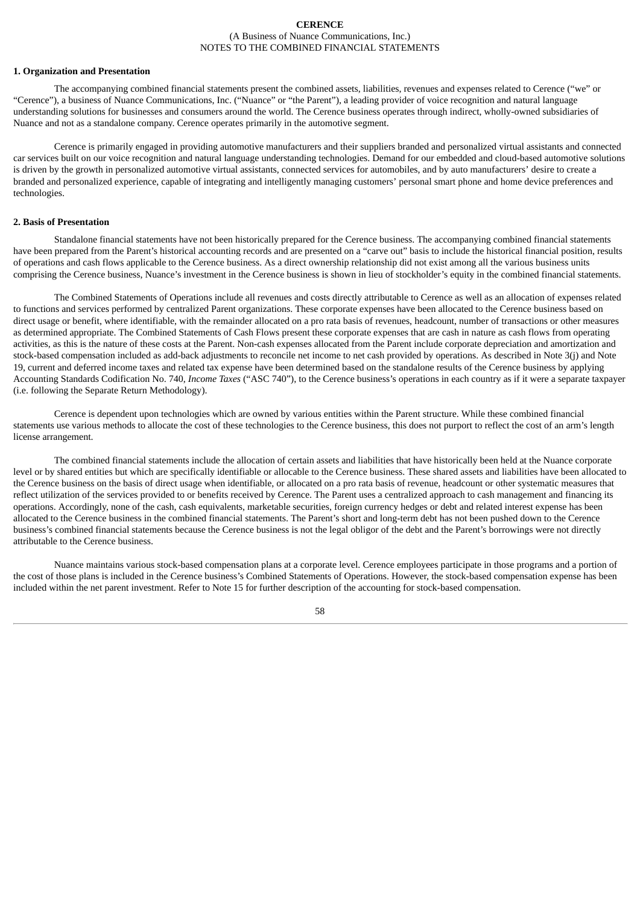## **CERENCE** (A Business of Nuance Communications, Inc.) NOTES TO THE COMBINED FINANCIAL STATEMENTS

#### <span id="page-60-0"></span>**1. Organization and Presentation**

The accompanying combined financial statements present the combined assets, liabilities, revenues and expenses related to Cerence ("we" or "Cerence"), a business of Nuance Communications, Inc. ("Nuance" or "the Parent"), a leading provider of voice recognition and natural language understanding solutions for businesses and consumers around the world. The Cerence business operates through indirect, wholly-owned subsidiaries of Nuance and not as a standalone company. Cerence operates primarily in the automotive segment.

Cerence is primarily engaged in providing automotive manufacturers and their suppliers branded and personalized virtual assistants and connected car services built on our voice recognition and natural language understanding technologies. Demand for our embedded and cloud-based automotive solutions is driven by the growth in personalized automotive virtual assistants, connected services for automobiles, and by auto manufacturers' desire to create a branded and personalized experience, capable of integrating and intelligently managing customers' personal smart phone and home device preferences and technologies.

### **2. Basis of Presentation**

Standalone financial statements have not been historically prepared for the Cerence business. The accompanying combined financial statements have been prepared from the Parent's historical accounting records and are presented on a "carve out" basis to include the historical financial position, results of operations and cash flows applicable to the Cerence business. As a direct ownership relationship did not exist among all the various business units comprising the Cerence business, Nuance's investment in the Cerence business is shown in lieu of stockholder's equity in the combined financial statements.

The Combined Statements of Operations include all revenues and costs directly attributable to Cerence as well as an allocation of expenses related to functions and services performed by centralized Parent organizations. These corporate expenses have been allocated to the Cerence business based on direct usage or benefit, where identifiable, with the remainder allocated on a pro rata basis of revenues, headcount, number of transactions or other measures as determined appropriate. The Combined Statements of Cash Flows present these corporate expenses that are cash in nature as cash flows from operating activities, as this is the nature of these costs at the Parent. Non-cash expenses allocated from the Parent include corporate depreciation and amortization and stock-based compensation included as add-back adjustments to reconcile net income to net cash provided by operations. As described in Note 3(j) and Note 19, current and deferred income taxes and related tax expense have been determined based on the standalone results of the Cerence business by applying Accounting Standards Codification No. 740, *Income Taxes* ("ASC 740"), to the Cerence business's operations in each country as if it were a separate taxpayer (i.e. following the Separate Return Methodology).

Cerence is dependent upon technologies which are owned by various entities within the Parent structure. While these combined financial statements use various methods to allocate the cost of these technologies to the Cerence business, this does not purport to reflect the cost of an arm's length license arrangement.

The combined financial statements include the allocation of certain assets and liabilities that have historically been held at the Nuance corporate level or by shared entities but which are specifically identifiable or allocable to the Cerence business. These shared assets and liabilities have been allocated to the Cerence business on the basis of direct usage when identifiable, or allocated on a pro rata basis of revenue, headcount or other systematic measures that reflect utilization of the services provided to or benefits received by Cerence. The Parent uses a centralized approach to cash management and financing its operations. Accordingly, none of the cash, cash equivalents, marketable securities, foreign currency hedges or debt and related interest expense has been allocated to the Cerence business in the combined financial statements. The Parent's short and long-term debt has not been pushed down to the Cerence business's combined financial statements because the Cerence business is not the legal obligor of the debt and the Parent's borrowings were not directly attributable to the Cerence business.

Nuance maintains various stock-based compensation plans at a corporate level. Cerence employees participate in those programs and a portion of the cost of those plans is included in the Cerence business's Combined Statements of Operations. However, the stock-based compensation expense has been included within the net parent investment. Refer to Note 15 for further description of the accounting for stock-based compensation.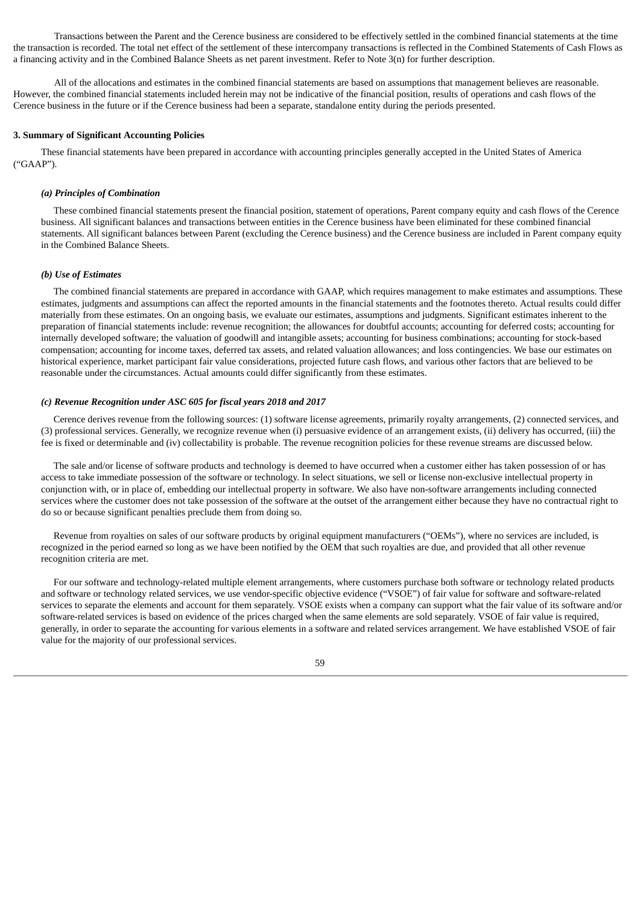Transactions between the Parent and the Cerence business are considered to be effectively settled in the combined financial statements at the time the transaction is recorded. The total net effect of the settlement of these intercompany transactions is reflected in the Combined Statements of Cash Flows as a financing activity and in the Combined Balance Sheets as net parent investment. Refer to Note 3(n) for further description.

All of the allocations and estimates in the combined financial statements are based on assumptions that management believes are reasonable. However, the combined financial statements included herein may not be indicative of the financial position, results of operations and cash flows of the Cerence business in the future or if the Cerence business had been a separate, standalone entity during the periods presented.

### **3. Summary of Significant Accounting Policies**

These financial statements have been prepared in accordance with accounting principles generally accepted in the United States of America ("GAAP").

## *(a) Principles of Combination*

These combined financial statements present the financial position, statement of operations, Parent company equity and cash flows of the Cerence business. All significant balances and transactions between entities in the Cerence business have been eliminated for these combined financial statements. All significant balances between Parent (excluding the Cerence business) and the Cerence business are included in Parent company equity in the Combined Balance Sheets.

#### *(b) Use of Estimates*

The combined financial statements are prepared in accordance with GAAP, which requires management to make estimates and assumptions. These estimates, judgments and assumptions can affect the reported amounts in the financial statements and the footnotes thereto. Actual results could differ materially from these estimates. On an ongoing basis, we evaluate our estimates, assumptions and judgments. Significant estimates inherent to the preparation of financial statements include: revenue recognition; the allowances for doubtful accounts; accounting for deferred costs; accounting for internally developed software; the valuation of goodwill and intangible assets; accounting for business combinations; accounting for stock-based compensation; accounting for income taxes, deferred tax assets, and related valuation allowances; and loss contingencies. We base our estimates on historical experience, market participant fair value considerations, projected future cash flows, and various other factors that are believed to be reasonable under the circumstances. Actual amounts could differ significantly from these estimates.

## *(c) Revenue Recognition under ASC 605 for fiscal years 2018 and 2017*

Cerence derives revenue from the following sources: (1) software license agreements, primarily royalty arrangements, (2) connected services, and (3) professional services. Generally, we recognize revenue when (i) persuasive evidence of an arrangement exists, (ii) delivery has occurred, (iii) the fee is fixed or determinable and (iv) collectability is probable. The revenue recognition policies for these revenue streams are discussed below.

The sale and/or license of software products and technology is deemed to have occurred when a customer either has taken possession of or has access to take immediate possession of the software or technology. In select situations, we sell or license non-exclusive intellectual property in conjunction with, or in place of, embedding our intellectual property in software. We also have non-software arrangements including connected services where the customer does not take possession of the software at the outset of the arrangement either because they have no contractual right to do so or because significant penalties preclude them from doing so.

Revenue from royalties on sales of our software products by original equipment manufacturers ("OEMs"), where no services are included, is recognized in the period earned so long as we have been notified by the OEM that such royalties are due, and provided that all other revenue recognition criteria are met.

For our software and technology-related multiple element arrangements, where customers purchase both software or technology related products and software or technology related services, we use vendor-specific objective evidence ("VSOE") of fair value for software and software-related services to separate the elements and account for them separately. VSOE exists when a company can support what the fair value of its software and/or software-related services is based on evidence of the prices charged when the same elements are sold separately. VSOE of fair value is required, generally, in order to separate the accounting for various elements in a software and related services arrangement. We have established VSOE of fair value for the majority of our professional services.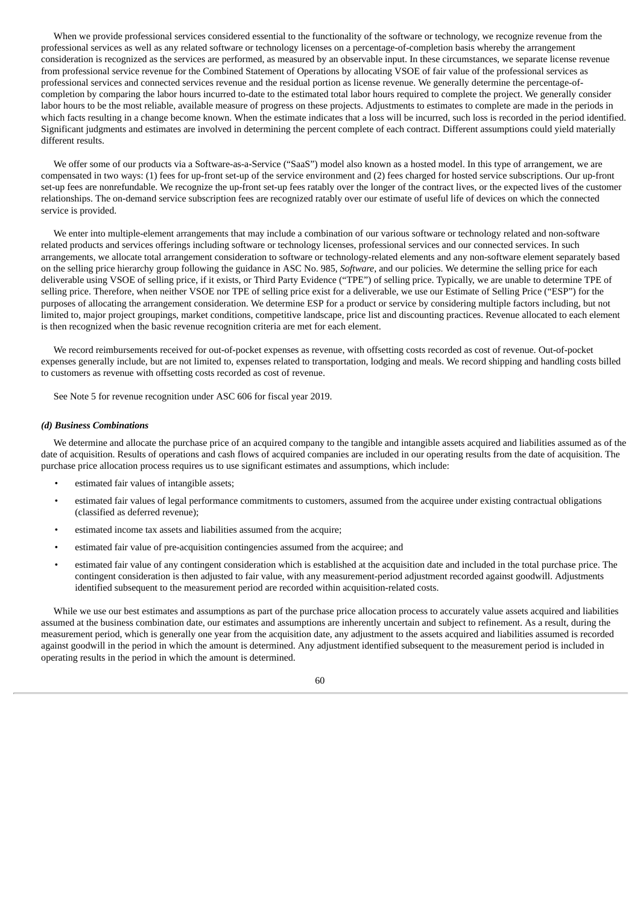When we provide professional services considered essential to the functionality of the software or technology, we recognize revenue from the professional services as well as any related software or technology licenses on a percentage-of-completion basis whereby the arrangement consideration is recognized as the services are performed, as measured by an observable input. In these circumstances, we separate license revenue from professional service revenue for the Combined Statement of Operations by allocating VSOE of fair value of the professional services as professional services and connected services revenue and the residual portion as license revenue. We generally determine the percentage-ofcompletion by comparing the labor hours incurred to-date to the estimated total labor hours required to complete the project. We generally consider labor hours to be the most reliable, available measure of progress on these projects. Adjustments to estimates to complete are made in the periods in which facts resulting in a change become known. When the estimate indicates that a loss will be incurred, such loss is recorded in the period identified. Significant judgments and estimates are involved in determining the percent complete of each contract. Different assumptions could yield materially different results.

We offer some of our products via a Software-as-a-Service ("SaaS") model also known as a hosted model. In this type of arrangement, we are compensated in two ways: (1) fees for up-front set-up of the service environment and (2) fees charged for hosted service subscriptions. Our up-front set-up fees are nonrefundable. We recognize the up-front set-up fees ratably over the longer of the contract lives, or the expected lives of the customer relationships. The on-demand service subscription fees are recognized ratably over our estimate of useful life of devices on which the connected service is provided.

We enter into multiple-element arrangements that may include a combination of our various software or technology related and non-software related products and services offerings including software or technology licenses, professional services and our connected services. In such arrangements, we allocate total arrangement consideration to software or technology-related elements and any non-software element separately based on the selling price hierarchy group following the guidance in ASC No. 985, *Software*, and our policies. We determine the selling price for each deliverable using VSOE of selling price, if it exists, or Third Party Evidence ("TPE") of selling price. Typically, we are unable to determine TPE of selling price. Therefore, when neither VSOE nor TPE of selling price exist for a deliverable, we use our Estimate of Selling Price ("ESP") for the purposes of allocating the arrangement consideration. We determine ESP for a product or service by considering multiple factors including, but not limited to, major project groupings, market conditions, competitive landscape, price list and discounting practices. Revenue allocated to each element is then recognized when the basic revenue recognition criteria are met for each element.

We record reimbursements received for out-of-pocket expenses as revenue, with offsetting costs recorded as cost of revenue. Out-of-pocket expenses generally include, but are not limited to, expenses related to transportation, lodging and meals. We record shipping and handling costs billed to customers as revenue with offsetting costs recorded as cost of revenue.

See Note 5 for revenue recognition under ASC 606 for fiscal year 2019.

## *(d) Business Combinations*

We determine and allocate the purchase price of an acquired company to the tangible and intangible assets acquired and liabilities assumed as of the date of acquisition. Results of operations and cash flows of acquired companies are included in our operating results from the date of acquisition. The purchase price allocation process requires us to use significant estimates and assumptions, which include:

- estimated fair values of intangible assets;
- estimated fair values of legal performance commitments to customers, assumed from the acquiree under existing contractual obligations (classified as deferred revenue);
- estimated income tax assets and liabilities assumed from the acquire;
- estimated fair value of pre-acquisition contingencies assumed from the acquiree; and
- estimated fair value of any contingent consideration which is established at the acquisition date and included in the total purchase price. The contingent consideration is then adjusted to fair value, with any measurement-period adjustment recorded against goodwill. Adjustments identified subsequent to the measurement period are recorded within acquisition-related costs.

While we use our best estimates and assumptions as part of the purchase price allocation process to accurately value assets acquired and liabilities assumed at the business combination date, our estimates and assumptions are inherently uncertain and subject to refinement. As a result, during the measurement period, which is generally one year from the acquisition date, any adjustment to the assets acquired and liabilities assumed is recorded against goodwill in the period in which the amount is determined. Any adjustment identified subsequent to the measurement period is included in operating results in the period in which the amount is determined.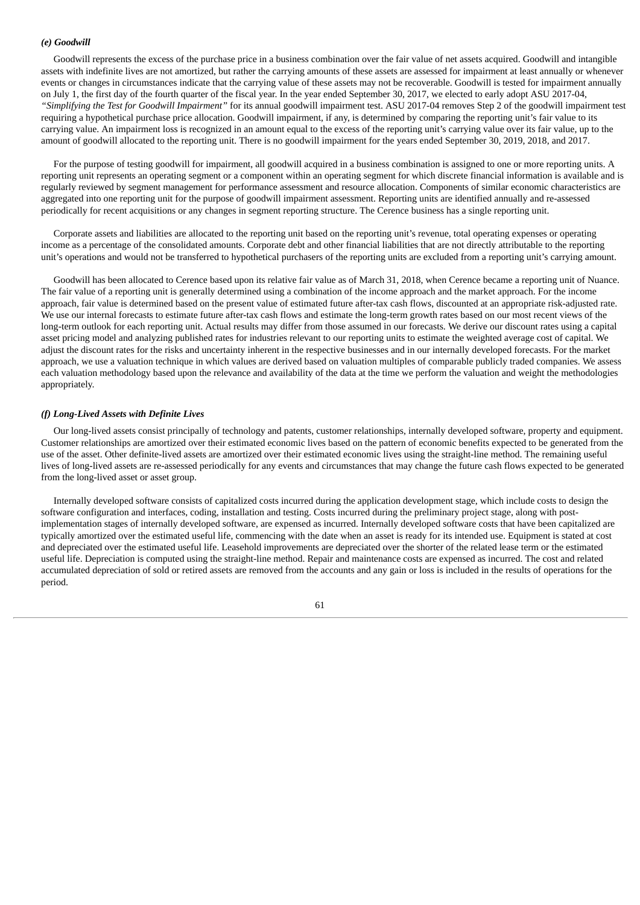## *(e) Goodwill*

Goodwill represents the excess of the purchase price in a business combination over the fair value of net assets acquired. Goodwill and intangible assets with indefinite lives are not amortized, but rather the carrying amounts of these assets are assessed for impairment at least annually or whenever events or changes in circumstances indicate that the carrying value of these assets may not be recoverable. Goodwill is tested for impairment annually on July 1, the first day of the fourth quarter of the fiscal year. In the year ended September 30, 2017, we elected to early adopt ASU 2017-04, *"Simplifying the Test for Goodwill Impairment"* for its annual goodwill impairment test. ASU 2017-04 removes Step 2 of the goodwill impairment test requiring a hypothetical purchase price allocation. Goodwill impairment, if any, is determined by comparing the reporting unit's fair value to its carrying value. An impairment loss is recognized in an amount equal to the excess of the reporting unit's carrying value over its fair value, up to the amount of goodwill allocated to the reporting unit. There is no goodwill impairment for the years ended September 30, 2019, 2018, and 2017.

For the purpose of testing goodwill for impairment, all goodwill acquired in a business combination is assigned to one or more reporting units. A reporting unit represents an operating segment or a component within an operating segment for which discrete financial information is available and is regularly reviewed by segment management for performance assessment and resource allocation. Components of similar economic characteristics are aggregated into one reporting unit for the purpose of goodwill impairment assessment. Reporting units are identified annually and re-assessed periodically for recent acquisitions or any changes in segment reporting structure. The Cerence business has a single reporting unit.

Corporate assets and liabilities are allocated to the reporting unit based on the reporting unit's revenue, total operating expenses or operating income as a percentage of the consolidated amounts. Corporate debt and other financial liabilities that are not directly attributable to the reporting unit's operations and would not be transferred to hypothetical purchasers of the reporting units are excluded from a reporting unit's carrying amount.

Goodwill has been allocated to Cerence based upon its relative fair value as of March 31, 2018, when Cerence became a reporting unit of Nuance. The fair value of a reporting unit is generally determined using a combination of the income approach and the market approach. For the income approach, fair value is determined based on the present value of estimated future after-tax cash flows, discounted at an appropriate risk-adjusted rate. We use our internal forecasts to estimate future after-tax cash flows and estimate the long-term growth rates based on our most recent views of the long-term outlook for each reporting unit. Actual results may differ from those assumed in our forecasts. We derive our discount rates using a capital asset pricing model and analyzing published rates for industries relevant to our reporting units to estimate the weighted average cost of capital. We adjust the discount rates for the risks and uncertainty inherent in the respective businesses and in our internally developed forecasts. For the market approach, we use a valuation technique in which values are derived based on valuation multiples of comparable publicly traded companies. We assess each valuation methodology based upon the relevance and availability of the data at the time we perform the valuation and weight the methodologies appropriately.

## *(f) Long-Lived Assets with Definite Lives*

Our long-lived assets consist principally of technology and patents, customer relationships, internally developed software, property and equipment. Customer relationships are amortized over their estimated economic lives based on the pattern of economic benefits expected to be generated from the use of the asset. Other definite-lived assets are amortized over their estimated economic lives using the straight-line method. The remaining useful lives of long-lived assets are re-assessed periodically for any events and circumstances that may change the future cash flows expected to be generated from the long-lived asset or asset group.

Internally developed software consists of capitalized costs incurred during the application development stage, which include costs to design the software configuration and interfaces, coding, installation and testing. Costs incurred during the preliminary project stage, along with postimplementation stages of internally developed software, are expensed as incurred. Internally developed software costs that have been capitalized are typically amortized over the estimated useful life, commencing with the date when an asset is ready for its intended use. Equipment is stated at cost and depreciated over the estimated useful life. Leasehold improvements are depreciated over the shorter of the related lease term or the estimated useful life. Depreciation is computed using the straight-line method. Repair and maintenance costs are expensed as incurred. The cost and related accumulated depreciation of sold or retired assets are removed from the accounts and any gain or loss is included in the results of operations for the period.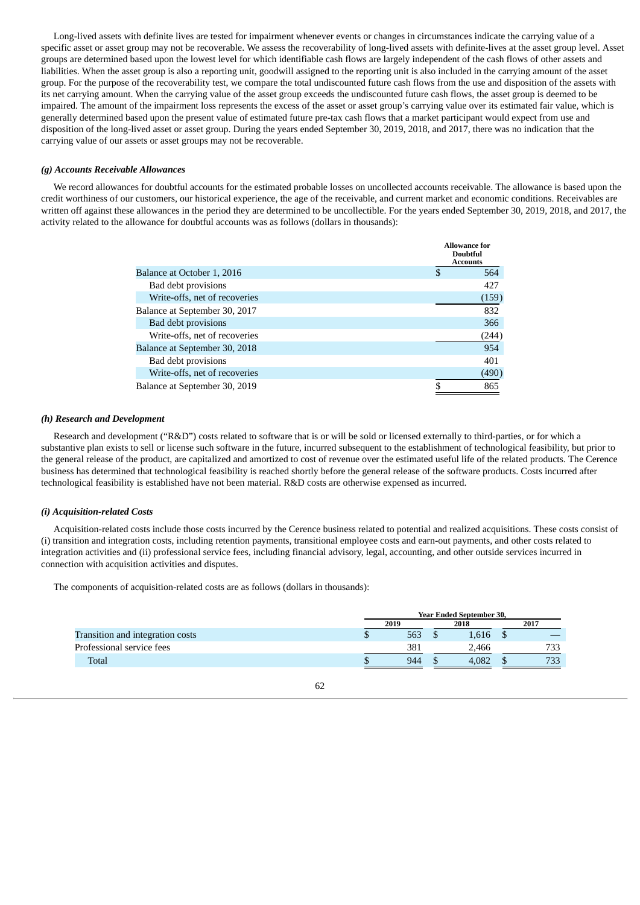Long-lived assets with definite lives are tested for impairment whenever events or changes in circumstances indicate the carrying value of a specific asset or asset group may not be recoverable. We assess the recoverability of long-lived assets with definite-lives at the asset group level. Asset groups are determined based upon the lowest level for which identifiable cash flows are largely independent of the cash flows of other assets and liabilities. When the asset group is also a reporting unit, goodwill assigned to the reporting unit is also included in the carrying amount of the asset group. For the purpose of the recoverability test, we compare the total undiscounted future cash flows from the use and disposition of the assets with its net carrying amount. When the carrying value of the asset group exceeds the undiscounted future cash flows, the asset group is deemed to be impaired. The amount of the impairment loss represents the excess of the asset or asset group's carrying value over its estimated fair value, which is generally determined based upon the present value of estimated future pre-tax cash flows that a market participant would expect from use and disposition of the long-lived asset or asset group. During the years ended September 30, 2019, 2018, and 2017, there was no indication that the carrying value of our assets or asset groups may not be recoverable.

## *(g) Accounts Receivable Allowances*

We record allowances for doubtful accounts for the estimated probable losses on uncollected accounts receivable. The allowance is based upon the credit worthiness of our customers, our historical experience, the age of the receivable, and current market and economic conditions. Receivables are written off against these allowances in the period they are determined to be uncollectible. For the years ended September 30, 2019, 2018, and 2017, the activity related to the allowance for doubtful accounts was as follows (dollars in thousands):

|                               |    | <b>Allowance for</b><br><b>Doubtful</b><br><b>Accounts</b> |
|-------------------------------|----|------------------------------------------------------------|
| Balance at October 1, 2016    | S  | 564                                                        |
| Bad debt provisions           |    | 427                                                        |
| Write-offs, net of recoveries |    | (159)                                                      |
| Balance at September 30, 2017 |    | 832                                                        |
| Bad debt provisions           |    | 366                                                        |
| Write-offs, net of recoveries |    | (244)                                                      |
| Balance at September 30, 2018 |    | 954                                                        |
| Bad debt provisions           |    | 401                                                        |
| Write-offs, net of recoveries |    | (490)                                                      |
| Balance at September 30, 2019 | \$ | 865                                                        |

## *(h) Research and Development*

Research and development ("R&D") costs related to software that is or will be sold or licensed externally to third-parties, or for which a substantive plan exists to sell or license such software in the future, incurred subsequent to the establishment of technological feasibility, but prior to the general release of the product, are capitalized and amortized to cost of revenue over the estimated useful life of the related products. The Cerence business has determined that technological feasibility is reached shortly before the general release of the software products. Costs incurred after technological feasibility is established have not been material. R&D costs are otherwise expensed as incurred.

### *(i) Acquisition-related Costs*

Acquisition-related costs include those costs incurred by the Cerence business related to potential and realized acquisitions. These costs consist of (i) transition and integration costs, including retention payments, transitional employee costs and earn-out payments, and other costs related to integration activities and (ii) professional service fees, including financial advisory, legal, accounting, and other outside services incurred in connection with acquisition activities and disputes.

The components of acquisition-related costs are as follows (dollars in thousands):

|                                  | <b>Year Ended September 30,</b> |  |       |  |      |  |  |
|----------------------------------|---------------------------------|--|-------|--|------|--|--|
|                                  | 2019                            |  |       |  | 2017 |  |  |
| Transition and integration costs | 563                             |  | 1,616 |  |      |  |  |
| Professional service fees        | 381                             |  | 2,466 |  | 733  |  |  |
| Total                            | 944                             |  | 4.082 |  | 733  |  |  |
|                                  |                                 |  |       |  |      |  |  |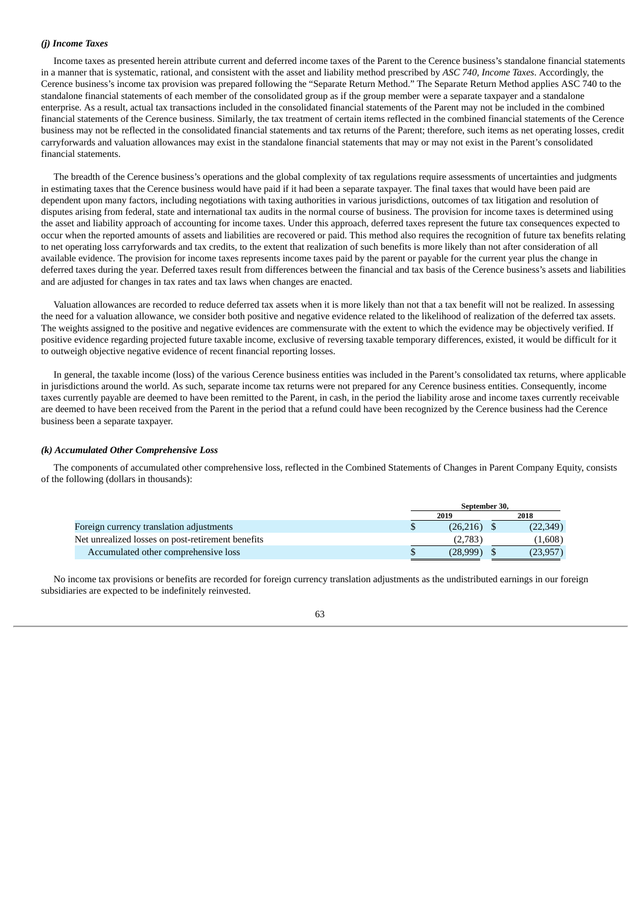### *(j) Income Taxes*

Income taxes as presented herein attribute current and deferred income taxes of the Parent to the Cerence business's standalone financial statements in a manner that is systematic, rational, and consistent with the asset and liability method prescribed by *ASC 740, Income Taxes*. Accordingly, the Cerence business's income tax provision was prepared following the "Separate Return Method." The Separate Return Method applies ASC 740 to the standalone financial statements of each member of the consolidated group as if the group member were a separate taxpayer and a standalone enterprise. As a result, actual tax transactions included in the consolidated financial statements of the Parent may not be included in the combined financial statements of the Cerence business. Similarly, the tax treatment of certain items reflected in the combined financial statements of the Cerence business may not be reflected in the consolidated financial statements and tax returns of the Parent; therefore, such items as net operating losses, credit carryforwards and valuation allowances may exist in the standalone financial statements that may or may not exist in the Parent's consolidated financial statements.

The breadth of the Cerence business's operations and the global complexity of tax regulations require assessments of uncertainties and judgments in estimating taxes that the Cerence business would have paid if it had been a separate taxpayer. The final taxes that would have been paid are dependent upon many factors, including negotiations with taxing authorities in various jurisdictions, outcomes of tax litigation and resolution of disputes arising from federal, state and international tax audits in the normal course of business. The provision for income taxes is determined using the asset and liability approach of accounting for income taxes. Under this approach, deferred taxes represent the future tax consequences expected to occur when the reported amounts of assets and liabilities are recovered or paid. This method also requires the recognition of future tax benefits relating to net operating loss carryforwards and tax credits, to the extent that realization of such benefits is more likely than not after consideration of all available evidence. The provision for income taxes represents income taxes paid by the parent or payable for the current year plus the change in deferred taxes during the year. Deferred taxes result from differences between the financial and tax basis of the Cerence business's assets and liabilities and are adjusted for changes in tax rates and tax laws when changes are enacted.

Valuation allowances are recorded to reduce deferred tax assets when it is more likely than not that a tax benefit will not be realized. In assessing the need for a valuation allowance, we consider both positive and negative evidence related to the likelihood of realization of the deferred tax assets. The weights assigned to the positive and negative evidences are commensurate with the extent to which the evidence may be objectively verified. If positive evidence regarding projected future taxable income, exclusive of reversing taxable temporary differences, existed, it would be difficult for it to outweigh objective negative evidence of recent financial reporting losses.

In general, the taxable income (loss) of the various Cerence business entities was included in the Parent's consolidated tax returns, where applicable in jurisdictions around the world. As such, separate income tax returns were not prepared for any Cerence business entities. Consequently, income taxes currently payable are deemed to have been remitted to the Parent, in cash, in the period the liability arose and income taxes currently receivable are deemed to have been received from the Parent in the period that a refund could have been recognized by the Cerence business had the Cerence business been a separate taxpayer.

#### *(k) Accumulated Other Comprehensive Loss*

The components of accumulated other comprehensive loss, reflected in the Combined Statements of Changes in Parent Company Equity, consists of the following (dollars in thousands):

|                                                   | September 30. |  |           |  |
|---------------------------------------------------|---------------|--|-----------|--|
|                                                   | 2019          |  | 2018      |  |
| Foreign currency translation adjustments          | $(26,216)$ \$ |  | (22,349)  |  |
| Net unrealized losses on post-retirement benefits | (2,783)       |  | (1,608)   |  |
| Accumulated other comprehensive loss              | (28,999)      |  | (23, 957) |  |

No income tax provisions or benefits are recorded for foreign currency translation adjustments as the undistributed earnings in our foreign subsidiaries are expected to be indefinitely reinvested.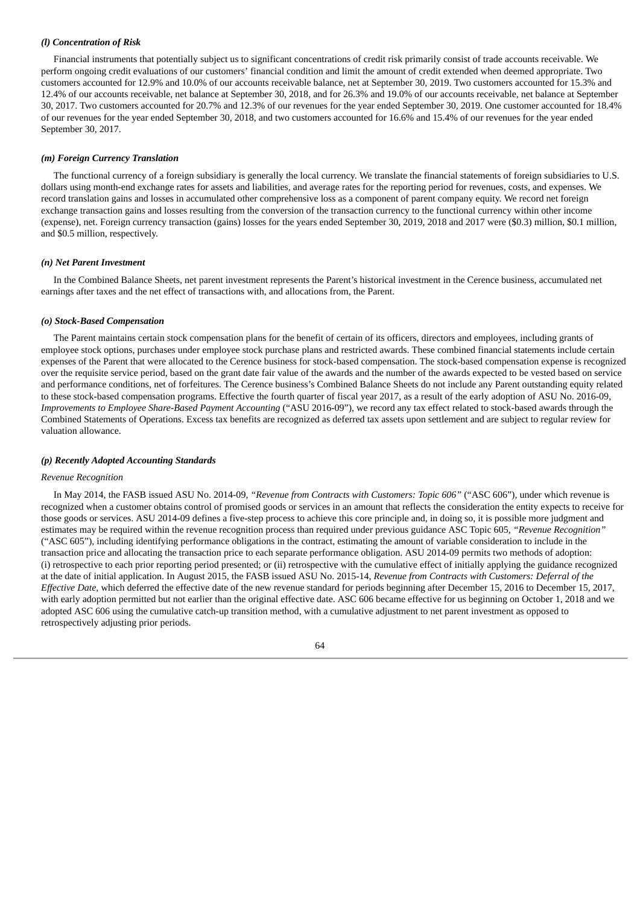## *(l) Concentration of Risk*

Financial instruments that potentially subject us to significant concentrations of credit risk primarily consist of trade accounts receivable. We perform ongoing credit evaluations of our customers' financial condition and limit the amount of credit extended when deemed appropriate. Two customers accounted for 12.9% and 10.0% of our accounts receivable balance, net at September 30, 2019. Two customers accounted for 15.3% and 12.4% of our accounts receivable, net balance at September 30, 2018, and for 26.3% and 19.0% of our accounts receivable, net balance at September 30, 2017. Two customers accounted for 20.7% and 12.3% of our revenues for the year ended September 30, 2019. One customer accounted for 18.4% of our revenues for the year ended September 30, 2018, and two customers accounted for 16.6% and 15.4% of our revenues for the year ended September 30, 2017.

#### *(m) Foreign Currency Translation*

The functional currency of a foreign subsidiary is generally the local currency. We translate the financial statements of foreign subsidiaries to U.S. dollars using month-end exchange rates for assets and liabilities, and average rates for the reporting period for revenues, costs, and expenses. We record translation gains and losses in accumulated other comprehensive loss as a component of parent company equity. We record net foreign exchange transaction gains and losses resulting from the conversion of the transaction currency to the functional currency within other income (expense), net. Foreign currency transaction (gains) losses for the years ended September 30, 2019, 2018 and 2017 were (\$0.3) million, \$0.1 million, and \$0.5 million, respectively.

## *(n) Net Parent Investment*

In the Combined Balance Sheets, net parent investment represents the Parent's historical investment in the Cerence business, accumulated net earnings after taxes and the net effect of transactions with, and allocations from, the Parent.

#### *(o) Stock-Based Compensation*

The Parent maintains certain stock compensation plans for the benefit of certain of its officers, directors and employees, including grants of employee stock options, purchases under employee stock purchase plans and restricted awards. These combined financial statements include certain expenses of the Parent that were allocated to the Cerence business for stock-based compensation. The stock-based compensation expense is recognized over the requisite service period, based on the grant date fair value of the awards and the number of the awards expected to be vested based on service and performance conditions, net of forfeitures. The Cerence business's Combined Balance Sheets do not include any Parent outstanding equity related to these stock-based compensation programs. Effective the fourth quarter of fiscal year 2017, as a result of the early adoption of ASU No. 2016-09, *Improvements to Employee Share-Based Payment Accounting* ("ASU 2016-09"), we record any tax effect related to stock-based awards through the Combined Statements of Operations. Excess tax benefits are recognized as deferred tax assets upon settlement and are subject to regular review for valuation allowance.

#### *(p) Recently Adopted Accounting Standards*

#### *Revenue Recognition*

In May 2014, the FASB issued ASU No. 2014-09, *"Revenue from Contracts with Customers: Topic 606"* ("ASC 606"), under which revenue is recognized when a customer obtains control of promised goods or services in an amount that reflects the consideration the entity expects to receive for those goods or services. ASU 2014-09 defines a five-step process to achieve this core principle and, in doing so, it is possible more judgment and estimates may be required within the revenue recognition process than required under previous guidance ASC Topic 605, *"Revenue Recognition"* ("ASC 605"), including identifying performance obligations in the contract, estimating the amount of variable consideration to include in the transaction price and allocating the transaction price to each separate performance obligation. ASU 2014-09 permits two methods of adoption: (i) retrospective to each prior reporting period presented; or (ii) retrospective with the cumulative effect of initially applying the guidance recognized at the date of initial application. In August 2015, the FASB issued ASU No. 2015-14, *Revenue from Contracts with Customers: Deferral of the Effective Date*, which deferred the effective date of the new revenue standard for periods beginning after December 15, 2016 to December 15, 2017, with early adoption permitted but not earlier than the original effective date. ASC 606 became effective for us beginning on October 1, 2018 and we adopted ASC 606 using the cumulative catch-up transition method, with a cumulative adjustment to net parent investment as opposed to retrospectively adjusting prior periods.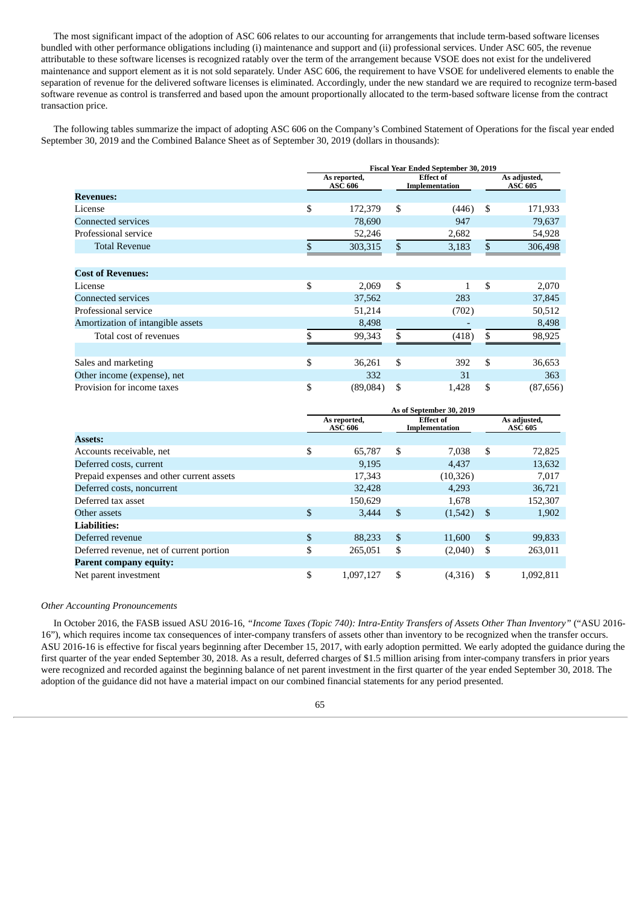The most significant impact of the adoption of ASC 606 relates to our accounting for arrangements that include term-based software licenses bundled with other performance obligations including (i) maintenance and support and (ii) professional services. Under ASC 605, the revenue attributable to these software licenses is recognized ratably over the term of the arrangement because VSOE does not exist for the undelivered maintenance and support element as it is not sold separately. Under ASC 606, the requirement to have VSOE for undelivered elements to enable the separation of revenue for the delivered software licenses is eliminated. Accordingly, under the new standard we are required to recognize term-based software revenue as control is transferred and based upon the amount proportionally allocated to the term-based software license from the contract transaction price.

The following tables summarize the impact of adopting ASC 606 on the Company's Combined Statement of Operations for the fiscal year ended September 30, 2019 and the Combined Balance Sheet as of September 30, 2019 (dollars in thousands):

|                                   | <b>Fiscal Year Ended September 30, 2019</b> |    |                                    |    |                                |  |
|-----------------------------------|---------------------------------------------|----|------------------------------------|----|--------------------------------|--|
|                                   | As reported,<br><b>ASC 606</b>              |    | <b>Effect of</b><br>Implementation |    | As adjusted,<br><b>ASC 605</b> |  |
| <b>Revenues:</b>                  |                                             |    |                                    |    |                                |  |
| License                           | \$<br>172,379                               | \$ | (446)                              | \$ | 171,933                        |  |
| <b>Connected services</b>         | 78,690                                      |    | 947                                |    | 79,637                         |  |
| Professional service              | 52,246                                      |    | 2,682                              |    | 54,928                         |  |
| <b>Total Revenue</b>              | \$<br>303,315                               | \$ | 3,183                              | \$ | 306,498                        |  |
| <b>Cost of Revenues:</b>          |                                             |    |                                    |    |                                |  |
| License                           | \$<br>2,069                                 | \$ | 1                                  | \$ | 2,070                          |  |
| <b>Connected services</b>         | 37,562                                      |    | 283                                |    | 37,845                         |  |
| Professional service              | 51,214                                      |    | (702)                              |    | 50,512                         |  |
| Amortization of intangible assets | 8,498                                       |    |                                    |    | 8,498                          |  |
| Total cost of revenues            | \$<br>99,343                                | \$ | (418)                              | \$ | 98,925                         |  |
|                                   |                                             |    |                                    |    |                                |  |
| Sales and marketing               | \$<br>36,261                                | \$ | 392                                | \$ | 36,653                         |  |
| Other income (expense), net       | 332                                         |    | 31                                 |    | 363                            |  |
| Provision for income taxes        | \$<br>(89,084)                              | \$ | 1,428                              | \$ | (87, 656)                      |  |

|                                           | As of September 30, 2019                                             |    |           |    |                                |  |
|-------------------------------------------|----------------------------------------------------------------------|----|-----------|----|--------------------------------|--|
|                                           | <b>Effect of</b><br>As reported,<br><b>ASC 606</b><br>Implementation |    |           |    | As adjusted,<br><b>ASC 605</b> |  |
| <b>Assets:</b>                            |                                                                      |    |           |    |                                |  |
| Accounts receivable, net                  | \$<br>65,787                                                         | \$ | 7.038     | \$ | 72,825                         |  |
| Deferred costs, current                   | 9,195                                                                |    | 4.437     |    | 13,632                         |  |
| Prepaid expenses and other current assets | 17,343                                                               |    | (10, 326) |    | 7,017                          |  |
| Deferred costs, noncurrent                | 32,428                                                               |    | 4,293     |    | 36,721                         |  |
| Deferred tax asset                        | 150,629                                                              |    | 1.678     |    | 152,307                        |  |
| Other assets                              | \$<br>3,444                                                          | \$ | (1,542)   | \$ | 1,902                          |  |
| <b>Liabilities:</b>                       |                                                                      |    |           |    |                                |  |
| Deferred revenue                          | \$<br>88,233                                                         | \$ | 11,600    | \$ | 99,833                         |  |
| Deferred revenue, net of current portion  | \$<br>265,051                                                        | \$ | (2,040)   | S  | 263,011                        |  |
| <b>Parent company equity:</b>             |                                                                      |    |           |    |                                |  |
| Net parent investment                     | \$<br>1.097.127                                                      | \$ | (4,316)   | S  | 1.092.811                      |  |

## *Other Accounting Pronouncements*

In October 2016, the FASB issued ASU 2016-16, *"Income Taxes (Topic 740): Intra-Entity Transfers of Assets Other Than Inventory"* ("ASU 2016- 16"), which requires income tax consequences of inter-company transfers of assets other than inventory to be recognized when the transfer occurs. ASU 2016-16 is effective for fiscal years beginning after December 15, 2017, with early adoption permitted. We early adopted the guidance during the first quarter of the year ended September 30, 2018. As a result, deferred charges of \$1.5 million arising from inter-company transfers in prior years were recognized and recorded against the beginning balance of net parent investment in the first quarter of the year ended September 30, 2018. The adoption of the guidance did not have a material impact on our combined financial statements for any period presented.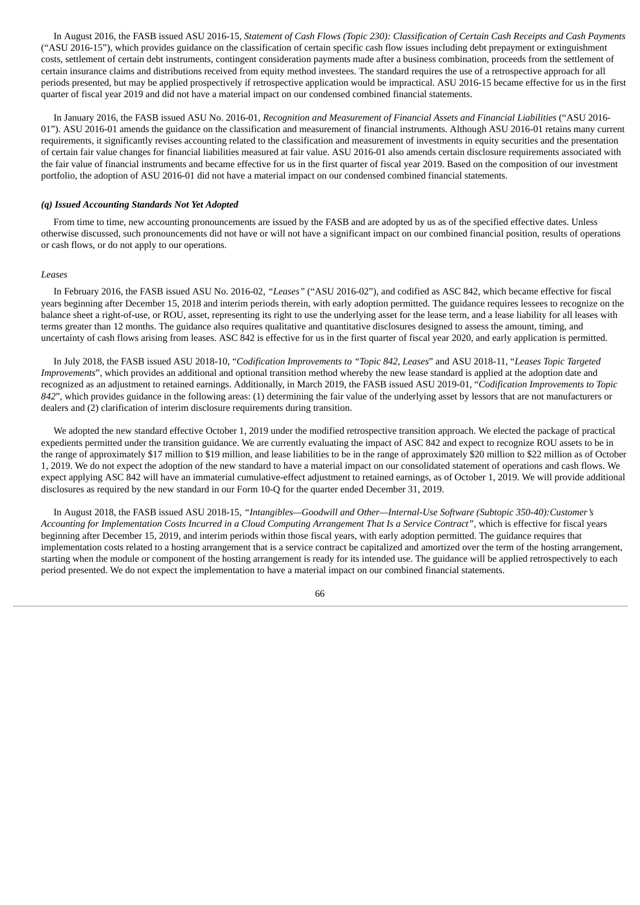In August 2016, the FASB issued ASU 2016-15, Statement of Cash Flows (Topic 230): Classification of Certain Cash Receipts and Cash Payments ("ASU 2016-15"), which provides guidance on the classification of certain specific cash flow issues including debt prepayment or extinguishment costs, settlement of certain debt instruments, contingent consideration payments made after a business combination, proceeds from the settlement of certain insurance claims and distributions received from equity method investees. The standard requires the use of a retrospective approach for all periods presented, but may be applied prospectively if retrospective application would be impractical. ASU 2016-15 became effective for us in the first quarter of fiscal year 2019 and did not have a material impact on our condensed combined financial statements.

In January 2016, the FASB issued ASU No. 2016-01, *Recognition and Measurement of Financial Assets and Financial Liabilities* ("ASU 2016- 01"). ASU 2016-01 amends the guidance on the classification and measurement of financial instruments. Although ASU 2016-01 retains many current requirements, it significantly revises accounting related to the classification and measurement of investments in equity securities and the presentation of certain fair value changes for financial liabilities measured at fair value. ASU 2016-01 also amends certain disclosure requirements associated with the fair value of financial instruments and became effective for us in the first quarter of fiscal year 2019. Based on the composition of our investment portfolio, the adoption of ASU 2016-01 did not have a material impact on our condensed combined financial statements.

### *(q) Issued Accounting Standards Not Yet Adopted*

From time to time, new accounting pronouncements are issued by the FASB and are adopted by us as of the specified effective dates. Unless otherwise discussed, such pronouncements did not have or will not have a significant impact on our combined financial position, results of operations or cash flows, or do not apply to our operations.

#### *Leases*

In February 2016, the FASB issued ASU No. 2016-02, *"Leases"* ("ASU 2016-02"), and codified as ASC 842, which became effective for fiscal years beginning after December 15, 2018 and interim periods therein, with early adoption permitted. The guidance requires lessees to recognize on the balance sheet a right-of-use, or ROU, asset, representing its right to use the underlying asset for the lease term, and a lease liability for all leases with terms greater than 12 months. The guidance also requires qualitative and quantitative disclosures designed to assess the amount, timing, and uncertainty of cash flows arising from leases. ASC 842 is effective for us in the first quarter of fiscal year 2020, and early application is permitted.

In July 2018, the FASB issued ASU 2018-10, "*Codification Improvements to "Topic 842, Leases*" and ASU 2018-11, "*Leases Topic Targeted Improvements*", which provides an additional and optional transition method whereby the new lease standard is applied at the adoption date and recognized as an adjustment to retained earnings. Additionally, in March 2019, the FASB issued ASU 2019-01, "*Codification Improvements to Topic 842*", which provides guidance in the following areas: (1) determining the fair value of the underlying asset by lessors that are not manufacturers or dealers and (2) clarification of interim disclosure requirements during transition.

We adopted the new standard effective October 1, 2019 under the modified retrospective transition approach. We elected the package of practical expedients permitted under the transition guidance. We are currently evaluating the impact of ASC 842 and expect to recognize ROU assets to be in the range of approximately \$17 million to \$19 million, and lease liabilities to be in the range of approximately \$20 million to \$22 million as of October 1, 2019. We do not expect the adoption of the new standard to have a material impact on our consolidated statement of operations and cash flows. We expect applying ASC 842 will have an immaterial cumulative-effect adjustment to retained earnings, as of October 1, 2019. We will provide additional disclosures as required by the new standard in our Form 10-Q for the quarter ended December 31, 2019.

In August 2018, the FASB issued ASU 2018-15, *"Intangibles—Goodwill and Other—Internal-Use Software (Subtopic 350-40):Customer's* Accounting for Implementation Costs Incurred in a Cloud Computing Arrangement That Is a Service Contract", which is effective for fiscal years beginning after December 15, 2019, and interim periods within those fiscal years, with early adoption permitted. The guidance requires that implementation costs related to a hosting arrangement that is a service contract be capitalized and amortized over the term of the hosting arrangement, starting when the module or component of the hosting arrangement is ready for its intended use. The guidance will be applied retrospectively to each period presented. We do not expect the implementation to have a material impact on our combined financial statements.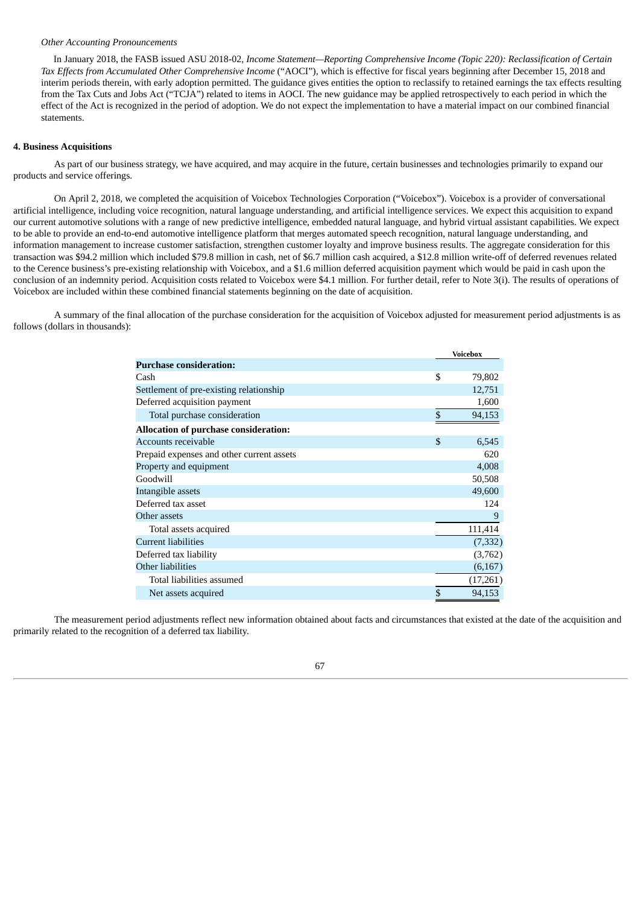## *Other Accounting Pronouncements*

In January 2018, the FASB issued ASU 2018-02, *Income Statement—Reporting Comprehensive Income (Topic 220): Reclassification of Certain Tax Effects from Accumulated Other Comprehensive Income* ("AOCI"), which is effective for fiscal years beginning after December 15, 2018 and interim periods therein, with early adoption permitted. The guidance gives entities the option to reclassify to retained earnings the tax effects resulting from the Tax Cuts and Jobs Act ("TCJA") related to items in AOCI. The new guidance may be applied retrospectively to each period in which the effect of the Act is recognized in the period of adoption. We do not expect the implementation to have a material impact on our combined financial statements.

### **4. Business Acquisitions**

As part of our business strategy, we have acquired, and may acquire in the future, certain businesses and technologies primarily to expand our products and service offerings.

On April 2, 2018, we completed the acquisition of Voicebox Technologies Corporation ("Voicebox"). Voicebox is a provider of conversational artificial intelligence, including voice recognition, natural language understanding, and artificial intelligence services. We expect this acquisition to expand our current automotive solutions with a range of new predictive intelligence, embedded natural language, and hybrid virtual assistant capabilities. We expect to be able to provide an end-to-end automotive intelligence platform that merges automated speech recognition, natural language understanding, and information management to increase customer satisfaction, strengthen customer loyalty and improve business results. The aggregate consideration for this transaction was \$94.2 million which included \$79.8 million in cash, net of \$6.7 million cash acquired, a \$12.8 million write-off of deferred revenues related to the Cerence business's pre-existing relationship with Voicebox, and a \$1.6 million deferred acquisition payment which would be paid in cash upon the conclusion of an indemnity period. Acquisition costs related to Voicebox were \$4.1 million. For further detail, refer to Note 3(i). The results of operations of Voicebox are included within these combined financial statements beginning on the date of acquisition.

A summary of the final allocation of the purchase consideration for the acquisition of Voicebox adjusted for measurement period adjustments is as follows (dollars in thousands):

|                                              | <b>Voicebox</b> |
|----------------------------------------------|-----------------|
| <b>Purchase consideration:</b>               |                 |
| Cash                                         | \$<br>79,802    |
| Settlement of pre-existing relationship      | 12,751          |
| Deferred acquisition payment                 | 1,600           |
| Total purchase consideration                 | \$<br>94,153    |
| <b>Allocation of purchase consideration:</b> |                 |
| Accounts receivable                          | \$<br>6,545     |
| Prepaid expenses and other current assets    | 620             |
| Property and equipment                       | 4,008           |
| Goodwill                                     | 50,508          |
| Intangible assets                            | 49,600          |
| Deferred tax asset                           | 124             |
| Other assets                                 | 9               |
| Total assets acquired                        | 111,414         |
| <b>Current liabilities</b>                   | (7, 332)        |
| Deferred tax liability                       | (3,762)         |
| Other liabilities                            | (6,167)         |
| Total liabilities assumed                    | (17,261)        |
| Net assets acquired                          | \$<br>94,153    |

The measurement period adjustments reflect new information obtained about facts and circumstances that existed at the date of the acquisition and primarily related to the recognition of a deferred tax liability.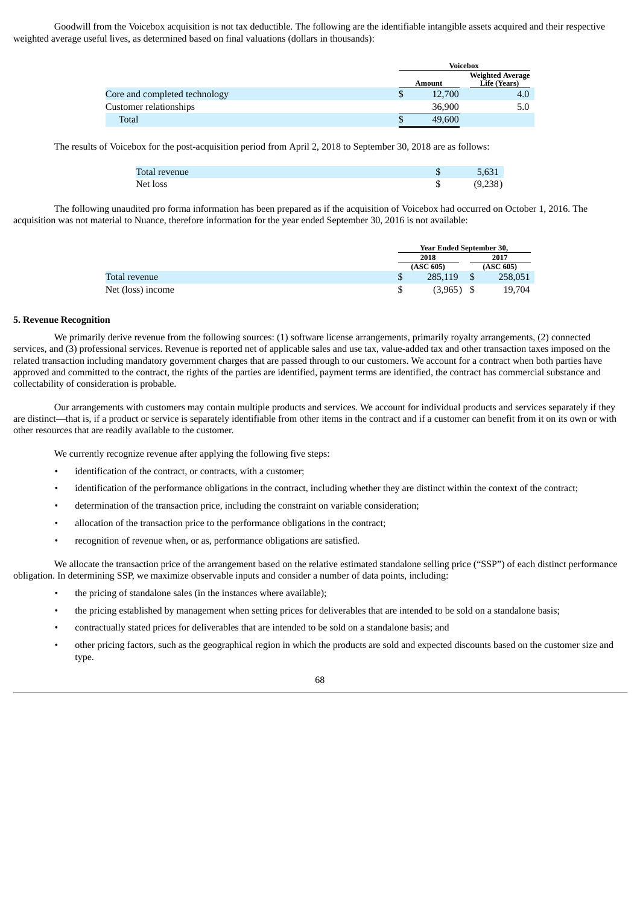Goodwill from the Voicebox acquisition is not tax deductible. The following are the identifiable intangible assets acquired and their respective weighted average useful lives, as determined based on final valuations (dollars in thousands):

|                               | <b>Voicebox</b> |                                         |  |
|-------------------------------|-----------------|-----------------------------------------|--|
|                               | Amount          | <b>Weighted Average</b><br>Life (Years) |  |
| Core and completed technology | 12,700          | 4.0                                     |  |
| Customer relationships        | 36,900          | 5.0                                     |  |
| Total                         | 49,600          |                                         |  |

The results of Voicebox for the post-acquisition period from April 2, 2018 to September 30, 2018 are as follows:

| Total revenue | 5,631   |
|---------------|---------|
| Net loss      | (9,238) |

The following unaudited pro forma information has been prepared as if the acquisition of Voicebox had occurred on October 1, 2016. The acquisition was not material to Nuance, therefore information for the year ended September 30, 2016 is not available:

|                   | <b>Year Ended September 30,</b> |  |           |  |
|-------------------|---------------------------------|--|-----------|--|
|                   | 2018                            |  | 2017      |  |
|                   | (ASC 605)                       |  | (ASC 605) |  |
| Total revenue     | 285,119                         |  | 258,051   |  |
| Net (loss) income | $(3,965)$ \$                    |  | 19.704    |  |

#### **5. Revenue Recognition**

We primarily derive revenue from the following sources: (1) software license arrangements, primarily royalty arrangements, (2) connected services, and (3) professional services. Revenue is reported net of applicable sales and use tax, value-added tax and other transaction taxes imposed on the related transaction including mandatory government charges that are passed through to our customers. We account for a contract when both parties have approved and committed to the contract, the rights of the parties are identified, payment terms are identified, the contract has commercial substance and collectability of consideration is probable.

Our arrangements with customers may contain multiple products and services. We account for individual products and services separately if they are distinct—that is, if a product or service is separately identifiable from other items in the contract and if a customer can benefit from it on its own or with other resources that are readily available to the customer.

We currently recognize revenue after applying the following five steps:

- identification of the contract, or contracts, with a customer:
- identification of the performance obligations in the contract, including whether they are distinct within the context of the contract;
- determination of the transaction price, including the constraint on variable consideration;
- allocation of the transaction price to the performance obligations in the contract;
- recognition of revenue when, or as, performance obligations are satisfied.

We allocate the transaction price of the arrangement based on the relative estimated standalone selling price ("SSP") of each distinct performance obligation. In determining SSP, we maximize observable inputs and consider a number of data points, including:

- the pricing of standalone sales (in the instances where available);
- the pricing established by management when setting prices for deliverables that are intended to be sold on a standalone basis;
- contractually stated prices for deliverables that are intended to be sold on a standalone basis; and
- other pricing factors, such as the geographical region in which the products are sold and expected discounts based on the customer size and type.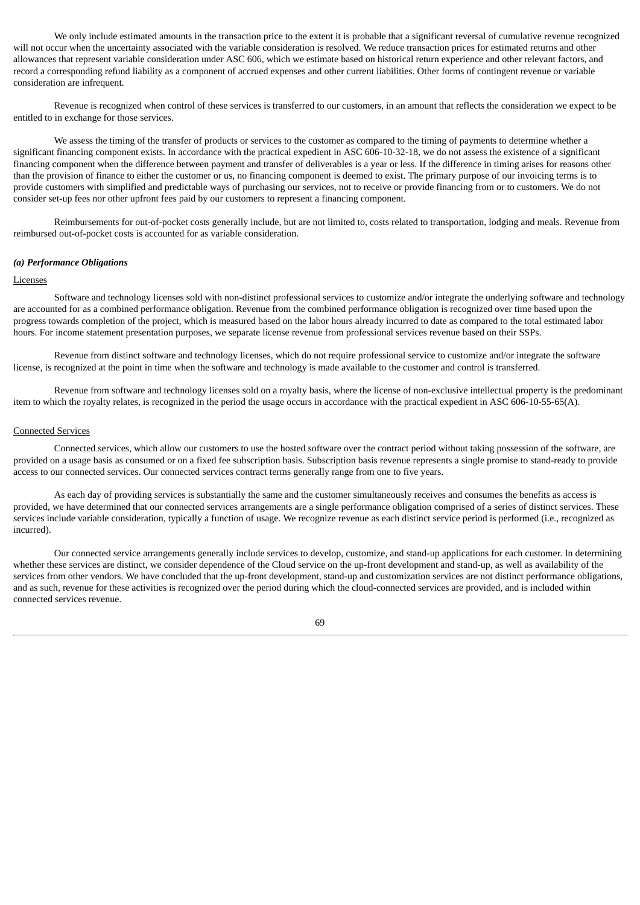We only include estimated amounts in the transaction price to the extent it is probable that a significant reversal of cumulative revenue recognized will not occur when the uncertainty associated with the variable consideration is resolved. We reduce transaction prices for estimated returns and other allowances that represent variable consideration under ASC 606, which we estimate based on historical return experience and other relevant factors, and record a corresponding refund liability as a component of accrued expenses and other current liabilities. Other forms of contingent revenue or variable consideration are infrequent.

Revenue is recognized when control of these services is transferred to our customers, in an amount that reflects the consideration we expect to be entitled to in exchange for those services.

We assess the timing of the transfer of products or services to the customer as compared to the timing of payments to determine whether a significant financing component exists. In accordance with the practical expedient in ASC 606-10-32-18, we do not assess the existence of a significant financing component when the difference between payment and transfer of deliverables is a year or less. If the difference in timing arises for reasons other than the provision of finance to either the customer or us, no financing component is deemed to exist. The primary purpose of our invoicing terms is to provide customers with simplified and predictable ways of purchasing our services, not to receive or provide financing from or to customers. We do not consider set-up fees nor other upfront fees paid by our customers to represent a financing component.

Reimbursements for out-of-pocket costs generally include, but are not limited to, costs related to transportation, lodging and meals. Revenue from reimbursed out-of-pocket costs is accounted for as variable consideration.

## *(a) Performance Obligations*

#### Licenses

Software and technology licenses sold with non-distinct professional services to customize and/or integrate the underlying software and technology are accounted for as a combined performance obligation. Revenue from the combined performance obligation is recognized over time based upon the progress towards completion of the project, which is measured based on the labor hours already incurred to date as compared to the total estimated labor hours. For income statement presentation purposes, we separate license revenue from professional services revenue based on their SSPs.

Revenue from distinct software and technology licenses, which do not require professional service to customize and/or integrate the software license, is recognized at the point in time when the software and technology is made available to the customer and control is transferred.

Revenue from software and technology licenses sold on a royalty basis, where the license of non-exclusive intellectual property is the predominant item to which the royalty relates, is recognized in the period the usage occurs in accordance with the practical expedient in ASC 606-10-55-65(A).

## Connected Services

Connected services, which allow our customers to use the hosted software over the contract period without taking possession of the software, are provided on a usage basis as consumed or on a fixed fee subscription basis. Subscription basis revenue represents a single promise to stand-ready to provide access to our connected services. Our connected services contract terms generally range from one to five years.

As each day of providing services is substantially the same and the customer simultaneously receives and consumes the benefits as access is provided, we have determined that our connected services arrangements are a single performance obligation comprised of a series of distinct services. These services include variable consideration, typically a function of usage. We recognize revenue as each distinct service period is performed (i.e., recognized as incurred).

Our connected service arrangements generally include services to develop, customize, and stand-up applications for each customer. In determining whether these services are distinct, we consider dependence of the Cloud service on the up-front development and stand-up, as well as availability of the services from other vendors. We have concluded that the up-front development, stand-up and customization services are not distinct performance obligations, and as such, revenue for these activities is recognized over the period during which the cloud-connected services are provided, and is included within connected services revenue.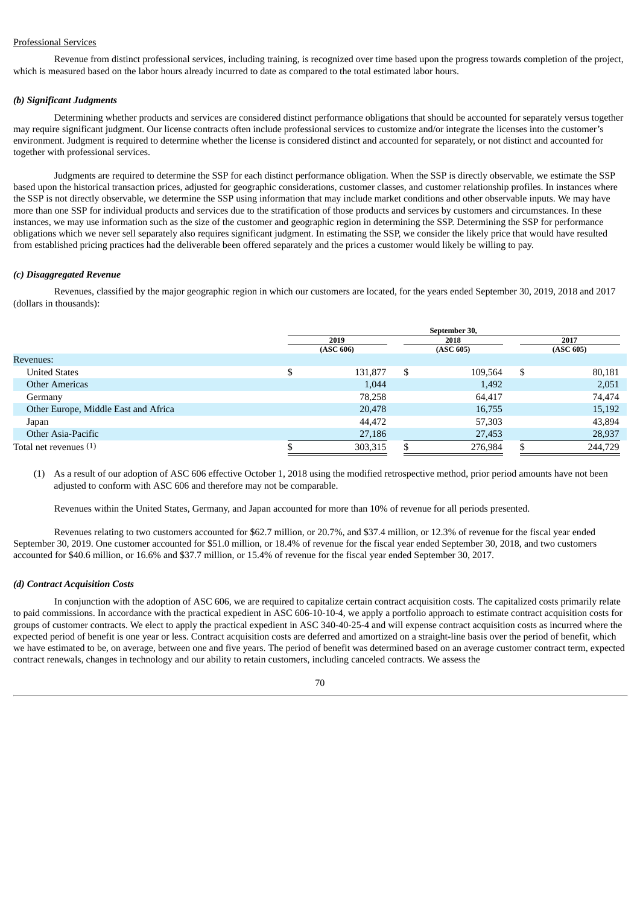## Professional Services

Revenue from distinct professional services, including training, is recognized over time based upon the progress towards completion of the project, which is measured based on the labor hours already incurred to date as compared to the total estimated labor hours.

## *(b) Significant Judgments*

Determining whether products and services are considered distinct performance obligations that should be accounted for separately versus together may require significant judgment. Our license contracts often include professional services to customize and/or integrate the licenses into the customer's environment. Judgment is required to determine whether the license is considered distinct and accounted for separately, or not distinct and accounted for together with professional services.

Judgments are required to determine the SSP for each distinct performance obligation. When the SSP is directly observable, we estimate the SSP based upon the historical transaction prices, adjusted for geographic considerations, customer classes, and customer relationship profiles. In instances where the SSP is not directly observable, we determine the SSP using information that may include market conditions and other observable inputs. We may have more than one SSP for individual products and services due to the stratification of those products and services by customers and circumstances. In these instances, we may use information such as the size of the customer and geographic region in determining the SSP. Determining the SSP for performance obligations which we never sell separately also requires significant judgment. In estimating the SSP, we consider the likely price that would have resulted from established pricing practices had the deliverable been offered separately and the prices a customer would likely be willing to pay.

#### *(c) Disaggregated Revenue*

Revenues, classified by the major geographic region in which our customers are located, for the years ended September 30, 2019, 2018 and 2017 (dollars in thousands):

|                                      | September 30, |           |    |           |    |           |
|--------------------------------------|---------------|-----------|----|-----------|----|-----------|
|                                      | 2019          |           |    | 2018      |    | 2017      |
|                                      |               | (ASC 606) |    | (ASC 605) |    | (ASC 605) |
| Revenues:                            |               |           |    |           |    |           |
| <b>United States</b>                 |               | 131,877   | \$ | 109,564   | -S | 80,181    |
| <b>Other Americas</b>                |               | 1,044     |    | 1,492     |    | 2,051     |
| Germany                              |               | 78,258    |    | 64,417    |    | 74,474    |
| Other Europe, Middle East and Africa |               | 20,478    |    | 16,755    |    | 15,192    |
| Japan                                |               | 44,472    |    | 57,303    |    | 43,894    |
| Other Asia-Pacific                   |               | 27,186    |    | 27,453    |    | 28,937    |
| Total net revenues (1)               |               | 303,315   |    | 276,984   |    | 244,729   |

(1) As a result of our adoption of ASC 606 effective October 1, 2018 using the modified retrospective method, prior period amounts have not been adjusted to conform with ASC 606 and therefore may not be comparable.

Revenues within the United States, Germany, and Japan accounted for more than 10% of revenue for all periods presented.

Revenues relating to two customers accounted for \$62.7 million, or 20.7%, and \$37.4 million, or 12.3% of revenue for the fiscal year ended September 30, 2019. One customer accounted for \$51.0 million, or 18.4% of revenue for the fiscal year ended September 30, 2018, and two customers accounted for \$40.6 million, or 16.6% and \$37.7 million, or 15.4% of revenue for the fiscal year ended September 30, 2017.

#### *(d) Contract Acquisition Costs*

In conjunction with the adoption of ASC 606, we are required to capitalize certain contract acquisition costs. The capitalized costs primarily relate to paid commissions. In accordance with the practical expedient in ASC 606-10-10-4, we apply a portfolio approach to estimate contract acquisition costs for groups of customer contracts. We elect to apply the practical expedient in ASC 340-40-25-4 and will expense contract acquisition costs as incurred where the expected period of benefit is one year or less. Contract acquisition costs are deferred and amortized on a straight-line basis over the period of benefit, which we have estimated to be, on average, between one and five years. The period of benefit was determined based on an average customer contract term, expected contract renewals, changes in technology and our ability to retain customers, including canceled contracts. We assess the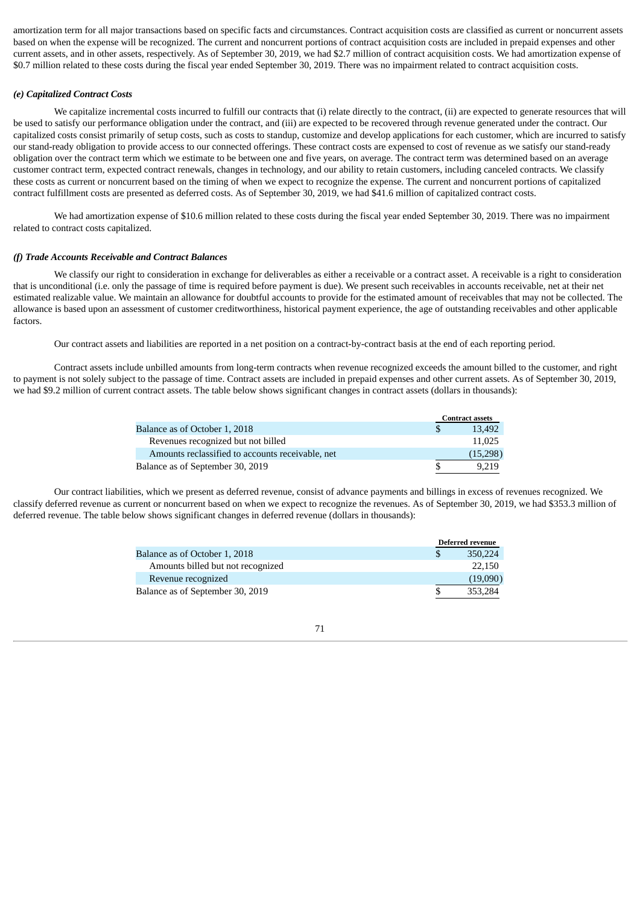amortization term for all major transactions based on specific facts and circumstances. Contract acquisition costs are classified as current or noncurrent assets based on when the expense will be recognized. The current and noncurrent portions of contract acquisition costs are included in prepaid expenses and other current assets, and in other assets, respectively. As of September 30, 2019, we had \$2.7 million of contract acquisition costs. We had amortization expense of \$0.7 million related to these costs during the fiscal year ended September 30, 2019. There was no impairment related to contract acquisition costs.

## *(e) Capitalized Contract Costs*

We capitalize incremental costs incurred to fulfill our contracts that (i) relate directly to the contract, (ii) are expected to generate resources that will be used to satisfy our performance obligation under the contract, and (iii) are expected to be recovered through revenue generated under the contract. Our capitalized costs consist primarily of setup costs, such as costs to standup, customize and develop applications for each customer, which are incurred to satisfy our stand-ready obligation to provide access to our connected offerings. These contract costs are expensed to cost of revenue as we satisfy our stand-ready obligation over the contract term which we estimate to be between one and five years, on average. The contract term was determined based on an average customer contract term, expected contract renewals, changes in technology, and our ability to retain customers, including canceled contracts. We classify these costs as current or noncurrent based on the timing of when we expect to recognize the expense. The current and noncurrent portions of capitalized contract fulfillment costs are presented as deferred costs. As of September 30, 2019, we had \$41.6 million of capitalized contract costs.

We had amortization expense of \$10.6 million related to these costs during the fiscal year ended September 30, 2019. There was no impairment related to contract costs capitalized.

## *(f) Trade Accounts Receivable and Contract Balances*

We classify our right to consideration in exchange for deliverables as either a receivable or a contract asset. A receivable is a right to consideration that is unconditional (i.e. only the passage of time is required before payment is due). We present such receivables in accounts receivable, net at their net estimated realizable value. We maintain an allowance for doubtful accounts to provide for the estimated amount of receivables that may not be collected. The allowance is based upon an assessment of customer creditworthiness, historical payment experience, the age of outstanding receivables and other applicable factors.

Our contract assets and liabilities are reported in a net position on a contract-by-contract basis at the end of each reporting period.

Contract assets include unbilled amounts from long-term contracts when revenue recognized exceeds the amount billed to the customer, and right to payment is not solely subject to the passage of time. Contract assets are included in prepaid expenses and other current assets. As of September 30, 2019, we had \$9.2 million of current contract assets. The table below shows significant changes in contract assets (dollars in thousands):

|                                                  | <b>Contract assets</b> |  |
|--------------------------------------------------|------------------------|--|
| Balance as of October 1, 2018                    | 13.492                 |  |
| Revenues recognized but not billed               | 11.025                 |  |
| Amounts reclassified to accounts receivable, net | (15,298)               |  |
| Balance as of September 30, 2019                 | 9.219                  |  |

Our contract liabilities, which we present as deferred revenue, consist of advance payments and billings in excess of revenues recognized. We classify deferred revenue as current or noncurrent based on when we expect to recognize the revenues. As of September 30, 2019, we had \$353.3 million of deferred revenue. The table below shows significant changes in deferred revenue (dollars in thousands):

|                                   | <b>Deferred revenue</b> |
|-----------------------------------|-------------------------|
| Balance as of October 1, 2018     | 350,224                 |
| Amounts billed but not recognized | 22.150                  |
| Revenue recognized                | (19,090)                |
| Balance as of September 30, 2019  | 353.284                 |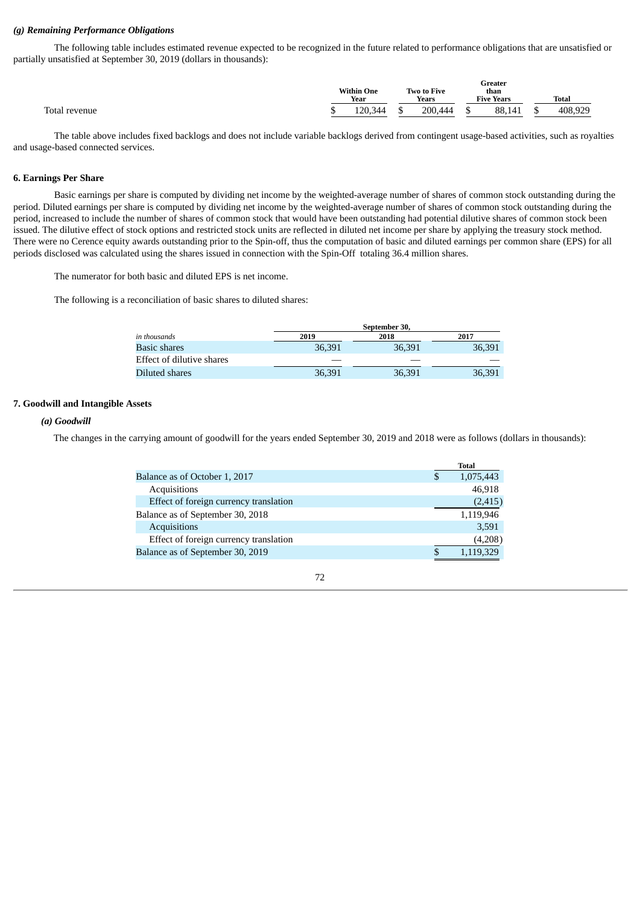## *(g) Remaining Performance Obligations*

The following table includes estimated revenue expected to be recognized in the future related to performance obligations that are unsatisfied or partially unsatisfied at September 30, 2019 (dollars in thousands):

|                  | <b>Within One</b><br>Year |                    | Two to Five<br>Years |         | Greater<br>than<br><b>Five Years</b> |        | Total |         |
|------------------|---------------------------|--------------------|----------------------|---------|--------------------------------------|--------|-------|---------|
| Total<br>revenue |                           | 120.344<br>⊥∠∪,∪—— |                      | 200.444 |                                      | 88,141 |       | 408.929 |

The table above includes fixed backlogs and does not include variable backlogs derived from contingent usage-based activities, such as royalties and usage-based connected services.

## **6. Earnings Per Share**

Basic earnings per share is computed by dividing net income by the weighted-average number of shares of common stock outstanding during the period. Diluted earnings per share is computed by dividing net income by the weighted-average number of shares of common stock outstanding during the period, increased to include the number of shares of common stock that would have been outstanding had potential dilutive shares of common stock been issued. The dilutive effect of stock options and restricted stock units are reflected in diluted net income per share by applying the treasury stock method. There were no Cerence equity awards outstanding prior to the Spin-off, thus the computation of basic and diluted earnings per common share (EPS) for all periods disclosed was calculated using the shares issued in connection with the Spin-Off totaling 36.4 million shares.

The numerator for both basic and diluted EPS is net income.

The following is a reconciliation of basic shares to diluted shares:

|                           |        | September 30, |        |
|---------------------------|--------|---------------|--------|
| in thousands              | 2019   | 2018          | 2017   |
| <b>Basic shares</b>       | 36,391 | 36,391        | 36,391 |
| Effect of dilutive shares |        |               |        |
| Diluted shares            | 36,391 | 36,391        | 36,391 |

## **7. Goodwill and Intangible Assets**

## *(a) Goodwill*

The changes in the carrying amount of goodwill for the years ended September 30, 2019 and 2018 were as follows (dollars in thousands):

|                                        | Total     |
|----------------------------------------|-----------|
| Balance as of October 1, 2017          | 1,075,443 |
| Acquisitions                           | 46,918    |
| Effect of foreign currency translation | (2, 415)  |
| Balance as of September 30, 2018       | 1,119,946 |
| <b>Acquisitions</b>                    | 3,591     |
| Effect of foreign currency translation | (4,208)   |
| Balance as of September 30, 2019       | 1,119,329 |
|                                        |           |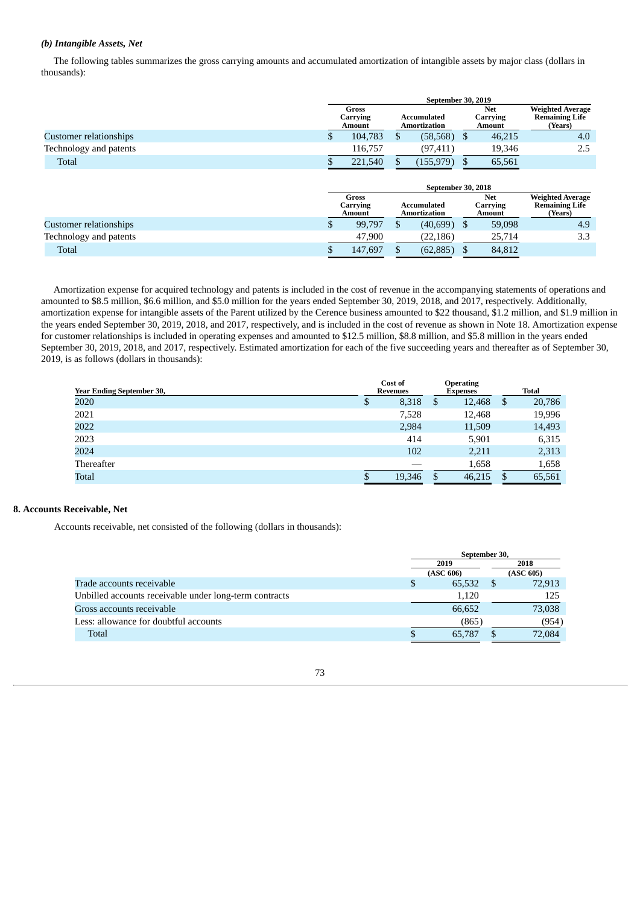# *(b) Intangible Assets, Net*

The following tables summarizes the gross carrying amounts and accumulated amortization of intangible assets by major class (dollars in thousands):

|                        | September 30, 2019 |                             |              |                             |               |                                         |                                                             |
|------------------------|--------------------|-----------------------------|--------------|-----------------------------|---------------|-----------------------------------------|-------------------------------------------------------------|
|                        |                    | Gross<br>Carrying<br>Amount |              | Accumulated<br>Amortization |               | <b>Net</b><br>Carrying<br>Amount        | <b>Weighted Average</b><br><b>Remaining Life</b><br>(Years) |
| Customer relationships |                    | 104,783                     | S            | (58, 568)                   | -S            | 46,215                                  | 4.0                                                         |
| Technology and patents |                    | 116,757                     |              | (97, 411)                   |               | 19,346                                  | 2.5                                                         |
| Total                  |                    | 221,540                     | S            | (155, 979)                  | S             | 65,561                                  |                                                             |
|                        |                    |                             |              | September 30, 2018          |               |                                         |                                                             |
|                        |                    | Gross<br>Carrying<br>Amount |              | Accumulated<br>Amortization |               | <b>Net</b><br>Carrying<br><b>Amount</b> | <b>Weighted Average</b><br><b>Remaining Life</b><br>(Years) |
| Customer relationships |                    | 99,797                      | $\mathbf{s}$ | (40,699)                    | <sup>\$</sup> | 59,098                                  | 4.9                                                         |
| Technology and patents |                    | 47,900                      |              | (22, 186)                   |               | 25,714                                  | 3.3                                                         |
| Total                  |                    | 147,697                     |              | (62, 885)                   |               | 84,812                                  |                                                             |

Amortization expense for acquired technology and patents is included in the cost of revenue in the accompanying statements of operations and amounted to \$8.5 million, \$6.6 million, and \$5.0 million for the years ended September 30, 2019, 2018, and 2017, respectively. Additionally, amortization expense for intangible assets of the Parent utilized by the Cerence business amounted to \$22 thousand, \$1.2 million, and \$1.9 million in the years ended September 30, 2019, 2018, and 2017, respectively, and is included in the cost of revenue as shown in Note 18. Amortization expense for customer relationships is included in operating expenses and amounted to \$12.5 million, \$8.8 million, and \$5.8 million in the years ended September 30, 2019, 2018, and 2017, respectively. Estimated amortization for each of the five succeeding years and thereafter as of September 30, 2019, is as follows (dollars in thousands):

| <b>Year Ending September 30,</b> |    | Cost of<br><b>Revenues</b> |   | <b>Operating</b><br>Expenses |   | <b>Total</b> |
|----------------------------------|----|----------------------------|---|------------------------------|---|--------------|
| 2020                             | Φ  | 8,318                      | S | 12,468                       | S | 20,786       |
| 2021                             |    | 7,528                      |   | 12,468                       |   | 19,996       |
| 2022                             |    | 2,984                      |   | 11,509                       |   | 14,493       |
| 2023                             |    | 414                        |   | 5,901                        |   | 6,315        |
| 2024                             |    | 102                        |   | 2,211                        |   | 2,313        |
| Thereafter                       |    |                            |   | 1,658                        |   | 1,658        |
| Total                            | ۰D | 19,346                     | J | 46,215                       | S | 65,561       |

#### **8. Accounts Receivable, Net**

Accounts receivable, net consisted of the following (dollars in thousands):

|                                                        |   | September 30, |  |           |  |  |
|--------------------------------------------------------|---|---------------|--|-----------|--|--|
|                                                        |   | 2019          |  | 2018      |  |  |
|                                                        |   | (ASC 606)     |  | (ASC 605) |  |  |
| Trade accounts receivable                              | S | 65.532        |  | 72,913    |  |  |
| Unbilled accounts receivable under long-term contracts |   | 1,120         |  | 125       |  |  |
| Gross accounts receivable                              |   | 66,652        |  | 73,038    |  |  |
| Less: allowance for doubtful accounts                  |   | (865)         |  | (954)     |  |  |
| Total                                                  |   | 65,787        |  | 72,084    |  |  |

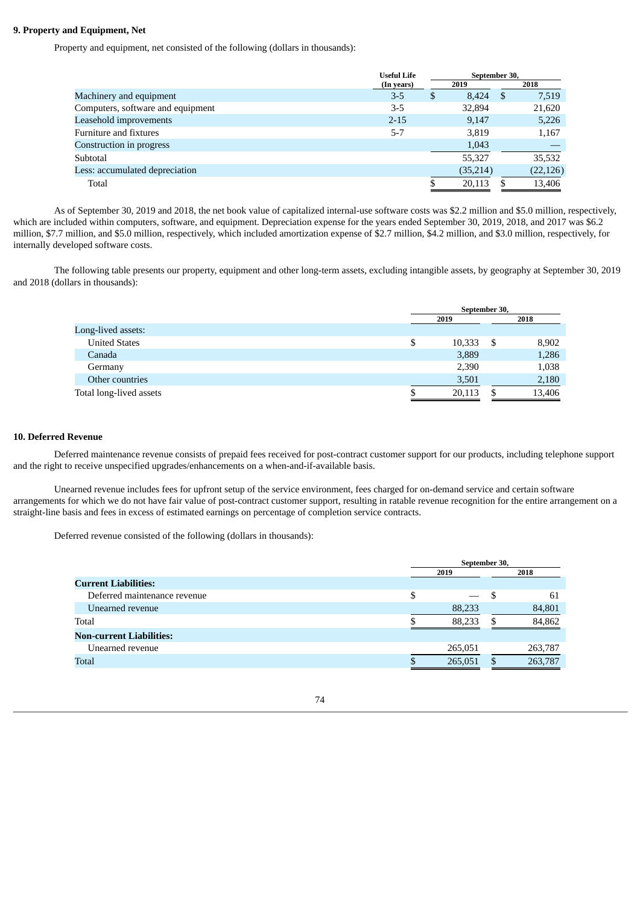## **9. Property and Equipment, Net**

Property and equipment, net consisted of the following (dollars in thousands):

|                                   | <b>Useful Life</b> |   | September 30, |      |           |
|-----------------------------------|--------------------|---|---------------|------|-----------|
|                                   | (In years)         |   | 2019          |      | 2018      |
| Machinery and equipment           | $3 - 5$            | S | 8,424         | - \$ | 7,519     |
| Computers, software and equipment | $3 - 5$            |   | 32,894        |      | 21,620    |
| Leasehold improvements            | $2 - 15$           |   | 9,147         |      | 5,226     |
| Furniture and fixtures            | $5 - 7$            |   | 3,819         |      | 1,167     |
| Construction in progress          |                    |   | 1,043         |      |           |
| Subtotal                          |                    |   | 55,327        |      | 35,532    |
| Less: accumulated depreciation    |                    |   | (35,214)      |      | (22, 126) |
| Total                             |                    |   | 20,113        |      | 13,406    |
|                                   |                    |   |               |      |           |

As of September 30, 2019 and 2018, the net book value of capitalized internal-use software costs was \$2.2 million and \$5.0 million, respectively, which are included within computers, software, and equipment. Depreciation expense for the years ended September 30, 2019, 2018, and 2017 was \$6.2 million, \$7.7 million, and \$5.0 million, respectively, which included amortization expense of \$2.7 million, \$4.2 million, and \$3.0 million, respectively, for internally developed software costs.

The following table presents our property, equipment and other long-term assets, excluding intangible assets, by geography at September 30, 2019 and 2018 (dollars in thousands):

|                         |    | September 30, |    |        |  |  |
|-------------------------|----|---------------|----|--------|--|--|
|                         |    | 2019          |    | 2018   |  |  |
| Long-lived assets:      |    |               |    |        |  |  |
| <b>United States</b>    | \$ | 10,333        | \$ | 8,902  |  |  |
| Canada                  |    | 3,889         |    | 1,286  |  |  |
| Germany                 |    | 2,390         |    | 1,038  |  |  |
| Other countries         |    | 3,501         |    | 2,180  |  |  |
| Total long-lived assets |    | 20,113        | S  | 13,406 |  |  |
|                         |    |               |    |        |  |  |

## **10. Deferred Revenue**

Deferred maintenance revenue consists of prepaid fees received for post-contract customer support for our products, including telephone support and the right to receive unspecified upgrades/enhancements on a when-and-if-available basis.

Unearned revenue includes fees for upfront setup of the service environment, fees charged for on-demand service and certain software arrangements for which we do not have fair value of post-contract customer support, resulting in ratable revenue recognition for the entire arrangement on a straight-line basis and fees in excess of estimated earnings on percentage of completion service contracts.

Deferred revenue consisted of the following (dollars in thousands):

|                              |   | September 30, |   |         |  |
|------------------------------|---|---------------|---|---------|--|
|                              |   | 2019          |   | 2018    |  |
| <b>Current Liabilities:</b>  |   |               |   |         |  |
| Deferred maintenance revenue | S |               | S | 61      |  |
| Unearned revenue             |   | 88,233        |   | 84,801  |  |
| Total                        |   | 88,233        |   | 84,862  |  |
| Non-current Liabilities:     |   |               |   |         |  |
| Unearned revenue             |   | 265,051       |   | 263,787 |  |
| Total                        |   | 265,051       |   | 263,787 |  |
|                              |   |               |   |         |  |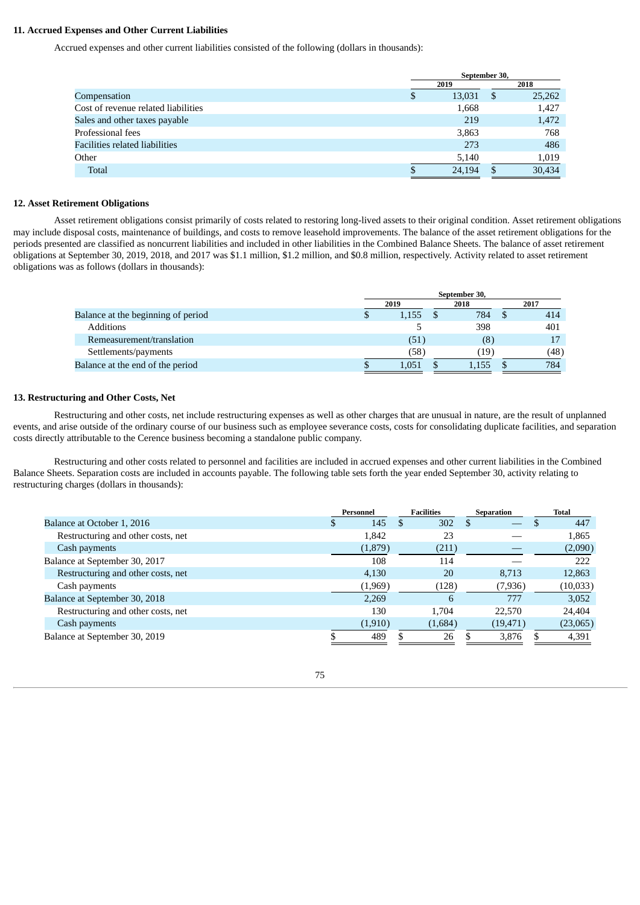## **11. Accrued Expenses and Other Current Liabilities**

Accrued expenses and other current liabilities consisted of the following (dollars in thousands):

|                                     | September 30, |    |        |  |  |
|-------------------------------------|---------------|----|--------|--|--|
|                                     | 2019          |    | 2018   |  |  |
| Compensation                        | \$<br>13,031  | \$ | 25,262 |  |  |
| Cost of revenue related liabilities | 1,668         |    | 1,427  |  |  |
| Sales and other taxes payable       | 219           |    | 1,472  |  |  |
| Professional fees                   | 3,863         |    | 768    |  |  |
| Facilities related liabilities      | 273           |    | 486    |  |  |
| Other                               | 5,140         |    | 1,019  |  |  |
| Total                               | 24,194        |    | 30.434 |  |  |
|                                     |               |    |        |  |  |

#### **12. Asset Retirement Obligations**

Asset retirement obligations consist primarily of costs related to restoring long-lived assets to their original condition. Asset retirement obligations may include disposal costs, maintenance of buildings, and costs to remove leasehold improvements. The balance of the asset retirement obligations for the periods presented are classified as noncurrent liabilities and included in other liabilities in the Combined Balance Sheets. The balance of asset retirement obligations at September 30, 2019, 2018, and 2017 was \$1.1 million, \$1.2 million, and \$0.8 million, respectively. Activity related to asset retirement obligations was as follows (dollars in thousands):

|                                    | September 30, |       |  |       |  |      |  |
|------------------------------------|---------------|-------|--|-------|--|------|--|
|                                    |               | 2019  |  | 2018  |  | 2017 |  |
| Balance at the beginning of period | Φ             | 1,155 |  | 784   |  | 414  |  |
| <b>Additions</b>                   |               |       |  | 398   |  | 401  |  |
| Remeasurement/translation          |               | (51)  |  | (8)   |  |      |  |
| Settlements/payments               |               | (58)  |  | (19   |  | (48) |  |
| Balance at the end of the period   |               | 1.051 |  | 1,155 |  | 784  |  |

## **13. Restructuring and Other Costs, Net**

Restructuring and other costs, net include restructuring expenses as well as other charges that are unusual in nature, are the result of unplanned events, and arise outside of the ordinary course of our business such as employee severance costs, costs for consolidating duplicate facilities, and separation costs directly attributable to the Cerence business becoming a standalone public company.

Restructuring and other costs related to personnel and facilities are included in accrued expenses and other current liabilities in the Combined Balance Sheets. Separation costs are included in accounts payable. The following table sets forth the year ended September 30, activity relating to restructuring charges (dollars in thousands):

|                                    | Personnel |          | <b>Facilities</b> |         | Separation |           | <b>Total</b> |
|------------------------------------|-----------|----------|-------------------|---------|------------|-----------|--------------|
| Balance at October 1, 2016         |           | 145      | S                 | 302     |            |           | 447          |
| Restructuring and other costs, net |           | 1,842    |                   | 23      |            |           | 1,865        |
| Cash payments                      |           | (1,879)  |                   | (211)   |            |           | (2,090)      |
| Balance at September 30, 2017      |           | 108      |                   | 114     |            |           | 222          |
| Restructuring and other costs, net |           | 4,130    |                   | 20      |            | 8,713     | 12,863       |
| Cash payments                      |           | (1,969)  |                   | (128)   |            | (7, 936)  | (10,033)     |
| Balance at September 30, 2018      |           | 2,269    |                   | 6       |            | 777       | 3,052        |
| Restructuring and other costs, net |           | 130      |                   | 1.704   |            | 22,570    | 24,404       |
| Cash payments                      |           | (1, 910) |                   | (1,684) |            | (19, 471) | (23,065)     |
| Balance at September 30, 2019      |           | 489      |                   | 26      |            | 3,876     | 4,391        |

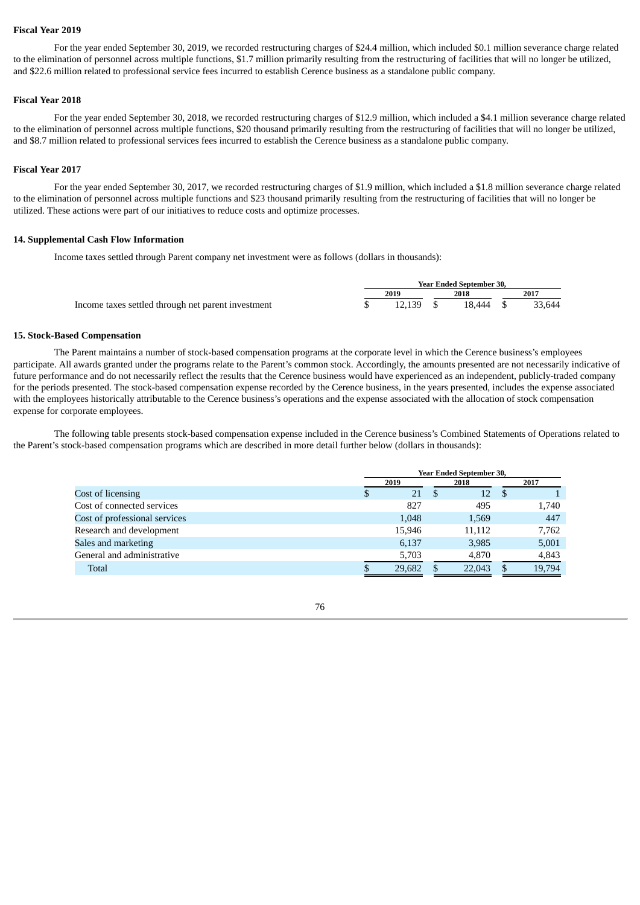#### **Fiscal Year 2019**

For the year ended September 30, 2019, we recorded restructuring charges of \$24.4 million, which included \$0.1 million severance charge related to the elimination of personnel across multiple functions, \$1.7 million primarily resulting from the restructuring of facilities that will no longer be utilized, and \$22.6 million related to professional service fees incurred to establish Cerence business as a standalone public company.

## **Fiscal Year 2018**

For the year ended September 30, 2018, we recorded restructuring charges of \$12.9 million, which included a \$4.1 million severance charge related to the elimination of personnel across multiple functions, \$20 thousand primarily resulting from the restructuring of facilities that will no longer be utilized, and \$8.7 million related to professional services fees incurred to establish the Cerence business as a standalone public company.

## **Fiscal Year 2017**

For the year ended September 30, 2017, we recorded restructuring charges of \$1.9 million, which included a \$1.8 million severance charge related to the elimination of personnel across multiple functions and \$23 thousand primarily resulting from the restructuring of facilities that will no longer be utilized. These actions were part of our initiatives to reduce costs and optimize processes.

#### **14. Supplemental Cash Flow Information**

Income taxes settled through Parent company net investment were as follows (dollars in thousands):

|                                                    |             | <b>Year Ended September 30.</b> |        |
|----------------------------------------------------|-------------|---------------------------------|--------|
|                                                    | 2019        | 2018                            | 2017   |
| Income taxes settled through net parent investment | $12.139$ \$ | 18.444 \$                       | 33.644 |

#### **15. Stock-Based Compensation**

The Parent maintains a number of stock-based compensation programs at the corporate level in which the Cerence business's employees participate. All awards granted under the programs relate to the Parent's common stock. Accordingly, the amounts presented are not necessarily indicative of future performance and do not necessarily reflect the results that the Cerence business would have experienced as an independent, publicly-traded company for the periods presented. The stock-based compensation expense recorded by the Cerence business, in the years presented, includes the expense associated with the employees historically attributable to the Cerence business's operations and the expense associated with the allocation of stock compensation expense for corporate employees.

The following table presents stock-based compensation expense included in the Cerence business's Combined Statements of Operations related to the Parent's stock-based compensation programs which are described in more detail further below (dollars in thousands):

|                               | <b>Year Ended September 30,</b> |        |      |        |    |        |  |
|-------------------------------|---------------------------------|--------|------|--------|----|--------|--|
|                               |                                 | 2019   | 2018 |        |    | 2017   |  |
| Cost of licensing             | S                               | 21     | S    | 12     | -S |        |  |
| Cost of connected services    |                                 | 827    |      | 495    |    | 1,740  |  |
| Cost of professional services |                                 | 1,048  |      | 1,569  |    | 447    |  |
| Research and development      |                                 | 15,946 |      | 11,112 |    | 7,762  |  |
| Sales and marketing           |                                 | 6,137  |      | 3,985  |    | 5,001  |  |
| General and administrative    |                                 | 5,703  |      | 4,870  |    | 4,843  |  |
| <b>Total</b>                  |                                 | 29,682 |      | 22,043 |    | 19,794 |  |

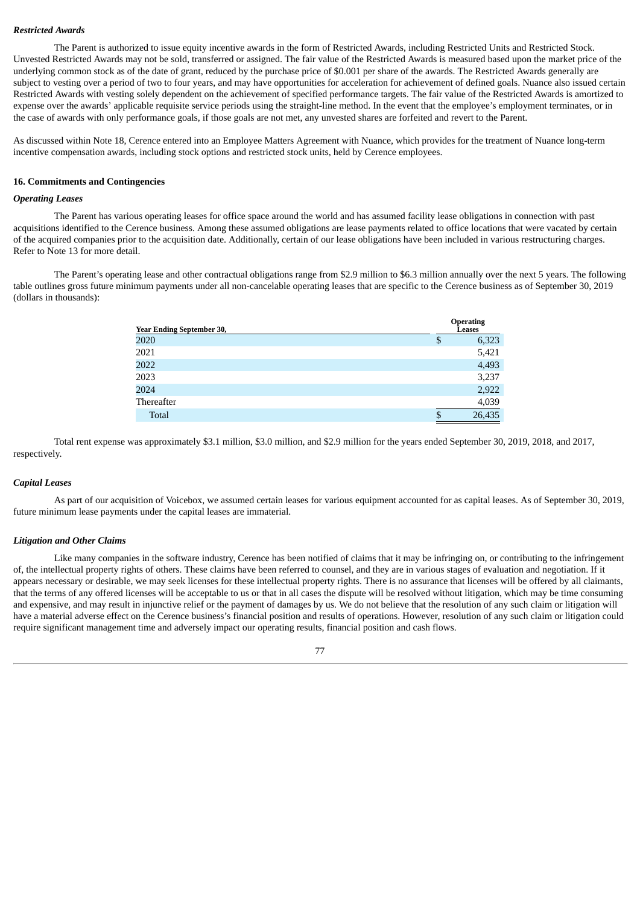#### *Restricted Awards*

The Parent is authorized to issue equity incentive awards in the form of Restricted Awards, including Restricted Units and Restricted Stock. Unvested Restricted Awards may not be sold, transferred or assigned. The fair value of the Restricted Awards is measured based upon the market price of the underlying common stock as of the date of grant, reduced by the purchase price of \$0.001 per share of the awards. The Restricted Awards generally are subject to vesting over a period of two to four years, and may have opportunities for acceleration for achievement of defined goals. Nuance also issued certain Restricted Awards with vesting solely dependent on the achievement of specified performance targets. The fair value of the Restricted Awards is amortized to expense over the awards' applicable requisite service periods using the straight-line method. In the event that the employee's employment terminates, or in the case of awards with only performance goals, if those goals are not met, any unvested shares are forfeited and revert to the Parent.

As discussed within Note 18, Cerence entered into an Employee Matters Agreement with Nuance, which provides for the treatment of Nuance long-term incentive compensation awards, including stock options and restricted stock units, held by Cerence employees.

## **16. Commitments and Contingencies**

## *Operating Leases*

The Parent has various operating leases for office space around the world and has assumed facility lease obligations in connection with past acquisitions identified to the Cerence business. Among these assumed obligations are lease payments related to office locations that were vacated by certain of the acquired companies prior to the acquisition date. Additionally, certain of our lease obligations have been included in various restructuring charges. Refer to Note 13 for more detail.

The Parent's operating lease and other contractual obligations range from \$2.9 million to \$6.3 million annually over the next 5 years. The following table outlines gross future minimum payments under all non-cancelable operating leases that are specific to the Cerence business as of September 30, 2019 (dollars in thousands):

| <b>Year Ending September 30,</b> | <b>Operating</b><br>Leases |        |
|----------------------------------|----------------------------|--------|
| 2020                             |                            | 6,323  |
| 2021                             |                            | 5,421  |
| 2022                             |                            | 4,493  |
| 2023                             |                            | 3,237  |
| 2024                             |                            | 2,922  |
| Thereafter                       |                            | 4,039  |
| Total                            | œ                          | 26,435 |

Total rent expense was approximately \$3.1 million, \$3.0 million, and \$2.9 million for the years ended September 30, 2019, 2018, and 2017, respectively.

#### *Capital Leases*

As part of our acquisition of Voicebox, we assumed certain leases for various equipment accounted for as capital leases. As of September 30, 2019, future minimum lease payments under the capital leases are immaterial.

#### *Litigation and Other Claims*

Like many companies in the software industry, Cerence has been notified of claims that it may be infringing on, or contributing to the infringement of, the intellectual property rights of others. These claims have been referred to counsel, and they are in various stages of evaluation and negotiation. If it appears necessary or desirable, we may seek licenses for these intellectual property rights. There is no assurance that licenses will be offered by all claimants, that the terms of any offered licenses will be acceptable to us or that in all cases the dispute will be resolved without litigation, which may be time consuming and expensive, and may result in injunctive relief or the payment of damages by us. We do not believe that the resolution of any such claim or litigation will have a material adverse effect on the Cerence business's financial position and results of operations. However, resolution of any such claim or litigation could require significant management time and adversely impact our operating results, financial position and cash flows.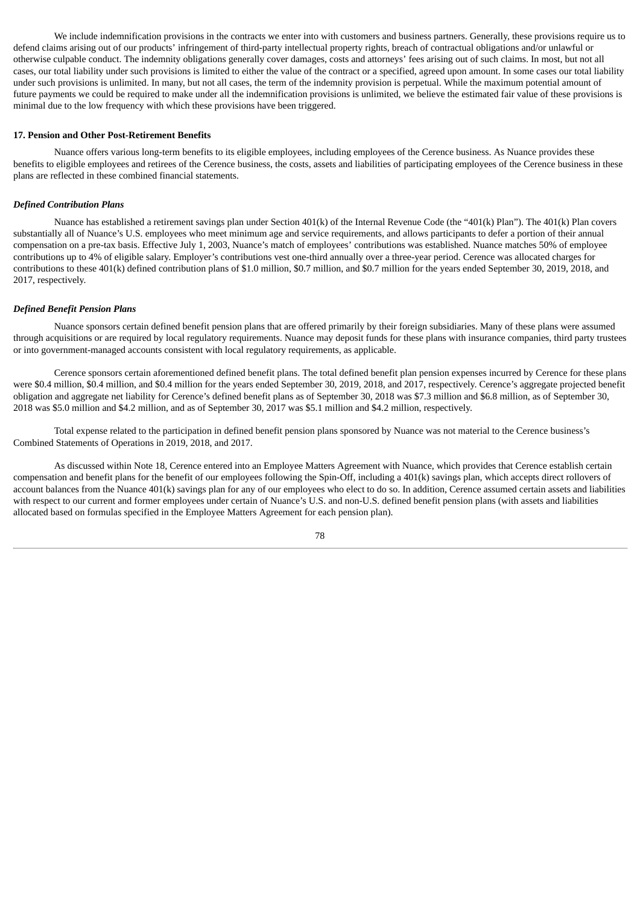We include indemnification provisions in the contracts we enter into with customers and business partners. Generally, these provisions require us to defend claims arising out of our products' infringement of third-party intellectual property rights, breach of contractual obligations and/or unlawful or otherwise culpable conduct. The indemnity obligations generally cover damages, costs and attorneys' fees arising out of such claims. In most, but not all cases, our total liability under such provisions is limited to either the value of the contract or a specified, agreed upon amount. In some cases our total liability under such provisions is unlimited. In many, but not all cases, the term of the indemnity provision is perpetual. While the maximum potential amount of future payments we could be required to make under all the indemnification provisions is unlimited, we believe the estimated fair value of these provisions is minimal due to the low frequency with which these provisions have been triggered.

#### **17. Pension and Other Post-Retirement Benefits**

Nuance offers various long-term benefits to its eligible employees, including employees of the Cerence business. As Nuance provides these benefits to eligible employees and retirees of the Cerence business, the costs, assets and liabilities of participating employees of the Cerence business in these plans are reflected in these combined financial statements.

#### *Defined Contribution Plans*

Nuance has established a retirement savings plan under Section 401(k) of the Internal Revenue Code (the "401(k) Plan"). The 401(k) Plan covers substantially all of Nuance's U.S. employees who meet minimum age and service requirements, and allows participants to defer a portion of their annual compensation on a pre-tax basis. Effective July 1, 2003, Nuance's match of employees' contributions was established. Nuance matches 50% of employee contributions up to 4% of eligible salary. Employer's contributions vest one-third annually over a three-year period. Cerence was allocated charges for contributions to these 401(k) defined contribution plans of \$1.0 million, \$0.7 million, and \$0.7 million for the years ended September 30, 2019, 2018, and 2017, respectively.

#### *Defined Benefit Pension Plans*

Nuance sponsors certain defined benefit pension plans that are offered primarily by their foreign subsidiaries. Many of these plans were assumed through acquisitions or are required by local regulatory requirements. Nuance may deposit funds for these plans with insurance companies, third party trustees or into government-managed accounts consistent with local regulatory requirements, as applicable.

Cerence sponsors certain aforementioned defined benefit plans. The total defined benefit plan pension expenses incurred by Cerence for these plans were \$0.4 million, \$0.4 million, and \$0.4 million for the years ended September 30, 2019, 2018, and 2017, respectively. Cerence's aggregate projected benefit obligation and aggregate net liability for Cerence's defined benefit plans as of September 30, 2018 was \$7.3 million and \$6.8 million, as of September 30, 2018 was \$5.0 million and \$4.2 million, and as of September 30, 2017 was \$5.1 million and \$4.2 million, respectively.

Total expense related to the participation in defined benefit pension plans sponsored by Nuance was not material to the Cerence business's Combined Statements of Operations in 2019, 2018, and 2017.

As discussed within Note 18, Cerence entered into an Employee Matters Agreement with Nuance, which provides that Cerence establish certain compensation and benefit plans for the benefit of our employees following the Spin-Off, including a 401(k) savings plan, which accepts direct rollovers of account balances from the Nuance 401(k) savings plan for any of our employees who elect to do so. In addition, Cerence assumed certain assets and liabilities with respect to our current and former employees under certain of Nuance's U.S. and non-U.S. defined benefit pension plans (with assets and liabilities allocated based on formulas specified in the Employee Matters Agreement for each pension plan).

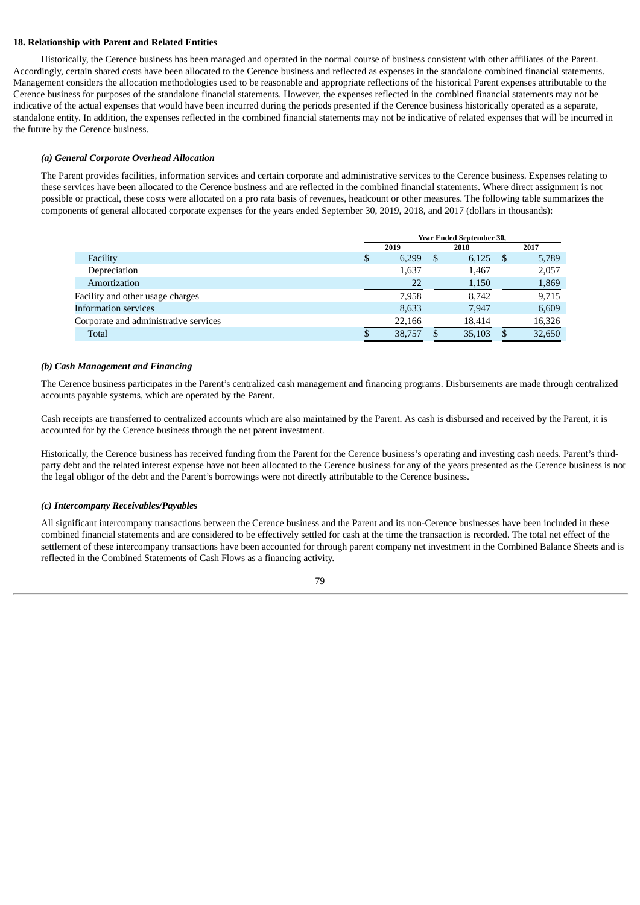## **18. Relationship with Parent and Related Entities**

Historically, the Cerence business has been managed and operated in the normal course of business consistent with other affiliates of the Parent. Accordingly, certain shared costs have been allocated to the Cerence business and reflected as expenses in the standalone combined financial statements. Management considers the allocation methodologies used to be reasonable and appropriate reflections of the historical Parent expenses attributable to the Cerence business for purposes of the standalone financial statements. However, the expenses reflected in the combined financial statements may not be indicative of the actual expenses that would have been incurred during the periods presented if the Cerence business historically operated as a separate, standalone entity. In addition, the expenses reflected in the combined financial statements may not be indicative of related expenses that will be incurred in the future by the Cerence business.

## *(a) General Corporate Overhead Allocation*

The Parent provides facilities, information services and certain corporate and administrative services to the Cerence business. Expenses relating to these services have been allocated to the Cerence business and are reflected in the combined financial statements. Where direct assignment is not possible or practical, these costs were allocated on a pro rata basis of revenues, headcount or other measures. The following table summarizes the components of general allocated corporate expenses for the years ended September 30, 2019, 2018, and 2017 (dollars in thousands):

|                                       | <b>Year Ended September 30,</b> |        |     |        |      |        |  |
|---------------------------------------|---------------------------------|--------|-----|--------|------|--------|--|
|                                       | 2019                            |        |     | 2018   | 2017 |        |  |
| Facility                              | \$                              | 6,299  | \$. | 6,125  | - \$ | 5,789  |  |
| Depreciation                          |                                 | 1,637  |     | 1,467  |      | 2,057  |  |
| Amortization                          |                                 | 22     |     | 1,150  |      | 1,869  |  |
| Facility and other usage charges      |                                 | 7,958  |     | 8,742  |      | 9,715  |  |
| <b>Information services</b>           |                                 | 8,633  |     | 7,947  |      | 6,609  |  |
| Corporate and administrative services |                                 | 22,166 |     | 18,414 |      | 16,326 |  |
| Total                                 |                                 | 38,757 |     | 35,103 |      | 32,650 |  |

## *(b) Cash Management and Financing*

The Cerence business participates in the Parent's centralized cash management and financing programs. Disbursements are made through centralized accounts payable systems, which are operated by the Parent.

Cash receipts are transferred to centralized accounts which are also maintained by the Parent. As cash is disbursed and received by the Parent, it is accounted for by the Cerence business through the net parent investment.

Historically, the Cerence business has received funding from the Parent for the Cerence business's operating and investing cash needs. Parent's thirdparty debt and the related interest expense have not been allocated to the Cerence business for any of the years presented as the Cerence business is not the legal obligor of the debt and the Parent's borrowings were not directly attributable to the Cerence business.

## *(c) Intercompany Receivables/Payables*

All significant intercompany transactions between the Cerence business and the Parent and its non-Cerence businesses have been included in these combined financial statements and are considered to be effectively settled for cash at the time the transaction is recorded. The total net effect of the settlement of these intercompany transactions have been accounted for through parent company net investment in the Combined Balance Sheets and is reflected in the Combined Statements of Cash Flows as a financing activity.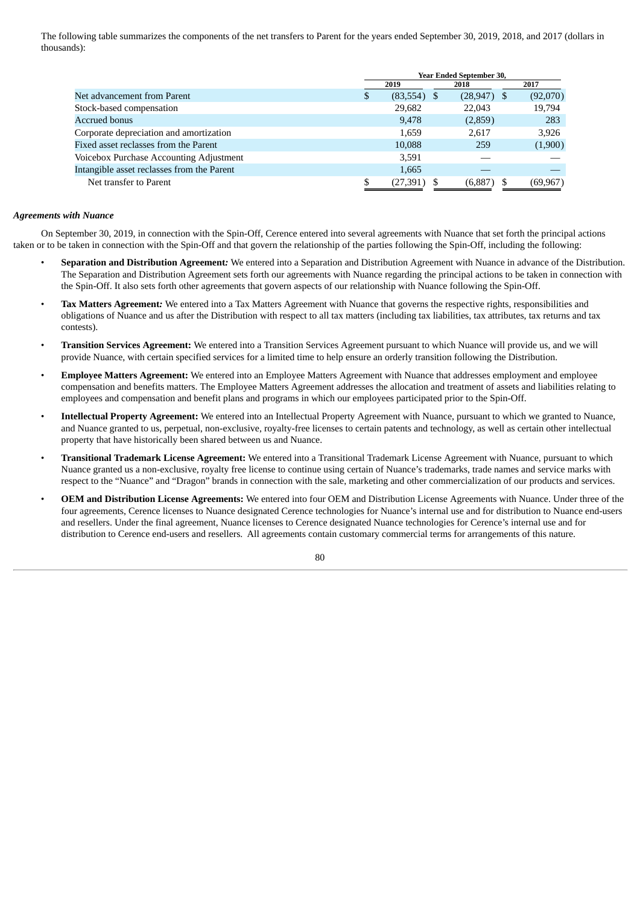The following table summarizes the components of the net transfers to Parent for the years ended September 30, 2019, 2018, and 2017 (dollars in thousands):

|                                            | <b>Year Ended September 30,</b> |               |                |           |  |  |  |
|--------------------------------------------|---------------------------------|---------------|----------------|-----------|--|--|--|
|                                            |                                 | 2019          | 2018           | 2017      |  |  |  |
| Net advancement from Parent                | S                               | $(83,554)$ \$ | $(28, 947)$ \$ | (92,070)  |  |  |  |
| Stock-based compensation                   |                                 | 29,682        | 22,043         | 19,794    |  |  |  |
| <b>Accrued bonus</b>                       |                                 | 9,478         | (2,859)        | 283       |  |  |  |
| Corporate depreciation and amortization    |                                 | 1,659         | 2.617          | 3,926     |  |  |  |
| Fixed asset reclasses from the Parent      |                                 | 10,088        | 259            | (1,900)   |  |  |  |
| Voicebox Purchase Accounting Adjustment    |                                 | 3,591         |                |           |  |  |  |
| Intangible asset reclasses from the Parent |                                 | 1,665         |                |           |  |  |  |
| Net transfer to Parent                     |                                 | (27, 391)     | (6,887)        | (69, 967) |  |  |  |

#### *Agreements with Nuance*

On September 30, 2019, in connection with the Spin-Off, Cerence entered into several agreements with Nuance that set forth the principal actions taken or to be taken in connection with the Spin-Off and that govern the relationship of the parties following the Spin-Off, including the following:

- **Separation and Distribution Agreement***:* We entered into a Separation and Distribution Agreement with Nuance in advance of the Distribution. The Separation and Distribution Agreement sets forth our agreements with Nuance regarding the principal actions to be taken in connection with the Spin-Off. It also sets forth other agreements that govern aspects of our relationship with Nuance following the Spin-Off.
- **Tax Matters Agreement***:* We entered into a Tax Matters Agreement with Nuance that governs the respective rights, responsibilities and obligations of Nuance and us after the Distribution with respect to all tax matters (including tax liabilities, tax attributes, tax returns and tax contests).
- **Transition Services Agreement:** We entered into a Transition Services Agreement pursuant to which Nuance will provide us, and we will provide Nuance, with certain specified services for a limited time to help ensure an orderly transition following the Distribution.
- **Employee Matters Agreement:** We entered into an Employee Matters Agreement with Nuance that addresses employment and employee compensation and benefits matters. The Employee Matters Agreement addresses the allocation and treatment of assets and liabilities relating to employees and compensation and benefit plans and programs in which our employees participated prior to the Spin-Off.
- **Intellectual Property Agreement:** We entered into an Intellectual Property Agreement with Nuance, pursuant to which we granted to Nuance, and Nuance granted to us, perpetual, non-exclusive, royalty-free licenses to certain patents and technology, as well as certain other intellectual property that have historically been shared between us and Nuance.
- **Transitional Trademark License Agreement:** We entered into a Transitional Trademark License Agreement with Nuance, pursuant to which Nuance granted us a non-exclusive, royalty free license to continue using certain of Nuance's trademarks, trade names and service marks with respect to the "Nuance" and "Dragon" brands in connection with the sale, marketing and other commercialization of our products and services.
- **OEM and Distribution License Agreements:** We entered into four OEM and Distribution License Agreements with Nuance. Under three of the four agreements, Cerence licenses to Nuance designated Cerence technologies for Nuance's internal use and for distribution to Nuance end-users and resellers. Under the final agreement, Nuance licenses to Cerence designated Nuance technologies for Cerence's internal use and for distribution to Cerence end-users and resellers. All agreements contain customary commercial terms for arrangements of this nature.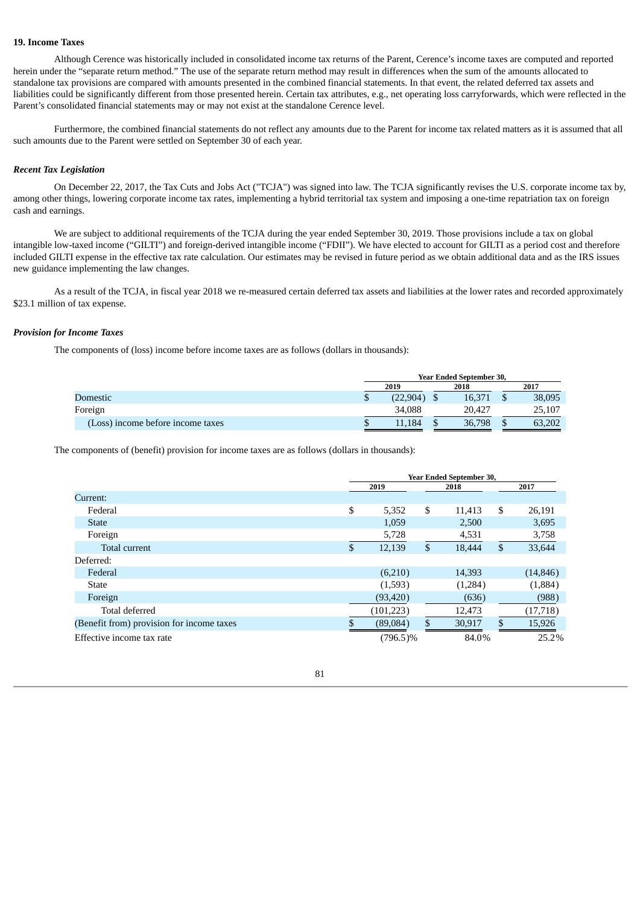## **19. Income Taxes**

Although Cerence was historically included in consolidated income tax returns of the Parent, Cerence's income taxes are computed and reported herein under the "separate return method." The use of the separate return method may result in differences when the sum of the amounts allocated to standalone tax provisions are compared with amounts presented in the combined financial statements. In that event, the related deferred tax assets and liabilities could be significantly different from those presented herein. Certain tax attributes, e.g., net operating loss carryforwards, which were reflected in the Parent's consolidated financial statements may or may not exist at the standalone Cerence level.

Furthermore, the combined financial statements do not reflect any amounts due to the Parent for income tax related matters as it is assumed that all such amounts due to the Parent were settled on September 30 of each year.

#### *Recent Tax Legislation*

On December 22, 2017, the Tax Cuts and Jobs Act ("TCJA") was signed into law. The TCJA significantly revises the U.S. corporate income tax by, among other things, lowering corporate income tax rates, implementing a hybrid territorial tax system and imposing a one-time repatriation tax on foreign cash and earnings.

We are subject to additional requirements of the TCJA during the year ended September 30, 2019. Those provisions include a tax on global intangible low-taxed income ("GILTI") and foreign-derived intangible income ("FDII"). We have elected to account for GILTI as a period cost and therefore included GILTI expense in the effective tax rate calculation. Our estimates may be revised in future period as we obtain additional data and as the IRS issues new guidance implementing the law changes.

As a result of the TCJA, in fiscal year 2018 we re-measured certain deferred tax assets and liabilities at the lower rates and recorded approximately \$23.1 million of tax expense.

## *Provision for Income Taxes*

The components of (loss) income before income taxes are as follows (dollars in thousands):

|                                   | <b>Year Ended September 30.</b> |  |        |  |        |  |  |
|-----------------------------------|---------------------------------|--|--------|--|--------|--|--|
|                                   | 2019                            |  | 2018   |  | 2017   |  |  |
| Domestic                          | (22.904)                        |  | 16.371 |  | 38,095 |  |  |
| Foreign                           | 34.088                          |  | 20.427 |  | 25,107 |  |  |
| (Loss) income before income taxes | 11.184                          |  | 36,798 |  | 63.202 |  |  |

The components of (benefit) provision for income taxes are as follows (dollars in thousands):

|                                           | Year Ended September 30, |              |    |         |    |           |  |  |
|-------------------------------------------|--------------------------|--------------|----|---------|----|-----------|--|--|
|                                           |                          | 2019<br>2018 |    |         |    | 2017      |  |  |
| Current:                                  |                          |              |    |         |    |           |  |  |
| Federal                                   | \$                       | 5,352        | \$ | 11,413  | \$ | 26,191    |  |  |
| <b>State</b>                              |                          | 1,059        |    | 2,500   |    | 3,695     |  |  |
| Foreign                                   |                          | 5,728        |    | 4,531   |    | 3,758     |  |  |
| Total current                             | \$                       | 12,139       | \$ | 18,444  | \$ | 33,644    |  |  |
| Deferred:                                 |                          |              |    |         |    |           |  |  |
| Federal                                   |                          | (6,210)      |    | 14,393  |    | (14, 846) |  |  |
| <b>State</b>                              |                          | (1,593)      |    | (1,284) |    | (1,884)   |  |  |
| Foreign                                   |                          | (93, 420)    |    | (636)   |    | (988)     |  |  |
| Total deferred                            |                          | (101, 223)   |    | 12,473  |    | (17, 718) |  |  |
| (Benefit from) provision for income taxes |                          | (89,084)     | \$ | 30,917  | \$ | 15,926    |  |  |
| Effective income tax rate                 |                          | $(796.5)\%$  |    | 84.0%   |    | 25.2%     |  |  |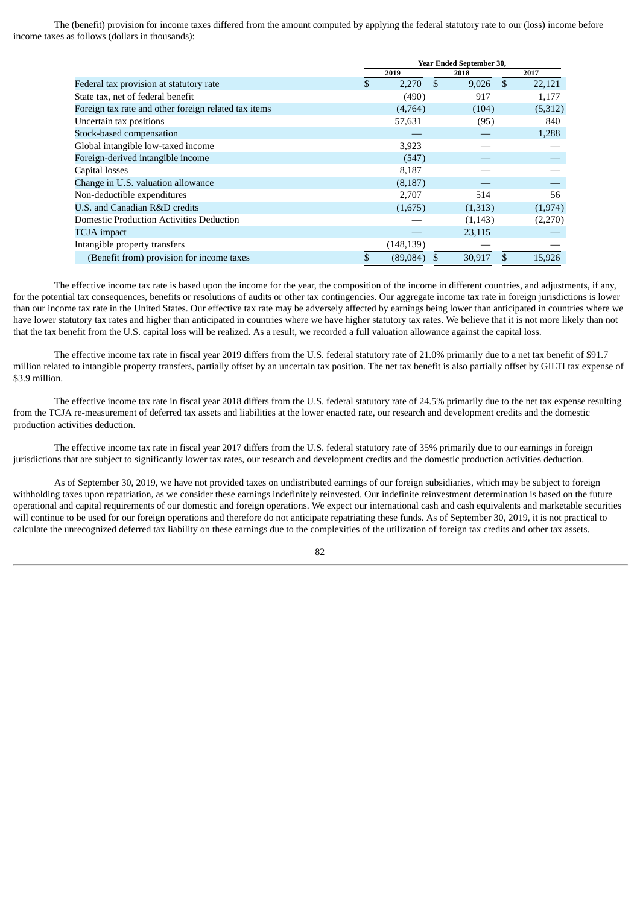The (benefit) provision for income taxes differed from the amount computed by applying the federal statutory rate to our (loss) income before income taxes as follows (dollars in thousands):

|                                                      | <b>Year Ended September 30,</b> |            |    |         |               |         |
|------------------------------------------------------|---------------------------------|------------|----|---------|---------------|---------|
|                                                      |                                 | 2019       |    | 2018    |               | 2017    |
| Federal tax provision at statutory rate              | \$                              | 2,270      | \$ | 9,026   | <sup>\$</sup> | 22,121  |
| State tax, net of federal benefit                    |                                 | (490)      |    | 917     |               | 1,177   |
| Foreign tax rate and other foreign related tax items |                                 | (4,764)    |    | (104)   |               | (5,312) |
| Uncertain tax positions                              |                                 | 57,631     |    | (95)    |               | 840     |
| Stock-based compensation                             |                                 |            |    |         |               | 1,288   |
| Global intangible low-taxed income                   |                                 | 3,923      |    |         |               |         |
| Foreign-derived intangible income                    |                                 | (547)      |    |         |               |         |
| Capital losses                                       |                                 | 8,187      |    |         |               |         |
| Change in U.S. valuation allowance                   |                                 | (8, 187)   |    |         |               |         |
| Non-deductible expenditures                          |                                 | 2,707      |    | 514     |               | 56      |
| U.S. and Canadian R&D credits                        |                                 | (1,675)    |    | (1,313) |               | (1,974) |
| <b>Domestic Production Activities Deduction</b>      |                                 |            |    | (1,143) |               | (2,270) |
| <b>TCJA</b> impact                                   |                                 |            |    | 23,115  |               |         |
| Intangible property transfers                        |                                 | (148, 139) |    |         |               |         |
| (Benefit from) provision for income taxes            | \$                              | (89,084)   |    | 30,917  | \$            | 15,926  |

The effective income tax rate is based upon the income for the year, the composition of the income in different countries, and adjustments, if any, for the potential tax consequences, benefits or resolutions of audits or other tax contingencies. Our aggregate income tax rate in foreign jurisdictions is lower than our income tax rate in the United States. Our effective tax rate may be adversely affected by earnings being lower than anticipated in countries where we have lower statutory tax rates and higher than anticipated in countries where we have higher statutory tax rates. We believe that it is not more likely than not that the tax benefit from the U.S. capital loss will be realized. As a result, we recorded a full valuation allowance against the capital loss.

The effective income tax rate in fiscal year 2019 differs from the U.S. federal statutory rate of 21.0% primarily due to a net tax benefit of \$91.7 million related to intangible property transfers, partially offset by an uncertain tax position. The net tax benefit is also partially offset by GILTI tax expense of \$3.9 million.

The effective income tax rate in fiscal year 2018 differs from the U.S. federal statutory rate of 24.5% primarily due to the net tax expense resulting from the TCJA re-measurement of deferred tax assets and liabilities at the lower enacted rate, our research and development credits and the domestic production activities deduction.

The effective income tax rate in fiscal year 2017 differs from the U.S. federal statutory rate of 35% primarily due to our earnings in foreign jurisdictions that are subject to significantly lower tax rates, our research and development credits and the domestic production activities deduction.

As of September 30, 2019, we have not provided taxes on undistributed earnings of our foreign subsidiaries, which may be subject to foreign withholding taxes upon repatriation, as we consider these earnings indefinitely reinvested. Our indefinite reinvestment determination is based on the future operational and capital requirements of our domestic and foreign operations. We expect our international cash and cash equivalents and marketable securities will continue to be used for our foreign operations and therefore do not anticipate repatriating these funds. As of September 30, 2019, it is not practical to calculate the unrecognized deferred tax liability on these earnings due to the complexities of the utilization of foreign tax credits and other tax assets.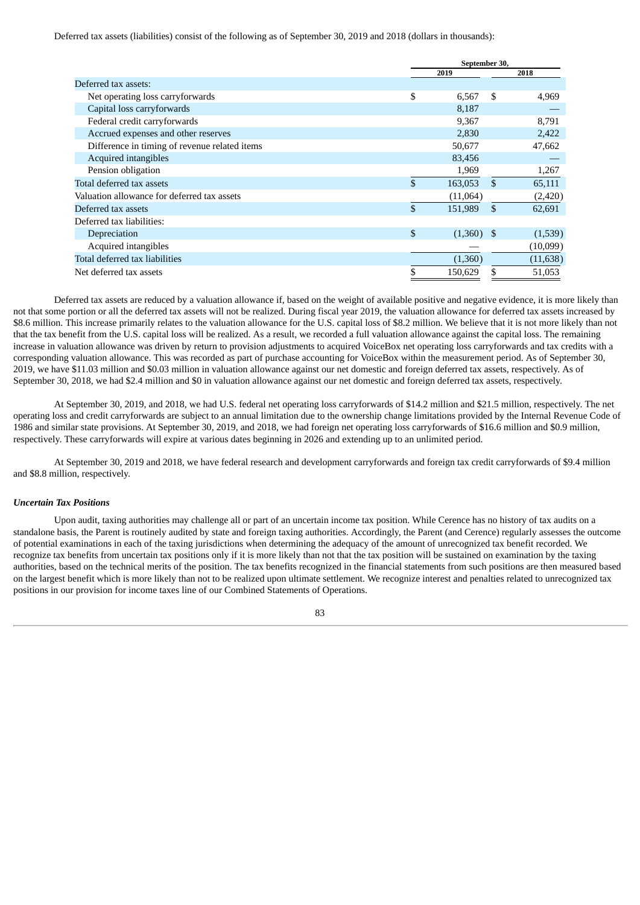Deferred tax assets (liabilities) consist of the following as of September 30, 2019 and 2018 (dollars in thousands):

| September 30,  |          |               |              |  |  |
|----------------|----------|---------------|--------------|--|--|
|                | 2019     |               | 2018         |  |  |
|                |          |               |              |  |  |
| \$             | 6,567    | \$            | 4,969        |  |  |
|                | 8,187    |               |              |  |  |
|                | 9.367    |               | 8,791        |  |  |
|                | 2,830    |               | 2,422        |  |  |
|                | 50,677   |               | 47,662       |  |  |
|                | 83,456   |               |              |  |  |
|                | 1,969    |               | 1,267        |  |  |
| \$             | 163,053  | \$            | 65,111       |  |  |
|                | (11,064) |               | (2,420)      |  |  |
| \$             | 151,989  | <sup>\$</sup> | 62,691       |  |  |
|                |          |               |              |  |  |
| $\mathfrak{L}$ |          |               | (1,539)      |  |  |
|                |          |               | (10,099)     |  |  |
|                | (1,360)  |               | (11, 638)    |  |  |
| \$             | 150,629  | S             | 51,053       |  |  |
|                |          |               | $(1,360)$ \$ |  |  |

Deferred tax assets are reduced by a valuation allowance if, based on the weight of available positive and negative evidence, it is more likely than not that some portion or all the deferred tax assets will not be realized. During fiscal year 2019, the valuation allowance for deferred tax assets increased by \$8.6 million. This increase primarily relates to the valuation allowance for the U.S. capital loss of \$8.2 million. We believe that it is not more likely than not that the tax benefit from the U.S. capital loss will be realized. As a result, we recorded a full valuation allowance against the capital loss. The remaining increase in valuation allowance was driven by return to provision adjustments to acquired VoiceBox net operating loss carryforwards and tax credits with a corresponding valuation allowance. This was recorded as part of purchase accounting for VoiceBox within the measurement period. As of September 30, 2019, we have \$11.03 million and \$0.03 million in valuation allowance against our net domestic and foreign deferred tax assets, respectively. As of September 30, 2018, we had \$2.4 million and \$0 in valuation allowance against our net domestic and foreign deferred tax assets, respectively.

At September 30, 2019, and 2018, we had U.S. federal net operating loss carryforwards of \$14.2 million and \$21.5 million, respectively. The net operating loss and credit carryforwards are subject to an annual limitation due to the ownership change limitations provided by the Internal Revenue Code of 1986 and similar state provisions. At September 30, 2019, and 2018, we had foreign net operating loss carryforwards of \$16.6 million and \$0.9 million, respectively. These carryforwards will expire at various dates beginning in 2026 and extending up to an unlimited period.

At September 30, 2019 and 2018, we have federal research and development carryforwards and foreign tax credit carryforwards of \$9.4 million and \$8.8 million, respectively.

#### *Uncertain Tax Positions*

Upon audit, taxing authorities may challenge all or part of an uncertain income tax position. While Cerence has no history of tax audits on a standalone basis, the Parent is routinely audited by state and foreign taxing authorities. Accordingly, the Parent (and Cerence) regularly assesses the outcome of potential examinations in each of the taxing jurisdictions when determining the adequacy of the amount of unrecognized tax benefit recorded. We recognize tax benefits from uncertain tax positions only if it is more likely than not that the tax position will be sustained on examination by the taxing authorities, based on the technical merits of the position. The tax benefits recognized in the financial statements from such positions are then measured based on the largest benefit which is more likely than not to be realized upon ultimate settlement. We recognize interest and penalties related to unrecognized tax positions in our provision for income taxes line of our Combined Statements of Operations.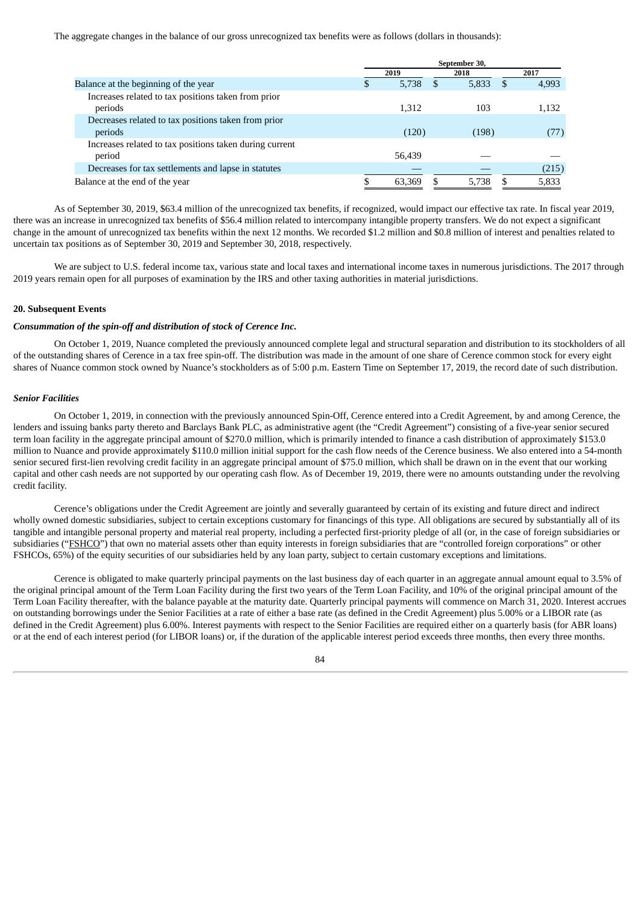The aggregate changes in the balance of our gross unrecognized tax benefits were as follows (dollars in thousands):

|                                                         | September 30, |        |  |       |     |       |
|---------------------------------------------------------|---------------|--------|--|-------|-----|-------|
|                                                         |               | 2019   |  | 2018  |     | 2017  |
| Balance at the beginning of the year                    | \$.           | 5,738  |  | 5,833 | \$. | 4,993 |
| Increases related to tax positions taken from prior     |               |        |  |       |     |       |
| periods                                                 |               | 1.312  |  | 103   |     | 1,132 |
| Decreases related to tax positions taken from prior     |               |        |  |       |     |       |
| periods                                                 |               | (120)  |  | (198) |     | (77)  |
| Increases related to tax positions taken during current |               |        |  |       |     |       |
| period                                                  |               | 56,439 |  |       |     |       |
| Decreases for tax settlements and lapse in statutes     |               |        |  |       |     | (215) |
| Balance at the end of the year                          |               | 63.369 |  | 5.738 |     | 5,833 |

As of September 30, 2019, \$63.4 million of the unrecognized tax benefits, if recognized, would impact our effective tax rate. In fiscal year 2019, there was an increase in unrecognized tax benefits of \$56.4 million related to intercompany intangible property transfers. We do not expect a significant change in the amount of unrecognized tax benefits within the next 12 months. We recorded \$1.2 million and \$0.8 million of interest and penalties related to uncertain tax positions as of September 30, 2019 and September 30, 2018, respectively.

We are subject to U.S. federal income tax, various state and local taxes and international income taxes in numerous jurisdictions. The 2017 through 2019 years remain open for all purposes of examination by the IRS and other taxing authorities in material jurisdictions.

## **20. Subsequent Events**

#### *Consummation of the spin-off and distribution of stock of Cerence Inc.*

On October 1, 2019, Nuance completed the previously announced complete legal and structural separation and distribution to its stockholders of all of the outstanding shares of Cerence in a tax free spin-off. The distribution was made in the amount of one share of Cerence common stock for every eight shares of Nuance common stock owned by Nuance's stockholders as of 5:00 p.m. Eastern Time on September 17, 2019, the record date of such distribution.

## *Senior Facilities*

On October 1, 2019, in connection with the previously announced Spin-Off, Cerence entered into a Credit Agreement, by and among Cerence, the lenders and issuing banks party thereto and Barclays Bank PLC, as administrative agent (the "Credit Agreement") consisting of a five-year senior secured term loan facility in the aggregate principal amount of \$270.0 million, which is primarily intended to finance a cash distribution of approximately \$153.0 million to Nuance and provide approximately \$110.0 million initial support for the cash flow needs of the Cerence business. We also entered into a 54-month senior secured first-lien revolving credit facility in an aggregate principal amount of \$75.0 million, which shall be drawn on in the event that our working capital and other cash needs are not supported by our operating cash flow. As of December 19, 2019, there were no amounts outstanding under the revolving credit facility.

Cerence's obligations under the Credit Agreement are jointly and severally guaranteed by certain of its existing and future direct and indirect wholly owned domestic subsidiaries, subject to certain exceptions customary for financings of this type. All obligations are secured by substantially all of its tangible and intangible personal property and material real property, including a perfected first-priority pledge of all (or, in the case of foreign subsidiaries or subsidiaries ("FSHCO") that own no material assets other than equity interests in foreign subsidiaries that are "controlled foreign corporations" or other FSHCOs, 65%) of the equity securities of our subsidiaries held by any loan party, subject to certain customary exceptions and limitations.

Cerence is obligated to make quarterly principal payments on the last business day of each quarter in an aggregate annual amount equal to 3.5% of the original principal amount of the Term Loan Facility during the first two years of the Term Loan Facility, and 10% of the original principal amount of the Term Loan Facility thereafter, with the balance payable at the maturity date. Quarterly principal payments will commence on March 31, 2020. Interest accrues on outstanding borrowings under the Senior Facilities at a rate of either a base rate (as defined in the Credit Agreement) plus 5.00% or a LIBOR rate (as defined in the Credit Agreement) plus 6.00%. Interest payments with respect to the Senior Facilities are required either on a quarterly basis (for ABR loans) or at the end of each interest period (for LIBOR loans) or, if the duration of the applicable interest period exceeds three months, then every three months.

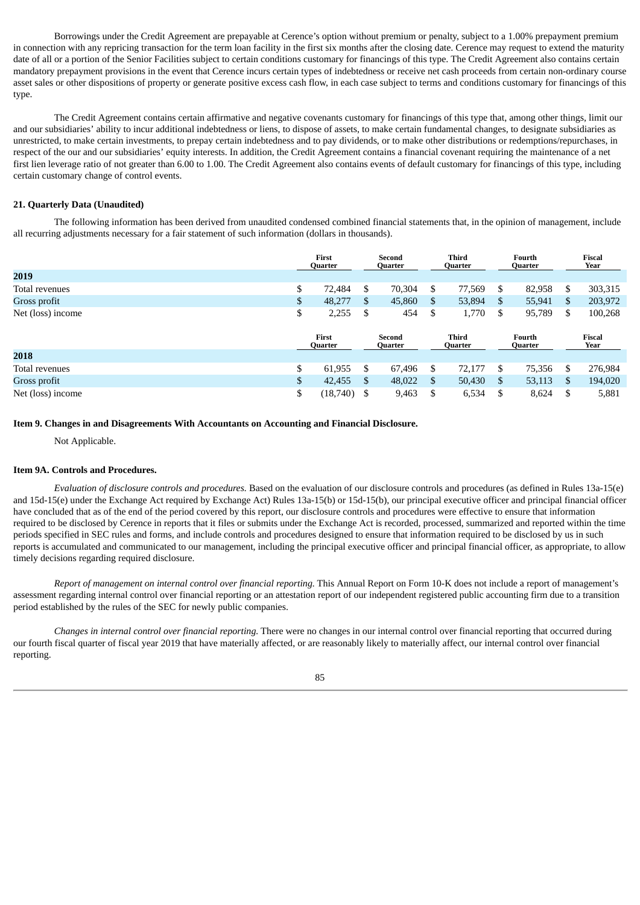Borrowings under the Credit Agreement are prepayable at Cerence's option without premium or penalty, subject to a 1.00% prepayment premium in connection with any repricing transaction for the term loan facility in the first six months after the closing date. Cerence may request to extend the maturity date of all or a portion of the Senior Facilities subject to certain conditions customary for financings of this type. The Credit Agreement also contains certain mandatory prepayment provisions in the event that Cerence incurs certain types of indebtedness or receive net cash proceeds from certain non-ordinary course asset sales or other dispositions of property or generate positive excess cash flow, in each case subject to terms and conditions customary for financings of this type.

The Credit Agreement contains certain affirmative and negative covenants customary for financings of this type that, among other things, limit our and our subsidiaries' ability to incur additional indebtedness or liens, to dispose of assets, to make certain fundamental changes, to designate subsidiaries as unrestricted, to make certain investments, to prepay certain indebtedness and to pay dividends, or to make other distributions or redemptions/repurchases, in respect of the our and our subsidiaries' equity interests. In addition, the Credit Agreement contains a financial covenant requiring the maintenance of a net first lien leverage ratio of not greater than 6.00 to 1.00. The Credit Agreement also contains events of default customary for financings of this type, including certain customary change of control events.

## **21. Quarterly Data (Unaudited)**

The following information has been derived from unaudited condensed combined financial statements that, in the opinion of management, include all recurring adjustments necessary for a fair statement of such information (dollars in thousands).

|                   | First<br>Quarter        | Second<br>Quarter |     | <b>Third</b><br>Quarter        |              | Fourth<br>Quarter |              | <b>Fiscal</b><br>Year |
|-------------------|-------------------------|-------------------|-----|--------------------------------|--------------|-------------------|--------------|-----------------------|
| 2019              |                         |                   |     |                                |              |                   |              |                       |
| Total revenues    | \$<br>72,484            | \$<br>70,304      | \$  | 77,569                         | \$           | 82,958            | \$           | 303,315               |
| Gross profit      | \$<br>48,277            | \$<br>45,860      | \$  | 53,894                         | $\mathbf{S}$ | 55,941            | $\mathbb{S}$ | 203,972               |
| Net (loss) income | \$<br>2,255             | \$<br>454         | \$  | 1,770                          | \$           | 95,789            | \$           | 100,268               |
|                   | First<br><b>Quarter</b> | Second<br>Quarter |     | <b>Third</b><br><b>Quarter</b> |              | Fourth<br>Quarter |              | <b>Fiscal</b><br>Year |
| 2018              |                         |                   |     |                                |              |                   |              |                       |
|                   |                         |                   |     |                                |              |                   |              |                       |
| Total revenues    | \$<br>61,955            | \$<br>67,496      | \$  | 72,177                         | S.           | 75,356            | \$           | 276,984               |
| Gross profit      | \$<br>42,455            | \$<br>48,022      | \$. | 50,430                         | - \$         | 53,113            | \$.          | 194,020               |

## **Item 9. Changes in and Disagreements With Accountants on Accounting and Financial Disclosure.**

Not Applicable.

#### **Item 9A. Controls and Procedures.**

*Evaluation of disclosure controls and procedures.* Based on the evaluation of our disclosure controls and procedures (as defined in Rules 13a-15(e) and 15d-15(e) under the Exchange Act required by Exchange Act) Rules 13a-15(b) or 15d-15(b), our principal executive officer and principal financial officer have concluded that as of the end of the period covered by this report, our disclosure controls and procedures were effective to ensure that information required to be disclosed by Cerence in reports that it files or submits under the Exchange Act is recorded, processed, summarized and reported within the time periods specified in SEC rules and forms, and include controls and procedures designed to ensure that information required to be disclosed by us in such reports is accumulated and communicated to our management, including the principal executive officer and principal financial officer, as appropriate, to allow timely decisions regarding required disclosure.

*Report of management on internal control over financial reporting.* This Annual Report on Form 10-K does not include a report of management's assessment regarding internal control over financial reporting or an attestation report of our independent registered public accounting firm due to a transition period established by the rules of the SEC for newly public companies.

*Changes in internal control over financial reporting.* There were no changes in our internal control over financial reporting that occurred during our fourth fiscal quarter of fiscal year 2019 that have materially affected, or are reasonably likely to materially affect, our internal control over financial reporting.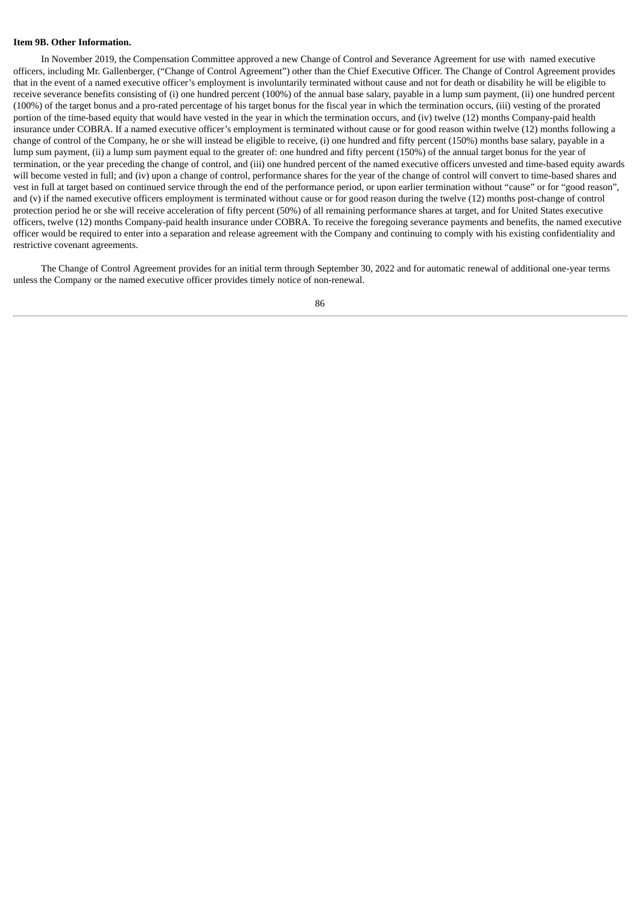## **Item 9B. Other Information.**

In November 2019, the Compensation Committee approved a new Change of Control and Severance Agreement for use with named executive officers, including Mr. Gallenberger, ("Change of Control Agreement") other than the Chief Executive Officer. The Change of Control Agreement provides that in the event of a named executive officer's employment is involuntarily terminated without cause and not for death or disability he will be eligible to receive severance benefits consisting of (i) one hundred percent (100%) of the annual base salary, payable in a lump sum payment, (ii) one hundred percent (100%) of the target bonus and a pro-rated percentage of his target bonus for the fiscal year in which the termination occurs, (iii) vesting of the prorated portion of the time-based equity that would have vested in the year in which the termination occurs, and (iv) twelve (12) months Company-paid health insurance under COBRA. If a named executive officer's employment is terminated without cause or for good reason within twelve (12) months following a change of control of the Company, he or she will instead be eligible to receive, (i) one hundred and fifty percent (150%) months base salary, payable in a lump sum payment, (ii) a lump sum payment equal to the greater of: one hundred and fifty percent (150%) of the annual target bonus for the year of termination, or the year preceding the change of control, and (iii) one hundred percent of the named executive officers unvested and time-based equity awards will become vested in full; and (iv) upon a change of control, performance shares for the year of the change of control will convert to time-based shares and vest in full at target based on continued service through the end of the performance period, or upon earlier termination without "cause" or for "good reason", and (v) if the named executive officers employment is terminated without cause or for good reason during the twelve (12) months post-change of control protection period he or she will receive acceleration of fifty percent (50%) of all remaining performance shares at target, and for United States executive officers, twelve (12) months Company-paid health insurance under COBRA. To receive the foregoing severance payments and benefits, the named executive officer would be required to enter into a separation and release agreement with the Company and continuing to comply with his existing confidentiality and restrictive covenant agreements.

The Change of Control Agreement provides for an initial term through September 30, 2022 and for automatic renewal of additional one-year terms unless the Company or the named executive officer provides timely notice of non-renewal.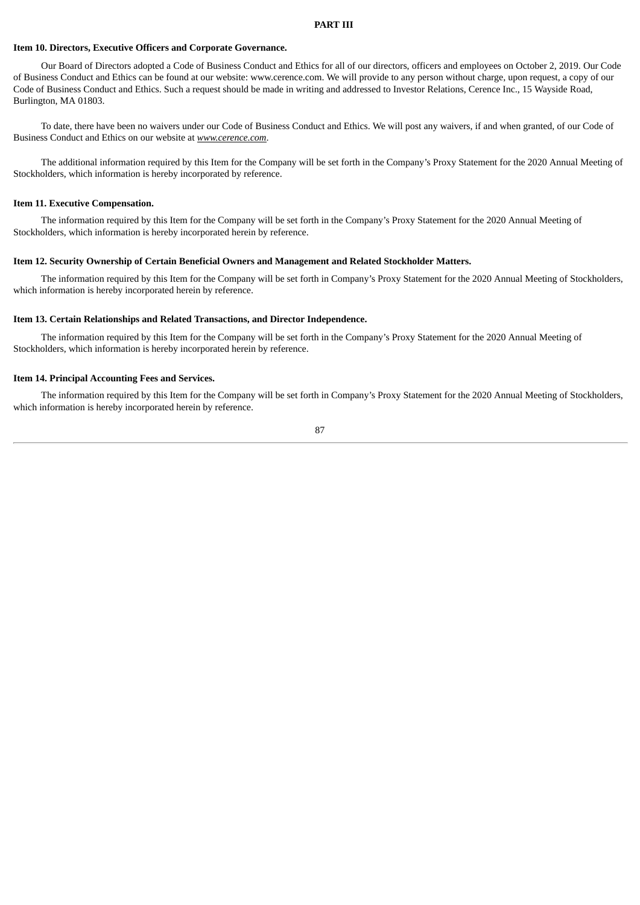#### **PART III**

## **Item 10. Directors, Executive Officers and Corporate Governance.**

Our Board of Directors adopted a Code of Business Conduct and Ethics for all of our directors, officers and employees on October 2, 2019. Our Code of Business Conduct and Ethics can be found at our website: www.cerence.com. We will provide to any person without charge, upon request, a copy of our Code of Business Conduct and Ethics. Such a request should be made in writing and addressed to Investor Relations, Cerence Inc., 15 Wayside Road, Burlington, MA 01803.

To date, there have been no waivers under our Code of Business Conduct and Ethics. We will post any waivers, if and when granted, of our Code of Business Conduct and Ethics on our website at *www.cerence.com*.

The additional information required by this Item for the Company will be set forth in the Company's Proxy Statement for the 2020 Annual Meeting of Stockholders, which information is hereby incorporated by reference.

## **Item 11. Executive Compensation.**

The information required by this Item for the Company will be set forth in the Company's Proxy Statement for the 2020 Annual Meeting of Stockholders, which information is hereby incorporated herein by reference.

## **Item 12. Security Ownership of Certain Beneficial Owners and Management and Related Stockholder Matters.**

The information required by this Item for the Company will be set forth in Company's Proxy Statement for the 2020 Annual Meeting of Stockholders, which information is hereby incorporated herein by reference.

## **Item 13. Certain Relationships and Related Transactions, and Director Independence.**

The information required by this Item for the Company will be set forth in the Company's Proxy Statement for the 2020 Annual Meeting of Stockholders, which information is hereby incorporated herein by reference.

# **Item 14. Principal Accounting Fees and Services.**

The information required by this Item for the Company will be set forth in Company's Proxy Statement for the 2020 Annual Meeting of Stockholders, which information is hereby incorporated herein by reference.

$$
87\\
$$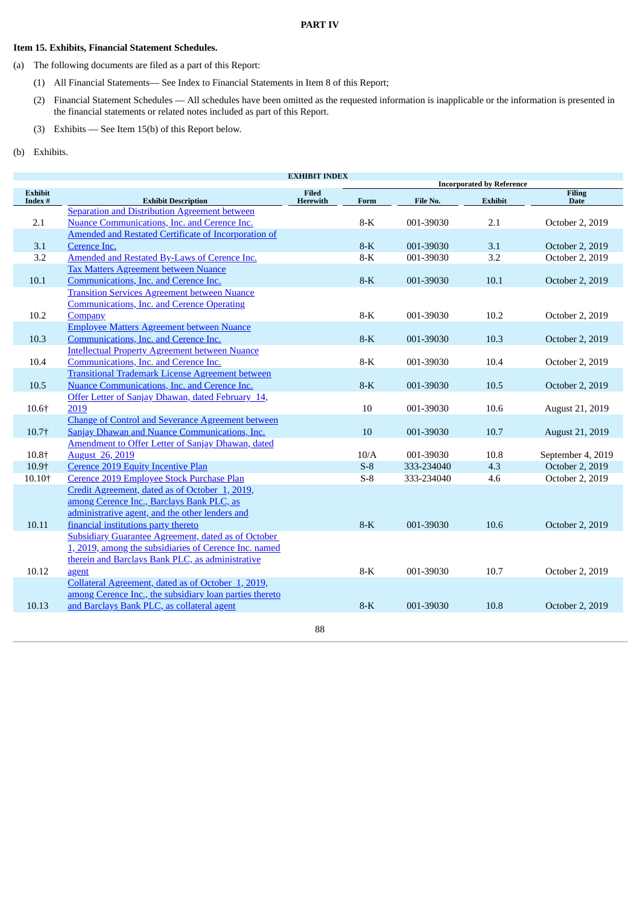## **PART IV**

# **Item 15. Exhibits, Financial Statement Schedules.**

- (a) The following documents are filed as a part of this Report:
	- (1) All Financial Statements— See Index to Financial Statements in Item 8 of this Report;
	- (2) Financial Statement Schedules All schedules have been omitted as the requested information is inapplicable or the information is presented in the financial statements or related notes included as part of this Report.
	- (3) Exhibits See Item 15(b) of this Report below.
- (b) Exhibits.

| <b>EXHIBIT INDEX</b> |                                                            |              |       |            |                                  |                   |
|----------------------|------------------------------------------------------------|--------------|-------|------------|----------------------------------|-------------------|
| <b>Exhibit</b>       |                                                            | <b>Filed</b> |       |            | <b>Incorporated by Reference</b> | <b>Filing</b>     |
| Index #              | <b>Exhibit Description</b>                                 | Herewith     | Form  | File No.   | <b>Exhibit</b>                   | <b>Date</b>       |
|                      | Separation and Distribution Agreement between              |              |       |            |                                  |                   |
| 2.1                  | Nuance Communications, Inc. and Cerence Inc.               |              | $8-K$ | 001-39030  | 2.1                              | October 2, 2019   |
|                      | Amended and Restated Certificate of Incorporation of       |              |       |            |                                  |                   |
| 3.1                  | Cerence Inc.                                               |              | $8-K$ | 001-39030  | 3.1                              | October 2, 2019   |
| 3.2                  | Amended and Restated By-Laws of Cerence Inc.               |              | $8-K$ | 001-39030  | 3.2                              | October 2, 2019   |
|                      | <b>Tax Matters Agreement between Nuance</b>                |              |       |            |                                  |                   |
| 10.1                 | Communications, Inc. and Cerence Inc.                      |              | $8-K$ | 001-39030  | 10.1                             | October 2, 2019   |
|                      | <b>Transition Services Agreement between Nuance</b>        |              |       |            |                                  |                   |
|                      | <b>Communications, Inc. and Cerence Operating</b>          |              |       |            |                                  |                   |
| 10.2                 | Company                                                    |              | $8-K$ | 001-39030  | 10.2                             | October 2, 2019   |
|                      | <b>Employee Matters Agreement between Nuance</b>           |              |       |            |                                  |                   |
| 10.3                 | Communications, Inc. and Cerence Inc.                      |              | $8-K$ | 001-39030  | 10.3                             | October 2, 2019   |
|                      | <b>Intellectual Property Agreement between Nuance</b>      |              |       |            |                                  |                   |
| 10.4                 | Communications, Inc. and Cerence Inc.                      |              | $8-K$ | 001-39030  | 10.4                             | October 2, 2019   |
|                      | <b>Transitional Trademark License Agreement between</b>    |              |       |            |                                  |                   |
| 10.5                 | Nuance Communications, Inc. and Cerence Inc.               |              | $8-K$ | 001-39030  | 10.5                             | October 2, 2019   |
|                      | Offer Letter of Sanjay Dhawan, dated February 14,          |              |       |            |                                  |                   |
| 10.6+                | 2019                                                       |              | 10    | 001-39030  | 10.6                             | August 21, 2019   |
|                      | <b>Change of Control and Severance Agreement between</b>   |              |       |            |                                  |                   |
| 10.7†                | <b>Sanjay Dhawan and Nuance Communications, Inc.</b>       |              | 10    | 001-39030  | 10.7                             | August 21, 2019   |
|                      | Amendment to Offer Letter of Sanjay Dhawan, dated          |              |       |            |                                  |                   |
| 10.8+                | <b>August</b> 26, 2019                                     |              | 10/A  | 001-39030  | 10.8                             | September 4, 2019 |
| 10.9+                | <b>Cerence 2019 Equity Incentive Plan</b>                  |              | $S-8$ | 333-234040 | 4.3                              | October 2, 2019   |
| 10.10+               | Cerence 2019 Employee Stock Purchase Plan                  |              | $S-8$ | 333-234040 | 4.6                              | October 2, 2019   |
|                      | Credit Agreement, dated as of October 1, 2019,             |              |       |            |                                  |                   |
|                      | among Cerence Inc., Barclays Bank PLC, as                  |              |       |            |                                  |                   |
|                      | administrative agent, and the other lenders and            |              |       |            |                                  |                   |
| 10.11                | financial institutions party thereto                       |              | $8-K$ | 001-39030  | 10.6                             | October 2, 2019   |
|                      | <b>Subsidiary Guarantee Agreement, dated as of October</b> |              |       |            |                                  |                   |
|                      | 1, 2019, among the subsidiaries of Cerence Inc. named      |              |       |            |                                  |                   |
|                      | therein and Barclays Bank PLC, as administrative           |              |       |            |                                  |                   |
| 10.12                | agent                                                      |              | $8-K$ | 001-39030  | 10.7                             | October 2, 2019   |
|                      | Collateral Agreement, dated as of October 1, 2019,         |              |       |            |                                  |                   |
|                      | among Cerence Inc., the subsidiary loan parties thereto    |              |       |            |                                  |                   |
| 10.13                | and Barclays Bank PLC, as collateral agent                 |              | $8-K$ | 001-39030  | 10.8                             | October 2, 2019   |
|                      |                                                            |              |       |            |                                  |                   |
|                      |                                                            | 88           |       |            |                                  |                   |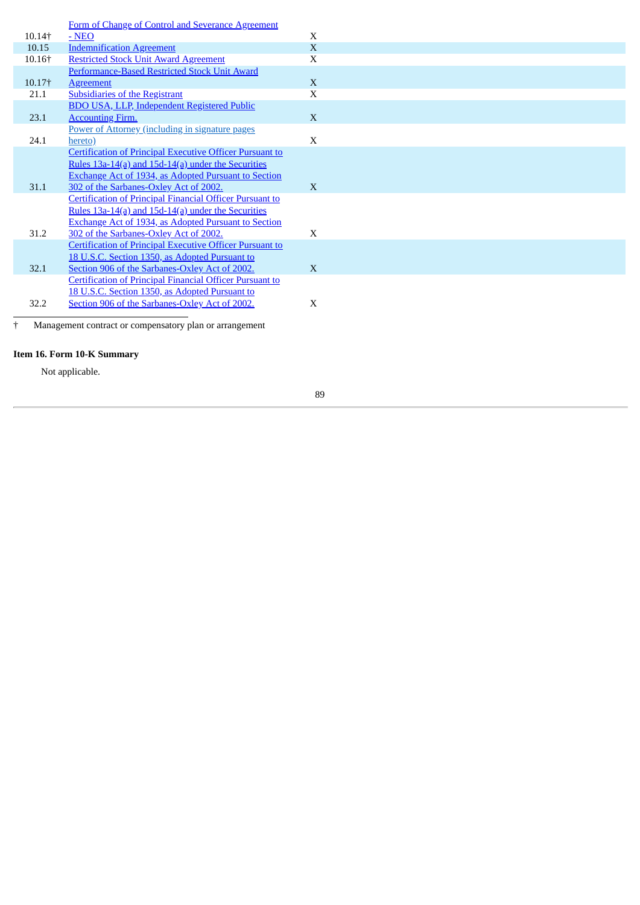|        | Form of Change of Control and Severance Agreement               |              |  |  |  |  |  |
|--------|-----------------------------------------------------------------|--------------|--|--|--|--|--|
| 10.14† | $-NEO$                                                          | $\mathbf{X}$ |  |  |  |  |  |
| 10.15  | <b>Indemnification Agreement</b>                                | X            |  |  |  |  |  |
| 10.16† | <b>Restricted Stock Unit Award Agreement</b>                    | X            |  |  |  |  |  |
|        | Performance-Based Restricted Stock Unit Award                   |              |  |  |  |  |  |
| 10.17† | Agreement                                                       | X            |  |  |  |  |  |
| 21.1   | <b>Subsidiaries of the Registrant</b>                           | X            |  |  |  |  |  |
|        | <b>BDO USA, LLP, Independent Registered Public</b>              |              |  |  |  |  |  |
| 23.1   | <b>Accounting Firm.</b>                                         | X            |  |  |  |  |  |
|        | Power of Attorney (including in signature pages                 |              |  |  |  |  |  |
| 24.1   | hereto)                                                         | $\mathbf{X}$ |  |  |  |  |  |
|        | <b>Certification of Principal Executive Officer Pursuant to</b> |              |  |  |  |  |  |
|        | Rules 13a-14(a) and 15d-14(a) under the Securities              |              |  |  |  |  |  |
|        | Exchange Act of 1934, as Adopted Pursuant to Section            |              |  |  |  |  |  |
| 31.1   | 302 of the Sarbanes-Oxley Act of 2002.                          | $\mathbf{X}$ |  |  |  |  |  |
|        | <b>Certification of Principal Financial Officer Pursuant to</b> |              |  |  |  |  |  |
|        | Rules 13a-14(a) and 15d-14(a) under the Securities              |              |  |  |  |  |  |
|        | <b>Exchange Act of 1934, as Adopted Pursuant to Section</b>     |              |  |  |  |  |  |
| 31.2   | 302 of the Sarbanes-Oxley Act of 2002.                          | X            |  |  |  |  |  |
|        | <b>Certification of Principal Executive Officer Pursuant to</b> |              |  |  |  |  |  |
|        | 18 U.S.C. Section 1350, as Adopted Pursuant to                  |              |  |  |  |  |  |
| 32.1   | Section 906 of the Sarbanes-Oxley Act of 2002.                  | X            |  |  |  |  |  |
|        | <b>Certification of Principal Financial Officer Pursuant to</b> |              |  |  |  |  |  |
|        | 18 U.S.C. Section 1350, as Adopted Pursuant to                  |              |  |  |  |  |  |
| 32.2   | Section 906 of the Sarbanes-Oxley Act of 2002.                  | X            |  |  |  |  |  |
|        |                                                                 |              |  |  |  |  |  |
|        | Management contract or compensatory plan or arrangement         |              |  |  |  |  |  |

**Item 16. Form 10-K Summary**

Not applicable.